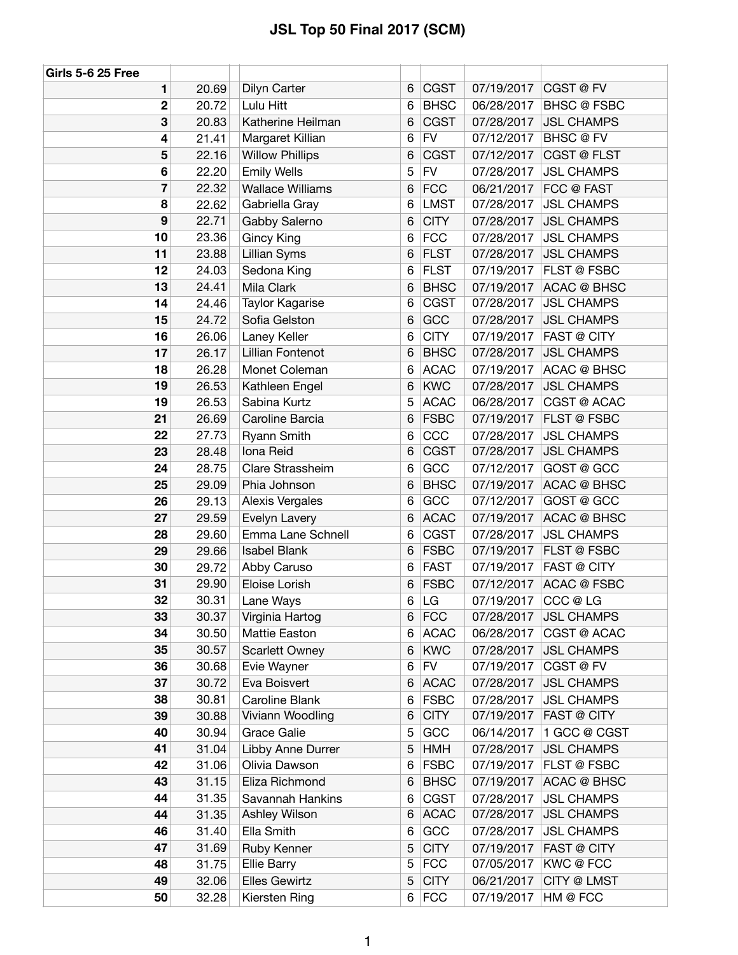| <b>Girls 5-6 25 Free</b> |       |                         |                |             |            |                    |
|--------------------------|-------|-------------------------|----------------|-------------|------------|--------------------|
| 1                        | 20.69 | Dilyn Carter            | 6              | <b>CGST</b> | 07/19/2017 | CGST @ FV          |
| $\boldsymbol{2}$         | 20.72 | Lulu Hitt               | 6              | <b>BHSC</b> | 06/28/2017 | <b>BHSC @ FSBC</b> |
| 3                        | 20.83 | Katherine Heilman       | 6              | <b>CGST</b> | 07/28/2017 | <b>JSL CHAMPS</b>  |
| 4                        | 21.41 | Margaret Killian        | 6              | <b>FV</b>   | 07/12/2017 | <b>BHSC</b> @ FV   |
| 5                        | 22.16 | <b>Willow Phillips</b>  | 6              | <b>CGST</b> | 07/12/2017 | <b>CGST @ FLST</b> |
| 6                        | 22.20 | <b>Emily Wells</b>      | 5              | <b>FV</b>   | 07/28/2017 | <b>JSL CHAMPS</b>  |
| $\overline{\mathbf{r}}$  | 22.32 | <b>Wallace Williams</b> | 6              | <b>FCC</b>  | 06/21/2017 | FCC @ FAST         |
| 8                        | 22.62 | Gabriella Gray          | 6              | <b>LMST</b> | 07/28/2017 | <b>JSL CHAMPS</b>  |
| 9                        | 22.71 | Gabby Salerno           | 6              | <b>CITY</b> | 07/28/2017 | <b>JSL CHAMPS</b>  |
| 10                       | 23.36 | <b>Gincy King</b>       | 6              | <b>FCC</b>  | 07/28/2017 | <b>JSL CHAMPS</b>  |
| 11                       | 23.88 | Lillian Syms            | 6              | <b>FLST</b> | 07/28/2017 | <b>JSL CHAMPS</b>  |
| 12                       | 24.03 | Sedona King             | 6              | <b>FLST</b> | 07/19/2017 | FLST @ FSBC        |
| 13                       | 24.41 | Mila Clark              | $\,6$          | <b>BHSC</b> | 07/19/2017 | <b>ACAC @ BHSC</b> |
| 14                       | 24.46 | <b>Taylor Kagarise</b>  | 6              | <b>CGST</b> | 07/28/2017 | <b>JSL CHAMPS</b>  |
| 15                       | 24.72 | Sofia Gelston           | 6              | GCC         | 07/28/2017 | <b>JSL CHAMPS</b>  |
| 16                       | 26.06 | Laney Keller            | 6              | <b>CITY</b> | 07/19/2017 | FAST @ CITY        |
| 17                       | 26.17 | Lillian Fontenot        | 6              | <b>BHSC</b> | 07/28/2017 | <b>JSL CHAMPS</b>  |
| 18                       | 26.28 | Monet Coleman           | 6              | <b>ACAC</b> | 07/19/2017 | <b>ACAC @ BHSC</b> |
| 19                       | 26.53 | Kathleen Engel          | 6              | <b>KWC</b>  | 07/28/2017 | <b>JSL CHAMPS</b>  |
| 19                       | 26.53 | Sabina Kurtz            | 5              | <b>ACAC</b> | 06/28/2017 | CGST @ ACAC        |
| 21                       | 26.69 | Caroline Barcia         | 6              | <b>FSBC</b> | 07/19/2017 | <b>FLST @ FSBC</b> |
| 22                       | 27.73 | Ryann Smith             | 6              | CCC         | 07/28/2017 | <b>JSL CHAMPS</b>  |
| 23                       | 28.48 | Iona Reid               | 6              | <b>CGST</b> | 07/28/2017 | <b>JSL CHAMPS</b>  |
| 24                       | 28.75 | Clare Strassheim        | 6              | GCC         | 07/12/2017 | GOST @ GCC         |
| 25                       | 29.09 | Phia Johnson            | 6              | <b>BHSC</b> | 07/19/2017 | <b>ACAC @ BHSC</b> |
| 26                       | 29.13 | Alexis Vergales         | 6              | GCC         | 07/12/2017 | GOST @ GCC         |
| 27                       | 29.59 | Evelyn Lavery           | 6              | <b>ACAC</b> | 07/19/2017 | <b>ACAC @ BHSC</b> |
| 28                       | 29.60 | Emma Lane Schnell       | 6              | <b>CGST</b> | 07/28/2017 | <b>JSL CHAMPS</b>  |
| 29                       | 29.66 | <b>Isabel Blank</b>     | 6              | <b>FSBC</b> | 07/19/2017 | <b>FLST @ FSBC</b> |
| 30                       | 29.72 | Abby Caruso             | 6              | <b>FAST</b> | 07/19/2017 | <b>FAST @ CITY</b> |
| 31                       | 29.90 | Eloise Lorish           | 6              | <b>FSBC</b> | 07/12/2017 | <b>ACAC @ FSBC</b> |
| 32                       | 30.31 | Lane Ways               | 6              | LG          | 07/19/2017 | CCC @ LG           |
| 33                       | 30.37 | Virginia Hartog         | 6              | <b>FCC</b>  | 07/28/2017 | <b>JSL CHAMPS</b>  |
| 34                       | 30.50 | Mattie Easton           | 6              | <b>ACAC</b> | 06/28/2017 | CGST @ ACAC        |
| 35                       | 30.57 | <b>Scarlett Owney</b>   | 6              | <b>KWC</b>  | 07/28/2017 | <b>JSL CHAMPS</b>  |
| 36                       | 30.68 | Evie Wayner             | 6              | <b>FV</b>   | 07/19/2017 | CGST@FV            |
| 37                       | 30.72 | Eva Boisvert            | 6              | <b>ACAC</b> | 07/28/2017 | <b>JSL CHAMPS</b>  |
| 38                       | 30.81 | Caroline Blank          | 6              | <b>FSBC</b> | 07/28/2017 | <b>JSL CHAMPS</b>  |
| 39                       | 30.88 | Viviann Woodling        | 6              | <b>CITY</b> | 07/19/2017 | <b>FAST @ CITY</b> |
| 40                       | 30.94 | Grace Galie             | 5              | GCC         | 06/14/2017 | 1 GCC @ CGST       |
| 41                       | 31.04 | Libby Anne Durrer       | 5              | HMH         | 07/28/2017 | <b>JSL CHAMPS</b>  |
| 42                       | 31.06 | Olivia Dawson           | 6              | <b>FSBC</b> | 07/19/2017 | FLST @ FSBC        |
| 43                       | 31.15 | Eliza Richmond          | 6              | <b>BHSC</b> | 07/19/2017 | <b>ACAC @ BHSC</b> |
| 44                       | 31.35 | Savannah Hankins        | 6              | <b>CGST</b> | 07/28/2017 | <b>JSL CHAMPS</b>  |
| 44                       | 31.35 | Ashley Wilson           | 6              | <b>ACAC</b> | 07/28/2017 | <b>JSL CHAMPS</b>  |
| 46                       | 31.40 | Ella Smith              | 6              | GCC         | 07/28/2017 | <b>JSL CHAMPS</b>  |
| 47                       | 31.69 | Ruby Kenner             | 5              | <b>CITY</b> | 07/19/2017 | <b>FAST @ CITY</b> |
| 48                       | 31.75 | <b>Ellie Barry</b>      | 5              | <b>FCC</b>  | 07/05/2017 | KWC @ FCC          |
| 49                       | 32.06 | <b>Elles Gewirtz</b>    | 5              | <b>CITY</b> | 06/21/2017 | <b>CITY @ LMST</b> |
| 50                       | 32.28 | Kiersten Ring           | 6 <sup>1</sup> | FCC         | 07/19/2017 | HM @ FCC           |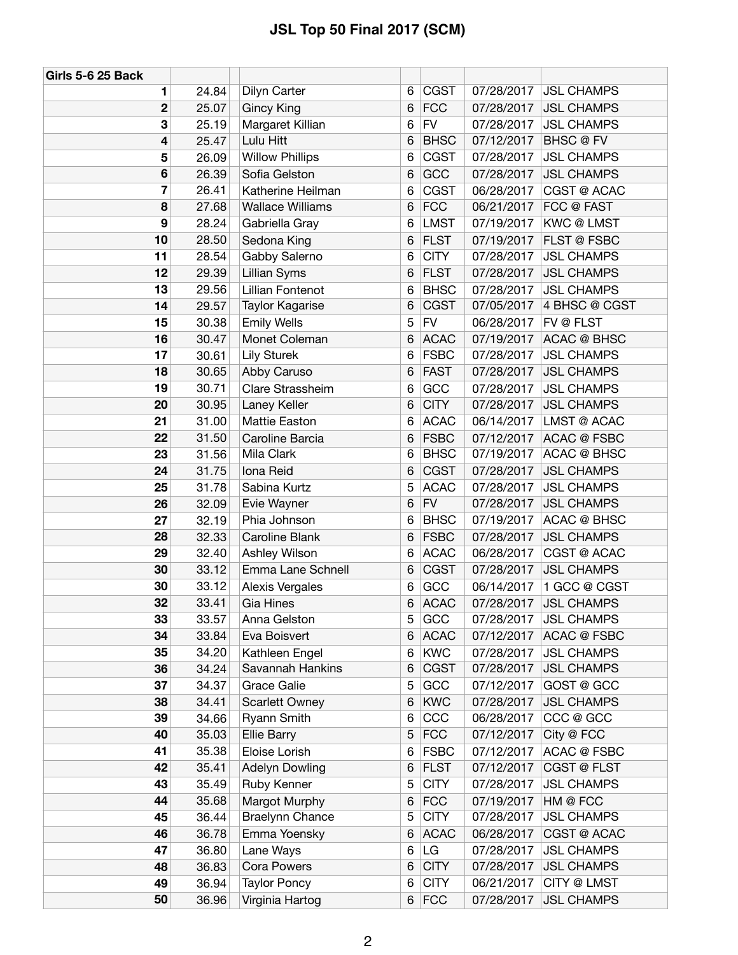| <b>Girls 5-6 25 Back</b> |       |                         |   |             |            |                    |
|--------------------------|-------|-------------------------|---|-------------|------------|--------------------|
| 1                        | 24.84 | Dilyn Carter            | 6 | <b>CGST</b> | 07/28/2017 | <b>JSL CHAMPS</b>  |
| $\boldsymbol{2}$         | 25.07 | <b>Gincy King</b>       | 6 | <b>FCC</b>  | 07/28/2017 | <b>JSL CHAMPS</b>  |
| 3                        | 25.19 | Margaret Killian        | 6 | <b>FV</b>   | 07/28/2017 | <b>JSL CHAMPS</b>  |
| 4                        | 25.47 | Lulu Hitt               | 6 | <b>BHSC</b> | 07/12/2017 | BHSC@FV            |
| 5                        | 26.09 | <b>Willow Phillips</b>  | 6 | <b>CGST</b> | 07/28/2017 | <b>JSL CHAMPS</b>  |
| $6\phantom{1}6$          | 26.39 | Sofia Gelston           | 6 | GCC         | 07/28/2017 | <b>JSL CHAMPS</b>  |
| 7                        | 26.41 | Katherine Heilman       | 6 | <b>CGST</b> | 06/28/2017 | CGST @ ACAC        |
| 8                        | 27.68 | <b>Wallace Williams</b> | 6 | <b>FCC</b>  | 06/21/2017 | FCC @ FAST         |
| 9                        | 28.24 | Gabriella Gray          | 6 | <b>LMST</b> | 07/19/2017 | <b>KWC@LMST</b>    |
| 10                       | 28.50 | Sedona King             | 6 | <b>FLST</b> | 07/19/2017 | <b>FLST @ FSBC</b> |
| 11                       | 28.54 | Gabby Salerno           | 6 | <b>CITY</b> | 07/28/2017 | <b>JSL CHAMPS</b>  |
| 12                       | 29.39 | Lillian Syms            | 6 | <b>FLST</b> | 07/28/2017 | <b>JSL CHAMPS</b>  |
| 13                       | 29.56 | Lillian Fontenot        | 6 | <b>BHSC</b> | 07/28/2017 | <b>JSL CHAMPS</b>  |
| 14                       | 29.57 | <b>Taylor Kagarise</b>  | 6 | <b>CGST</b> | 07/05/2017 | 4 BHSC @ CGST      |
| 15                       | 30.38 | <b>Emily Wells</b>      | 5 | <b>FV</b>   | 06/28/2017 | FV @ FLST          |
| 16                       | 30.47 | Monet Coleman           | 6 | <b>ACAC</b> | 07/19/2017 | <b>ACAC @ BHSC</b> |
| 17                       | 30.61 | <b>Lily Sturek</b>      | 6 | <b>FSBC</b> | 07/28/2017 | <b>JSL CHAMPS</b>  |
| 18                       | 30.65 | Abby Caruso             | 6 | <b>FAST</b> | 07/28/2017 | <b>JSL CHAMPS</b>  |
| 19                       | 30.71 | Clare Strassheim        | 6 | GCC         | 07/28/2017 | <b>JSL CHAMPS</b>  |
| 20                       | 30.95 | Laney Keller            | 6 | <b>CITY</b> | 07/28/2017 | <b>JSL CHAMPS</b>  |
| 21                       | 31.00 | Mattie Easton           | 6 | <b>ACAC</b> | 06/14/2017 | LMST @ ACAC        |
| 22                       | 31.50 | Caroline Barcia         | 6 | <b>FSBC</b> | 07/12/2017 | <b>ACAC @ FSBC</b> |
| 23                       | 31.56 | Mila Clark              | 6 | <b>BHSC</b> | 07/19/2017 | <b>ACAC @ BHSC</b> |
| 24                       | 31.75 | Iona Reid               | 6 | <b>CGST</b> | 07/28/2017 | <b>JSL CHAMPS</b>  |
| 25                       | 31.78 | Sabina Kurtz            | 5 | <b>ACAC</b> | 07/28/2017 | <b>JSL CHAMPS</b>  |
| 26                       | 32.09 | Evie Wayner             | 6 | <b>FV</b>   | 07/28/2017 | <b>JSL CHAMPS</b>  |
| 27                       | 32.19 | Phia Johnson            | 6 | <b>BHSC</b> | 07/19/2017 | <b>ACAC @ BHSC</b> |
| 28                       | 32.33 | Caroline Blank          | 6 | <b>FSBC</b> | 07/28/2017 | <b>JSL CHAMPS</b>  |
| 29                       | 32.40 | Ashley Wilson           | 6 | <b>ACAC</b> | 06/28/2017 | CGST @ ACAC        |
| 30                       | 33.12 | Emma Lane Schnell       | 6 | <b>CGST</b> | 07/28/2017 | <b>JSL CHAMPS</b>  |
| 30                       | 33.12 | Alexis Vergales         | 6 | GCC         | 06/14/2017 | 1 GCC @ CGST       |
| 32                       | 33.41 | <b>Gia Hines</b>        | 6 | <b>ACAC</b> | 07/28/2017 | <b>JSL CHAMPS</b>  |
| 33                       | 33.57 | Anna Gelston            | 5 | GCC         | 07/28/2017 | <b>JSL CHAMPS</b>  |
| 34                       | 33.84 | Eva Boisvert            | 6 | <b>ACAC</b> | 07/12/2017 | <b>ACAC @ FSBC</b> |
| 35                       | 34.20 | Kathleen Engel          | 6 | <b>KWC</b>  | 07/28/2017 | <b>JSL CHAMPS</b>  |
| 36                       | 34.24 | Savannah Hankins        | 6 | <b>CGST</b> | 07/28/2017 | <b>JSL CHAMPS</b>  |
| 37                       | 34.37 | Grace Galie             | 5 | GCC         | 07/12/2017 | GOST @ GCC         |
| 38                       | 34.41 | <b>Scarlett Owney</b>   | 6 | <b>KWC</b>  | 07/28/2017 | <b>JSL CHAMPS</b>  |
| 39                       | 34.66 | Ryann Smith             | 6 | CCC         | 06/28/2017 | CCC @ GCC          |
| 40                       | 35.03 | <b>Ellie Barry</b>      | 5 | <b>FCC</b>  | 07/12/2017 | City @ FCC         |
| 41                       | 35.38 | Eloise Lorish           | 6 | <b>FSBC</b> | 07/12/2017 | <b>ACAC @ FSBC</b> |
| 42                       | 35.41 | <b>Adelyn Dowling</b>   | 6 | <b>FLST</b> | 07/12/2017 | <b>CGST @ FLST</b> |
| 43                       | 35.49 | Ruby Kenner             | 5 | <b>CITY</b> | 07/28/2017 | <b>JSL CHAMPS</b>  |
| 44                       | 35.68 | Margot Murphy           | 6 | <b>FCC</b>  | 07/19/2017 | HM @ FCC           |
| 45                       | 36.44 | Braelynn Chance         | 5 | <b>CITY</b> | 07/28/2017 | <b>JSL CHAMPS</b>  |
| 46                       | 36.78 | Emma Yoensky            | 6 | <b>ACAC</b> | 06/28/2017 | CGST @ ACAC        |
| 47                       | 36.80 | Lane Ways               | 6 | LG          | 07/28/2017 | <b>JSL CHAMPS</b>  |
| 48                       | 36.83 | Cora Powers             | 6 | <b>CITY</b> | 07/28/2017 | <b>JSL CHAMPS</b>  |
| 49                       | 36.94 | <b>Taylor Poncy</b>     | 6 | <b>CITY</b> | 06/21/2017 | <b>CITY @ LMST</b> |
| 50                       | 36.96 | Virginia Hartog         | 6 | <b>FCC</b>  | 07/28/2017 | <b>JSL CHAMPS</b>  |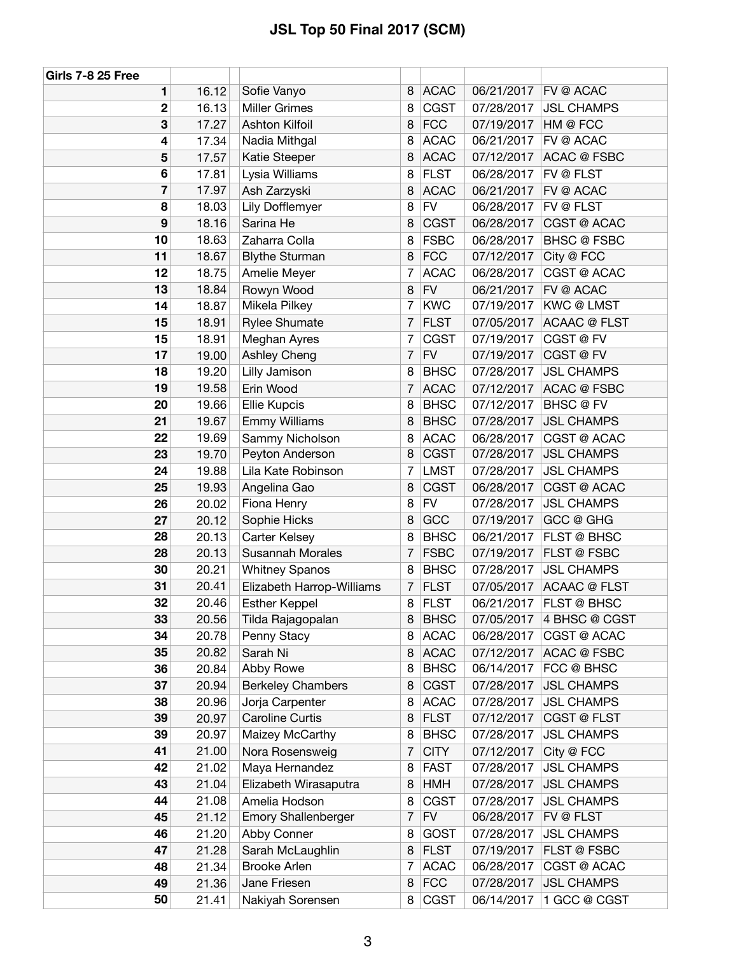| Girls 7-8 25 Free       |       |                            |                |             |            |                          |
|-------------------------|-------|----------------------------|----------------|-------------|------------|--------------------------|
| 1                       | 16.12 | Sofie Vanyo                | 8              | <b>ACAC</b> | 06/21/2017 | FV @ ACAC                |
| $\mathbf 2$             | 16.13 | <b>Miller Grimes</b>       | 8              | <b>CGST</b> | 07/28/2017 | <b>JSL CHAMPS</b>        |
| 3                       | 17.27 | Ashton Kilfoil             | 8              | <b>FCC</b>  | 07/19/2017 | HM @ FCC                 |
| 4                       | 17.34 | Nadia Mithgal              | 8              | <b>ACAC</b> | 06/21/2017 | FV @ ACAC                |
| 5                       | 17.57 | Katie Steeper              | 8              | <b>ACAC</b> | 07/12/2017 | <b>ACAC @ FSBC</b>       |
| $6\phantom{1}6$         | 17.81 | Lysia Williams             | 8              | <b>FLST</b> | 06/28/2017 | FV @ FLST                |
| $\overline{\mathbf{r}}$ | 17.97 | Ash Zarzyski               | 8              | <b>ACAC</b> | 06/21/2017 | FV @ ACAC                |
| 8                       | 18.03 | Lily Dofflemyer            | 8              | <b>FV</b>   | 06/28/2017 | FV @ FLST                |
| $\boldsymbol{9}$        | 18.16 | Sarina He                  | 8              | <b>CGST</b> | 06/28/2017 | CGST @ ACAC              |
| 10                      | 18.63 | Zaharra Colla              | 8              | <b>FSBC</b> | 06/28/2017 | <b>BHSC @ FSBC</b>       |
| 11                      | 18.67 | <b>Blythe Sturman</b>      | 8              | <b>FCC</b>  | 07/12/2017 | City @ FCC               |
| 12                      | 18.75 | Amelie Meyer               | $\overline{7}$ | <b>ACAC</b> | 06/28/2017 | CGST @ ACAC              |
| 13                      | 18.84 | Rowyn Wood                 | 8              | <b>FV</b>   | 06/21/2017 | FV @ ACAC                |
| 14                      | 18.87 | Mikela Pilkey              | 7              | <b>KWC</b>  | 07/19/2017 | <b>KWC@LMST</b>          |
| 15                      | 18.91 | <b>Rylee Shumate</b>       | $\overline{7}$ | <b>FLST</b> | 07/05/2017 | <b>ACAAC @ FLST</b>      |
| 15                      | 18.91 | Meghan Ayres               | $\overline{7}$ | <b>CGST</b> | 07/19/2017 | CGST @ FV                |
| 17                      | 19.00 | <b>Ashley Cheng</b>        | $\overline{7}$ | <b>FV</b>   | 07/19/2017 | CGST @ FV                |
| 18                      | 19.20 | Lilly Jamison              | 8              | <b>BHSC</b> | 07/28/2017 | <b>JSL CHAMPS</b>        |
| 19                      | 19.58 | Erin Wood                  | $\overline{7}$ | <b>ACAC</b> | 07/12/2017 | <b>ACAC @ FSBC</b>       |
| 20                      | 19.66 | Ellie Kupcis               | 8              | <b>BHSC</b> | 07/12/2017 | BHSC @ FV                |
| 21                      | 19.67 | <b>Emmy Williams</b>       | 8              | <b>BHSC</b> | 07/28/2017 | <b>JSL CHAMPS</b>        |
| 22                      | 19.69 | Sammy Nicholson            | 8              | <b>ACAC</b> | 06/28/2017 | CGST @ ACAC              |
| 23                      | 19.70 | Peyton Anderson            | 8              | <b>CGST</b> | 07/28/2017 | <b>JSL CHAMPS</b>        |
| 24                      | 19.88 | Lila Kate Robinson         | 7              | <b>LMST</b> | 07/28/2017 | <b>JSL CHAMPS</b>        |
| 25                      | 19.93 | Angelina Gao               | 8              | <b>CGST</b> | 06/28/2017 | CGST @ ACAC              |
| 26                      | 20.02 | Fiona Henry                | 8              | <b>FV</b>   | 07/28/2017 | <b>JSL CHAMPS</b>        |
| 27                      | 20.12 | Sophie Hicks               | 8              | GCC         | 07/19/2017 | GCC @ GHG                |
| 28                      | 20.13 | Carter Kelsey              | 8              | <b>BHSC</b> | 06/21/2017 | FLST @ BHSC              |
| 28                      | 20.13 | <b>Susannah Morales</b>    | 7              | <b>FSBC</b> | 07/19/2017 | FLST @ FSBC              |
| 30                      | 20.21 | <b>Whitney Spanos</b>      | 8              | <b>BHSC</b> | 07/28/2017 | <b>JSL CHAMPS</b>        |
| 31                      | 20.41 | Elizabeth Harrop-Williams  | $\overline{7}$ | <b>FLST</b> | 07/05/2017 | <b>ACAAC @ FLST</b>      |
| 32                      | 20.46 | <b>Esther Keppel</b>       | 8              | FLST        |            | 06/21/2017   FLST @ BHSC |
| 33                      | 20.56 | Tilda Rajagopalan          | 8              | <b>BHSC</b> | 07/05/2017 | 4 BHSC @ CGST            |
| 34                      | 20.78 | Penny Stacy                | 8              | <b>ACAC</b> | 06/28/2017 | CGST @ ACAC              |
| 35                      | 20.82 | Sarah Ni                   | 8              | <b>ACAC</b> | 07/12/2017 | <b>ACAC @ FSBC</b>       |
| 36                      | 20.84 | Abby Rowe                  | 8              | <b>BHSC</b> | 06/14/2017 | FCC @ BHSC               |
| 37                      | 20.94 | <b>Berkeley Chambers</b>   | 8              | <b>CGST</b> | 07/28/2017 | <b>JSL CHAMPS</b>        |
| 38                      | 20.96 | Jorja Carpenter            | 8              | <b>ACAC</b> | 07/28/2017 | <b>JSL CHAMPS</b>        |
| 39                      | 20.97 | Caroline Curtis            | 8              | <b>FLST</b> | 07/12/2017 | <b>CGST @ FLST</b>       |
| 39                      | 20.97 | Maizey McCarthy            | 8              | <b>BHSC</b> | 07/28/2017 | <b>JSL CHAMPS</b>        |
| 41                      | 21.00 | Nora Rosensweig            | $\overline{7}$ | <b>CITY</b> | 07/12/2017 | City @ FCC               |
| 42                      | 21.02 | Maya Hernandez             | 8              | <b>FAST</b> | 07/28/2017 | <b>JSL CHAMPS</b>        |
| 43                      | 21.04 | Elizabeth Wirasaputra      | 8              | <b>HMH</b>  | 07/28/2017 | <b>JSL CHAMPS</b>        |
| 44                      | 21.08 | Amelia Hodson              | 8              | <b>CGST</b> | 07/28/2017 | <b>JSL CHAMPS</b>        |
| 45                      | 21.12 | <b>Emory Shallenberger</b> | $\overline{7}$ | <b>FV</b>   | 06/28/2017 | FV @ FLST                |
| 46                      | 21.20 | Abby Conner                | 8              | <b>GOST</b> | 07/28/2017 | <b>JSL CHAMPS</b>        |
| 47                      | 21.28 | Sarah McLaughlin           | 8              | <b>FLST</b> | 07/19/2017 | FLST @ FSBC              |
| 48                      | 21.34 | <b>Brooke Arlen</b>        | $\overline{7}$ | <b>ACAC</b> | 06/28/2017 | CGST @ ACAC              |
| 49                      | 21.36 | Jane Friesen               | 8              | <b>FCC</b>  | 07/28/2017 | <b>JSL CHAMPS</b>        |
| 50                      | 21.41 | Nakiyah Sorensen           | 8              | <b>CGST</b> | 06/14/2017 | 1 GCC @ CGST             |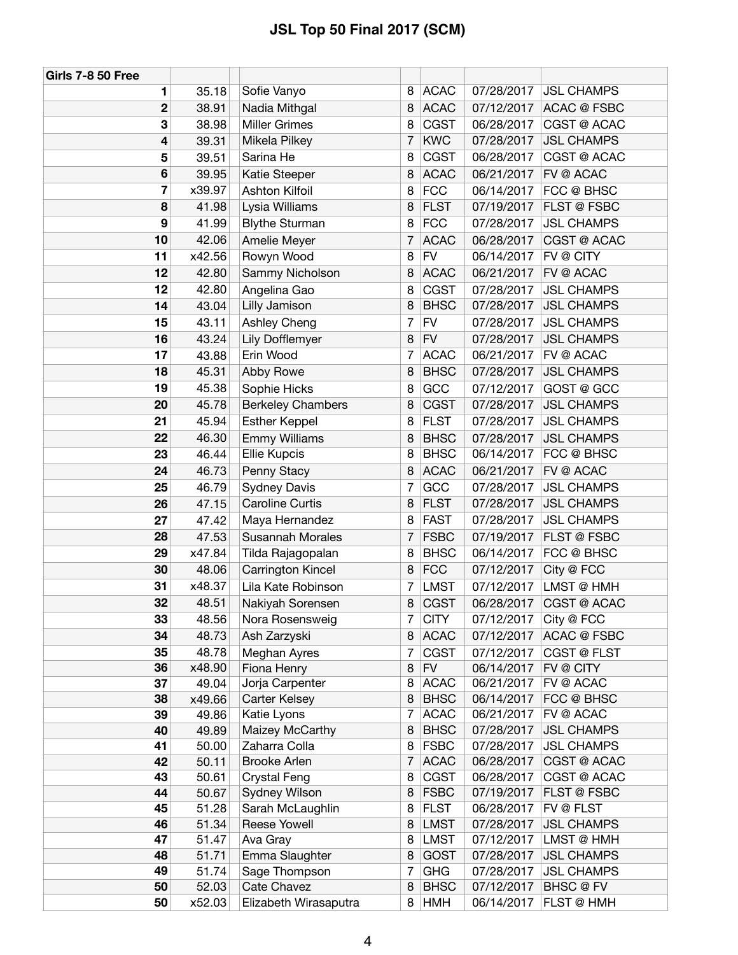| <b>Girls 7-8 50 Free</b> |                |                                  |                |                            |                          |                                        |
|--------------------------|----------------|----------------------------------|----------------|----------------------------|--------------------------|----------------------------------------|
| 1                        | 35.18          | Sofie Vanyo                      |                | 8 ACAC                     | 07/28/2017               | <b>JSL CHAMPS</b>                      |
| 2                        | 38.91          | Nadia Mithgal                    | 8              | <b>ACAC</b>                | 07/12/2017               | <b>ACAC @ FSBC</b>                     |
| 3                        | 38.98          | <b>Miller Grimes</b>             | 8              | <b>CGST</b>                | 06/28/2017               | CGST @ ACAC                            |
| 4                        | 39.31          | Mikela Pilkey                    | 7              | <b>KWC</b>                 | 07/28/2017               | <b>JSL CHAMPS</b>                      |
| 5                        | 39.51          | Sarina He                        | 8              | <b>CGST</b>                | 06/28/2017               | CGST @ ACAC                            |
| 6                        | 39.95          | <b>Katie Steeper</b>             | 8              | <b>ACAC</b>                | 06/21/2017               | FV @ ACAC                              |
| 7                        | x39.97         | Ashton Kilfoil                   | 8              | <b>FCC</b>                 | 06/14/2017               | FCC @ BHSC                             |
| 8                        | 41.98          | Lysia Williams                   | 8              | <b>FLST</b>                | 07/19/2017               | FLST @ FSBC                            |
| 9                        | 41.99          | <b>Blythe Sturman</b>            | 8              | <b>FCC</b>                 | 07/28/2017               | <b>JSL CHAMPS</b>                      |
| 10                       | 42.06          | Amelie Meyer                     | 7              | <b>ACAC</b>                | 06/28/2017               | CGST @ ACAC                            |
| 11                       | x42.56         | Rowyn Wood                       | 8              | <b>FV</b>                  | 06/14/2017               | FV @ CITY                              |
| 12                       | 42.80          | Sammy Nicholson                  | 8              | <b>ACAC</b>                | 06/21/2017               | FV @ ACAC                              |
| 12                       | 42.80          | Angelina Gao                     | 8              | <b>CGST</b>                | 07/28/2017               | <b>JSL CHAMPS</b>                      |
| 14                       | 43.04          | Lilly Jamison                    | 8              | <b>BHSC</b>                | 07/28/2017               | <b>JSL CHAMPS</b>                      |
| 15                       | 43.11          | Ashley Cheng                     | $\overline{7}$ | <b>FV</b>                  | 07/28/2017               | <b>JSL CHAMPS</b>                      |
| 16                       | 43.24          | Lily Dofflemyer                  | 8              | <b>FV</b>                  | 07/28/2017               | <b>JSL CHAMPS</b>                      |
| 17                       | 43.88          | Erin Wood                        | $\overline{7}$ | <b>ACAC</b>                | 06/21/2017               | FV @ ACAC                              |
| 18                       | 45.31          | Abby Rowe                        | 8              | <b>BHSC</b>                | 07/28/2017               | <b>JSL CHAMPS</b>                      |
| 19                       | 45.38          | Sophie Hicks                     | 8              | GCC                        | 07/12/2017               | GOST @ GCC                             |
| 20                       | 45.78          | <b>Berkeley Chambers</b>         | 8              | <b>CGST</b>                | 07/28/2017               | <b>JSL CHAMPS</b>                      |
| 21                       | 45.94          | <b>Esther Keppel</b>             | 8              | <b>FLST</b>                | 07/28/2017               | <b>JSL CHAMPS</b>                      |
| 22                       | 46.30          | <b>Emmy Williams</b>             | 8              | <b>BHSC</b>                | 07/28/2017               | <b>JSL CHAMPS</b>                      |
| 23                       | 46.44          | Ellie Kupcis                     | 8              | <b>BHSC</b>                | 06/14/2017               | FCC @ BHSC                             |
| 24                       | 46.73          | Penny Stacy                      | 8              | <b>ACAC</b>                | 06/21/2017               | FV @ ACAC                              |
| 25                       | 46.79          | <b>Sydney Davis</b>              | 7              | GCC                        | 07/28/2017               | <b>JSL CHAMPS</b>                      |
| 26                       | 47.15          | <b>Caroline Curtis</b>           | 8              | <b>FLST</b>                | 07/28/2017               | <b>JSL CHAMPS</b>                      |
| 27                       | 47.42          | Maya Hernandez                   | 8              | <b>FAST</b>                | 07/28/2017               | <b>JSL CHAMPS</b>                      |
| 28                       | 47.53          | <b>Susannah Morales</b>          | $\overline{7}$ | <b>FSBC</b>                | 07/19/2017               | FLST @ FSBC                            |
| 29                       | x47.84         | Tilda Rajagopalan                | 8              | <b>BHSC</b>                | 06/14/2017               | FCC @ BHSC                             |
| 30                       | 48.06          | Carrington Kincel                | 8              | <b>FCC</b>                 | 07/12/2017               | City @ FCC                             |
| 31                       | x48.37         | Lila Kate Robinson               | 7              | <b>LMST</b>                | 07/12/2017               | LMST @ HMH                             |
| 32                       | 48.51          | Nakiyah Sorensen                 | 8              | <b>CGST</b>                | 06/28/2017               | CGST @ ACAC                            |
| 33                       | 48.56          | Nora Rosensweig                  | 7              | <b>CITY</b>                | 07/12/2017               | City @ FCC                             |
| 34                       | 48.73          | Ash Zarzyski                     | 8              | <b>ACAC</b>                | 07/12/2017               | <b>ACAC @ FSBC</b>                     |
| 35                       | 48.78          | Meghan Ayres                     | 7              | <b>CGST</b>                | 07/12/2017               | <b>CGST @ FLST</b>                     |
| 36                       | x48.90         | Fiona Henry                      | 8              | <b>FV</b>                  | 06/14/2017               | FV @ CITY                              |
| 37                       | 49.04          | Jorja Carpenter                  | 8              | <b>ACAC</b>                | 06/21/2017               | FV @ ACAC                              |
| 38                       | x49.66         | Carter Kelsey                    | 8              | <b>BHSC</b>                | 06/14/2017               | FCC @ BHSC                             |
| 39                       | 49.86          | Katie Lyons                      | 7              | <b>ACAC</b>                | 06/21/2017               | FV @ ACAC                              |
| 40<br>41                 | 49.89<br>50.00 | Maizey McCarthy<br>Zaharra Colla | 8<br>8         | <b>BHSC</b><br><b>FSBC</b> | 07/28/2017<br>07/28/2017 | <b>JSL CHAMPS</b><br><b>JSL CHAMPS</b> |
| 42                       | 50.11          | Brooke Arlen                     | $\overline{7}$ | <b>ACAC</b>                | 06/28/2017               | CGST @ ACAC                            |
| 43                       | 50.61          | <b>Crystal Feng</b>              | 8              | <b>CGST</b>                | 06/28/2017               | CGST @ ACAC                            |
| 44                       | 50.67          | Sydney Wilson                    | 8              | <b>FSBC</b>                | 07/19/2017               | FLST @ FSBC                            |
| 45                       | 51.28          | Sarah McLaughlin                 | 8              | <b>FLST</b>                | 06/28/2017               | FV @ FLST                              |
| 46                       | 51.34          | Reese Yowell                     | 8              | <b>LMST</b>                | 07/28/2017               | <b>JSL CHAMPS</b>                      |
| 47                       | 51.47          | Ava Gray                         | 8              | <b>LMST</b>                | 07/12/2017               | LMST @ HMH                             |
| 48                       | 51.71          | Emma Slaughter                   | 8              | <b>GOST</b>                | 07/28/2017               | <b>JSL CHAMPS</b>                      |
| 49                       | 51.74          | Sage Thompson                    | 7              | <b>GHG</b>                 | 07/28/2017               | <b>JSL CHAMPS</b>                      |
| 50                       | 52.03          | Cate Chavez                      | 8              | <b>BHSC</b>                | 07/12/2017               | BHSC @ FV                              |
| 50                       | x52.03         | Elizabeth Wirasaputra            | 8 <sup>1</sup> | <b>HMH</b>                 | 06/14/2017               | FLST @ HMH                             |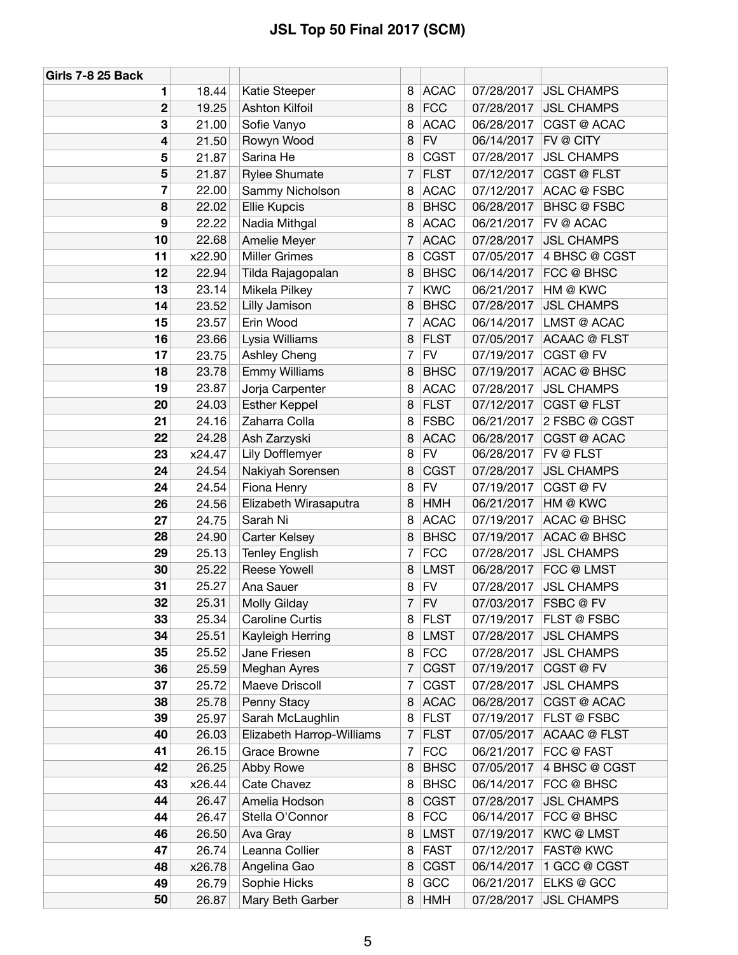| <b>Girls 7-8 25 Back</b> |        |                           |                |             |            |                     |
|--------------------------|--------|---------------------------|----------------|-------------|------------|---------------------|
| 1                        | 18.44  | Katie Steeper             | 8              | <b>ACAC</b> | 07/28/2017 | <b>JSL CHAMPS</b>   |
| $\boldsymbol{2}$         | 19.25  | Ashton Kilfoil            | 8              | <b>FCC</b>  | 07/28/2017 | <b>JSL CHAMPS</b>   |
| 3                        | 21.00  | Sofie Vanyo               | 8              | <b>ACAC</b> | 06/28/2017 | CGST @ ACAC         |
| 4                        | 21.50  | Rowyn Wood                | 8              | <b>FV</b>   | 06/14/2017 | FV @ CITY           |
| 5                        | 21.87  | Sarina He                 | 8              | <b>CGST</b> | 07/28/2017 | <b>JSL CHAMPS</b>   |
| 5                        | 21.87  | <b>Rylee Shumate</b>      | 7              | <b>FLST</b> | 07/12/2017 | <b>CGST @ FLST</b>  |
| 7                        | 22.00  | Sammy Nicholson           | 8              | <b>ACAC</b> | 07/12/2017 | <b>ACAC @ FSBC</b>  |
| 8                        | 22.02  | <b>Ellie Kupcis</b>       | 8              | <b>BHSC</b> | 06/28/2017 | <b>BHSC @ FSBC</b>  |
| 9                        | 22.22  | Nadia Mithgal             | 8              | <b>ACAC</b> | 06/21/2017 | FV @ ACAC           |
| 10                       | 22.68  | Amelie Meyer              | 7              | <b>ACAC</b> | 07/28/2017 | <b>JSL CHAMPS</b>   |
| 11                       | x22.90 | <b>Miller Grimes</b>      | 8              | <b>CGST</b> | 07/05/2017 | 4 BHSC @ CGST       |
| 12                       | 22.94  | Tilda Rajagopalan         | 8              | <b>BHSC</b> | 06/14/2017 | FCC @ BHSC          |
| 13                       | 23.14  | Mikela Pilkey             | $\overline{7}$ | <b>KWC</b>  | 06/21/2017 | HM @ KWC            |
| 14                       | 23.52  | Lilly Jamison             | 8              | <b>BHSC</b> | 07/28/2017 | <b>JSL CHAMPS</b>   |
| 15                       | 23.57  | Erin Wood                 | 7              | <b>ACAC</b> | 06/14/2017 | LMST @ ACAC         |
| 16                       | 23.66  | Lysia Williams            | 8              | <b>FLST</b> | 07/05/2017 | <b>ACAAC @ FLST</b> |
| 17                       | 23.75  | Ashley Cheng              | $\overline{7}$ | <b>FV</b>   | 07/19/2017 | CGST @ FV           |
| 18                       | 23.78  | <b>Emmy Williams</b>      | 8              | <b>BHSC</b> | 07/19/2017 | <b>ACAC @ BHSC</b>  |
| 19                       | 23.87  | Jorja Carpenter           | 8              | <b>ACAC</b> | 07/28/2017 | <b>JSL CHAMPS</b>   |
| 20                       | 24.03  | <b>Esther Keppel</b>      | 8              | <b>FLST</b> | 07/12/2017 | CGST @ FLST         |
| 21                       | 24.16  | Zaharra Colla             | 8              | <b>FSBC</b> | 06/21/2017 | 2 FSBC @ CGST       |
| 22                       | 24.28  | Ash Zarzyski              | 8              | <b>ACAC</b> | 06/28/2017 | CGST @ ACAC         |
| 23                       | x24.47 | Lily Dofflemyer           | 8              | <b>FV</b>   | 06/28/2017 | FV @ FLST           |
| 24                       | 24.54  | Nakiyah Sorensen          | 8              | <b>CGST</b> | 07/28/2017 | <b>JSL CHAMPS</b>   |
| 24                       | 24.54  | Fiona Henry               | 8              | <b>FV</b>   | 07/19/2017 | CGST @ FV           |
| 26                       | 24.56  | Elizabeth Wirasaputra     | 8              | <b>HMH</b>  | 06/21/2017 | HM @ KWC            |
| 27                       | 24.75  | Sarah Ni                  | 8              | <b>ACAC</b> | 07/19/2017 | <b>ACAC @ BHSC</b>  |
| 28                       | 24.90  | Carter Kelsey             | 8              | <b>BHSC</b> | 07/19/2017 | <b>ACAC @ BHSC</b>  |
| 29                       | 25.13  | <b>Tenley English</b>     | 7              | <b>FCC</b>  | 07/28/2017 | <b>JSL CHAMPS</b>   |
| 30                       | 25.22  | <b>Reese Yowell</b>       | 8              | <b>LMST</b> | 06/28/2017 | FCC @ LMST          |
| 31                       | 25.27  | Ana Sauer                 | 8              | <b>FV</b>   | 07/28/2017 | <b>JSL CHAMPS</b>   |
| 32                       | 25.31  | Molly Gilday              | $\overline{7}$ | <b>FV</b>   | 07/03/2017 | <b>FSBC</b> @ FV    |
| 33                       | 25.34  | Caroline Curtis           | 8              | <b>FLST</b> | 07/19/2017 | <b>FLST @ FSBC</b>  |
| 34                       | 25.51  | Kayleigh Herring          | 8              | <b>LMST</b> | 07/28/2017 | <b>JSL CHAMPS</b>   |
| 35                       | 25.52  | Jane Friesen              | 8              | <b>FCC</b>  | 07/28/2017 | <b>JSL CHAMPS</b>   |
| 36                       | 25.59  | Meghan Ayres              | 7              | <b>CGST</b> | 07/19/2017 | CGST@FV             |
| 37                       | 25.72  | Maeve Driscoll            | 7              | <b>CGST</b> | 07/28/2017 | <b>JSL CHAMPS</b>   |
| 38                       | 25.78  | Penny Stacy               | 8              | <b>ACAC</b> | 06/28/2017 | CGST @ ACAC         |
| 39                       | 25.97  | Sarah McLaughlin          | 8              | <b>FLST</b> | 07/19/2017 | FLST @ FSBC         |
| 40                       | 26.03  | Elizabeth Harrop-Williams | 7              | <b>FLST</b> | 07/05/2017 | <b>ACAAC @ FLST</b> |
| 41                       | 26.15  | <b>Grace Browne</b>       | $\overline{7}$ | <b>FCC</b>  | 06/21/2017 | FCC @ FAST          |
| 42                       | 26.25  | Abby Rowe                 | 8              | <b>BHSC</b> | 07/05/2017 | 4 BHSC @ CGST       |
| 43                       | x26.44 | Cate Chavez               | 8              | <b>BHSC</b> | 06/14/2017 | FCC @ BHSC          |
| 44                       | 26.47  | Amelia Hodson             | 8              | <b>CGST</b> | 07/28/2017 | <b>JSL CHAMPS</b>   |
| 44                       | 26.47  | Stella O'Connor           | 8              | <b>FCC</b>  | 06/14/2017 | FCC @ BHSC          |
| 46                       | 26.50  | Ava Gray                  | 8              | <b>LMST</b> | 07/19/2017 | <b>KWC@LMST</b>     |
| 47                       | 26.74  | Leanna Collier            | 8              | <b>FAST</b> | 07/12/2017 | <b>FAST@ KWC</b>    |
| 48                       | x26.78 | Angelina Gao              | 8              | <b>CGST</b> | 06/14/2017 | 1 GCC @ CGST        |
| 49                       | 26.79  | Sophie Hicks              | 8              | GCC         | 06/21/2017 | ELKS @ GCC          |
| 50                       | 26.87  | Mary Beth Garber          | 8              | <b>HMH</b>  | 07/28/2017 | <b>JSL CHAMPS</b>   |
|                          |        |                           |                |             |            |                     |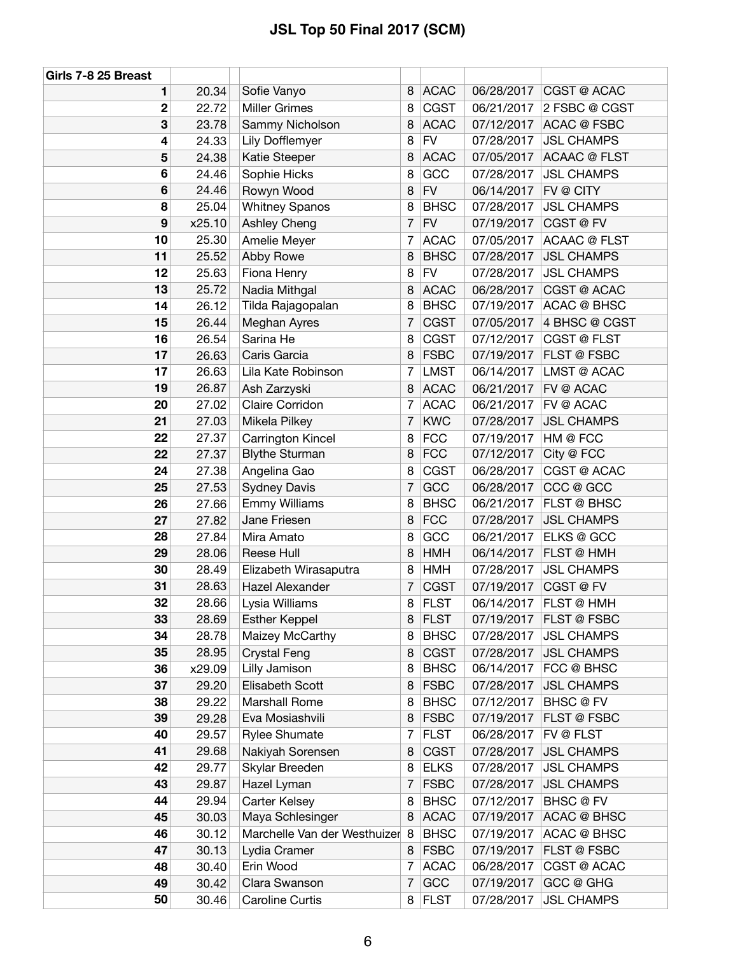| Girls 7-8 25 Breast |        |                              |                |             |            |                     |
|---------------------|--------|------------------------------|----------------|-------------|------------|---------------------|
| 1                   | 20.34  | Sofie Vanyo                  | 8              | <b>ACAC</b> | 06/28/2017 | CGST @ ACAC         |
| $\overline{2}$      | 22.72  | <b>Miller Grimes</b>         | 8              | <b>CGST</b> | 06/21/2017 | 2 FSBC @ CGST       |
| 3                   | 23.78  | Sammy Nicholson              | 8              | <b>ACAC</b> | 07/12/2017 | <b>ACAC @ FSBC</b>  |
| 4                   | 24.33  | Lily Dofflemyer              | 8              | <b>FV</b>   | 07/28/2017 | <b>JSL CHAMPS</b>   |
| 5                   | 24.38  | Katie Steeper                | 8              | <b>ACAC</b> | 07/05/2017 | <b>ACAAC @ FLST</b> |
| 6                   | 24.46  | Sophie Hicks                 | 8              | GCC         | 07/28/2017 | <b>JSL CHAMPS</b>   |
| 6                   | 24.46  | Rowyn Wood                   | 8              | <b>FV</b>   | 06/14/2017 | FV @ CITY           |
| 8                   | 25.04  | <b>Whitney Spanos</b>        | 8              | <b>BHSC</b> | 07/28/2017 | <b>JSL CHAMPS</b>   |
| $\boldsymbol{9}$    | x25.10 | Ashley Cheng                 | $\overline{7}$ | <b>FV</b>   | 07/19/2017 | CGST @ FV           |
| 10                  | 25.30  | Amelie Meyer                 | 7              | <b>ACAC</b> | 07/05/2017 | <b>ACAAC @ FLST</b> |
| 11                  | 25.52  | Abby Rowe                    | 8              | <b>BHSC</b> | 07/28/2017 | <b>JSL CHAMPS</b>   |
| 12                  | 25.63  | Fiona Henry                  | 8              | <b>FV</b>   | 07/28/2017 | <b>JSL CHAMPS</b>   |
| 13                  | 25.72  | Nadia Mithgal                | 8              | <b>ACAC</b> | 06/28/2017 | CGST @ ACAC         |
| 14                  | 26.12  | Tilda Rajagopalan            | 8              | <b>BHSC</b> | 07/19/2017 | <b>ACAC @ BHSC</b>  |
| 15                  | 26.44  | Meghan Ayres                 | 7              | <b>CGST</b> | 07/05/2017 | 4 BHSC @ CGST       |
| 16                  | 26.54  | Sarina He                    | 8              | <b>CGST</b> | 07/12/2017 | <b>CGST @ FLST</b>  |
| 17                  | 26.63  | Caris Garcia                 | 8              | <b>FSBC</b> | 07/19/2017 | <b>FLST @ FSBC</b>  |
| 17                  | 26.63  | Lila Kate Robinson           | 7              | <b>LMST</b> | 06/14/2017 | LMST @ ACAC         |
| 19                  | 26.87  | Ash Zarzyski                 | 8              | <b>ACAC</b> | 06/21/2017 | FV @ ACAC           |
| 20                  | 27.02  | Claire Corridon              | 7              | <b>ACAC</b> | 06/21/2017 | FV @ ACAC           |
| 21                  | 27.03  | Mikela Pilkey                | $\overline{7}$ | <b>KWC</b>  | 07/28/2017 | <b>JSL CHAMPS</b>   |
| 22                  | 27.37  | Carrington Kincel            | 8              | <b>FCC</b>  | 07/19/2017 | HM @ FCC            |
| 22                  | 27.37  | <b>Blythe Sturman</b>        | 8              | <b>FCC</b>  | 07/12/2017 | City @ FCC          |
| 24                  | 27.38  | Angelina Gao                 | 8              | <b>CGST</b> | 06/28/2017 | CGST @ ACAC         |
| 25                  | 27.53  | <b>Sydney Davis</b>          | $\overline{7}$ | GCC         | 06/28/2017 | CCC @ GCC           |
| 26                  | 27.66  | <b>Emmy Williams</b>         | 8              | <b>BHSC</b> | 06/21/2017 | <b>FLST @ BHSC</b>  |
| 27                  | 27.82  | Jane Friesen                 | 8              | <b>FCC</b>  | 07/28/2017 | <b>JSL CHAMPS</b>   |
| 28                  | 27.84  | Mira Amato                   | 8              | GCC         | 06/21/2017 | ELKS @ GCC          |
| 29                  | 28.06  | Reese Hull                   | 8              | <b>HMH</b>  | 06/14/2017 | <b>FLST @ HMH</b>   |
| 30                  | 28.49  | Elizabeth Wirasaputra        | 8              | <b>HMH</b>  | 07/28/2017 | <b>JSL CHAMPS</b>   |
| 31                  | 28.63  | Hazel Alexander              | $\overline{7}$ | <b>CGST</b> | 07/19/2017 | CGST@FV             |
| 32                  | 28.66  | Lysia Williams               | 8              | <b>FLST</b> | 06/14/2017 | <b>FLST @ HMH</b>   |
| 33                  | 28.69  | <b>Esther Keppel</b>         | 8              | <b>FLST</b> | 07/19/2017 | <b>FLST @ FSBC</b>  |
| 34                  | 28.78  | Maizey McCarthy              | 8              | <b>BHSC</b> | 07/28/2017 | <b>JSL CHAMPS</b>   |
| 35                  | 28.95  | <b>Crystal Feng</b>          | 8              | <b>CGST</b> | 07/28/2017 | <b>JSL CHAMPS</b>   |
| 36                  | x29.09 | Lilly Jamison                | 8              | <b>BHSC</b> | 06/14/2017 | FCC @ BHSC          |
| 37                  | 29.20  | Elisabeth Scott              | 8              | <b>FSBC</b> | 07/28/2017 | <b>JSL CHAMPS</b>   |
| 38                  | 29.22  | <b>Marshall Rome</b>         | 8              | <b>BHSC</b> | 07/12/2017 | BHSC@FV             |
| 39                  | 29.28  | Eva Mosiashvili              | 8              | <b>FSBC</b> | 07/19/2017 | FLST @ FSBC         |
| 40                  | 29.57  | <b>Rylee Shumate</b>         | 7              | <b>FLST</b> | 06/28/2017 | FV @ FLST           |
| 41                  | 29.68  | Nakiyah Sorensen             | 8              | <b>CGST</b> | 07/28/2017 | <b>JSL CHAMPS</b>   |
| 42                  | 29.77  | Skylar Breeden               | 8              | <b>ELKS</b> | 07/28/2017 | <b>JSL CHAMPS</b>   |
| 43                  | 29.87  | Hazel Lyman                  | 7              | <b>FSBC</b> | 07/28/2017 | <b>JSL CHAMPS</b>   |
| 44                  | 29.94  | Carter Kelsey                | 8              | <b>BHSC</b> | 07/12/2017 | <b>BHSC</b> @ FV    |
| 45                  | 30.03  | Maya Schlesinger             | 8              | <b>ACAC</b> | 07/19/2017 | <b>ACAC @ BHSC</b>  |
| 46                  | 30.12  | Marchelle Van der Westhuizer | 8              | <b>BHSC</b> | 07/19/2017 | <b>ACAC @ BHSC</b>  |
| 47                  | 30.13  | Lydia Cramer                 | 8              | <b>FSBC</b> | 07/19/2017 | FLST @ FSBC         |
| 48                  | 30.40  | Erin Wood                    | $\overline{7}$ | <b>ACAC</b> | 06/28/2017 | CGST @ ACAC         |
| 49                  | 30.42  | Clara Swanson                | 7              | GCC         | 07/19/2017 | GCC @ GHG           |
| 50                  | 30.46  | Caroline Curtis              | 8              | FLST        | 07/28/2017 | <b>JSL CHAMPS</b>   |
|                     |        |                              |                |             |            |                     |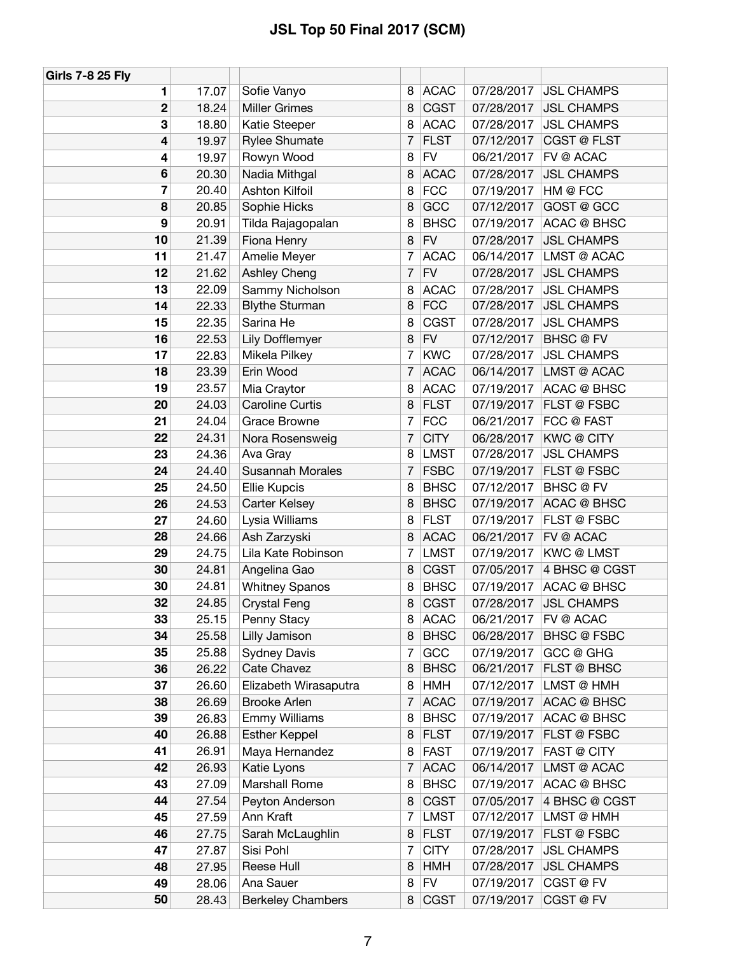| <b>Girls 7-8 25 Fly</b> |                |                                             |                     |                            |                          |                                          |
|-------------------------|----------------|---------------------------------------------|---------------------|----------------------------|--------------------------|------------------------------------------|
| 1                       | 17.07          | Sofie Vanyo                                 | 8                   | <b>ACAC</b>                | 07/28/2017               | <b>JSL CHAMPS</b>                        |
| $\boldsymbol{2}$        | 18.24          | <b>Miller Grimes</b>                        | 8                   | <b>CGST</b>                | 07/28/2017               | <b>JSL CHAMPS</b>                        |
| 3                       | 18.80          | Katie Steeper                               | 8                   | <b>ACAC</b>                | 07/28/2017               | <b>JSL CHAMPS</b>                        |
| 4                       | 19.97          | <b>Rylee Shumate</b>                        | 7                   | <b>FLST</b>                | 07/12/2017               | <b>CGST @ FLST</b>                       |
| 4                       | 19.97          | Rowyn Wood                                  | 8                   | <b>FV</b>                  | 06/21/2017               | FV @ ACAC                                |
| 6                       | 20.30          | Nadia Mithgal                               | 8                   | <b>ACAC</b>                | 07/28/2017               | <b>JSL CHAMPS</b>                        |
| 7                       | 20.40          | Ashton Kilfoil                              | 8                   | <b>FCC</b>                 | 07/19/2017               | HM @ FCC                                 |
| 8                       | 20.85          | Sophie Hicks                                | 8                   | GCC                        | 07/12/2017               | GOST @ GCC                               |
| 9                       | 20.91          | Tilda Rajagopalan                           | 8                   | <b>BHSC</b>                | 07/19/2017               | <b>ACAC @ BHSC</b>                       |
| 10                      | 21.39          | Fiona Henry                                 | 8                   | <b>FV</b>                  | 07/28/2017               | <b>JSL CHAMPS</b>                        |
| 11                      | 21.47          | Amelie Meyer                                | 7                   | <b>ACAC</b>                | 06/14/2017               | LMST @ ACAC                              |
| 12                      | 21.62          | <b>Ashley Cheng</b>                         | 7                   | <b>FV</b>                  | 07/28/2017               | <b>JSL CHAMPS</b>                        |
| 13                      | 22.09          | Sammy Nicholson                             | 8                   | <b>ACAC</b>                | 07/28/2017               | <b>JSL CHAMPS</b>                        |
| 14                      | 22.33          | <b>Blythe Sturman</b>                       | 8                   | <b>FCC</b>                 | 07/28/2017               | <b>JSL CHAMPS</b>                        |
| 15                      | 22.35          | Sarina He                                   | 8                   | <b>CGST</b>                | 07/28/2017               | <b>JSL CHAMPS</b>                        |
| 16                      | 22.53          | Lily Dofflemyer                             | 8                   | <b>FV</b>                  | 07/12/2017               | <b>BHSC</b> @ FV                         |
| 17                      | 22.83          | Mikela Pilkey                               | 7                   | <b>KWC</b>                 | 07/28/2017               | <b>JSL CHAMPS</b>                        |
| 18                      | 23.39          | Erin Wood                                   | 7                   | <b>ACAC</b>                | 06/14/2017               | LMST @ ACAC                              |
| 19                      | 23.57          | Mia Craytor                                 | 8                   | <b>ACAC</b>                | 07/19/2017               | <b>ACAC @ BHSC</b>                       |
| 20                      | 24.03          | <b>Caroline Curtis</b>                      | 8                   | <b>FLST</b>                | 07/19/2017               | <b>FLST @ FSBC</b>                       |
| 21                      | 24.04          | <b>Grace Browne</b>                         | 7                   | <b>FCC</b>                 | 06/21/2017               | <b>FCC @ FAST</b>                        |
| 22                      | 24.31          |                                             | 7                   | <b>CITY</b>                | 06/28/2017               | <b>KWC@CITY</b>                          |
| 23                      | 24.36          | Nora Rosensweig<br>Ava Gray                 | 8                   | <b>LMST</b>                | 07/28/2017               | <b>JSL CHAMPS</b>                        |
| 24                      | 24.40          | <b>Susannah Morales</b>                     | $\overline{7}$      | <b>FSBC</b>                | 07/19/2017               | <b>FLST @ FSBC</b>                       |
| 25                      | 24.50          | Ellie Kupcis                                | 8                   | <b>BHSC</b>                | 07/12/2017               | <b>BHSC</b> @ FV                         |
| 26                      | 24.53          | Carter Kelsey                               | 8                   | <b>BHSC</b>                | 07/19/2017               | <b>ACAC @ BHSC</b>                       |
| 27                      | 24.60          | Lysia Williams                              | 8                   | <b>FLST</b>                | 07/19/2017               | FLST @ FSBC                              |
| 28                      | 24.66          | Ash Zarzyski                                | 8                   | <b>ACAC</b>                | 06/21/2017               | <b>FV @ ACAC</b>                         |
| 29                      | 24.75          | Lila Kate Robinson                          | 7                   | <b>LMST</b>                | 07/19/2017               | <b>KWC@LMST</b>                          |
| 30                      | 24.81          | Angelina Gao                                | 8                   | <b>CGST</b>                | 07/05/2017               | 4 BHSC @ CGST                            |
| 30                      | 24.81          |                                             | 8                   | <b>BHSC</b>                | 07/19/2017               | <b>ACAC @ BHSC</b>                       |
|                         |                | <b>Whitney Spanos</b>                       |                     |                            |                          |                                          |
| 32<br>33                | 24.85          | <b>Crystal Feng</b>                         | 8                   | <b>CGST</b>                |                          | 07/28/2017 JSL CHAMPS                    |
|                         | 25.15          | Penny Stacy                                 | 8<br>8              | <b>ACAC</b>                | 06/21/2017<br>06/28/2017 | FV @ ACAC                                |
| 34                      | 25.58          | Lilly Jamison                               |                     | <b>BHSC</b>                |                          | <b>BHSC @ FSBC</b><br>GCC @ GHG          |
| 35                      | 25.88          | <b>Sydney Davis</b><br>Cate Chavez          | 7<br>8              | GCC<br><b>BHSC</b>         | 07/19/2017<br>06/21/2017 | FLST @ BHSC                              |
| 36<br>37                | 26.22<br>26.60 | Elizabeth Wirasaputra                       |                     | <b>HMH</b>                 | 07/12/2017               | LMST @ HMH                               |
| 38                      |                |                                             | 8<br>$\overline{7}$ | <b>ACAC</b>                |                          |                                          |
| 39                      | 26.69          | <b>Brooke Arlen</b><br><b>Emmy Williams</b> | 8                   | <b>BHSC</b>                | 07/19/2017<br>07/19/2017 | <b>ACAC @ BHSC</b><br><b>ACAC @ BHSC</b> |
| 40                      | 26.83          |                                             |                     |                            | 07/19/2017               | <b>FLST @ FSBC</b>                       |
|                         | 26.88          | <b>Esther Keppel</b>                        | 8                   | <b>FLST</b>                |                          |                                          |
| 41                      | 26.91          | Maya Hernandez                              | 8                   | <b>FAST</b>                | 07/19/2017               | <b>FAST @ CITY</b>                       |
| 42                      | 26.93          | Katie Lyons                                 | $\overline{7}$      | <b>ACAC</b>                | 06/14/2017               | LMST @ ACAC                              |
| 43                      | 27.09          | Marshall Rome                               | 8                   | <b>BHSC</b>                | 07/19/2017               | <b>ACAC @ BHSC</b>                       |
| 44                      | 27.54<br>27.59 | Peyton Anderson<br>Ann Kraft                | 8<br>$\overline{7}$ | <b>CGST</b><br><b>LMST</b> | 07/05/2017<br>07/12/2017 | 4 BHSC @ CGST<br>LMST @ HMH              |
| 45                      |                |                                             |                     |                            |                          |                                          |
| 46                      | 27.75          | Sarah McLaughlin                            | 8                   | <b>FLST</b>                | 07/19/2017               | <b>FLST @ FSBC</b>                       |
| 47<br>48                | 27.87          | Sisi Pohl<br>Reese Hull                     | 7<br>8              | <b>CITY</b><br><b>HMH</b>  | 07/28/2017<br>07/28/2017 | <b>JSL CHAMPS</b><br><b>JSL CHAMPS</b>   |
|                         | 27.95          |                                             |                     |                            |                          |                                          |
| 49                      | 28.06          | Ana Sauer                                   | 8                   | <b>FV</b>                  | 07/19/2017               | CGST@FV                                  |
| 50                      | 28.43          | <b>Berkeley Chambers</b>                    | 8                   | <b>CGST</b>                | 07/19/2017               | CGST @ FV                                |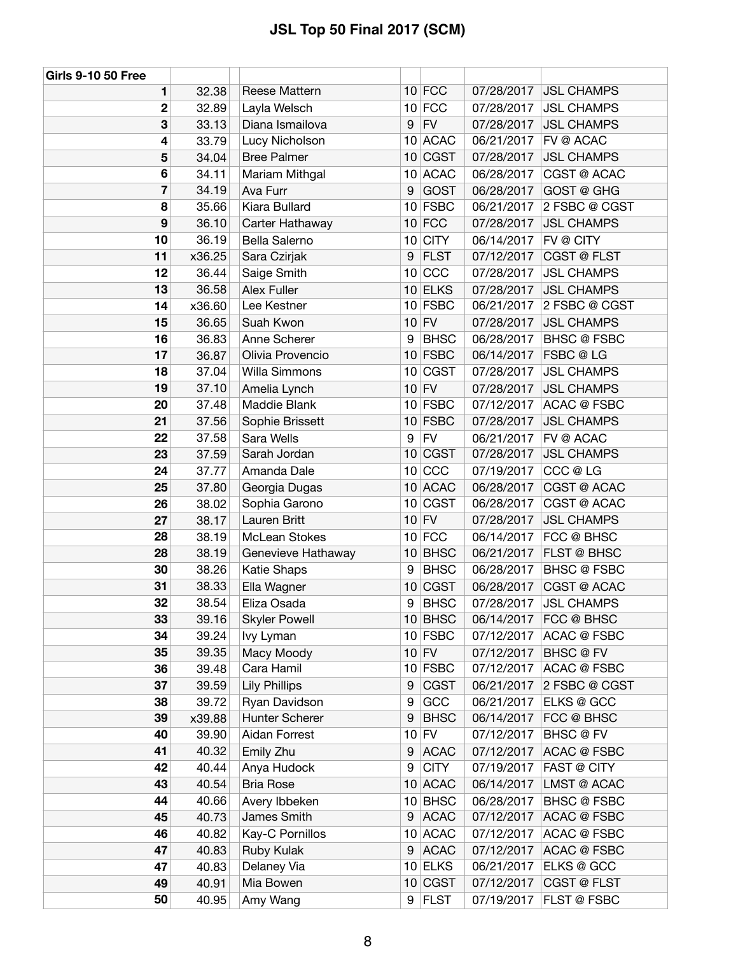| <b>Girls 9-10 50 Free</b> |        |                      |   |             |            |                    |
|---------------------------|--------|----------------------|---|-------------|------------|--------------------|
| 1                         | 32.38  | Reese Mattern        |   | $10$ FCC    | 07/28/2017 | <b>JSL CHAMPS</b>  |
| $\mathbf 2$               | 32.89  | Layla Welsch         |   | $10$ FCC    | 07/28/2017 | <b>JSL CHAMPS</b>  |
| 3                         | 33.13  | Diana Ismailova      | 9 | FV          | 07/28/2017 | <b>JSL CHAMPS</b>  |
| 4                         | 33.79  | Lucy Nicholson       |   | 10 ACAC     | 06/21/2017 | FV @ ACAC          |
| 5                         | 34.04  | <b>Bree Palmer</b>   |   | 10 CGST     | 07/28/2017 | <b>JSL CHAMPS</b>  |
| $6\phantom{1}6$           | 34.11  | Mariam Mithgal       |   | 10 ACAC     | 06/28/2017 | CGST @ ACAC        |
| $\overline{\mathbf{r}}$   | 34.19  | Ava Furr             | 9 | <b>GOST</b> | 06/28/2017 | GOST @ GHG         |
| 8                         | 35.66  | Kiara Bullard        |   | $10$ FSBC   | 06/21/2017 | 2 FSBC @ CGST      |
| 9                         | 36.10  | Carter Hathaway      |   | $10$ FCC    | 07/28/2017 | <b>JSL CHAMPS</b>  |
| 10                        | 36.19  | Bella Salerno        |   | $10$ CITY   | 06/14/2017 | FV @ CITY          |
| 11                        | x36.25 | Sara Czirjak         | 9 | <b>FLST</b> | 07/12/2017 | <b>CGST @ FLST</b> |
| 12                        | 36.44  | Saige Smith          |   | $10$ CCC    | 07/28/2017 | <b>JSL CHAMPS</b>  |
| 13                        | 36.58  | Alex Fuller          |   | $10$ ELKS   | 07/28/2017 | <b>JSL CHAMPS</b>  |
| 14                        | x36.60 | Lee Kestner          |   | $10$ FSBC   | 06/21/2017 | 2 FSBC @ CGST      |
| 15                        | 36.65  | Suah Kwon            |   | $10$ FV     | 07/28/2017 | <b>JSL CHAMPS</b>  |
| 16                        | 36.83  | Anne Scherer         | 9 | <b>BHSC</b> | 06/28/2017 | <b>BHSC @ FSBC</b> |
| 17                        | 36.87  | Olivia Provencio     |   | $10$ FSBC   | 06/14/2017 | FSBC @ LG          |
| 18                        | 37.04  | Willa Simmons        |   | 10 CGST     | 07/28/2017 | <b>JSL CHAMPS</b>  |
| 19                        | 37.10  | Amelia Lynch         |   | $10$ FV     | 07/28/2017 | <b>JSL CHAMPS</b>  |
| 20                        | 37.48  | Maddie Blank         |   | $10$ FSBC   | 07/12/2017 | <b>ACAC @ FSBC</b> |
| 21                        | 37.56  | Sophie Brissett      |   | $10$ FSBC   | 07/28/2017 | <b>JSL CHAMPS</b>  |
| 22                        | 37.58  | Sara Wells           | 9 | <b>FV</b>   | 06/21/2017 | FV @ ACAC          |
| 23                        | 37.59  | Sarah Jordan         |   | 10 CGST     | 07/28/2017 | <b>JSL CHAMPS</b>  |
| 24                        | 37.77  | Amanda Dale          |   | $10$ CCC    | 07/19/2017 | CCC @ LG           |
| 25                        | 37.80  | Georgia Dugas        |   | 10 ACAC     | 06/28/2017 | CGST @ ACAC        |
| 26                        | 38.02  | Sophia Garono        |   | 10 CGST     | 06/28/2017 | CGST @ ACAC        |
| 27                        | 38.17  | Lauren Britt         |   | $10$ FV     | 07/28/2017 | <b>JSL CHAMPS</b>  |
| 28                        | 38.19  | McLean Stokes        |   | $10$ FCC    | 06/14/2017 | FCC @ BHSC         |
| 28                        | 38.19  | Genevieve Hathaway   |   | 10 BHSC     | 06/21/2017 | <b>FLST @ BHSC</b> |
| 30                        | 38.26  | <b>Katie Shaps</b>   | 9 | <b>BHSC</b> | 06/28/2017 | <b>BHSC @ FSBC</b> |
| 31                        | 38.33  | Ella Wagner          |   | $10$ CGST   | 06/28/2017 | CGST @ ACAC        |
| 32                        | 38.54  | Eliza Osada          | 9 | <b>BHSC</b> | 07/28/2017 | <b>JSL CHAMPS</b>  |
| 33                        | 39.16  | <b>Skyler Powell</b> |   | $10$ BHSC   | 06/14/2017 | <b>FCC @ BHSC</b>  |
| 34                        | 39.24  | lvy Lyman            |   | $10$ FSBC   | 07/12/2017 | ACAC @ FSBC        |
| 35                        | 39.35  | Macy Moody           |   | $10$ FV     | 07/12/2017 | BHSC@FV            |
| 36                        | 39.48  | Cara Hamil           |   | $10$ FSBC   | 07/12/2017 | ACAC @ FSBC        |
| 37                        | 39.59  | <b>Lily Phillips</b> | 9 | <b>CGST</b> | 06/21/2017 | 2 FSBC @ CGST      |
| 38                        | 39.72  | Ryan Davidson        | 9 | GCC         | 06/21/2017 | ELKS @ GCC         |
| 39                        | x39.88 | Hunter Scherer       | 9 | <b>BHSC</b> | 06/14/2017 | FCC @ BHSC         |
| 40                        | 39.90  | Aidan Forrest        |   | $10$ FV     | 07/12/2017 | BHSC @ FV          |
| 41                        | 40.32  | Emily Zhu            | 9 | <b>ACAC</b> | 07/12/2017 | ACAC @ FSBC        |
| 42                        | 40.44  | Anya Hudock          | 9 | <b>CITY</b> | 07/19/2017 | <b>FAST @ CITY</b> |
| 43                        | 40.54  | <b>Bria Rose</b>     |   | 10 ACAC     | 06/14/2017 | LMST @ ACAC        |
| 44                        | 40.66  | Avery Ibbeken        |   | 10 BHSC     | 06/28/2017 | <b>BHSC @ FSBC</b> |
| 45                        | 40.73  | James Smith          | 9 | <b>ACAC</b> | 07/12/2017 | ACAC @ FSBC        |
| 46                        | 40.82  | Kay-C Pornillos      |   | 10 ACAC     | 07/12/2017 | <b>ACAC @ FSBC</b> |
| 47                        | 40.83  | Ruby Kulak           | 9 | <b>ACAC</b> | 07/12/2017 | <b>ACAC @ FSBC</b> |
| 47                        | 40.83  | Delaney Via          |   | $10$ ELKS   | 06/21/2017 | ELKS @ GCC         |
| 49                        | 40.91  | Mia Bowen            |   | 10 CGST     | 07/12/2017 | <b>CGST @ FLST</b> |
| 50                        | 40.95  | Amy Wang             |   | 9 FLST      | 07/19/2017 | <b>FLST @ FSBC</b> |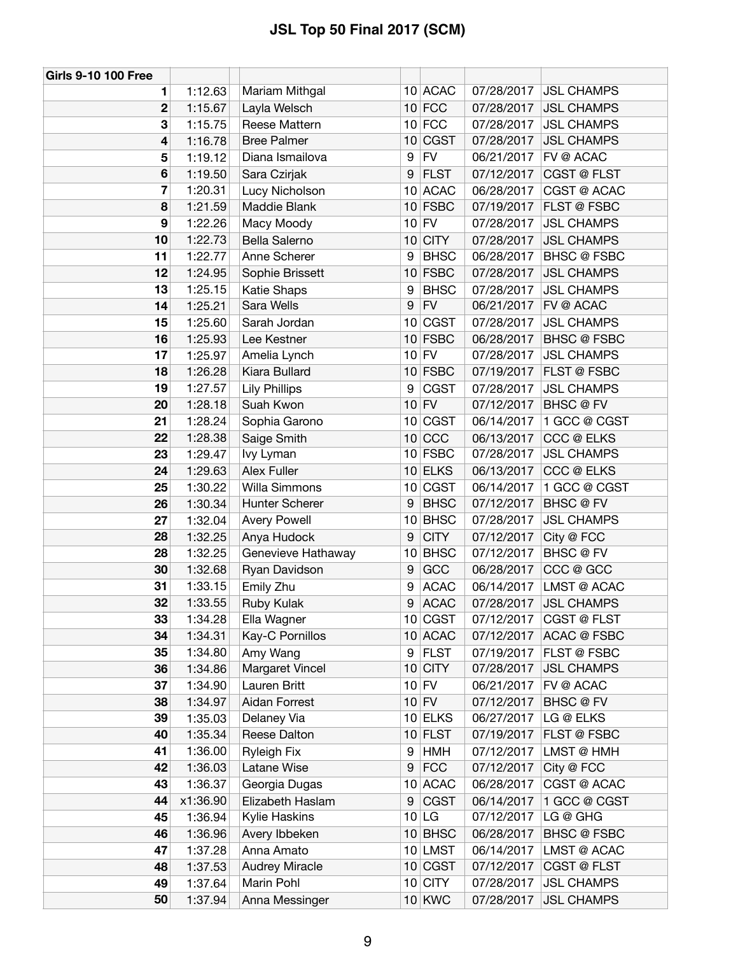| <b>Girls 9-10 100 Free</b> |          |                       |   |             |            |                       |
|----------------------------|----------|-----------------------|---|-------------|------------|-----------------------|
| 1                          | 1:12.63  | Mariam Mithgal        |   | 10 ACAC     | 07/28/2017 | <b>JSL CHAMPS</b>     |
| $\mathbf 2$                | 1:15.67  | Layla Welsch          |   | $10$ FCC    | 07/28/2017 | <b>JSL CHAMPS</b>     |
| 3                          | 1:15.75  | Reese Mattern         |   | $10$ FCC    | 07/28/2017 | <b>JSL CHAMPS</b>     |
| 4                          | 1:16.78  | <b>Bree Palmer</b>    |   | 10 CGST     | 07/28/2017 | <b>JSL CHAMPS</b>     |
| 5                          | 1:19.12  | Diana Ismailova       | 9 | <b>FV</b>   | 06/21/2017 | FV @ ACAC             |
| 6                          | 1:19.50  | Sara Czirjak          | 9 | <b>FLST</b> | 07/12/2017 | <b>CGST @ FLST</b>    |
| $\overline{7}$             | 1:20.31  | Lucy Nicholson        |   | 10 ACAC     | 06/28/2017 | CGST @ ACAC           |
| 8                          | 1:21.59  | Maddie Blank          |   | $10$ FSBC   | 07/19/2017 | <b>FLST @ FSBC</b>    |
| 9                          | 1:22.26  | Macy Moody            |   | $10$ FV     | 07/28/2017 | <b>JSL CHAMPS</b>     |
| 10                         | 1:22.73  | Bella Salerno         |   | $10$ CITY   | 07/28/2017 | <b>JSL CHAMPS</b>     |
| 11                         | 1:22.77  | Anne Scherer          | 9 | <b>BHSC</b> | 06/28/2017 | <b>BHSC @ FSBC</b>    |
| 12                         | 1:24.95  | Sophie Brissett       |   | $10$ FSBC   | 07/28/2017 | <b>JSL CHAMPS</b>     |
| 13                         | 1:25.15  | Katie Shaps           | 9 | <b>BHSC</b> | 07/28/2017 | <b>JSL CHAMPS</b>     |
| 14                         | 1:25.21  | Sara Wells            | 9 | FV          | 06/21/2017 | FV @ ACAC             |
| 15                         | 1:25.60  | Sarah Jordan          |   | 10 CGST     | 07/28/2017 | <b>JSL CHAMPS</b>     |
| 16                         | 1:25.93  | Lee Kestner           |   | $10$ FSBC   | 06/28/2017 | <b>BHSC @ FSBC</b>    |
| 17                         | 1:25.97  | Amelia Lynch          |   | $10$ FV     | 07/28/2017 | <b>JSL CHAMPS</b>     |
| 18                         | 1:26.28  | Kiara Bullard         |   | $10$ FSBC   | 07/19/2017 | FLST @ FSBC           |
| 19                         | 1:27.57  | <b>Lily Phillips</b>  | 9 | <b>CGST</b> | 07/28/2017 | <b>JSL CHAMPS</b>     |
| 20                         | 1:28.18  | Suah Kwon             |   | $10$ FV     | 07/12/2017 | BHSC@FV               |
| 21                         | 1:28.24  | Sophia Garono         |   | 10 CGST     | 06/14/2017 | 1 GCC @ CGST          |
| 22                         | 1:28.38  | Saige Smith           |   | $10$ CCC    | 06/13/2017 | CCC @ ELKS            |
| 23                         | 1:29.47  | Ivy Lyman             |   | $10$ FSBC   | 07/28/2017 | <b>JSL CHAMPS</b>     |
| 24                         | 1:29.63  | Alex Fuller           |   | $10$ ELKS   | 06/13/2017 | CCC @ ELKS            |
| 25                         | 1:30.22  | Willa Simmons         |   | 10 CGST     | 06/14/2017 | 1 GCC @ CGST          |
| 26                         | 1:30.34  | Hunter Scherer        | 9 | <b>BHSC</b> | 07/12/2017 | <b>BHSC</b> @ FV      |
| 27                         | 1:32.04  | Avery Powell          |   | $10$ BHSC   | 07/28/2017 | <b>JSL CHAMPS</b>     |
| 28                         | 1:32.25  | Anya Hudock           | 9 | <b>CITY</b> | 07/12/2017 | City @ FCC            |
| 28                         | 1:32.25  | Genevieve Hathaway    |   | 10 BHSC     | 07/12/2017 | BHSC @ FV             |
| 30                         | 1:32.68  | Ryan Davidson         | 9 | GCC         | 06/28/2017 | CCC @ GCC             |
| 31                         | 1:33.15  | Emily Zhu             | 9 | <b>ACAC</b> | 06/14/2017 | LMST @ ACAC           |
| 32                         | 1:33.55  | Ruby Kulak            | 9 | <b>ACAC</b> |            | 07/28/2017 JSL CHAMPS |
| 33                         | 1:34.28  | Ella Wagner           |   | 10 CGST     | 07/12/2017 | CGST @ FLST           |
| 34                         | 1:34.31  | Kay-C Pornillos       |   | 10 ACAC     | 07/12/2017 | ACAC @ FSBC           |
| 35                         | 1:34.80  | Amy Wang              | 9 | <b>FLST</b> | 07/19/2017 | FLST @ FSBC           |
| 36                         | 1:34.86  | Margaret Vincel       |   | $10$ CITY   | 07/28/2017 | <b>JSL CHAMPS</b>     |
| 37                         | 1:34.90  | Lauren Britt          |   | $10$ FV     | 06/21/2017 | FV @ ACAC             |
| 38                         | 1:34.97  | Aidan Forrest         |   | $10$ FV     | 07/12/2017 | <b>BHSC</b> @ FV      |
| 39                         | 1:35.03  | Delaney Via           |   | $10$ ELKS   | 06/27/2017 | LG @ ELKS             |
| 40                         | 1:35.34  | Reese Dalton          |   | $10$ FLST   | 07/19/2017 | FLST @ FSBC           |
| 41                         | 1:36.00  | <b>Ryleigh Fix</b>    | 9 | <b>HMH</b>  | 07/12/2017 | LMST @ HMH            |
| 42                         | 1:36.03  | Latane Wise           | 9 | FCC         | 07/12/2017 | City @ FCC            |
| 43                         | 1:36.37  | Georgia Dugas         |   | 10 ACAC     | 06/28/2017 | CGST @ ACAC           |
| 44                         | x1:36.90 | Elizabeth Haslam      | 9 | <b>CGST</b> | 06/14/2017 | 1 GCC @ CGST          |
| 45                         | 1:36.94  | Kylie Haskins         |   | 10 LG       | 07/12/2017 | LG @ GHG              |
| 46                         | 1:36.96  | Avery Ibbeken         |   | $10$ BHSC   | 06/28/2017 | <b>BHSC @ FSBC</b>    |
| 47                         | 1:37.28  | Anna Amato            |   | 10 LMST     | 06/14/2017 | LMST @ ACAC           |
| 48                         | 1:37.53  | <b>Audrey Miracle</b> |   | 10 CGST     | 07/12/2017 | CGST @ FLST           |
| 49                         | 1:37.64  | Marin Pohl            |   | $10$ CITY   | 07/28/2017 | <b>JSL CHAMPS</b>     |
| 50                         | 1:37.94  | Anna Messinger        |   | $10$ KWC    | 07/28/2017 | <b>JSL CHAMPS</b>     |
|                            |          |                       |   |             |            |                       |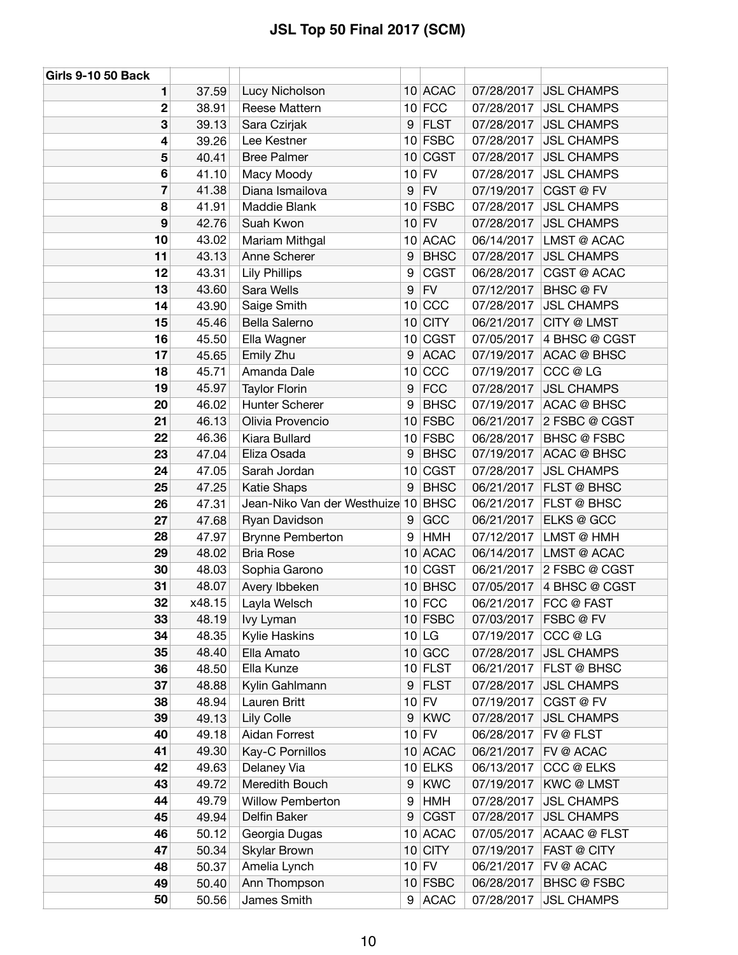| <b>Girls 9-10 50 Back</b> |        |                                |                  |             |            |                     |
|---------------------------|--------|--------------------------------|------------------|-------------|------------|---------------------|
| 1                         | 37.59  | Lucy Nicholson                 |                  | 10 ACAC     | 07/28/2017 | <b>JSL CHAMPS</b>   |
| 2                         | 38.91  | Reese Mattern                  |                  | $10$ FCC    | 07/28/2017 | <b>JSL CHAMPS</b>   |
| 3                         | 39.13  | Sara Czirjak                   | 9                | <b>FLST</b> | 07/28/2017 | <b>JSL CHAMPS</b>   |
| 4                         | 39.26  | Lee Kestner                    |                  | $10$ FSBC   | 07/28/2017 | <b>JSL CHAMPS</b>   |
| 5                         | 40.41  | <b>Bree Palmer</b>             | 10               | <b>CGST</b> | 07/28/2017 | <b>JSL CHAMPS</b>   |
| 6                         | 41.10  | Macy Moody                     |                  | $10$ FV     | 07/28/2017 | <b>JSL CHAMPS</b>   |
| 7                         | 41.38  | Diana Ismailova                | 9                | <b>FV</b>   | 07/19/2017 | CGST @ FV           |
| 8                         | 41.91  | Maddie Blank                   |                  | $10$ FSBC   | 07/28/2017 | <b>JSL CHAMPS</b>   |
| 9                         | 42.76  | Suah Kwon                      |                  | $10$ FV     | 07/28/2017 | <b>JSL CHAMPS</b>   |
| 10                        | 43.02  | Mariam Mithgal                 |                  | 10 ACAC     | 06/14/2017 | LMST @ ACAC         |
| 11                        | 43.13  | Anne Scherer                   | 9                | <b>BHSC</b> | 07/28/2017 | <b>JSL CHAMPS</b>   |
| 12                        | 43.31  | <b>Lily Phillips</b>           | 9                | <b>CGST</b> | 06/28/2017 | CGST @ ACAC         |
| 13                        | 43.60  | Sara Wells                     | $\boldsymbol{9}$ | <b>FV</b>   | 07/12/2017 | <b>BHSC</b> @ FV    |
| 14                        | 43.90  | Saige Smith                    |                  | $10$ CCC    | 07/28/2017 | <b>JSL CHAMPS</b>   |
| 15                        | 45.46  | Bella Salerno                  |                  | $10$ CITY   | 06/21/2017 | <b>CITY @ LMST</b>  |
| 16                        | 45.50  | Ella Wagner                    |                  | $10$ CGST   | 07/05/2017 | 4 BHSC @ CGST       |
| 17                        | 45.65  | Emily Zhu                      | 9                | <b>ACAC</b> | 07/19/2017 | <b>ACAC @ BHSC</b>  |
| 18                        | 45.71  | Amanda Dale                    | 10 <sup>1</sup>  | CCC         | 07/19/2017 | CCC @ LG            |
| 19                        | 45.97  | <b>Taylor Florin</b>           | 9                | <b>FCC</b>  | 07/28/2017 | <b>JSL CHAMPS</b>   |
| 20                        | 46.02  | Hunter Scherer                 | 9                | <b>BHSC</b> | 07/19/2017 | <b>ACAC @ BHSC</b>  |
| 21                        | 46.13  | Olivia Provencio               |                  | 10 FSBC     | 06/21/2017 | 2 FSBC @ CGST       |
| 22                        | 46.36  | Kiara Bullard                  |                  | $10$ FSBC   | 06/28/2017 | <b>BHSC @ FSBC</b>  |
| 23                        | 47.04  | Eliza Osada                    | 9                | <b>BHSC</b> | 07/19/2017 | <b>ACAC @ BHSC</b>  |
| 24                        | 47.05  | Sarah Jordan                   |                  | $10$ CGST   | 07/28/2017 | <b>JSL CHAMPS</b>   |
| 25                        | 47.25  | <b>Katie Shaps</b>             | 9                | <b>BHSC</b> | 06/21/2017 | FLST @ BHSC         |
| 26                        | 47.31  | Jean-Niko Van der Westhuize 10 |                  | <b>BHSC</b> | 06/21/2017 | FLST @ BHSC         |
| 27                        | 47.68  | Ryan Davidson                  | 9                | GCC         | 06/21/2017 | ELKS @ GCC          |
| 28                        | 47.97  | <b>Brynne Pemberton</b>        | 9                | <b>HMH</b>  | 07/12/2017 | LMST @ HMH          |
| 29                        | 48.02  | <b>Bria Rose</b>               |                  | 10 ACAC     | 06/14/2017 | LMST @ ACAC         |
| 30                        | 48.03  | Sophia Garono                  |                  | 10 CGST     | 06/21/2017 | 2 FSBC @ CGST       |
| 31                        | 48.07  | Avery Ibbeken                  | 10               | <b>BHSC</b> | 07/05/2017 | 4 BHSC @ CGST       |
| 32                        | x48.15 | Layla Welsch                   |                  | $10$ FCC    | 06/21/2017 | FCC @ FAST          |
| 33                        | 48.19  | Ivy Lyman                      |                  | $10$ FSBC   | 07/03/2017 | <b>FSBC</b> @ FV    |
| 34                        | 48.35  | Kylie Haskins                  |                  | 10 LG       | 07/19/2017 | CCC @ LG            |
| 35                        | 48.40  | Ella Amato                     |                  | $10$ GCC    | 07/28/2017 | <b>JSL CHAMPS</b>   |
| 36                        | 48.50  | Ella Kunze                     |                  | $10$ FLST   | 06/21/2017 | FLST @ BHSC         |
| 37                        | 48.88  | Kylin Gahlmann                 | 9                | <b>FLST</b> | 07/28/2017 | <b>JSL CHAMPS</b>   |
| 38                        | 48.94  | Lauren Britt                   | 10 <sup>1</sup>  | <b>FV</b>   | 07/19/2017 | CGST@FV             |
| 39                        | 49.13  | Lily Colle                     | 9                | <b>KWC</b>  | 07/28/2017 | <b>JSL CHAMPS</b>   |
| 40                        | 49.18  | Aidan Forrest                  |                  | $10$ FV     | 06/28/2017 | FV @ FLST           |
| 41                        | 49.30  | Kay-C Pornillos                |                  | 10 ACAC     | 06/21/2017 | FV @ ACAC           |
| 42                        | 49.63  | Delaney Via                    |                  | $10$ ELKS   | 06/13/2017 | CCC @ ELKS          |
| 43                        | 49.72  | Meredith Bouch                 | 9                | <b>KWC</b>  | 07/19/2017 | <b>KWC</b> @ LMST   |
| 44                        | 49.79  | <b>Willow Pemberton</b>        | 9                | <b>HMH</b>  | 07/28/2017 | <b>JSL CHAMPS</b>   |
| 45                        | 49.94  | Delfin Baker                   | 9                | <b>CGST</b> | 07/28/2017 | <b>JSL CHAMPS</b>   |
| 46                        | 50.12  | Georgia Dugas                  |                  | 10 ACAC     | 07/05/2017 | <b>ACAAC @ FLST</b> |
| 47                        | 50.34  | Skylar Brown                   |                  | $10$ CITY   | 07/19/2017 | <b>FAST @ CITY</b>  |
| 48                        | 50.37  | Amelia Lynch                   |                  | $10$ FV     | 06/21/2017 | FV @ ACAC           |
| 49                        | 50.40  | Ann Thompson                   |                  | $10$ FSBC   | 06/28/2017 | <b>BHSC @ FSBC</b>  |
| 50                        | 50.56  | James Smith                    | 9                | <b>ACAC</b> | 07/28/2017 | <b>JSL CHAMPS</b>   |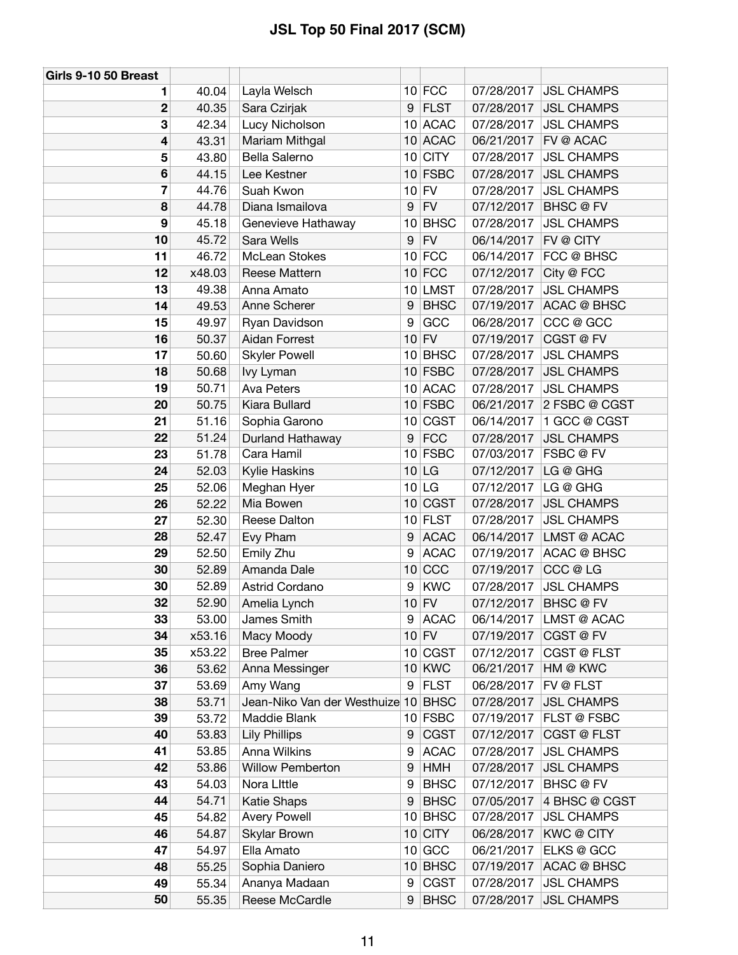| Girls 9-10 50 Breast |        |                                     |   |             |            |                    |
|----------------------|--------|-------------------------------------|---|-------------|------------|--------------------|
| 1.                   | 40.04  | Layla Welsch                        |   | $10$ FCC    | 07/28/2017 | <b>JSL CHAMPS</b>  |
| $\mathbf 2$          | 40.35  | Sara Czirjak                        | 9 | <b>FLST</b> | 07/28/2017 | <b>JSL CHAMPS</b>  |
| 3                    | 42.34  | Lucy Nicholson                      |   | 10 ACAC     | 07/28/2017 | <b>JSL CHAMPS</b>  |
| 4                    | 43.31  | Mariam Mithgal                      |   | 10 ACAC     | 06/21/2017 | FV @ ACAC          |
| 5                    | 43.80  | <b>Bella Salerno</b>                |   | 10 CITY     | 07/28/2017 | <b>JSL CHAMPS</b>  |
| $\bf 6$              | 44.15  | Lee Kestner                         |   | 10 FSBC     | 07/28/2017 | <b>JSL CHAMPS</b>  |
| 7                    | 44.76  | Suah Kwon                           |   | $10$ FV     | 07/28/2017 | <b>JSL CHAMPS</b>  |
| 8                    | 44.78  | Diana Ismailova                     | 9 | FV          | 07/12/2017 | BHSC@FV            |
| 9                    | 45.18  | Genevieve Hathaway                  |   | 10 BHSC     | 07/28/2017 | <b>JSL CHAMPS</b>  |
| 10                   | 45.72  | Sara Wells                          | 9 | <b>FV</b>   | 06/14/2017 | FV @ CITY          |
| 11                   | 46.72  | McLean Stokes                       |   | $10$ FCC    | 06/14/2017 | FCC @ BHSC         |
| 12                   | x48.03 | Reese Mattern                       |   | $10$ FCC    | 07/12/2017 | City @ FCC         |
| 13                   | 49.38  | Anna Amato                          |   | 10 LMST     | 07/28/2017 | <b>JSL CHAMPS</b>  |
| 14                   | 49.53  | Anne Scherer                        | 9 | <b>BHSC</b> | 07/19/2017 | <b>ACAC @ BHSC</b> |
| 15                   | 49.97  | Ryan Davidson                       | 9 | GCC         | 06/28/2017 | CCC @ GCC          |
| 16                   | 50.37  | Aidan Forrest                       |   | $10$ FV     | 07/19/2017 | CGST @ FV          |
| 17                   | 50.60  | <b>Skyler Powell</b>                |   | $10$ BHSC   | 07/28/2017 | <b>JSL CHAMPS</b>  |
| 18                   | 50.68  | Ivy Lyman                           |   | $10$ FSBC   | 07/28/2017 | <b>JSL CHAMPS</b>  |
| 19                   | 50.71  | <b>Ava Peters</b>                   |   | 10 ACAC     | 07/28/2017 | <b>JSL CHAMPS</b>  |
| 20                   | 50.75  | Kiara Bullard                       |   | $10$ FSBC   | 06/21/2017 | 2 FSBC @ CGST      |
| 21                   | 51.16  | Sophia Garono                       |   | 10 CGST     | 06/14/2017 | 1 GCC @ CGST       |
| 22                   | 51.24  | Durland Hathaway                    | 9 | <b>FCC</b>  | 07/28/2017 | <b>JSL CHAMPS</b>  |
| 23                   | 51.78  | Cara Hamil                          |   | $10$ FSBC   | 07/03/2017 | FSBC @ FV          |
| 24                   | 52.03  | Kylie Haskins                       |   | 10 LG       | 07/12/2017 | LG @ GHG           |
| 25                   | 52.06  | Meghan Hyer                         |   | 10 LG       | 07/12/2017 | LG @ GHG           |
| 26                   | 52.22  | Mia Bowen                           |   | 10 CGST     | 07/28/2017 | <b>JSL CHAMPS</b>  |
| 27                   | 52.30  | Reese Dalton                        |   | 10 FLST     | 07/28/2017 | <b>JSL CHAMPS</b>  |
| 28                   | 52.47  | Evy Pham                            | 9 | <b>ACAC</b> | 06/14/2017 | LMST @ ACAC        |
| 29                   | 52.50  | Emily Zhu                           | 9 | <b>ACAC</b> | 07/19/2017 | <b>ACAC @ BHSC</b> |
| 30                   | 52.89  | Amanda Dale                         |   | 10 CCC      | 07/19/2017 | CCC @ LG           |
| 30                   | 52.89  | Astrid Cordano                      | 9 | <b>KWC</b>  | 07/28/2017 | <b>JSL CHAMPS</b>  |
| 32                   | 52.90  | Amelia Lynch                        |   | $10$ FV     | 07/12/2017 | <b>BHSC</b> @ FV   |
| 33                   | 53.00  | James Smith                         |   | 9 ACAC      | 06/14/2017 | LMST @ ACAC        |
| 34                   | x53.16 | Macy Moody                          |   | $10$ FV     | 07/19/2017 | CGST @ FV          |
| 35                   | x53.22 | <b>Bree Palmer</b>                  |   | 10 CGST     | 07/12/2017 | CGST @ FLST        |
| 36                   | 53.62  | Anna Messinger                      |   | 10 KWC      | 06/21/2017 | HM @ KWC           |
| 37                   | 53.69  | Amy Wang                            | 9 | <b>FLST</b> | 06/28/2017 | FV @ FLST          |
| 38                   | 53.71  | Jean-Niko Van der Westhuize 10 BHSC |   |             | 07/28/2017 | <b>JSL CHAMPS</b>  |
| 39                   | 53.72  | Maddie Blank                        |   | $10$ FSBC   | 07/19/2017 | FLST @ FSBC        |
| 40                   | 53.83  | <b>Lily Phillips</b>                | 9 | <b>CGST</b> | 07/12/2017 | <b>CGST @ FLST</b> |
| 41                   | 53.85  | Anna Wilkins                        | 9 | <b>ACAC</b> | 07/28/2017 | <b>JSL CHAMPS</b>  |
| 42                   | 53.86  | <b>Willow Pemberton</b>             | 9 | <b>HMH</b>  | 07/28/2017 | <b>JSL CHAMPS</b>  |
| 43                   | 54.03  | Nora Little                         | 9 | <b>BHSC</b> | 07/12/2017 | BHSC@FV            |
| 44                   | 54.71  | Katie Shaps                         | 9 | <b>BHSC</b> | 07/05/2017 | 4 BHSC @ CGST      |
| 45                   | 54.82  | <b>Avery Powell</b>                 |   | $10$ BHSC   | 07/28/2017 | <b>JSL CHAMPS</b>  |
| 46                   | 54.87  | Skylar Brown                        |   | $10$ CITY   | 06/28/2017 | <b>KWC@CITY</b>    |
| 47                   | 54.97  | Ella Amato                          |   | $10$ GCC    | 06/21/2017 | ELKS @ GCC         |
| 48                   | 55.25  | Sophia Daniero                      |   | $10$ BHSC   | 07/19/2017 | <b>ACAC @ BHSC</b> |
| 49                   | 55.34  | Ananya Madaan                       | 9 | <b>CGST</b> | 07/28/2017 | <b>JSL CHAMPS</b>  |
| 50                   | 55.35  | Reese McCardle                      | 9 | <b>BHSC</b> | 07/28/2017 | <b>JSL CHAMPS</b>  |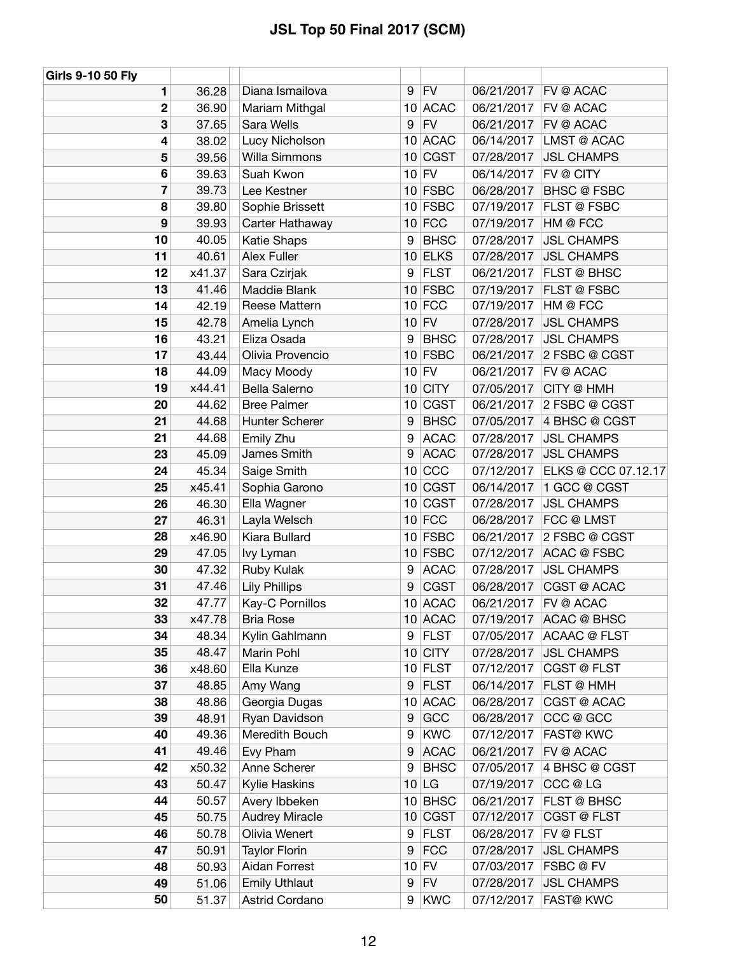| <b>Girls 9-10 50 Fly</b> |        |                       |                |             |            |                     |
|--------------------------|--------|-----------------------|----------------|-------------|------------|---------------------|
| 1                        | 36.28  | Diana Ismailova       |                | $9$ FV      | 06/21/2017 | <b>FV @ ACAC</b>    |
| 2                        | 36.90  | Mariam Mithgal        |                | 10 ACAC     | 06/21/2017 | FV @ ACAC           |
| 3                        | 37.65  | Sara Wells            | 9              | <b>FV</b>   | 06/21/2017 | FV @ ACAC           |
| 4                        | 38.02  | Lucy Nicholson        |                | 10 ACAC     | 06/14/2017 | LMST @ ACAC         |
| 5                        | 39.56  | Willa Simmons         |                | $10$ CGST   | 07/28/2017 | <b>JSL CHAMPS</b>   |
| 6                        | 39.63  | Suah Kwon             |                | $10$ FV     | 06/14/2017 | FV @ CITY           |
| 7                        | 39.73  | Lee Kestner           |                | 10 FSBC     | 06/28/2017 | <b>BHSC @ FSBC</b>  |
| 8                        | 39.80  | Sophie Brissett       |                | $10$ FSBC   | 07/19/2017 | <b>FLST @ FSBC</b>  |
| 9                        | 39.93  | Carter Hathaway       |                | $10$ FCC    | 07/19/2017 | HM @ FCC            |
| 10                       | 40.05  | Katie Shaps           | 9              | <b>BHSC</b> | 07/28/2017 | <b>JSL CHAMPS</b>   |
| 11                       | 40.61  | Alex Fuller           |                | $10$ ELKS   | 07/28/2017 | <b>JSL CHAMPS</b>   |
| 12                       | x41.37 | Sara Czirjak          | 9              | <b>FLST</b> | 06/21/2017 | FLST @ BHSC         |
| 13                       | 41.46  | Maddie Blank          |                | 10 FSBC     | 07/19/2017 | FLST @ FSBC         |
| 14                       | 42.19  | Reese Mattern         |                | $10$ FCC    | 07/19/2017 | HM @ FCC            |
| 15                       | 42.78  | Amelia Lynch          |                | $10$ FV     | 07/28/2017 | <b>JSL CHAMPS</b>   |
| 16                       | 43.21  | Eliza Osada           | 9              | <b>BHSC</b> | 07/28/2017 | <b>JSL CHAMPS</b>   |
| 17                       | 43.44  | Olivia Provencio      |                | 10 FSBC     | 06/21/2017 | 2 FSBC @ CGST       |
| 18                       | 44.09  | Macy Moody            |                | $10$ FV     | 06/21/2017 | FV @ ACAC           |
| 19                       | x44.41 | Bella Salerno         |                | $10$ CITY   | 07/05/2017 | CITY @ HMH          |
| 20                       | 44.62  | <b>Bree Palmer</b>    |                | 10 CGST     | 06/21/2017 | 2 FSBC @ CGST       |
| 21                       | 44.68  | Hunter Scherer        | 9              | <b>BHSC</b> | 07/05/2017 | 4 BHSC @ CGST       |
| 21                       | 44.68  | Emily Zhu             | 9              | <b>ACAC</b> | 07/28/2017 | <b>JSL CHAMPS</b>   |
| 23                       | 45.09  | James Smith           | 9              | <b>ACAC</b> | 07/28/2017 | <b>JSL CHAMPS</b>   |
| 24                       | 45.34  | Saige Smith           |                | $10$ CCC    | 07/12/2017 | ELKS @ CCC 07.12.17 |
| 25                       | x45.41 | Sophia Garono         |                | 10 CGST     | 06/14/2017 | 1 GCC @ CGST        |
| 26                       | 46.30  | Ella Wagner           |                | 10 CGST     | 07/28/2017 | <b>JSL CHAMPS</b>   |
| 27                       | 46.31  | Layla Welsch          |                | $10$ FCC    | 06/28/2017 | FCC @ LMST          |
| 28                       | x46.90 | Kiara Bullard         |                | $10$ FSBC   | 06/21/2017 | 2 FSBC @ CGST       |
| 29                       | 47.05  | lvy Lyman             |                | 10 FSBC     | 07/12/2017 | <b>ACAC @ FSBC</b>  |
| 30                       | 47.32  | Ruby Kulak            | 9              | <b>ACAC</b> | 07/28/2017 | <b>JSL CHAMPS</b>   |
| 31                       | 47.46  | <b>Lily Phillips</b>  | 9              | <b>CGST</b> | 06/28/2017 | CGST @ ACAC         |
| 32                       | 47.77  | Kay-C Pornillos       |                | 10 ACAC     | 06/21/2017 | FV @ ACAC           |
| 33                       | x47.78 | <b>Bria Rose</b>      |                | 10 ACAC     | 07/19/2017 | ACAC @ BHSC         |
| 34                       | 48.34  | Kylin Gahlmann        | 9 <sup>1</sup> | <b>FLST</b> | 07/05/2017 | <b>ACAAC @ FLST</b> |
| 35                       | 48.47  | Marin Pohl            |                | $10$ CITY   | 07/28/2017 | <b>JSL CHAMPS</b>   |
| 36                       | x48.60 | Ella Kunze            |                | $10$ FLST   | 07/12/2017 | <b>CGST @ FLST</b>  |
| 37                       | 48.85  | Amy Wang              | 9              | <b>FLST</b> | 06/14/2017 | FLST @ HMH          |
| 38                       | 48.86  | Georgia Dugas         |                | 10 ACAC     | 06/28/2017 | CGST @ ACAC         |
| 39                       | 48.91  | Ryan Davidson         | 9              | GCC         | 06/28/2017 | CCC @ GCC           |
| 40                       | 49.36  | Meredith Bouch        | 9              | <b>KWC</b>  | 07/12/2017 | <b>FAST@ KWC</b>    |
| 41                       | 49.46  | Evy Pham              | 9              | <b>ACAC</b> | 06/21/2017 | FV @ ACAC           |
| 42                       | x50.32 | Anne Scherer          | 9              | <b>BHSC</b> | 07/05/2017 | 4 BHSC @ CGST       |
| 43                       | 50.47  | Kylie Haskins         |                | $10$ LG     | 07/19/2017 | CCC @ LG            |
| 44                       | 50.57  | Avery Ibbeken         |                | $10$ BHSC   | 06/21/2017 | FLST @ BHSC         |
| 45                       | 50.75  | <b>Audrey Miracle</b> |                | $10$ CGST   | 07/12/2017 | CGST @ FLST         |
| 46                       | 50.78  | Olivia Wenert         | 9              | <b>FLST</b> | 06/28/2017 | FV @ FLST           |
| 47                       | 50.91  | <b>Taylor Florin</b>  | 9              | <b>FCC</b>  | 07/28/2017 | <b>JSL CHAMPS</b>   |
| 48                       | 50.93  | Aidan Forrest         |                | $10$ FV     | 07/03/2017 | FSBC @ FV           |
| 49                       | 51.06  | <b>Emily Uthlaut</b>  | 9              | <b>FV</b>   | 07/28/2017 | <b>JSL CHAMPS</b>   |
| 50                       | 51.37  | Astrid Cordano        | 9              | <b>KWC</b>  | 07/12/2017 | <b>FAST@ KWC</b>    |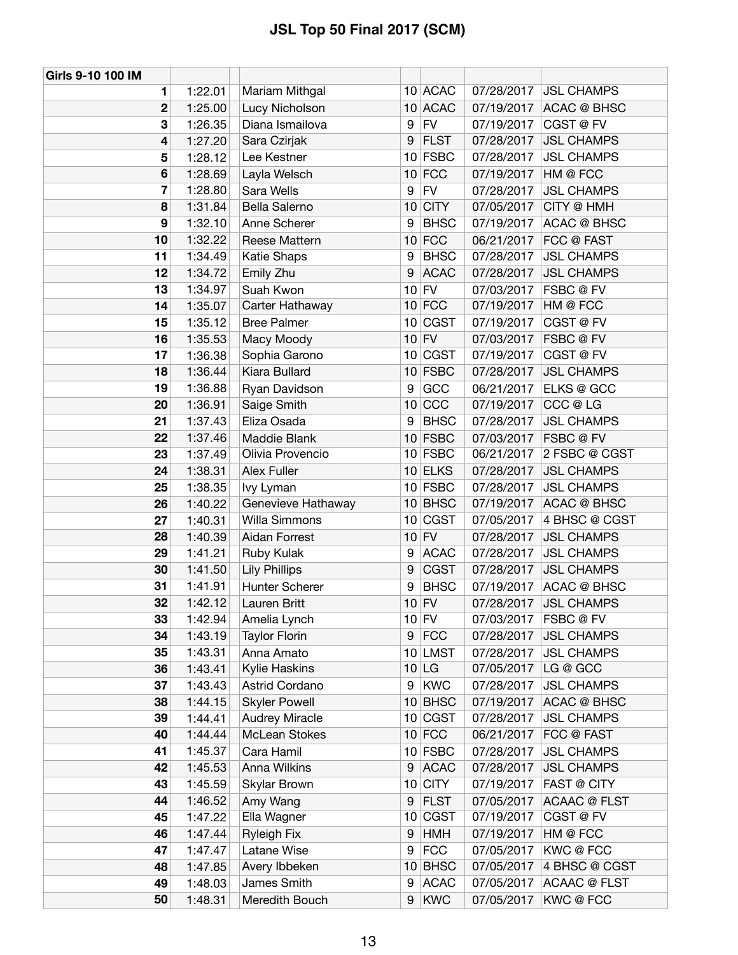| Girls 9-10 100 IM |         |                       |                 |             |            |                     |
|-------------------|---------|-----------------------|-----------------|-------------|------------|---------------------|
| 1                 | 1:22.01 | Mariam Mithgal        |                 | 10 ACAC     | 07/28/2017 | <b>JSL CHAMPS</b>   |
| 2                 | 1:25.00 | Lucy Nicholson        |                 | 10 ACAC     | 07/19/2017 | <b>ACAC @ BHSC</b>  |
| 3                 | 1:26.35 | Diana Ismailova       | 9               | <b>FV</b>   | 07/19/2017 | CGST @ FV           |
| 4                 | 1:27.20 | Sara Czirjak          | 9               | <b>FLST</b> | 07/28/2017 | <b>JSL CHAMPS</b>   |
| 5                 | 1:28.12 | Lee Kestner           |                 | $10$ FSBC   | 07/28/2017 | <b>JSL CHAMPS</b>   |
| 6                 | 1:28.69 | Layla Welsch          |                 | $10$ FCC    | 07/19/2017 | HM @ FCC            |
| 7                 | 1:28.80 | Sara Wells            | 9               | <b>FV</b>   | 07/28/2017 | <b>JSL CHAMPS</b>   |
| 8                 | 1:31.84 | Bella Salerno         | 10 <sup>1</sup> | <b>CITY</b> | 07/05/2017 | CITY @ HMH          |
| 9                 | 1:32.10 | Anne Scherer          | 9               | <b>BHSC</b> | 07/19/2017 | <b>ACAC @ BHSC</b>  |
| 10                | 1:32.22 | Reese Mattern         |                 | $10$ FCC    | 06/21/2017 | FCC @ FAST          |
| 11                | 1:34.49 | Katie Shaps           | 9               | <b>BHSC</b> | 07/28/2017 | <b>JSL CHAMPS</b>   |
| 12                | 1:34.72 | Emily Zhu             | 9               | <b>ACAC</b> | 07/28/2017 | <b>JSL CHAMPS</b>   |
| 13                | 1:34.97 | Suah Kwon             | 10 <sup>1</sup> | FV          | 07/03/2017 | FSBC @ FV           |
| 14                | 1:35.07 | Carter Hathaway       |                 | $10$ FCC    | 07/19/2017 | HM @ FCC            |
| 15                | 1:35.12 | <b>Bree Palmer</b>    |                 | 10 CGST     | 07/19/2017 | CGST @ FV           |
| 16                | 1:35.53 | Macy Moody            |                 | $10$ FV     | 07/03/2017 | FSBC @ FV           |
| 17                | 1:36.38 | Sophia Garono         |                 | 10 CGST     | 07/19/2017 | CGST@FV             |
| 18                | 1:36.44 | Kiara Bullard         |                 | $10$ FSBC   | 07/28/2017 | <b>JSL CHAMPS</b>   |
| 19                | 1:36.88 | Ryan Davidson         | 9               | GCC         | 06/21/2017 | ELKS @ GCC          |
| 20                | 1:36.91 | Saige Smith           |                 | $10$ CCC    | 07/19/2017 | CCC @ LG            |
| 21                | 1:37.43 | Eliza Osada           | 9               | <b>BHSC</b> | 07/28/2017 | <b>JSL CHAMPS</b>   |
| 22                | 1:37.46 | Maddie Blank          |                 | $10$ FSBC   | 07/03/2017 | FSBC @ FV           |
| 23                | 1:37.49 | Olivia Provencio      |                 | $10$ FSBC   | 06/21/2017 | 2 FSBC @ CGST       |
| 24                | 1:38.31 | Alex Fuller           |                 | $10$ ELKS   | 07/28/2017 | <b>JSL CHAMPS</b>   |
| 25                | 1:38.35 | lvy Lyman             |                 | 10 FSBC     | 07/28/2017 | <b>JSL CHAMPS</b>   |
| 26                | 1:40.22 | Genevieve Hathaway    |                 | $10$ BHSC   | 07/19/2017 | <b>ACAC @ BHSC</b>  |
| 27                | 1:40.31 | Willa Simmons         |                 | 10 CGST     | 07/05/2017 | 4 BHSC @ CGST       |
| 28                | 1:40.39 | Aidan Forrest         |                 | $10$ FV     | 07/28/2017 | <b>JSL CHAMPS</b>   |
| 29                | 1:41.21 | Ruby Kulak            | 9               | <b>ACAC</b> | 07/28/2017 | <b>JSL CHAMPS</b>   |
| 30                | 1:41.50 | <b>Lily Phillips</b>  | 9               | <b>CGST</b> | 07/28/2017 | <b>JSL CHAMPS</b>   |
| 31                | 1:41.91 | <b>Hunter Scherer</b> | 9               | <b>BHSC</b> | 07/19/2017 | <b>ACAC @ BHSC</b>  |
| 32                | 1:42.12 | Lauren Britt          |                 | $10$ FV     | 07/28/2017 | <b>JSL CHAMPS</b>   |
| 33                | 1:42.94 | Amelia Lynch          |                 | $10$ FV     | 07/03/2017 | FSBC @ FV           |
| 34                | 1:43.19 | <b>Taylor Florin</b>  | 9 <sup>1</sup>  | <b>FCC</b>  | 07/28/2017 | <b>JSL CHAMPS</b>   |
| 35                | 1:43.31 | Anna Amato            |                 | 10 LMST     | 07/28/2017 | <b>JSL CHAMPS</b>   |
| 36                | 1:43.41 | Kylie Haskins         |                 | 10 LG       | 07/05/2017 | LG @ GCC            |
| 37                | 1:43.43 | Astrid Cordano        | 9               | <b>KWC</b>  | 07/28/2017 | <b>JSL CHAMPS</b>   |
| 38                | 1:44.15 | <b>Skyler Powell</b>  |                 | $10$ BHSC   | 07/19/2017 | <b>ACAC @ BHSC</b>  |
| 39                | 1:44.41 | <b>Audrey Miracle</b> |                 | 10 CGST     | 07/28/2017 | <b>JSL CHAMPS</b>   |
| 40                | 1:44.44 | <b>McLean Stokes</b>  |                 | $10$ FCC    | 06/21/2017 | FCC @ FAST          |
| 41                | 1:45.37 | Cara Hamil            |                 | $10$ FSBC   | 07/28/2017 | <b>JSL CHAMPS</b>   |
| 42                | 1:45.53 | Anna Wilkins          | 9               | <b>ACAC</b> | 07/28/2017 | <b>JSL CHAMPS</b>   |
| 43                | 1:45.59 | Skylar Brown          |                 | $10$ CITY   | 07/19/2017 | FAST @ CITY         |
| 44                | 1:46.52 | Amy Wang              | 9               | <b>FLST</b> | 07/05/2017 | <b>ACAAC @ FLST</b> |
| 45                | 1:47.22 | Ella Wagner           |                 | $10$ CGST   | 07/19/2017 | CGST @ FV           |
| 46                | 1:47.44 | <b>Ryleigh Fix</b>    | 9               | <b>HMH</b>  | 07/19/2017 | HM @ FCC            |
| 47                | 1:47.47 | Latane Wise           | 9               | <b>FCC</b>  | 07/05/2017 | KWC@FCC             |
| 48                | 1:47.85 | Avery Ibbeken         |                 | $10$ BHSC   | 07/05/2017 | 4 BHSC @ CGST       |
| 49                | 1:48.03 | James Smith           | 9               | <b>ACAC</b> | 07/05/2017 | <b>ACAAC @ FLST</b> |
| 50                | 1:48.31 | Meredith Bouch        | 9 <sup>1</sup>  | <b>KWC</b>  | 07/05/2017 | KWC@FCC             |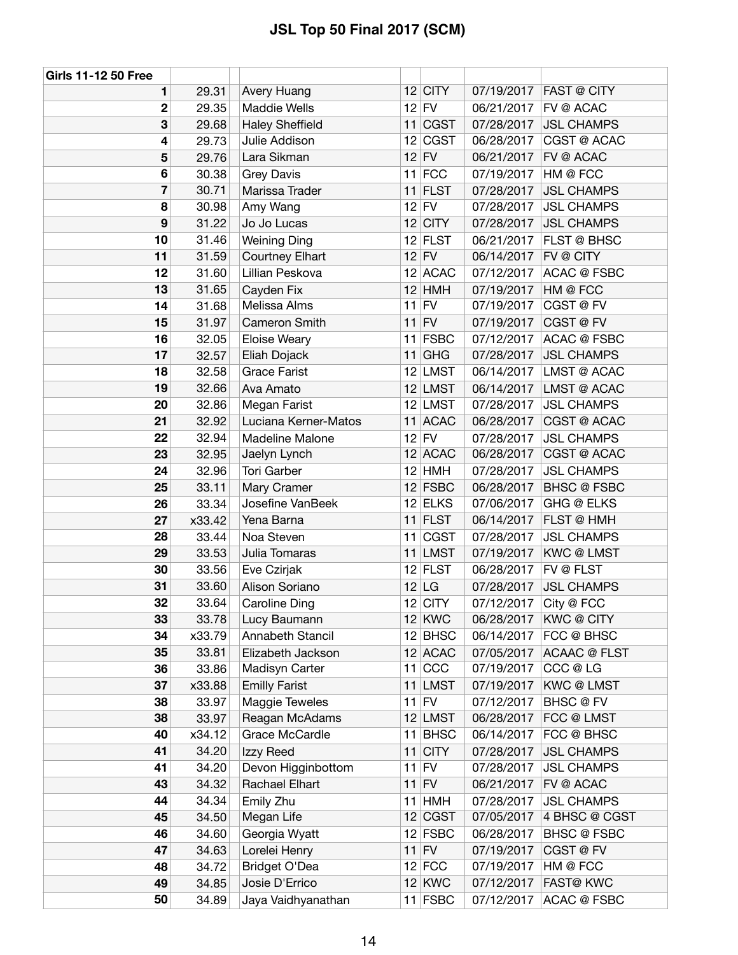| <b>Girls 11-12 50 Free</b> |                |                        |           |            |                     |
|----------------------------|----------------|------------------------|-----------|------------|---------------------|
| 1                          | 29.31          | Avery Huang            | $12$ CITY | 07/19/2017 | <b>FAST @ CITY</b>  |
| 2                          | 29.35          | Maddie Wells           | $12$ FV   | 06/21/2017 | FV @ ACAC           |
| 3                          | 29.68          | <b>Haley Sheffield</b> | $11$ CGST | 07/28/2017 | <b>JSL CHAMPS</b>   |
| 4                          | 29.73          | Julie Addison          | 12 CGST   | 06/28/2017 | CGST @ ACAC         |
| 5                          | 29.76          | Lara Sikman            | $12$ FV   | 06/21/2017 | FV @ ACAC           |
| 6                          | 30.38          | <b>Grey Davis</b>      | $11$ FCC  | 07/19/2017 | HM @ FCC            |
| 7                          | 30.71          | Marissa Trader         | $11$ FLST | 07/28/2017 | <b>JSL CHAMPS</b>   |
| 8                          | 30.98          | Amy Wang               | $12$ FV   | 07/28/2017 | <b>JSL CHAMPS</b>   |
| 9                          | 31.22          | Jo Jo Lucas            | $12$ CITY | 07/28/2017 | <b>JSL CHAMPS</b>   |
| 10                         | 31.46          | <b>Weining Ding</b>    | $12$ FLST | 06/21/2017 | FLST @ BHSC         |
| 11                         | 31.59          | Courtney Elhart        | $12$ FV   | 06/14/2017 | FV @ CITY           |
| 12                         | 31.60          | Lillian Peskova        | 12 ACAC   | 07/12/2017 | <b>ACAC @ FSBC</b>  |
| 13                         | 31.65          | Cayden Fix             | $12$ HMH  | 07/19/2017 | HM @ FCC            |
| 14                         | 31.68          | Melissa Alms           | $11$ FV   | 07/19/2017 | CGST @ FV           |
| 15                         | 31.97          | Cameron Smith          | $11$ FV   | 07/19/2017 | CGST @ FV           |
| 16                         | 32.05          | Eloise Weary           | $11$ FSBC | 07/12/2017 | <b>ACAC @ FSBC</b>  |
| 17                         | 32.57          | Eliah Dojack           | $11$ GHG  | 07/28/2017 | <b>JSL CHAMPS</b>   |
| 18                         | 32.58          | <b>Grace Farist</b>    | 12 LMST   | 06/14/2017 | LMST @ ACAC         |
| 19                         | 32.66          | Ava Amato              | 12 LMST   | 06/14/2017 | LMST @ ACAC         |
| 20                         | 32.86          | Megan Farist           | $12$ LMST | 07/28/2017 | <b>JSL CHAMPS</b>   |
| 21                         | 32.92          | Luciana Kerner-Matos   | 11 ACAC   | 06/28/2017 | CGST @ ACAC         |
| 22                         | 32.94          | Madeline Malone        | $12$ FV   | 07/28/2017 | <b>JSL CHAMPS</b>   |
| 23                         | 32.95          | Jaelyn Lynch           | 12 ACAC   | 06/28/2017 | CGST @ ACAC         |
| 24                         | 32.96          | Tori Garber            | $12$ HMH  | 07/28/2017 | <b>JSL CHAMPS</b>   |
| 25                         | 33.11          | Mary Cramer            | $12$ FSBC | 06/28/2017 | <b>BHSC @ FSBC</b>  |
| 26                         | 33.34          | Josefine VanBeek       | $12$ ELKS | 07/06/2017 | GHG @ ELKS          |
| 27                         | x33.42         | Yena Barna             | $11$ FLST | 06/14/2017 | FLST @ HMH          |
| 28                         | 33.44          | Noa Steven             | $11$ CGST | 07/28/2017 | <b>JSL CHAMPS</b>   |
| 29                         | 33.53          | Julia Tomaras          | 11 LMST   | 07/19/2017 | <b>KWC@LMST</b>     |
| 30                         | 33.56          | Eve Czirjak            | $12$ FLST | 06/28/2017 | FV @ FLST           |
| 31                         | 33.60          | Alison Soriano         | $12$ LG   | 07/28/2017 | <b>JSL CHAMPS</b>   |
| 32                         | 33.64          | <b>Caroline Ding</b>   | $12$ CITY | 07/12/2017 | City @ FCC          |
| 33                         | 33.78          | Lucy Baumann           | $12$ KWC  | 06/28/2017 | KWC @ CITY          |
| 34                         | x33.79         | Annabeth Stancil       | $12$ BHSC | 06/14/2017 | FCC @ BHSC          |
| 35                         | 33.81          | Elizabeth Jackson      | $12$ ACAC | 07/05/2017 | <b>ACAAC @ FLST</b> |
| 36                         | 33.86          | Madisyn Carter         | $11$ CCC  | 07/19/2017 | CCC @ LG            |
| 37                         | x33.88         | <b>Emilly Farist</b>   | 11 LMST   | 07/19/2017 | <b>KWC@LMST</b>     |
| 38                         | 33.97          | Maggie Teweles         | $11$ FV   | 07/12/2017 | BHSC @ FV           |
| 38                         | 33.97          | Reagan McAdams         | $12$ LMST | 06/28/2017 | FCC @ LMST          |
| 40                         | x34.12         | Grace McCardle         | $11$ BHSC | 06/14/2017 | FCC @ BHSC          |
| 41                         | 34.20          | Izzy Reed              | $11$ CITY | 07/28/2017 | <b>JSL CHAMPS</b>   |
| 41                         | 34.20          | Devon Higginbottom     | $11$ FV   | 07/28/2017 | <b>JSL CHAMPS</b>   |
| 43                         | 34.32          | Rachael Elhart         | $11$ FV   | 06/21/2017 | FV @ ACAC           |
| 44                         | 34.34          | Emily Zhu              | $11$ HMH  | 07/28/2017 | <b>JSL CHAMPS</b>   |
| 45                         | 34.50          | Megan Life             | 12 CGST   | 07/05/2017 | 4 BHSC @ CGST       |
| 46                         | 34.60          | Georgia Wyatt          | $12$ FSBC | 06/28/2017 | <b>BHSC @ FSBC</b>  |
| 47                         | 34.63          | Lorelei Henry          | $11$ FV   | 07/19/2017 | CGST @ FV           |
| 48                         | 34.72          | Bridget O'Dea          | $12$ FCC  | 07/19/2017 | HM @ FCC            |
| 49<br>50                   | 34.85<br>34.89 | Josie D'Errico         | $12$ KWC  | 07/12/2017 | <b>FAST@ KWC</b>    |
|                            |                | Jaya Vaidhyanathan     | $11$ FSBC | 07/12/2017 | ACAC @ FSBC         |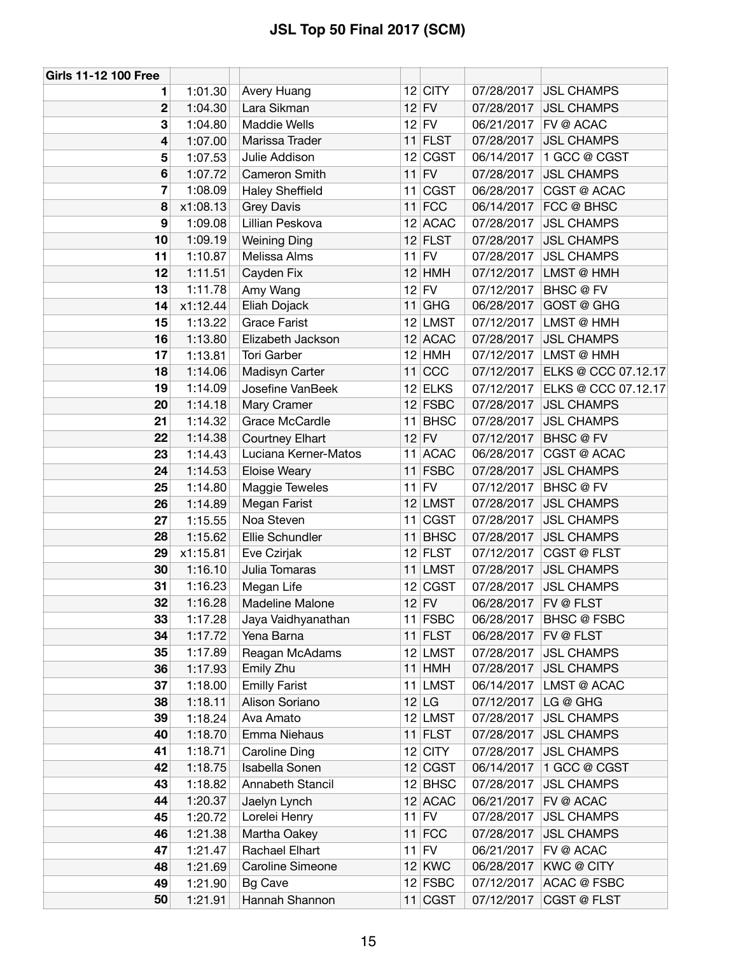| <b>Girls 11-12 100 Free</b> |          |                        |    |             |            |                     |
|-----------------------------|----------|------------------------|----|-------------|------------|---------------------|
| 1                           | 1:01.30  | Avery Huang            |    | $12$ CITY   | 07/28/2017 | <b>JSL CHAMPS</b>   |
| 2                           | 1:04.30  | Lara Sikman            |    | $12$ FV     | 07/28/2017 | <b>JSL CHAMPS</b>   |
| 3                           | 1:04.80  | Maddie Wells           |    | $12$ FV     | 06/21/2017 | FV @ ACAC           |
| 4                           | 1:07.00  | Marissa Trader         |    | $11$ FLST   | 07/28/2017 | <b>JSL CHAMPS</b>   |
| 5                           | 1:07.53  | Julie Addison          |    | $12$ CGST   | 06/14/2017 | 1 GCC @ CGST        |
| 6                           | 1:07.72  | Cameron Smith          |    | $11$ FV     | 07/28/2017 | <b>JSL CHAMPS</b>   |
| 7                           | 1:08.09  | <b>Haley Sheffield</b> |    | $11$ CGST   | 06/28/2017 | CGST @ ACAC         |
| 8                           | x1:08.13 | <b>Grey Davis</b>      |    | $11$ FCC    | 06/14/2017 | FCC @ BHSC          |
| 9                           | 1:09.08  | Lillian Peskova        |    | 12 ACAC     | 07/28/2017 | <b>JSL CHAMPS</b>   |
| 10                          | 1:09.19  | <b>Weining Ding</b>    |    | $12$ FLST   | 07/28/2017 | <b>JSL CHAMPS</b>   |
| 11                          | 1:10.87  | Melissa Alms           |    | $11$ FV     | 07/28/2017 | <b>JSL CHAMPS</b>   |
| 12                          | 1:11.51  | Cayden Fix             |    | $12$ HMH    | 07/12/2017 | LMST @ HMH          |
| 13                          | 1:11.78  | Amy Wang               |    | $12$ FV     | 07/12/2017 | <b>BHSC</b> @ FV    |
| 14                          | x1:12.44 | Eliah Dojack           |    | $11$ GHG    | 06/28/2017 | GOST @ GHG          |
| 15                          | 1:13.22  | <b>Grace Farist</b>    |    | $12$ LMST   | 07/12/2017 | LMST @ HMH          |
| 16                          | 1:13.80  | Elizabeth Jackson      |    | 12 ACAC     | 07/28/2017 | <b>JSL CHAMPS</b>   |
| 17                          | 1:13.81  | <b>Tori Garber</b>     |    | $12$ HMH    | 07/12/2017 | LMST @ HMH          |
| 18                          | 1:14.06  | Madisyn Carter         |    | $11$ CCC    | 07/12/2017 | ELKS @ CCC 07.12.17 |
| 19                          | 1:14.09  | Josefine VanBeek       |    | $12$ ELKS   | 07/12/2017 | ELKS @ CCC 07.12.17 |
| 20                          | 1:14.18  | Mary Cramer            |    | $12$ FSBC   | 07/28/2017 | <b>JSL CHAMPS</b>   |
| 21                          | 1:14.32  | Grace McCardle         | 11 | <b>BHSC</b> | 07/28/2017 | <b>JSL CHAMPS</b>   |
| 22                          | 1:14.38  | Courtney Elhart        |    | $12$ FV     | 07/12/2017 | <b>BHSC</b> @ FV    |
| 23                          | 1:14.43  | Luciana Kerner-Matos   |    | 11 ACAC     | 06/28/2017 | CGST @ ACAC         |
| 24                          | 1:14.53  | <b>Eloise Weary</b>    | 11 | <b>FSBC</b> | 07/28/2017 | <b>JSL CHAMPS</b>   |
| 25                          | 1:14.80  | Maggie Teweles         |    | $11$ FV     | 07/12/2017 | <b>BHSC</b> @ FV    |
| 26                          | 1:14.89  | Megan Farist           |    | 12 LMST     | 07/28/2017 | <b>JSL CHAMPS</b>   |
| 27                          | 1:15.55  | Noa Steven             |    | 11 CGST     | 07/28/2017 | <b>JSL CHAMPS</b>   |
| 28                          | 1:15.62  | Ellie Schundler        | 11 | <b>BHSC</b> | 07/28/2017 | <b>JSL CHAMPS</b>   |
| 29                          | x1:15.81 | Eve Czirjak            |    | $12$ FLST   | 07/12/2017 | CGST @ FLST         |
| 30                          | 1:16.10  | Julia Tomaras          |    | 11 LMST     | 07/28/2017 | <b>JSL CHAMPS</b>   |
| 31                          | 1:16.23  | Megan Life             |    | 12 CGST     | 07/28/2017 | <b>JSL CHAMPS</b>   |
| 32                          | 1:16.28  | Madeline Malone        |    | $12$ FV     | 06/28/2017 | FV @ FLST           |
| 33                          | 1:17.28  | Jaya Vaidhyanathan     |    | $11$ FSBC   | 06/28/2017 | <b>BHSC @ FSBC</b>  |
| 34                          | 1:17.72  | Yena Barna             |    | $11$ FLST   | 06/28/2017 | FV @ FLST           |
| 35                          | 1:17.89  | Reagan McAdams         |    | 12 LMST     | 07/28/2017 | <b>JSL CHAMPS</b>   |
| 36                          | 1:17.93  | Emily Zhu              |    | $11$ HMH    | 07/28/2017 | <b>JSL CHAMPS</b>   |
| 37                          | 1:18.00  | <b>Emilly Farist</b>   |    | 11 LMST     | 06/14/2017 | LMST @ ACAC         |
| 38                          | 1:18.11  | Alison Soriano         |    | 12 LG       | 07/12/2017 | LG @ GHG            |
| 39                          | 1:18.24  | Ava Amato              |    | $12$ LMST   | 07/28/2017 | <b>JSL CHAMPS</b>   |
| 40                          | 1:18.70  | Emma Niehaus           |    | $11$ FLST   | 07/28/2017 | <b>JSL CHAMPS</b>   |
| 41                          | 1:18.71  | Caroline Ding          |    | $12$ CITY   | 07/28/2017 | <b>JSL CHAMPS</b>   |
| 42                          | 1:18.75  | Isabella Sonen         |    | 12 CGST     | 06/14/2017 | 1 GCC @ CGST        |
| 43                          | 1:18.82  | Annabeth Stancil       |    | $12$ BHSC   | 07/28/2017 | <b>JSL CHAMPS</b>   |
| 44                          | 1:20.37  | Jaelyn Lynch           |    | 12 ACAC     | 06/21/2017 | FV @ ACAC           |
| 45                          | 1:20.72  | Lorelei Henry          |    | $11$ FV     | 07/28/2017 | <b>JSL CHAMPS</b>   |
| 46                          | 1:21.38  | Martha Oakey           |    | $11$ FCC    | 07/28/2017 | <b>JSL CHAMPS</b>   |
| 47                          | 1:21.47  | Rachael Elhart         |    | $11$ FV     | 06/21/2017 | FV @ ACAC           |
| 48                          | 1:21.69  | Caroline Simeone       |    | 12 KWC      | 06/28/2017 | <b>KWC@CITY</b>     |
| 49                          | 1:21.90  | <b>Bg Cave</b>         |    | $12$ FSBC   | 07/12/2017 | ACAC @ FSBC         |
| 50                          | 1:21.91  | Hannah Shannon         |    | $11$ CGST   | 07/12/2017 | <b>CGST @ FLST</b>  |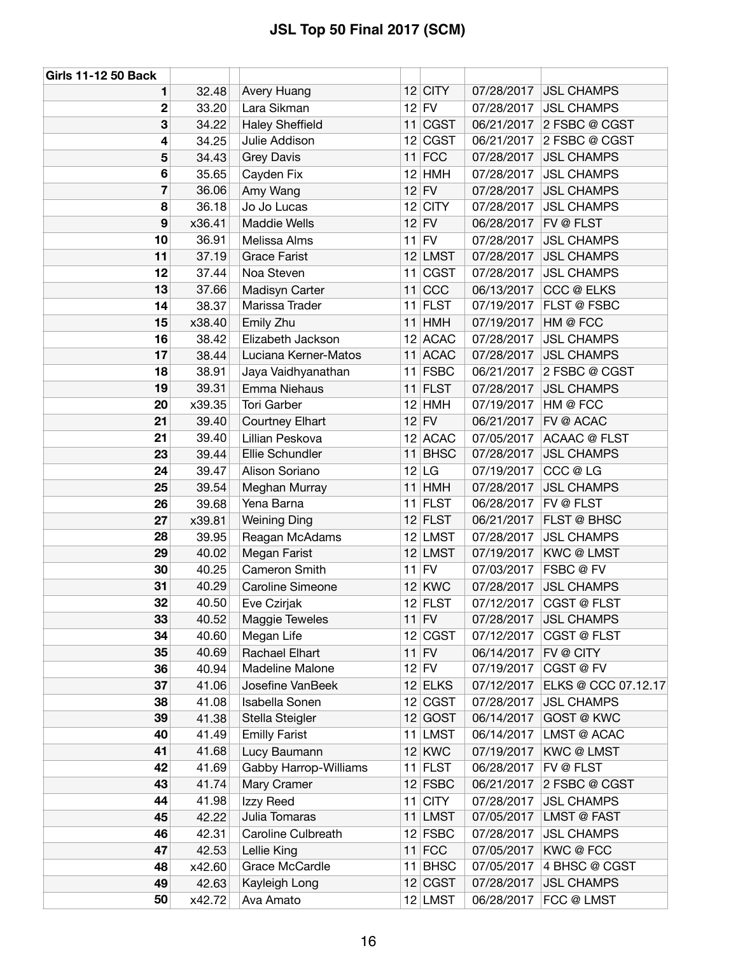| <b>Girls 11-12 50 Back</b> |        |                         |    |             |            |                     |
|----------------------------|--------|-------------------------|----|-------------|------------|---------------------|
| 1                          | 32.48  | Avery Huang             |    | $12$ CITY   | 07/28/2017 | <b>JSL CHAMPS</b>   |
| $\mathbf 2$                | 33.20  | Lara Sikman             |    | $12$ FV     | 07/28/2017 | <b>JSL CHAMPS</b>   |
| 3                          | 34.22  | <b>Haley Sheffield</b>  |    | 11 CGST     | 06/21/2017 | 2 FSBC @ CGST       |
| 4                          | 34.25  | Julie Addison           |    | 12 CGST     | 06/21/2017 | 2 FSBC @ CGST       |
| 5                          | 34.43  | <b>Grey Davis</b>       |    | $11$ FCC    | 07/28/2017 | <b>JSL CHAMPS</b>   |
| 6                          | 35.65  | Cayden Fix              |    | $12$ HMH    | 07/28/2017 | <b>JSL CHAMPS</b>   |
| 7                          | 36.06  | Amy Wang                |    | $12$ FV     | 07/28/2017 | <b>JSL CHAMPS</b>   |
| 8                          | 36.18  | Jo Jo Lucas             |    | $12$ CITY   | 07/28/2017 | <b>JSL CHAMPS</b>   |
| 9                          | x36.41 | Maddie Wells            |    | $12$ FV     | 06/28/2017 | FV @ FLST           |
| 10                         | 36.91  | Melissa Alms            |    | $11$ FV     | 07/28/2017 | <b>JSL CHAMPS</b>   |
| 11                         | 37.19  | <b>Grace Farist</b>     |    | 12 LMST     | 07/28/2017 | <b>JSL CHAMPS</b>   |
| 12                         | 37.44  | Noa Steven              | 11 | <b>CGST</b> | 07/28/2017 | <b>JSL CHAMPS</b>   |
| 13                         | 37.66  | Madisyn Carter          |    | $11$ CCC    | 06/13/2017 | CCC @ ELKS          |
| 14                         | 38.37  | Marissa Trader          |    | $11$ FLST   | 07/19/2017 | FLST @ FSBC         |
| 15                         | x38.40 | Emily Zhu               |    | $11$ HMH    | 07/19/2017 | HM @ FCC            |
| 16                         | 38.42  | Elizabeth Jackson       |    | $12$ ACAC   | 07/28/2017 | <b>JSL CHAMPS</b>   |
| 17                         | 38.44  | Luciana Kerner-Matos    |    | 11 ACAC     | 07/28/2017 | <b>JSL CHAMPS</b>   |
| 18                         | 38.91  | Jaya Vaidhyanathan      |    | $11$ FSBC   | 06/21/2017 | 2 FSBC @ CGST       |
| 19                         | 39.31  | Emma Niehaus            |    | $11$ FLST   | 07/28/2017 | <b>JSL CHAMPS</b>   |
| 20                         | x39.35 | <b>Tori Garber</b>      |    | $12$ HMH    | 07/19/2017 | HM @ FCC            |
| 21                         | 39.40  | <b>Courtney Elhart</b>  |    | $12$ FV     | 06/21/2017 | <b>FV @ ACAC</b>    |
| 21                         | 39.40  | Lillian Peskova         |    | $12$ ACAC   | 07/05/2017 | <b>ACAAC @ FLST</b> |
| 23                         | 39.44  | Ellie Schundler         |    | $11$ BHSC   | 07/28/2017 | <b>JSL CHAMPS</b>   |
| 24                         | 39.47  | Alison Soriano          |    | 12 LG       | 07/19/2017 | CCC @ LG            |
| 25                         | 39.54  | Meghan Murray           |    | $11$ HMH    | 07/28/2017 | <b>JSL CHAMPS</b>   |
| 26                         | 39.68  | Yena Barna              |    | $11$ FLST   | 06/28/2017 | FV @ FLST           |
| 27                         | x39.81 | <b>Weining Ding</b>     |    | $12$ FLST   | 06/21/2017 | <b>FLST @ BHSC</b>  |
| 28                         | 39.95  | Reagan McAdams          |    | $12$ LMST   | 07/28/2017 | <b>JSL CHAMPS</b>   |
| 29                         | 40.02  | Megan Farist            |    | 12 LMST     | 07/19/2017 | <b>KWC@LMST</b>     |
| 30                         | 40.25  | Cameron Smith           |    | $11$ FV     | 07/03/2017 | FSBC @ FV           |
| 31                         | 40.29  | <b>Caroline Simeone</b> |    | $12$ KWC    | 07/28/2017 | <b>JSL CHAMPS</b>   |
| 32                         | 40.50  | Eve Czirjak             |    | $12$ FLST   | 07/12/2017 | CGST @ FLST         |
| 33                         | 40.52  | Maggie Teweles          |    | $11$ FV     | 07/28/2017 | <b>JSL CHAMPS</b>   |
| 34                         | 40.60  | Megan Life              |    | 12 CGST     | 07/12/2017 | CGST @ FLST         |
| 35                         | 40.69  | Rachael Elhart          |    | $11$ FV     | 06/14/2017 | FV @ CITY           |
| 36                         | 40.94  | Madeline Malone         |    | $12$ FV     | 07/19/2017 | CGST@FV             |
| 37                         | 41.06  | Josefine VanBeek        |    | $12$ ELKS   | 07/12/2017 | ELKS @ CCC 07.12.17 |
| 38                         | 41.08  | Isabella Sonen          |    | 12 CGST     | 07/28/2017 | <b>JSL CHAMPS</b>   |
| 39                         | 41.38  | Stella Steigler         |    | $12$ GOST   | 06/14/2017 | GOST @ KWC          |
| 40                         | 41.49  | <b>Emilly Farist</b>    |    | 11 LMST     | 06/14/2017 | LMST @ ACAC         |
| 41                         | 41.68  | Lucy Baumann            |    | 12 KWC      | 07/19/2017 | <b>KWC@LMST</b>     |
| 42                         | 41.69  | Gabby Harrop-Williams   |    | $11$ FLST   | 06/28/2017 | FV @ FLST           |
| 43                         | 41.74  | Mary Cramer             |    | $12$ FSBC   | 06/21/2017 | 2 FSBC @ CGST       |
| 44                         | 41.98  | Izzy Reed               |    | $11$ CITY   | 07/28/2017 | <b>JSL CHAMPS</b>   |
| 45                         | 42.22  | Julia Tomaras           |    | 11 LMST     | 07/05/2017 | LMST @ FAST         |
| 46                         | 42.31  | Caroline Culbreath      |    | $12$ FSBC   | 07/28/2017 | <b>JSL CHAMPS</b>   |
| 47                         | 42.53  | Lellie King             |    | $11$ FCC    | 07/05/2017 | KWC@FCC             |
| 48                         | x42.60 | Grace McCardle          |    | 11 BHSC     | 07/05/2017 | 4 BHSC @ CGST       |
| 49                         | 42.63  | Kayleigh Long           |    | 12 CGST     | 07/28/2017 | <b>JSL CHAMPS</b>   |
| 50                         | x42.72 | Ava Amato               |    | $12$ LMST   | 06/28/2017 | FCC @ LMST          |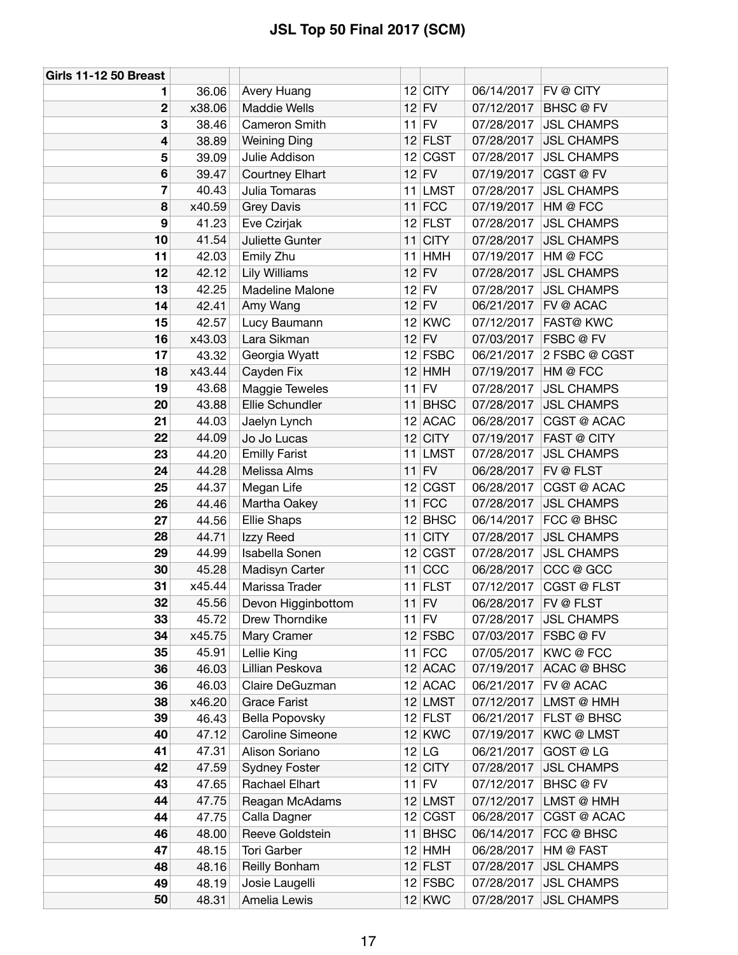| Girls 11-12 50 Breast |        |                                |           |                          |                               |
|-----------------------|--------|--------------------------------|-----------|--------------------------|-------------------------------|
| 1                     | 36.06  | Avery Huang                    | $12$ CITY | 06/14/2017               | FV @ CITY                     |
| $\mathbf 2$           | x38.06 | <b>Maddie Wells</b>            | $12$ FV   | 07/12/2017               | <b>BHSC</b> @ FV              |
| 3                     | 38.46  | Cameron Smith                  | $11$ FV   | 07/28/2017               | <b>JSL CHAMPS</b>             |
| 4                     | 38.89  | <b>Weining Ding</b>            | $12$ FLST | 07/28/2017               | <b>JSL CHAMPS</b>             |
| 5                     | 39.09  | Julie Addison                  | 12 CGST   | 07/28/2017               | <b>JSL CHAMPS</b>             |
| 6                     | 39.47  | <b>Courtney Elhart</b>         | $12$ FV   | 07/19/2017               | CGST @ FV                     |
| 7                     | 40.43  | Julia Tomaras                  | 11 LMST   | 07/28/2017               | <b>JSL CHAMPS</b>             |
| 8                     | x40.59 | <b>Grey Davis</b>              | $11$ FCC  | 07/19/2017               | HM @ FCC                      |
| 9                     | 41.23  | Eve Czirjak                    | $12$ FLST | 07/28/2017               | <b>JSL CHAMPS</b>             |
| 10                    | 41.54  | Juliette Gunter                | $11$ CITY | 07/28/2017               | <b>JSL CHAMPS</b>             |
| 11                    | 42.03  | Emily Zhu                      | $11$ HMH  | 07/19/2017               | HM @ FCC                      |
| 12                    | 42.12  | <b>Lily Williams</b>           | $12$ FV   | 07/28/2017               | <b>JSL CHAMPS</b>             |
| 13                    | 42.25  | Madeline Malone                | $12$ FV   | 07/28/2017               | <b>JSL CHAMPS</b>             |
| 14                    | 42.41  | Amy Wang                       | $12$ FV   | 06/21/2017               | <b>FV @ ACAC</b>              |
| 15                    | 42.57  | Lucy Baumann                   | $12$ KWC  | 07/12/2017               | <b>FAST@ KWC</b>              |
| 16                    | x43.03 | Lara Sikman                    | $12$ FV   | 07/03/2017               | FSBC @ FV                     |
| 17                    | 43.32  | Georgia Wyatt                  | $12$ FSBC | 06/21/2017               | 2 FSBC @ CGST                 |
| 18                    | x43.44 | Cayden Fix                     | $12$ HMH  | 07/19/2017               | HM @ FCC                      |
| 19                    | 43.68  | Maggie Teweles                 | $11$ FV   | 07/28/2017               | <b>JSL CHAMPS</b>             |
| 20                    | 43.88  | Ellie Schundler                | $11$ BHSC | 07/28/2017               | <b>JSL CHAMPS</b>             |
| 21                    | 44.03  | Jaelyn Lynch                   | $12$ ACAC | 06/28/2017               | CGST @ ACAC                   |
| 22                    | 44.09  | Jo Jo Lucas                    | $12$ CITY | 07/19/2017               | <b>FAST @ CITY</b>            |
| 23                    | 44.20  | <b>Emilly Farist</b>           | 11 LMST   | 07/28/2017               | <b>JSL CHAMPS</b>             |
| 24                    | 44.28  | Melissa Alms                   | $11$ FV   | 06/28/2017               | <b>FV @ FLST</b>              |
| 25                    | 44.37  |                                | 12 CGST   | 06/28/2017               | CGST @ ACAC                   |
| 26                    | 44.46  | Megan Life<br>Martha Oakey     | $11$ FCC  | 07/28/2017               | <b>JSL CHAMPS</b>             |
| 27                    | 44.56  |                                | $12$ BHSC | 06/14/2017               | FCC @ BHSC                    |
| 28                    | 44.71  | <b>Ellie Shaps</b>             | $11$ CITY | 07/28/2017               | <b>JSL CHAMPS</b>             |
| 29                    | 44.99  | Izzy Reed<br>Isabella Sonen    | 12 CGST   | 07/28/2017               | <b>JSL CHAMPS</b>             |
| 30                    | 45.28  |                                | $11$ CCC  | 06/28/2017               | CCC @ GCC                     |
| 31                    | x45.44 | Madisyn Carter                 |           |                          |                               |
|                       |        | Marissa Trader                 | $11$ FLST | 07/12/2017               | CGST @ FLST                   |
| 32                    | 45.56  | Devon Higginbottom             | $11$ FV   | 06/28/2017               | <b>FV @ FLST</b>              |
| 33                    | 45.72  | Drew Thorndike                 | $11$ FV   | 07/28/2017               | <b>JSL CHAMPS</b>             |
| 34                    | x45.75 | Mary Cramer                    | $12$ FSBC | 07/03/2017               | FSBC @ FV                     |
| 35                    | 45.91  | Lellie King<br>Lillian Peskova | $11$ FCC  | 07/05/2017               | KWC@FCC<br><b>ACAC @ BHSC</b> |
| 36                    | 46.03  | Claire DeGuzman                | $12$ ACAC | 07/19/2017<br>06/21/2017 | FV @ ACAC                     |
| 36                    | 46.03  |                                | $12$ ACAC |                          |                               |
| 38                    | x46.20 | <b>Grace Farist</b>            | $12$ LMST | 07/12/2017               | LMST @ HMH                    |
| 39                    | 46.43  | Bella Popovsky                 | $12$ FLST | 06/21/2017               | FLST @ BHSC                   |
| 40                    | 47.12  | <b>Caroline Simeone</b>        | $12$ KWC  | 07/19/2017               | <b>KWC@LMST</b>               |
| 41                    | 47.31  | Alison Soriano                 | $12$ LG   | 06/21/2017               | GOST @ LG                     |
| 42                    | 47.59  | <b>Sydney Foster</b>           | $12$ CITY | 07/28/2017               | <b>JSL CHAMPS</b>             |
| 43                    | 47.65  | Rachael Elhart                 | $11$ FV   | 07/12/2017               | BHSC@FV                       |
| 44                    | 47.75  | Reagan McAdams                 | 12 LMST   | 07/12/2017               | LMST @ HMH                    |
| 44                    | 47.75  | Calla Dagner                   | 12 CGST   | 06/28/2017               | CGST @ ACAC                   |
| 46                    | 48.00  | Reeve Goldstein                | $11$ BHSC | 06/14/2017               | FCC @ BHSC                    |
| 47                    | 48.15  | Tori Garber                    | $12$ HMH  | 06/28/2017               | HM @ FAST                     |
| 48                    | 48.16  | Reilly Bonham                  | $12$ FLST | 07/28/2017               | <b>JSL CHAMPS</b>             |
| 49                    | 48.19  | Josie Laugelli                 | $12$ FSBC | 07/28/2017               | <b>JSL CHAMPS</b>             |
| 50                    | 48.31  | Amelia Lewis                   | $12$ KWC  | 07/28/2017               | <b>JSL CHAMPS</b>             |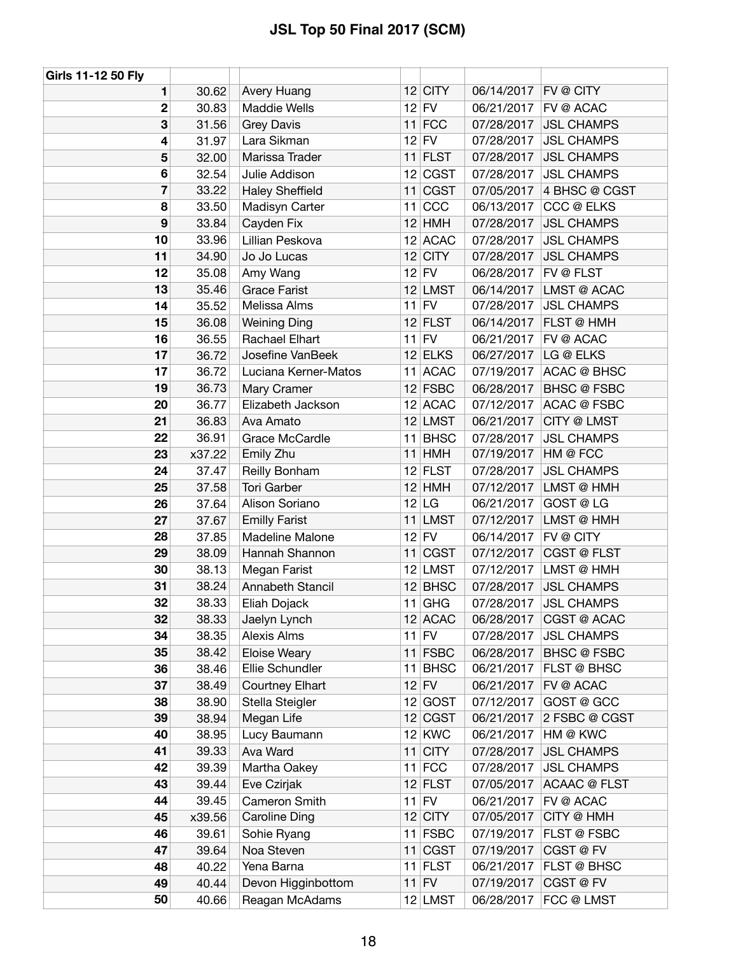| Girls 11-12 50 Fly |        |                        |           |            |                     |
|--------------------|--------|------------------------|-----------|------------|---------------------|
| 1                  | 30.62  | Avery Huang            | $12$ CITY | 06/14/2017 | FV @ CITY           |
| 2                  | 30.83  | <b>Maddie Wells</b>    | $12$ FV   | 06/21/2017 | FV @ ACAC           |
| 3                  | 31.56  | <b>Grey Davis</b>      | $11$ FCC  | 07/28/2017 | <b>JSL CHAMPS</b>   |
| 4                  | 31.97  | Lara Sikman            | $12$ FV   | 07/28/2017 | <b>JSL CHAMPS</b>   |
| 5                  | 32.00  | Marissa Trader         | $11$ FLST | 07/28/2017 | <b>JSL CHAMPS</b>   |
| 6                  | 32.54  | Julie Addison          | $12$ CGST | 07/28/2017 | <b>JSL CHAMPS</b>   |
| 7                  | 33.22  | <b>Haley Sheffield</b> | $11$ CGST | 07/05/2017 | 4 BHSC @ CGST       |
| 8                  | 33.50  | Madisyn Carter         | $11$ CCC  | 06/13/2017 | CCC @ ELKS          |
| 9                  | 33.84  | Cayden Fix             | $12$ HMH  | 07/28/2017 | <b>JSL CHAMPS</b>   |
| 10                 | 33.96  | Lillian Peskova        | 12 ACAC   | 07/28/2017 | <b>JSL CHAMPS</b>   |
| 11                 | 34.90  | Jo Jo Lucas            | $12$ CITY | 07/28/2017 | <b>JSL CHAMPS</b>   |
| 12                 | 35.08  | Amy Wang               | $12$ FV   | 06/28/2017 | FV @ FLST           |
| 13                 | 35.46  | <b>Grace Farist</b>    | $12$ LMST | 06/14/2017 | LMST @ ACAC         |
| 14                 | 35.52  | Melissa Alms           | $11$ FV   | 07/28/2017 | <b>JSL CHAMPS</b>   |
| 15                 | 36.08  | <b>Weining Ding</b>    | $12$ FLST | 06/14/2017 | FLST @ HMH          |
| 16                 | 36.55  | Rachael Elhart         | $11$ FV   | 06/21/2017 | FV @ ACAC           |
| 17                 | 36.72  | Josefine VanBeek       | $12$ ELKS | 06/27/2017 | LG @ ELKS           |
| 17                 | 36.72  | Luciana Kerner-Matos   | 11 ACAC   | 07/19/2017 | <b>ACAC @ BHSC</b>  |
| 19                 | 36.73  | Mary Cramer            | $12$ FSBC | 06/28/2017 | <b>BHSC @ FSBC</b>  |
| 20                 | 36.77  | Elizabeth Jackson      | $12$ ACAC | 07/12/2017 | <b>ACAC @ FSBC</b>  |
| 21                 | 36.83  | Ava Amato              | 12 LMST   | 06/21/2017 | <b>CITY @ LMST</b>  |
| 22                 | 36.91  | Grace McCardle         | $11$ BHSC | 07/28/2017 | <b>JSL CHAMPS</b>   |
| 23                 | x37.22 | Emily Zhu              | $11$ HMH  | 07/19/2017 | HM @ FCC            |
| 24                 | 37.47  | Reilly Bonham          | $12$ FLST | 07/28/2017 | <b>JSL CHAMPS</b>   |
| 25                 | 37.58  | <b>Tori Garber</b>     | $12$ HMH  | 07/12/2017 | LMST @ HMH          |
| 26                 | 37.64  | Alison Soriano         | 12 LG     | 06/21/2017 | GOST @ LG           |
| 27                 | 37.67  | <b>Emilly Farist</b>   | 11 LMST   | 07/12/2017 | LMST @ HMH          |
| 28                 | 37.85  | Madeline Malone        | $12$ FV   | 06/14/2017 | FV @ CITY           |
| 29                 | 38.09  | Hannah Shannon         | 11 CGST   | 07/12/2017 | CGST @ FLST         |
| 30                 | 38.13  | Megan Farist           | 12 LMST   | 07/12/2017 | LMST @ HMH          |
| 31                 | 38.24  | Annabeth Stancil       | $12$ BHSC | 07/28/2017 | <b>JSL CHAMPS</b>   |
| 32                 | 38.33  | Eliah Dojack           | $11$ GHG  | 07/28/2017 | <b>JSL CHAMPS</b>   |
| 32                 | 38.33  | Jaelyn Lynch           | $12$ ACAC | 06/28/2017 | CGST @ ACAC         |
| 34                 | 38.35  | Alexis Alms            | $11$ FV   | 07/28/2017 | <b>JSL CHAMPS</b>   |
| 35                 | 38.42  | Eloise Weary           | $11$ FSBC | 06/28/2017 | <b>BHSC @ FSBC</b>  |
| 36                 | 38.46  | Ellie Schundler        | $11$ BHSC | 06/21/2017 | <b>FLST @ BHSC</b>  |
| 37                 | 38.49  | Courtney Elhart        | $12$ FV   | 06/21/2017 | FV @ ACAC           |
| 38                 | 38.90  | Stella Steigler        | $12$ GOST | 07/12/2017 | GOST @ GCC          |
| 39                 | 38.94  | Megan Life             | 12 CGST   | 06/21/2017 | 2 FSBC @ CGST       |
| 40                 | 38.95  | Lucy Baumann           | $12$ KWC  | 06/21/2017 | HM @ KWC            |
| 41                 | 39.33  | Ava Ward               | $11$ CITY | 07/28/2017 | <b>JSL CHAMPS</b>   |
| 42                 | 39.39  | Martha Oakey           | $11$ FCC  | 07/28/2017 | <b>JSL CHAMPS</b>   |
| 43                 | 39.44  | Eve Czirjak            | $12$ FLST | 07/05/2017 | <b>ACAAC @ FLST</b> |
| 44                 | 39.45  | Cameron Smith          | $11$ FV   | 06/21/2017 | FV @ ACAC           |
| 45                 | x39.56 | Caroline Ding          | $12$ CITY | 07/05/2017 | CITY @ HMH          |
| 46                 | 39.61  | Sohie Ryang            | $11$ FSBC | 07/19/2017 | FLST @ FSBC         |
| 47                 | 39.64  | Noa Steven             | $11$ CGST | 07/19/2017 | CGST @ FV           |
| 48                 | 40.22  | Yena Barna             | $11$ FLST | 06/21/2017 | FLST @ BHSC         |
| 49                 | 40.44  | Devon Higginbottom     | $11$ FV   | 07/19/2017 | CGST @ FV           |
| 50                 | 40.66  | Reagan McAdams         | $12$ LMST | 06/28/2017 | FCC @ LMST          |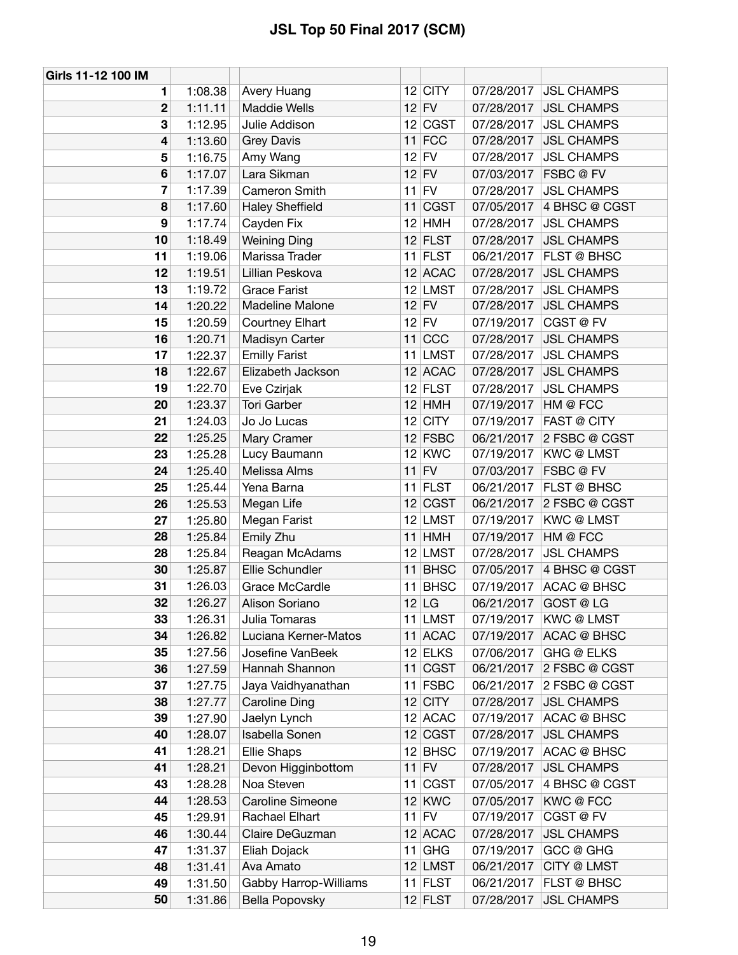| Girls 11-12 100 IM |         |                         |           |            |                      |
|--------------------|---------|-------------------------|-----------|------------|----------------------|
| 1                  | 1:08.38 | Avery Huang             | $12$ CITY | 07/28/2017 | <b>JSL CHAMPS</b>    |
| $\mathbf 2$        | 1:11.11 | <b>Maddie Wells</b>     | $12$ FV   | 07/28/2017 | <b>JSL CHAMPS</b>    |
| 3                  | 1:12.95 | Julie Addison           | 12 CGST   | 07/28/2017 | <b>JSL CHAMPS</b>    |
| 4                  | 1:13.60 | <b>Grey Davis</b>       | $11$ FCC  | 07/28/2017 | <b>JSL CHAMPS</b>    |
| 5                  | 1:16.75 | Amy Wang                | $12$ FV   | 07/28/2017 | <b>JSL CHAMPS</b>    |
| $\bf 6$            | 1:17.07 | Lara Sikman             | $12$ FV   | 07/03/2017 | FSBC @ FV            |
| $\overline{7}$     | 1:17.39 | Cameron Smith           | $11$ FV   | 07/28/2017 | <b>JSL CHAMPS</b>    |
| 8                  | 1:17.60 | <b>Haley Sheffield</b>  | $11$ CGST | 07/05/2017 | 4 BHSC @ CGST        |
| 9                  | 1:17.74 | Cayden Fix              | $12$ HMH  | 07/28/2017 | <b>JSL CHAMPS</b>    |
| 10                 | 1:18.49 | <b>Weining Ding</b>     | $12$ FLST | 07/28/2017 | <b>JSL CHAMPS</b>    |
| 11                 | 1:19.06 | Marissa Trader          | $11$ FLST | 06/21/2017 | FLST @ BHSC          |
| 12                 | 1:19.51 | Lillian Peskova         | $12$ ACAC | 07/28/2017 | <b>JSL CHAMPS</b>    |
| 13                 | 1:19.72 | <b>Grace Farist</b>     | $12$ LMST | 07/28/2017 | <b>JSL CHAMPS</b>    |
| 14                 | 1:20.22 | Madeline Malone         | $12$ FV   | 07/28/2017 | <b>JSL CHAMPS</b>    |
| 15                 | 1:20.59 | Courtney Elhart         | $12$ FV   | 07/19/2017 | CGST @ FV            |
| 16                 | 1:20.71 | Madisyn Carter          | $11$ CCC  | 07/28/2017 | <b>JSL CHAMPS</b>    |
| 17                 | 1:22.37 | <b>Emilly Farist</b>    | 11 LMST   | 07/28/2017 | <b>JSL CHAMPS</b>    |
| 18                 | 1:22.67 | Elizabeth Jackson       | $12$ ACAC | 07/28/2017 | <b>JSL CHAMPS</b>    |
| 19                 | 1:22.70 | Eve Czirjak             | $12$ FLST | 07/28/2017 | <b>JSL CHAMPS</b>    |
| 20                 | 1:23.37 | Tori Garber             | $12$ HMH  | 07/19/2017 | HM @ FCC             |
| 21                 | 1:24.03 | Jo Jo Lucas             | $12$ CITY | 07/19/2017 | <b>FAST @ CITY</b>   |
| 22                 | 1:25.25 | Mary Cramer             | $12$ FSBC | 06/21/2017 | 2 FSBC @ CGST        |
| 23                 | 1:25.28 | Lucy Baumann            | $12$ KWC  | 07/19/2017 | <b>KWC@LMST</b>      |
| 24                 | 1:25.40 | Melissa Alms            | $11$ FV   | 07/03/2017 | FSBC @ FV            |
| 25                 | 1:25.44 | Yena Barna              | $11$ FLST | 06/21/2017 | FLST @ BHSC          |
| 26                 | 1:25.53 | Megan Life              | 12 CGST   | 06/21/2017 | 2 FSBC @ CGST        |
| 27                 | 1:25.80 | Megan Farist            | $12$ LMST | 07/19/2017 | <b>KWC@LMST</b>      |
| 28                 | 1:25.84 | Emily Zhu               | $11$ HMH  | 07/19/2017 | HM @ FCC             |
| 28                 | 1:25.84 | Reagan McAdams          | $12$ LMST | 07/28/2017 | <b>JSL CHAMPS</b>    |
| 30                 | 1:25.87 | Ellie Schundler         | $11$ BHSC | 07/05/2017 | 4 BHSC @ CGST        |
| 31                 | 1:26.03 | Grace McCardle          | 11 BHSC   | 07/19/2017 | <b>ACAC @ BHSC</b>   |
| 32                 | 1:26.27 | Alison Soriano          | 12 LG     |            | 06/21/2017 GOST @ LG |
| 33                 | 1:26.31 | Julia Tomaras           | 11 LMST   | 07/19/2017 | <b>KWC@LMST</b>      |
| 34                 | 1:26.82 | Luciana Kerner-Matos    | 11 ACAC   | 07/19/2017 | <b>ACAC @ BHSC</b>   |
| 35                 | 1:27.56 | Josefine VanBeek        | $12$ ELKS | 07/06/2017 | <b>GHG @ ELKS</b>    |
| 36                 | 1:27.59 | Hannah Shannon          | $11$ CGST | 06/21/2017 | 2 FSBC @ CGST        |
| 37                 | 1:27.75 | Jaya Vaidhyanathan      | $11$ FSBC | 06/21/2017 | 2 FSBC @ CGST        |
| 38                 | 1:27.77 | <b>Caroline Ding</b>    | $12$ CITY | 07/28/2017 | <b>JSL CHAMPS</b>    |
| 39                 | 1:27.90 | Jaelyn Lynch            | $12$ ACAC | 07/19/2017 | <b>ACAC @ BHSC</b>   |
| 40                 | 1:28.07 | Isabella Sonen          | 12 CGST   | 07/28/2017 | <b>JSL CHAMPS</b>    |
| 41                 | 1:28.21 | <b>Ellie Shaps</b>      | $12$ BHSC | 07/19/2017 | <b>ACAC @ BHSC</b>   |
| 41                 | 1:28.21 | Devon Higginbottom      | $11$ FV   | 07/28/2017 | <b>JSL CHAMPS</b>    |
| 43                 | 1:28.28 | Noa Steven              | $11$ CGST | 07/05/2017 | 4 BHSC @ CGST        |
| 44                 | 1:28.53 | <b>Caroline Simeone</b> | $12$ KWC  | 07/05/2017 | KWC@FCC              |
| 45                 | 1:29.91 | Rachael Elhart          | $11$ FV   | 07/19/2017 | CGST @ FV            |
| 46                 | 1:30.44 | Claire DeGuzman         | $12$ ACAC | 07/28/2017 | <b>JSL CHAMPS</b>    |
| 47                 | 1:31.37 | Eliah Dojack            | $11$ GHG  | 07/19/2017 | GCC @ GHG            |
| 48                 | 1:31.41 | Ava Amato               | $12$ LMST | 06/21/2017 | CITY @ LMST          |
| 49                 | 1:31.50 | Gabby Harrop-Williams   | $11$ FLST | 06/21/2017 | FLST @ BHSC          |
| 50                 | 1:31.86 | Bella Popovsky          | $12$ FLST | 07/28/2017 | <b>JSL CHAMPS</b>    |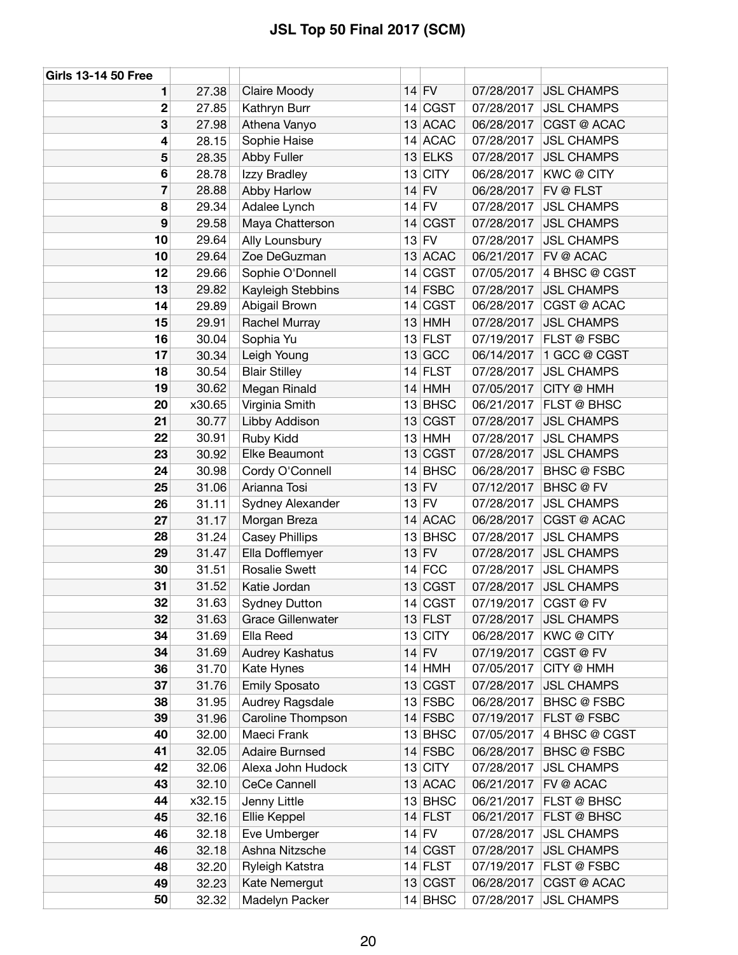| <b>Girls 13-14 50 Free</b> |        |                          |    |             |            |                    |
|----------------------------|--------|--------------------------|----|-------------|------------|--------------------|
| 1                          | 27.38  | Claire Moody             |    | $14$ FV     | 07/28/2017 | <b>JSL CHAMPS</b>  |
| $\mathbf 2$                | 27.85  | Kathryn Burr             |    | 14 CGST     | 07/28/2017 | <b>JSL CHAMPS</b>  |
| 3                          | 27.98  | Athena Vanyo             |    | 13 ACAC     | 06/28/2017 | CGST @ ACAC        |
| 4                          | 28.15  | Sophie Haise             |    | 14 ACAC     | 07/28/2017 | <b>JSL CHAMPS</b>  |
| 5                          | 28.35  | Abby Fuller              |    | $13$ ELKS   | 07/28/2017 | <b>JSL CHAMPS</b>  |
| $6\phantom{1}6$            | 28.78  | Izzy Bradley             |    | $13$ CITY   | 06/28/2017 | <b>KWC@CITY</b>    |
| $\overline{\mathbf{r}}$    | 28.88  | Abby Harlow              |    | $14$ FV     | 06/28/2017 | FV @ FLST          |
| 8                          | 29.34  | Adalee Lynch             |    | $14$ FV     | 07/28/2017 | <b>JSL CHAMPS</b>  |
| 9                          | 29.58  | Maya Chatterson          |    | 14 CGST     | 07/28/2017 | <b>JSL CHAMPS</b>  |
| 10                         | 29.64  | Ally Lounsbury           |    | $13$ FV     | 07/28/2017 | <b>JSL CHAMPS</b>  |
| 10                         | 29.64  | Zoe DeGuzman             |    | 13 ACAC     | 06/21/2017 | FV @ ACAC          |
| 12                         | 29.66  | Sophie O'Donnell         | 14 | <b>CGST</b> | 07/05/2017 | 4 BHSC @ CGST      |
| 13                         | 29.82  | Kayleigh Stebbins        |    | $14$ FSBC   | 07/28/2017 | <b>JSL CHAMPS</b>  |
| 14                         | 29.89  | Abigail Brown            |    | 14 CGST     | 06/28/2017 | CGST @ ACAC        |
| 15                         | 29.91  | Rachel Murray            |    | $13$ HMH    | 07/28/2017 | <b>JSL CHAMPS</b>  |
| 16                         | 30.04  | Sophia Yu                |    | $13$ FLST   | 07/19/2017 | FLST @ FSBC        |
| 17                         | 30.34  | Leigh Young              |    | $13$ GCC    | 06/14/2017 | 1 GCC @ CGST       |
| 18                         | 30.54  | <b>Blair Stilley</b>     |    | $14$ FLST   | 07/28/2017 | <b>JSL CHAMPS</b>  |
| 19                         | 30.62  | Megan Rinald             |    | $14$ HMH    | 07/05/2017 | CITY @ HMH         |
| 20                         | x30.65 | Virginia Smith           |    | $13$ BHSC   | 06/21/2017 | FLST @ BHSC        |
| 21                         | 30.77  | Libby Addison            |    | 13 CGST     | 07/28/2017 | <b>JSL CHAMPS</b>  |
| 22                         | 30.91  | Ruby Kidd                |    | $13$ HMH    | 07/28/2017 | <b>JSL CHAMPS</b>  |
| 23                         | 30.92  | Elke Beaumont            |    | 13 CGST     | 07/28/2017 | <b>JSL CHAMPS</b>  |
| 24                         | 30.98  | Cordy O'Connell          |    | 14 BHSC     | 06/28/2017 | <b>BHSC @ FSBC</b> |
| 25                         | 31.06  | Arianna Tosi             |    | $13$ FV     | 07/12/2017 | <b>BHSC</b> @ FV   |
| 26                         | 31.11  | Sydney Alexander         |    | $13$ FV     | 07/28/2017 | <b>JSL CHAMPS</b>  |
| 27                         | 31.17  | Morgan Breza             |    | $14$ ACAC   | 06/28/2017 | CGST @ ACAC        |
| 28                         | 31.24  | <b>Casey Phillips</b>    |    | $13$ BHSC   | 07/28/2017 | <b>JSL CHAMPS</b>  |
| 29                         | 31.47  | Ella Dofflemyer          |    | $13$ FV     | 07/28/2017 | <b>JSL CHAMPS</b>  |
| 30                         | 31.51  | <b>Rosalie Swett</b>     |    | $14$ FCC    | 07/28/2017 | <b>JSL CHAMPS</b>  |
| 31                         | 31.52  | Katie Jordan             |    | 13 CGST     | 07/28/2017 | <b>JSL CHAMPS</b>  |
| 32                         | 31.63  | <b>Sydney Dutton</b>     |    | 14 CGST     | 07/19/2017 | CGST@FV            |
| 32                         | 31.63  | <b>Grace Gillenwater</b> |    | $13$ FLST   | 07/28/2017 | <b>JSL CHAMPS</b>  |
| 34                         | 31.69  | Ella Reed                |    | $13$ CITY   | 06/28/2017 | <b>KWC@CITY</b>    |
| 34                         | 31.69  | Audrey Kashatus          |    | $14$ FV     | 07/19/2017 | CGST @ FV          |
| 36                         | 31.70  | Kate Hynes               |    | $14$ HMH    | 07/05/2017 | CITY @ HMH         |
| 37                         | 31.76  | <b>Emily Sposato</b>     |    | 13 CGST     | 07/28/2017 | <b>JSL CHAMPS</b>  |
| 38                         | 31.95  | Audrey Ragsdale          |    | $13$ FSBC   | 06/28/2017 | <b>BHSC @ FSBC</b> |
| 39                         | 31.96  | Caroline Thompson        |    | $14$ FSBC   | 07/19/2017 | FLST @ FSBC        |
| 40                         | 32.00  | Maeci Frank              |    | $13$ BHSC   | 07/05/2017 | 4 BHSC @ CGST      |
| 41                         | 32.05  | <b>Adaire Burnsed</b>    |    | $14$ FSBC   | 06/28/2017 | <b>BHSC @ FSBC</b> |
| 42                         | 32.06  | Alexa John Hudock        |    | $13$ CITY   | 07/28/2017 | <b>JSL CHAMPS</b>  |
| 43                         | 32.10  | CeCe Cannell             |    | 13 ACAC     | 06/21/2017 | FV @ ACAC          |
| 44                         | x32.15 | Jenny Little             |    | 13 BHSC     | 06/21/2017 | FLST @ BHSC        |
| 45                         | 32.16  | Ellie Keppel             |    | $14$ FLST   | 06/21/2017 | FLST @ BHSC        |
| 46                         | 32.18  | Eve Umberger             |    | $14$ FV     | 07/28/2017 | <b>JSL CHAMPS</b>  |
| 46                         | 32.18  | Ashna Nitzsche           |    | 14 CGST     | 07/28/2017 | <b>JSL CHAMPS</b>  |
| 48                         | 32.20  | Ryleigh Katstra          |    | $14$ FLST   | 07/19/2017 | FLST @ FSBC        |
| 49                         | 32.23  | Kate Nemergut            |    | 13 CGST     | 06/28/2017 | CGST @ ACAC        |
| 50                         | 32.32  | Madelyn Packer           |    | $14$ BHSC   | 07/28/2017 | <b>JSL CHAMPS</b>  |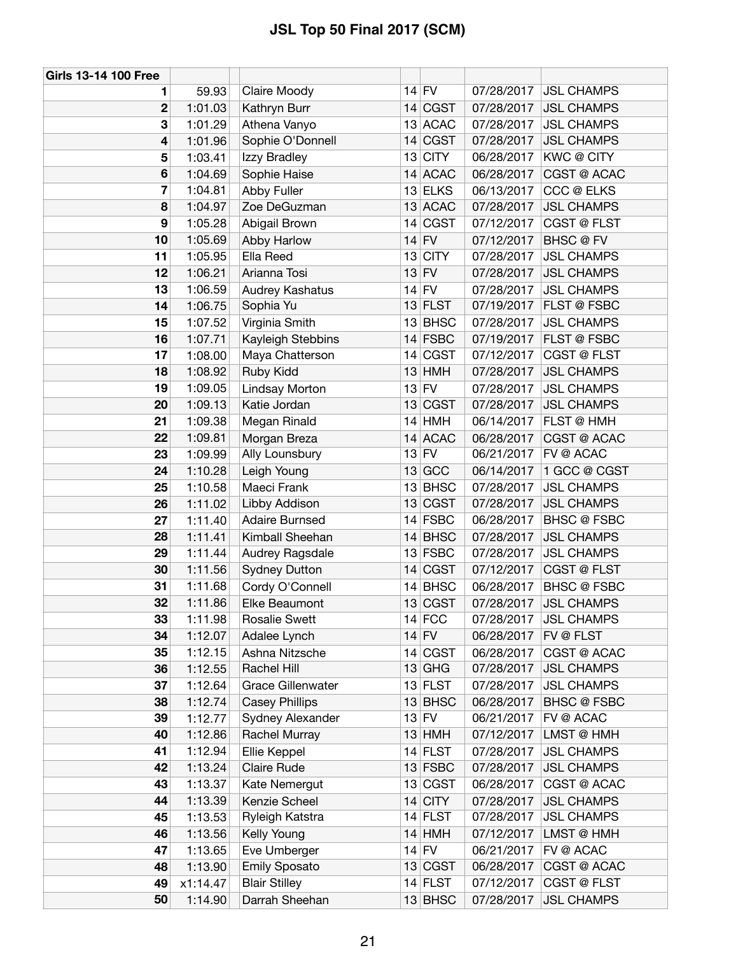| <b>Girls 13-14 100 Free</b> |          |                          |           |            |                    |
|-----------------------------|----------|--------------------------|-----------|------------|--------------------|
| 1                           | 59.93    | Claire Moody             | $14$ FV   | 07/28/2017 | <b>JSL CHAMPS</b>  |
| 2                           | 1:01.03  | Kathryn Burr             | 14 CGST   | 07/28/2017 | <b>JSL CHAMPS</b>  |
| 3                           | 1:01.29  | Athena Vanyo             | 13 ACAC   | 07/28/2017 | <b>JSL CHAMPS</b>  |
| 4                           | 1:01.96  | Sophie O'Donnell         | 14 CGST   | 07/28/2017 | <b>JSL CHAMPS</b>  |
| 5                           | 1:03.41  | Izzy Bradley             | $13$ CITY | 06/28/2017 | <b>KWC @ CITY</b>  |
| 6                           | 1:04.69  | Sophie Haise             | 14 ACAC   | 06/28/2017 | CGST @ ACAC        |
| 7                           | 1:04.81  | Abby Fuller              | $13$ ELKS | 06/13/2017 | CCC @ ELKS         |
| 8                           | 1:04.97  | Zoe DeGuzman             | 13 ACAC   | 07/28/2017 | <b>JSL CHAMPS</b>  |
| 9                           | 1:05.28  | Abigail Brown            | 14 CGST   | 07/12/2017 | <b>CGST @ FLST</b> |
| 10                          | 1:05.69  | Abby Harlow              | $14$ FV   | 07/12/2017 | <b>BHSC</b> @ FV   |
| 11                          | 1:05.95  | Ella Reed                | $13$ CITY | 07/28/2017 | <b>JSL CHAMPS</b>  |
| 12                          | 1:06.21  | Arianna Tosi             | $13$ FV   | 07/28/2017 | <b>JSL CHAMPS</b>  |
| 13                          | 1:06.59  | Audrey Kashatus          | $14$ FV   | 07/28/2017 | <b>JSL CHAMPS</b>  |
| 14                          | 1:06.75  | Sophia Yu                | $13$ FLST | 07/19/2017 | FLST @ FSBC        |
| 15                          | 1:07.52  | Virginia Smith           | $13$ BHSC | 07/28/2017 | <b>JSL CHAMPS</b>  |
| 16                          | 1:07.71  | Kayleigh Stebbins        | $14$ FSBC | 07/19/2017 | FLST @ FSBC        |
| 17                          | 1:08.00  | Maya Chatterson          | 14 CGST   | 07/12/2017 | CGST @ FLST        |
| 18                          | 1:08.92  | Ruby Kidd                | $13$ HMH  | 07/28/2017 | <b>JSL CHAMPS</b>  |
| 19                          | 1:09.05  | Lindsay Morton           | $13$ FV   | 07/28/2017 | <b>JSL CHAMPS</b>  |
| 20                          | 1:09.13  | Katie Jordan             | 13 CGST   | 07/28/2017 | <b>JSL CHAMPS</b>  |
| 21                          | 1:09.38  | Megan Rinald             | $14$ HMH  | 06/14/2017 | FLST @ HMH         |
| 22                          | 1:09.81  | Morgan Breza             | 14 ACAC   | 06/28/2017 | CGST @ ACAC        |
| 23                          | 1:09.99  | Ally Lounsbury           | $13$ FV   | 06/21/2017 | FV @ ACAC          |
| 24                          | 1:10.28  | Leigh Young              | 13 GCC    | 06/14/2017 | 1 GCC @ CGST       |
| 25                          | 1:10.58  | Maeci Frank              | $13$ BHSC | 07/28/2017 | <b>JSL CHAMPS</b>  |
| 26                          | 1:11.02  | Libby Addison            | 13 CGST   | 07/28/2017 | <b>JSL CHAMPS</b>  |
| 27                          | 1:11.40  | Adaire Burnsed           | $14$ FSBC | 06/28/2017 | <b>BHSC @ FSBC</b> |
| 28                          | 1:11.41  | Kimball Sheehan          | $14$ BHSC | 07/28/2017 | <b>JSL CHAMPS</b>  |
| 29                          | 1:11.44  | Audrey Ragsdale          | $13$ FSBC | 07/28/2017 | <b>JSL CHAMPS</b>  |
| 30                          | 1:11.56  | <b>Sydney Dutton</b>     | 14 CGST   | 07/12/2017 | CGST @ FLST        |
| 31                          | 1:11.68  | Cordy O'Connell          | $14$ BHSC | 06/28/2017 | <b>BHSC @ FSBC</b> |
| 32                          | 1:11.86  | Elke Beaumont            | 13 CGST   | 07/28/2017 | <b>JSL CHAMPS</b>  |
| 33                          | 1:11.98  | <b>Rosalie Swett</b>     | $14$ FCC  | 07/28/2017 | <b>JSL CHAMPS</b>  |
| 34                          | 1:12.07  | Adalee Lynch             | $14$ FV   | 06/28/2017 | FV @ FLST          |
| 35                          | 1:12.15  | Ashna Nitzsche           | 14 CGST   | 06/28/2017 | CGST @ ACAC        |
| 36                          | 1:12.55  | Rachel Hill              | $13$ GHG  | 07/28/2017 | <b>JSL CHAMPS</b>  |
| 37                          | 1:12.64  | <b>Grace Gillenwater</b> | $13$ FLST | 07/28/2017 | <b>JSL CHAMPS</b>  |
| 38                          | 1:12.74  | <b>Casey Phillips</b>    | $13$ BHSC | 06/28/2017 | <b>BHSC @ FSBC</b> |
| 39                          | 1:12.77  | Sydney Alexander         | $13$ FV   | 06/21/2017 | FV @ ACAC          |
| 40                          | 1:12.86  | Rachel Murray            | $13$ HMH  | 07/12/2017 | LMST @ HMH         |
| 41                          | 1:12.94  | Ellie Keppel             | $14$ FLST | 07/28/2017 | <b>JSL CHAMPS</b>  |
| 42                          | 1:13.24  | <b>Claire Rude</b>       | $13$ FSBC | 07/28/2017 | <b>JSL CHAMPS</b>  |
| 43                          | 1:13.37  | Kate Nemergut            | 13 CGST   | 06/28/2017 | CGST @ ACAC        |
| 44                          | 1:13.39  | Kenzie Scheel            | $14$ CITY | 07/28/2017 | <b>JSL CHAMPS</b>  |
| 45                          | 1:13.53  | Ryleigh Katstra          | $14$ FLST | 07/28/2017 | <b>JSL CHAMPS</b>  |
| 46                          | 1:13.56  | Kelly Young              | $14$ HMH  | 07/12/2017 | LMST @ HMH         |
| 47                          | 1:13.65  | Eve Umberger             | $14$ FV   | 06/21/2017 | FV @ ACAC          |
| 48                          | 1:13.90  | <b>Emily Sposato</b>     | 13 CGST   | 06/28/2017 | CGST @ ACAC        |
| 49                          | x1:14.47 | <b>Blair Stilley</b>     | $14$ FLST | 07/12/2017 | <b>CGST @ FLST</b> |
| 50                          | 1:14.90  | Darrah Sheehan           | $13$ BHSC | 07/28/2017 | <b>JSL CHAMPS</b>  |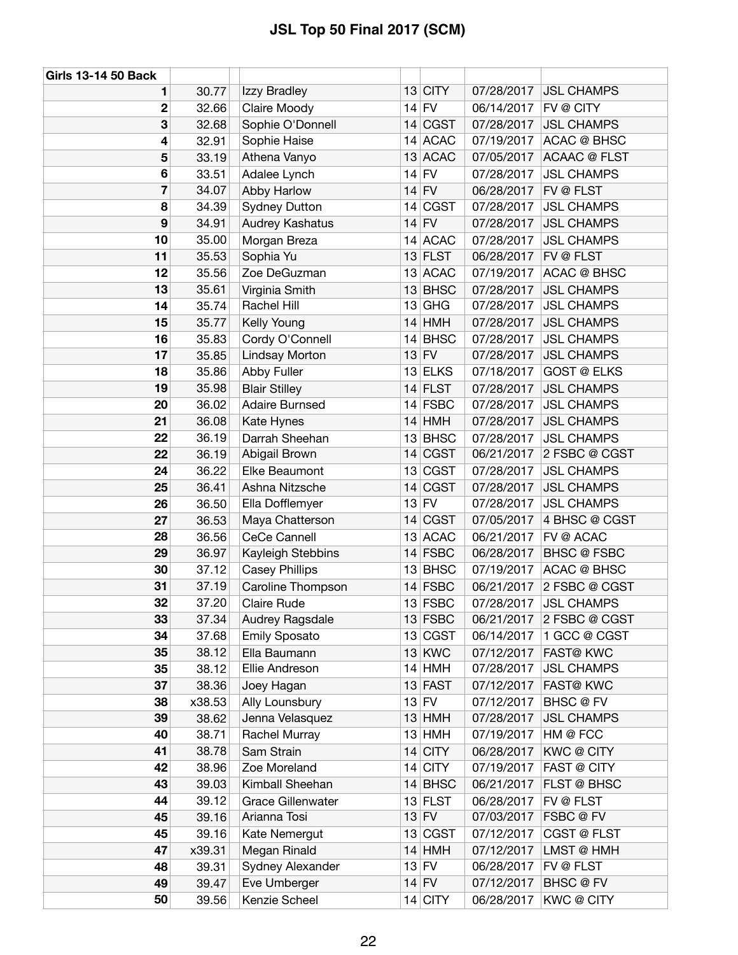| <b>Girls 13-14 50 Back</b> |        |                          |         |             |            |                     |
|----------------------------|--------|--------------------------|---------|-------------|------------|---------------------|
| 1                          | 30.77  | Izzy Bradley             |         | $13$ CITY   | 07/28/2017 | <b>JSL CHAMPS</b>   |
| 2                          | 32.66  | Claire Moody             | $14$ FV |             | 06/14/2017 | FV @ CITY           |
| 3                          | 32.68  | Sophie O'Donnell         |         | 14 CGST     | 07/28/2017 | <b>JSL CHAMPS</b>   |
| 4                          | 32.91  | Sophie Haise             |         | 14 ACAC     | 07/19/2017 | <b>ACAC @ BHSC</b>  |
| 5                          | 33.19  | Athena Vanyo             |         | 13 ACAC     | 07/05/2017 | <b>ACAAC @ FLST</b> |
| 6                          | 33.51  | Adalee Lynch             | $14$ FV |             | 07/28/2017 | <b>JSL CHAMPS</b>   |
| 7                          | 34.07  | Abby Harlow              | $14$ FV |             | 06/28/2017 | FV @ FLST           |
| 8                          | 34.39  | <b>Sydney Dutton</b>     |         | 14 CGST     | 07/28/2017 | <b>JSL CHAMPS</b>   |
| 9                          | 34.91  | <b>Audrey Kashatus</b>   | $14$ FV |             | 07/28/2017 | <b>JSL CHAMPS</b>   |
| 10                         | 35.00  | Morgan Breza             |         | 14 ACAC     | 07/28/2017 | <b>JSL CHAMPS</b>   |
| 11                         | 35.53  | Sophia Yu                |         | $13$ FLST   | 06/28/2017 | <b>FV @ FLST</b>    |
| 12                         | 35.56  | Zoe DeGuzman             |         | 13 ACAC     | 07/19/2017 | <b>ACAC @ BHSC</b>  |
| 13                         | 35.61  | Virginia Smith           |         | $13$ BHSC   | 07/28/2017 | <b>JSL CHAMPS</b>   |
| 14                         | 35.74  | Rachel Hill              |         | $13$ GHG    | 07/28/2017 | <b>JSL CHAMPS</b>   |
| 15                         | 35.77  | Kelly Young              |         | $14$ HMH    | 07/28/2017 | <b>JSL CHAMPS</b>   |
| 16                         | 35.83  | Cordy O'Connell          |         | $14$ BHSC   | 07/28/2017 | <b>JSL CHAMPS</b>   |
| 17                         | 35.85  | Lindsay Morton           | $13$ FV |             | 07/28/2017 | <b>JSL CHAMPS</b>   |
| 18                         | 35.86  | Abby Fuller              |         | $13$ ELKS   | 07/18/2017 | <b>GOST @ ELKS</b>  |
| 19                         | 35.98  | <b>Blair Stilley</b>     |         | $14$ FLST   | 07/28/2017 | <b>JSL CHAMPS</b>   |
| 20                         | 36.02  | <b>Adaire Burnsed</b>    |         | $14$ FSBC   | 07/28/2017 | <b>JSL CHAMPS</b>   |
| 21                         | 36.08  | Kate Hynes               |         | $14$ HMH    | 07/28/2017 | <b>JSL CHAMPS</b>   |
| 22                         | 36.19  | Darrah Sheehan           | 13      | <b>BHSC</b> | 07/28/2017 | <b>JSL CHAMPS</b>   |
| 22                         | 36.19  | Abigail Brown            |         | 14 CGST     | 06/21/2017 | 2 FSBC @ CGST       |
| 24                         | 36.22  | Elke Beaumont            | 13      | CGST        | 07/28/2017 | <b>JSL CHAMPS</b>   |
| 25                         | 36.41  | Ashna Nitzsche           |         | 14 CGST     | 07/28/2017 | <b>JSL CHAMPS</b>   |
| 26                         | 36.50  | Ella Dofflemyer          | $13$ FV |             | 07/28/2017 | <b>JSL CHAMPS</b>   |
| 27                         | 36.53  | Maya Chatterson          | 14      | <b>CGST</b> | 07/05/2017 | 4 BHSC @ CGST       |
| 28                         | 36.56  | <b>CeCe Cannell</b>      |         | 13 ACAC     | 06/21/2017 | FV @ ACAC           |
| 29                         | 36.97  | Kayleigh Stebbins        |         | $14$ FSBC   | 06/28/2017 | <b>BHSC @ FSBC</b>  |
| 30                         | 37.12  | <b>Casey Phillips</b>    |         | $13$ BHSC   | 07/19/2017 | <b>ACAC @ BHSC</b>  |
| 31                         | 37.19  | Caroline Thompson        |         | $14$ FSBC   | 06/21/2017 | 2 FSBC @ CGST       |
| 32                         | 37.20  | <b>Claire Rude</b>       |         | $13$ FSBC   | 07/28/2017 | <b>JSL CHAMPS</b>   |
| 33                         | 37.34  | Audrey Ragsdale          |         | $13$ FSBC   | 06/21/2017 | 2 FSBC @ CGST       |
| 34                         | 37.68  | <b>Emily Sposato</b>     |         | 13 CGST     | 06/14/2017 | 1 GCC @ CGST        |
| 35                         | 38.12  | Ella Baumann             |         | $13$ KWC    | 07/12/2017 | <b>FAST@ KWC</b>    |
| 35                         | 38.12  | Ellie Andreson           |         | $14$ HMH    | 07/28/2017 | <b>JSL CHAMPS</b>   |
| 37                         | 38.36  | Joey Hagan               |         | $13$ FAST   | 07/12/2017 | <b>FAST@ KWC</b>    |
| 38                         | x38.53 | Ally Lounsbury           | $13$ FV |             | 07/12/2017 | <b>BHSC</b> @ FV    |
| 39                         | 38.62  | Jenna Velasquez          |         | $13$ HMH    | 07/28/2017 | <b>JSL CHAMPS</b>   |
| 40                         | 38.71  | Rachel Murray            |         | $13$ HMH    | 07/19/2017 | HM @ FCC            |
| 41                         | 38.78  | Sam Strain               |         | $14$ CITY   | 06/28/2017 | <b>KWC@CITY</b>     |
| 42                         | 38.96  | Zoe Moreland             |         | $14$ CITY   | 07/19/2017 | <b>FAST @ CITY</b>  |
| 43                         | 39.03  | Kimball Sheehan          |         | 14 BHSC     | 06/21/2017 | FLST @ BHSC         |
| 44                         | 39.12  | <b>Grace Gillenwater</b> |         | $13$ FLST   | 06/28/2017 | FV @ FLST           |
| 45                         | 39.16  | Arianna Tosi             | $13$ FV |             | 07/03/2017 | FSBC @ FV           |
| 45                         | 39.16  | Kate Nemergut            |         | 13 CGST     | 07/12/2017 | <b>CGST @ FLST</b>  |
| 47                         | x39.31 | Megan Rinald             |         | $14$ HMH    | 07/12/2017 | LMST @ HMH          |
| 48                         | 39.31  | Sydney Alexander         | $13$ FV |             | 06/28/2017 | FV @ FLST           |
| 49                         | 39.47  | Eve Umberger             | $14$ FV |             | 07/12/2017 | BHSC@FV             |
| 50                         | 39.56  | Kenzie Scheel            |         | 14 CITY     | 06/28/2017 | <b>KWC@CITY</b>     |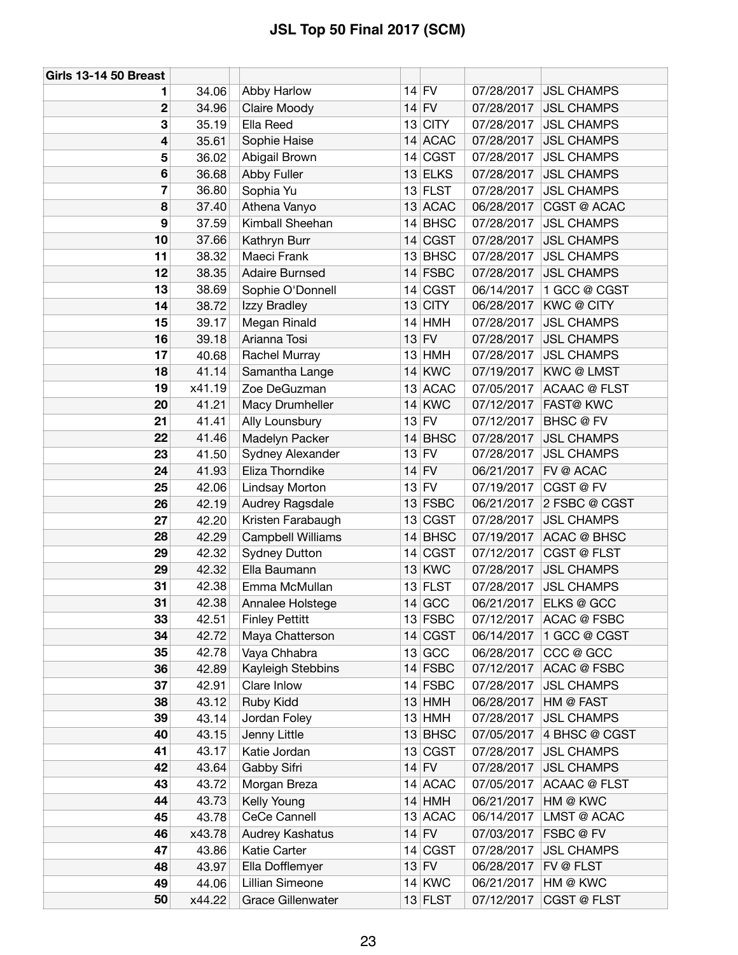| <b>Girls 13-14 50 Breast</b> |        |                          |    |               |            |                        |
|------------------------------|--------|--------------------------|----|---------------|------------|------------------------|
| 1.                           | 34.06  | Abby Harlow              |    | $14$ FV       | 07/28/2017 | <b>JSL CHAMPS</b>      |
| 2                            | 34.96  | Claire Moody             |    | $14$ FV       | 07/28/2017 | <b>JSL CHAMPS</b>      |
| 3                            | 35.19  | Ella Reed                |    | $13$ CITY     | 07/28/2017 | <b>JSL CHAMPS</b>      |
| 4                            | 35.61  | Sophie Haise             |    | $14$ ACAC     | 07/28/2017 | <b>JSL CHAMPS</b>      |
| 5                            | 36.02  | Abigail Brown            |    | 14 CGST       | 07/28/2017 | <b>JSL CHAMPS</b>      |
| 6                            | 36.68  | Abby Fuller              |    | $13$ ELKS     | 07/28/2017 | <b>JSL CHAMPS</b>      |
| 7                            | 36.80  | Sophia Yu                |    | $13$ FLST     | 07/28/2017 | <b>JSL CHAMPS</b>      |
| 8                            | 37.40  | Athena Vanyo             |    | 13 ACAC       | 06/28/2017 | CGST @ ACAC            |
| 9                            | 37.59  | Kimball Sheehan          |    | $14$ BHSC     | 07/28/2017 | <b>JSL CHAMPS</b>      |
| 10                           | 37.66  | Kathryn Burr             |    | 14 CGST       | 07/28/2017 | <b>JSL CHAMPS</b>      |
| 11                           | 38.32  | Maeci Frank              |    | $13$ BHSC     | 07/28/2017 | <b>JSL CHAMPS</b>      |
| 12                           | 38.35  | <b>Adaire Burnsed</b>    |    | $14$ FSBC     | 07/28/2017 | <b>JSL CHAMPS</b>      |
| 13                           | 38.69  | Sophie O'Donnell         |    | 14 CGST       | 06/14/2017 | 1 GCC @ CGST           |
| 14                           | 38.72  | Izzy Bradley             |    | $13$ CITY     | 06/28/2017 | <b>KWC@CITY</b>        |
| 15                           | 39.17  | Megan Rinald             |    | $14$ HMH      | 07/28/2017 | <b>JSL CHAMPS</b>      |
| 16                           | 39.18  | Arianna Tosi             |    | $13$ FV       | 07/28/2017 | <b>JSL CHAMPS</b>      |
| 17                           | 40.68  | Rachel Murray            |    | $13$ HMH      | 07/28/2017 | <b>JSL CHAMPS</b>      |
| 18                           | 41.14  | Samantha Lange           |    | <b>14 KWC</b> | 07/19/2017 | <b>KWC@LMST</b>        |
| 19                           | x41.19 | Zoe DeGuzman             |    | 13 ACAC       | 07/05/2017 | <b>ACAAC @ FLST</b>    |
| 20                           | 41.21  | Macy Drumheller          |    | $14$ KWC      | 07/12/2017 | <b>FAST@ KWC</b>       |
| 21                           | 41.41  | Ally Lounsbury           |    | $13$ FV       | 07/12/2017 | BHSC @ FV              |
| 22                           | 41.46  | Madelyn Packer           |    | $14$ BHSC     | 07/28/2017 | <b>JSL CHAMPS</b>      |
| 23                           | 41.50  | Sydney Alexander         |    | $13$ FV       | 07/28/2017 | <b>JSL CHAMPS</b>      |
| 24                           | 41.93  | Eliza Thorndike          |    | $14$ FV       | 06/21/2017 | <b>FV @ ACAC</b>       |
| 25                           | 42.06  | Lindsay Morton           |    | $13$ FV       | 07/19/2017 | CGST @ FV              |
| 26                           | 42.19  | Audrey Ragsdale          |    | $13$ FSBC     | 06/21/2017 | 2 FSBC @ CGST          |
| 27                           | 42.20  | Kristen Farabaugh        | 13 | <b>CGST</b>   | 07/28/2017 | <b>JSL CHAMPS</b>      |
| 28                           | 42.29  | Campbell Williams        |    | $14$ BHSC     | 07/19/2017 | <b>ACAC @ BHSC</b>     |
| 29                           | 42.32  | <b>Sydney Dutton</b>     |    | 14 CGST       | 07/12/2017 | CGST @ FLST            |
| 29                           | 42.32  | Ella Baumann             |    | $13$ KWC      | 07/28/2017 | <b>JSL CHAMPS</b>      |
| 31                           | 42.38  | Emma McMullan            |    | $13$ FLST     | 07/28/2017 | <b>JSL CHAMPS</b>      |
| 31                           | 42.38  | Annalee Holstege         |    | $14$ GCC      | 06/21/2017 | ELKS @ GCC             |
| 33                           | 42.51  | <b>Finley Pettitt</b>    |    | $13$ FSBC     |            | 07/12/2017 ACAC @ FSBC |
| 34                           | 42.72  | Maya Chatterson          |    | 14 CGST       | 06/14/2017 | 1 GCC @ CGST           |
| 35                           | 42.78  | Vaya Chhabra             |    | $13$ GCC      | 06/28/2017 | CCC @ GCC              |
| 36                           | 42.89  | Kayleigh Stebbins        |    | $14$ FSBC     | 07/12/2017 | ACAC @ FSBC            |
| 37                           | 42.91  | Clare Inlow              |    | $14$ FSBC     | 07/28/2017 | <b>JSL CHAMPS</b>      |
| 38                           | 43.12  | Ruby Kidd                |    | $13$ HMH      | 06/28/2017 | HM @ FAST              |
| 39                           | 43.14  | Jordan Foley             |    | $13$ HMH      | 07/28/2017 | <b>JSL CHAMPS</b>      |
| 40                           | 43.15  | Jenny Little             |    | $13$ BHSC     | 07/05/2017 | 4 BHSC @ CGST          |
| 41                           | 43.17  | Katie Jordan             |    | 13 CGST       | 07/28/2017 | <b>JSL CHAMPS</b>      |
| 42                           | 43.64  | Gabby Sifri              |    | $14$ FV       | 07/28/2017 | <b>JSL CHAMPS</b>      |
| 43                           | 43.72  | Morgan Breza             |    | 14 ACAC       | 07/05/2017 | <b>ACAAC @ FLST</b>    |
| 44                           | 43.73  | Kelly Young              |    | $14$ HMH      | 06/21/2017 | HM @ KWC               |
| 45                           | 43.78  | CeCe Cannell             |    | $13$ ACAC     | 06/14/2017 | LMST @ ACAC            |
| 46                           | x43.78 | Audrey Kashatus          |    | $14$ FV       | 07/03/2017 | FSBC @ FV              |
| 47                           | 43.86  | Katie Carter             |    | 14 CGST       | 07/28/2017 | <b>JSL CHAMPS</b>      |
| 48                           | 43.97  | Ella Dofflemyer          |    | $13$ FV       | 06/28/2017 | FV @ FLST              |
| 49                           | 44.06  | Lillian Simeone          |    | $14$ KWC      | 06/21/2017 | HM @ KWC               |
| 50                           | x44.22 | <b>Grace Gillenwater</b> |    | $13$ FLST     | 07/12/2017 | CGST @ FLST            |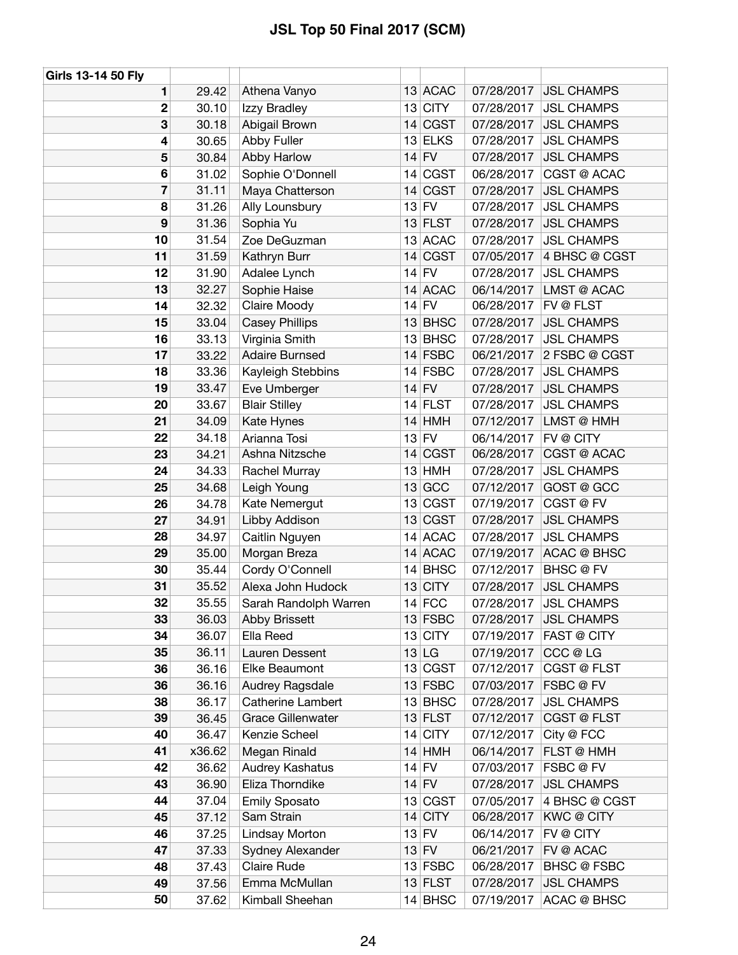| Girls 13-14 50 Fly |        |                          |           |            |                    |
|--------------------|--------|--------------------------|-----------|------------|--------------------|
| 1                  | 29.42  | Athena Vanyo             | 13 ACAC   | 07/28/2017 | <b>JSL CHAMPS</b>  |
| 2                  | 30.10  | Izzy Bradley             | $13$ CITY | 07/28/2017 | <b>JSL CHAMPS</b>  |
| 3                  | 30.18  | Abigail Brown            | 14 CGST   | 07/28/2017 | <b>JSL CHAMPS</b>  |
| 4                  | 30.65  | Abby Fuller              | $13$ ELKS | 07/28/2017 | <b>JSL CHAMPS</b>  |
| 5                  | 30.84  | Abby Harlow              | $14$ FV   | 07/28/2017 | <b>JSL CHAMPS</b>  |
| 6                  | 31.02  | Sophie O'Donnell         | 14 CGST   | 06/28/2017 | CGST @ ACAC        |
| 7                  | 31.11  | Maya Chatterson          | 14 CGST   | 07/28/2017 | <b>JSL CHAMPS</b>  |
| 8                  | 31.26  | Ally Lounsbury           | $13$ FV   | 07/28/2017 | <b>JSL CHAMPS</b>  |
| 9                  | 31.36  | Sophia Yu                | $13$ FLST | 07/28/2017 | <b>JSL CHAMPS</b>  |
| 10                 | 31.54  | Zoe DeGuzman             | 13 ACAC   | 07/28/2017 | <b>JSL CHAMPS</b>  |
| 11                 | 31.59  | Kathryn Burr             | 14 CGST   | 07/05/2017 | 4 BHSC @ CGST      |
| 12                 | 31.90  | Adalee Lynch             | $14$ FV   | 07/28/2017 | <b>JSL CHAMPS</b>  |
| 13                 | 32.27  | Sophie Haise             | 14 ACAC   | 06/14/2017 | LMST @ ACAC        |
| 14                 | 32.32  | Claire Moody             | $14$ FV   | 06/28/2017 | FV @ FLST          |
| 15                 | 33.04  | <b>Casey Phillips</b>    | $13$ BHSC | 07/28/2017 | <b>JSL CHAMPS</b>  |
| 16                 | 33.13  | Virginia Smith           | 13 BHSC   | 07/28/2017 | <b>JSL CHAMPS</b>  |
| 17                 | 33.22  | <b>Adaire Burnsed</b>    | $14$ FSBC | 06/21/2017 | 2 FSBC @ CGST      |
| 18                 | 33.36  | Kayleigh Stebbins        | $14$ FSBC | 07/28/2017 | <b>JSL CHAMPS</b>  |
| 19                 | 33.47  | Eve Umberger             | $14$ FV   | 07/28/2017 | <b>JSL CHAMPS</b>  |
| 20                 | 33.67  | <b>Blair Stilley</b>     | $14$ FLST | 07/28/2017 | <b>JSL CHAMPS</b>  |
| 21                 | 34.09  | Kate Hynes               | $14$ HMH  | 07/12/2017 | LMST @ HMH         |
| 22                 | 34.18  | Arianna Tosi             | $13$ FV   | 06/14/2017 | FV @ CITY          |
| 23                 | 34.21  | Ashna Nitzsche           | 14 CGST   | 06/28/2017 | CGST @ ACAC        |
| 24                 | 34.33  | Rachel Murray            | $13$ HMH  | 07/28/2017 | <b>JSL CHAMPS</b>  |
| 25                 | 34.68  | Leigh Young              | 13 GCC    | 07/12/2017 | GOST @ GCC         |
| 26                 | 34.78  | Kate Nemergut            | 13 CGST   | 07/19/2017 | CGST @ FV          |
| 27                 | 34.91  | Libby Addison            | 13 CGST   | 07/28/2017 | <b>JSL CHAMPS</b>  |
| 28                 | 34.97  | Caitlin Nguyen           | 14 ACAC   | 07/28/2017 | <b>JSL CHAMPS</b>  |
| 29                 | 35.00  | Morgan Breza             | 14 ACAC   | 07/19/2017 | <b>ACAC @ BHSC</b> |
| 30                 | 35.44  | Cordy O'Connell          | $14$ BHSC | 07/12/2017 | BHSC@FV            |
| 31                 | 35.52  | Alexa John Hudock        | $13$ CITY | 07/28/2017 | <b>JSL CHAMPS</b>  |
| 32                 | 35.55  | Sarah Randolph Warren    | $14$ FCC  | 07/28/2017 | <b>JSL CHAMPS</b>  |
| 33                 | 36.03  | <b>Abby Brissett</b>     | $13$ FSBC | 07/28/2017 | <b>JSL CHAMPS</b>  |
| 34                 | 36.07  | Ella Reed                | $13$ CITY | 07/19/2017 | <b>FAST @ CITY</b> |
| 35                 | 36.11  | Lauren Dessent           | 13 LG     | 07/19/2017 | CCC @ LG           |
| 36                 | 36.16  | Elke Beaumont            | 13 CGST   | 07/12/2017 | CGST @ FLST        |
| 36                 | 36.16  | Audrey Ragsdale          | $13$ FSBC | 07/03/2017 | FSBC @ FV          |
| 38                 | 36.17  | <b>Catherine Lambert</b> | $13$ BHSC | 07/28/2017 | <b>JSL CHAMPS</b>  |
| 39                 | 36.45  | <b>Grace Gillenwater</b> | $13$ FLST | 07/12/2017 | CGST @ FLST        |
| 40                 | 36.47  | Kenzie Scheel            | $14$ CITY | 07/12/2017 | City @ FCC         |
| 41                 | x36.62 | Megan Rinald             | $14$ HMH  | 06/14/2017 | FLST @ HMH         |
| 42                 | 36.62  | Audrey Kashatus          | $14$ FV   | 07/03/2017 | FSBC @ FV          |
| 43                 | 36.90  | Eliza Thorndike          | $14$ FV   | 07/28/2017 | <b>JSL CHAMPS</b>  |
| 44                 | 37.04  | <b>Emily Sposato</b>     | 13 CGST   | 07/05/2017 | 4 BHSC @ CGST      |
| 45                 | 37.12  | Sam Strain               | $14$ CITY | 06/28/2017 | <b>KWC @ CITY</b>  |
| 46                 | 37.25  | Lindsay Morton           | $13$ FV   | 06/14/2017 | FV @ CITY          |
| 47                 | 37.33  | Sydney Alexander         | $13$ FV   | 06/21/2017 | FV @ ACAC          |
| 48                 | 37.43  | Claire Rude              | $13$ FSBC | 06/28/2017 | BHSC @ FSBC        |
| 49                 | 37.56  | Emma McMullan            | $13$ FLST | 07/28/2017 | <b>JSL CHAMPS</b>  |
| 50                 | 37.62  | Kimball Sheehan          | $14$ BHSC | 07/19/2017 | <b>ACAC @ BHSC</b> |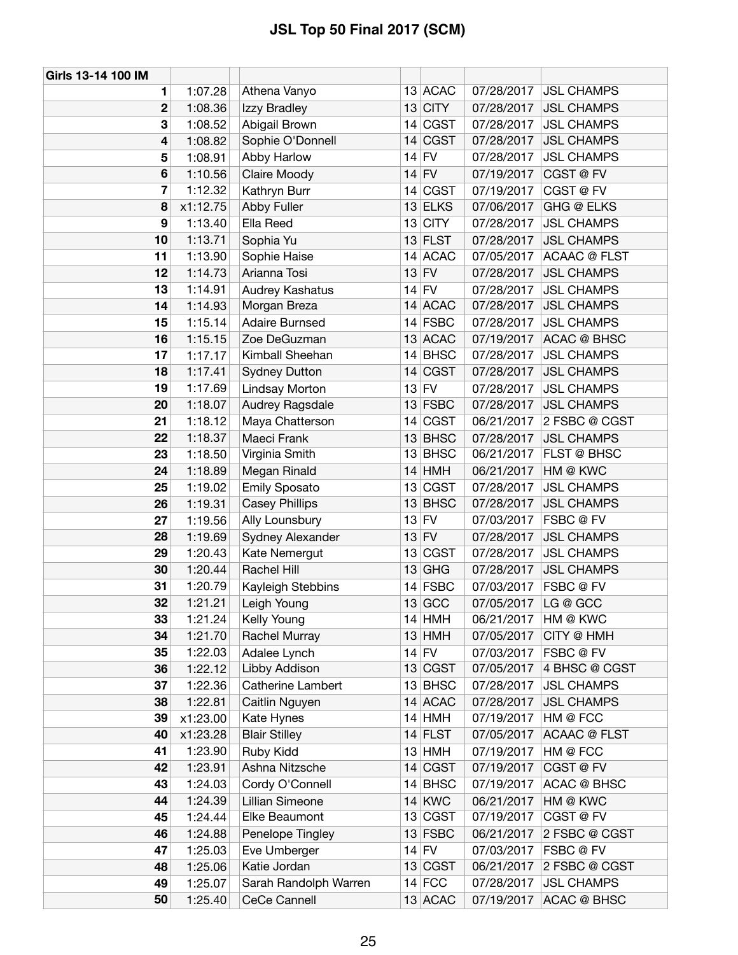| Girls 13-14 100 IM |          |                       |           |            |                     |
|--------------------|----------|-----------------------|-----------|------------|---------------------|
| 1                  | 1:07.28  | Athena Vanyo          | $13$ ACAC | 07/28/2017 | <b>JSL CHAMPS</b>   |
| 2                  | 1:08.36  | Izzy Bradley          | $13$ CITY | 07/28/2017 | <b>JSL CHAMPS</b>   |
| 3                  | 1:08.52  | Abigail Brown         | 14 CGST   | 07/28/2017 | <b>JSL CHAMPS</b>   |
| 4                  | 1:08.82  | Sophie O'Donnell      | 14 CGST   | 07/28/2017 | <b>JSL CHAMPS</b>   |
| 5                  | 1:08.91  | Abby Harlow           | $14$ FV   | 07/28/2017 | <b>JSL CHAMPS</b>   |
| 6                  | 1:10.56  | Claire Moody          | $14$ FV   | 07/19/2017 | CGST@FV             |
| 7                  | 1:12.32  | Kathryn Burr          | $14$ CGST | 07/19/2017 | CGST @ FV           |
| 8                  | x1:12.75 | Abby Fuller           | $13$ ELKS | 07/06/2017 | GHG @ ELKS          |
| 9                  | 1:13.40  | Ella Reed             | $13$ CITY | 07/28/2017 | <b>JSL CHAMPS</b>   |
| 10                 | 1:13.71  | Sophia Yu             | $13$ FLST | 07/28/2017 | <b>JSL CHAMPS</b>   |
| 11                 | 1:13.90  | Sophie Haise          | $14$ ACAC | 07/05/2017 | <b>ACAAC @ FLST</b> |
| 12                 | 1:14.73  | Arianna Tosi          | $13$ FV   | 07/28/2017 | <b>JSL CHAMPS</b>   |
| 13                 | 1:14.91  | Audrey Kashatus       | $14$ FV   | 07/28/2017 | <b>JSL CHAMPS</b>   |
| 14                 | 1:14.93  | Morgan Breza          | 14 ACAC   | 07/28/2017 | <b>JSL CHAMPS</b>   |
| 15                 | 1:15.14  | <b>Adaire Burnsed</b> | $14$ FSBC | 07/28/2017 | <b>JSL CHAMPS</b>   |
| 16                 | 1:15.15  | Zoe DeGuzman          | 13 ACAC   | 07/19/2017 | <b>ACAC @ BHSC</b>  |
| 17                 | 1:17.17  | Kimball Sheehan       | $14$ BHSC | 07/28/2017 | <b>JSL CHAMPS</b>   |
| 18                 | 1:17.41  | <b>Sydney Dutton</b>  | 14 CGST   | 07/28/2017 | <b>JSL CHAMPS</b>   |
| 19                 | 1:17.69  | Lindsay Morton        | $13$ FV   | 07/28/2017 | <b>JSL CHAMPS</b>   |
| 20                 | 1:18.07  | Audrey Ragsdale       | $13$ FSBC | 07/28/2017 | <b>JSL CHAMPS</b>   |
| 21                 | 1:18.12  | Maya Chatterson       | 14 CGST   | 06/21/2017 | 2 FSBC @ CGST       |
| 22                 | 1:18.37  | Maeci Frank           | 13 BHSC   | 07/28/2017 | <b>JSL CHAMPS</b>   |
| 23                 | 1:18.50  | Virginia Smith        | $13$ BHSC | 06/21/2017 | FLST @ BHSC         |
| 24                 | 1:18.89  | Megan Rinald          | $14$ HMH  | 06/21/2017 | HM @ KWC            |
| 25                 | 1:19.02  | <b>Emily Sposato</b>  | 13 CGST   | 07/28/2017 | <b>JSL CHAMPS</b>   |
| 26                 | 1:19.31  | <b>Casey Phillips</b> | $13$ BHSC | 07/28/2017 | <b>JSL CHAMPS</b>   |
| 27                 | 1:19.56  | Ally Lounsbury        | $13$ FV   | 07/03/2017 | FSBC @ FV           |
| 28                 | 1:19.69  | Sydney Alexander      | $13$ FV   | 07/28/2017 | <b>JSL CHAMPS</b>   |
| 29                 | 1:20.43  | Kate Nemergut         | 13 CGST   | 07/28/2017 | <b>JSL CHAMPS</b>   |
| 30                 | 1:20.44  | Rachel Hill           | $13$ GHG  | 07/28/2017 | <b>JSL CHAMPS</b>   |
| 31                 | 1:20.79  | Kayleigh Stebbins     | $14$ FSBC | 07/03/2017 | FSBC @ FV           |
| 32                 | 1:21.21  | Leigh Young           | $13$ GCC  | 07/05/2017 | LG @ GCC            |
| 33                 | 1:21.24  | Kelly Young           | $14$ HMH  | 06/21/2017 | HM @ KWC            |
| 34                 | 1:21.70  | Rachel Murray         | $13$ HMH  | 07/05/2017 | CITY @ HMH          |
| 35                 | 1:22.03  | Adalee Lynch          | $14$ FV   | 07/03/2017 | FSBC @ FV           |
| 36                 | 1:22.12  | Libby Addison         | 13 CGST   | 07/05/2017 | 4 BHSC @ CGST       |
| 37                 | 1:22.36  | Catherine Lambert     | $13$ BHSC | 07/28/2017 | <b>JSL CHAMPS</b>   |
| 38                 | 1:22.81  | Caitlin Nguyen        | 14 ACAC   | 07/28/2017 | <b>JSL CHAMPS</b>   |
| 39                 | x1:23.00 | Kate Hynes            | $14$ HMH  | 07/19/2017 | HM @ FCC            |
| 40                 | x1:23.28 | <b>Blair Stilley</b>  | $14$ FLST | 07/05/2017 | <b>ACAAC @ FLST</b> |
| 41                 | 1:23.90  | Ruby Kidd             | $13$ HMH  | 07/19/2017 | HM @ FCC            |
| 42                 | 1:23.91  | Ashna Nitzsche        | 14 CGST   | 07/19/2017 | CGST @ FV           |
| 43                 | 1:24.03  | Cordy O'Connell       | $14$ BHSC | 07/19/2017 | <b>ACAC @ BHSC</b>  |
| 44                 | 1:24.39  | Lillian Simeone       | $14$ KWC  | 06/21/2017 | HM @ KWC            |
| 45                 | 1:24.44  | Elke Beaumont         | 13 CGST   | 07/19/2017 | CGST @ FV           |
| 46                 | 1:24.88  | Penelope Tingley      | $13$ FSBC | 06/21/2017 | 2 FSBC @ CGST       |
| 47                 | 1:25.03  | Eve Umberger          | $14$ FV   | 07/03/2017 | FSBC @ FV           |
| 48                 | 1:25.06  | Katie Jordan          | 13 CGST   | 06/21/2017 | 2 FSBC @ CGST       |
| 49                 | 1:25.07  | Sarah Randolph Warren | $14$ FCC  | 07/28/2017 | <b>JSL CHAMPS</b>   |
| 50                 | 1:25.40  | <b>CeCe Cannell</b>   | 13 ACAC   | 07/19/2017 | <b>ACAC @ BHSC</b>  |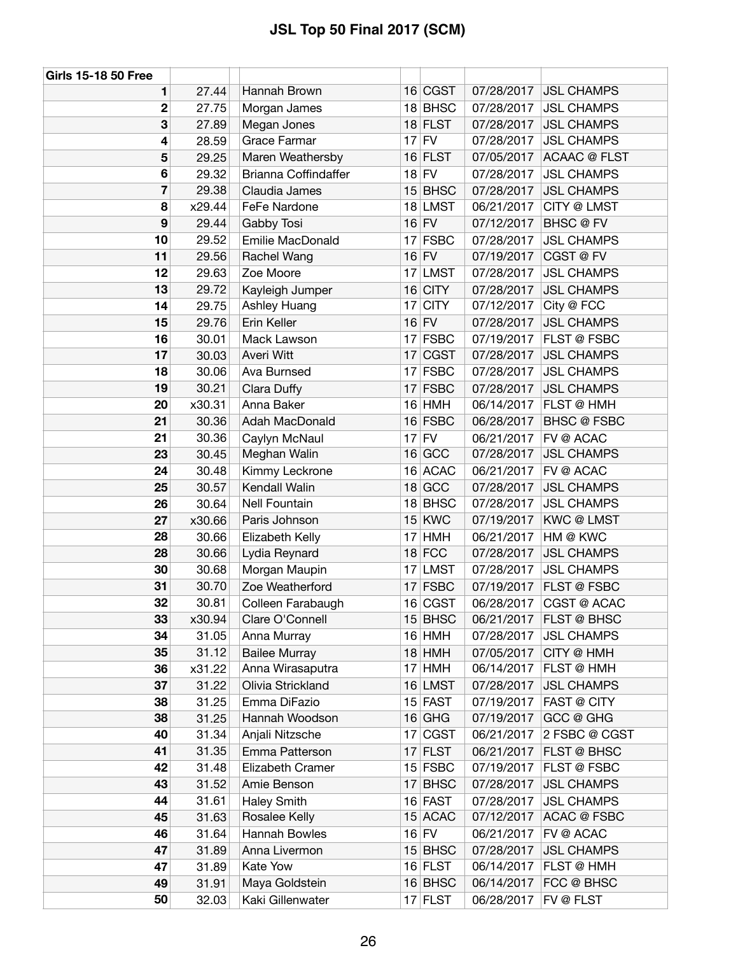| <b>Girls 15-18 50 Free</b> |        |                      |           |             |            |                          |
|----------------------------|--------|----------------------|-----------|-------------|------------|--------------------------|
| 1                          | 27.44  | Hannah Brown         |           | 16 CGST     | 07/28/2017 | <b>JSL CHAMPS</b>        |
| 2                          | 27.75  | Morgan James         |           | $18$ BHSC   | 07/28/2017 | <b>JSL CHAMPS</b>        |
| 3                          | 27.89  | Megan Jones          |           | $18$ FLST   | 07/28/2017 | <b>JSL CHAMPS</b>        |
| 4                          | 28.59  | Grace Farmar         | $17$ FV   |             | 07/28/2017 | <b>JSL CHAMPS</b>        |
| 5                          | 29.25  | Maren Weathersby     |           | $16$ FLST   | 07/05/2017 | <b>ACAAC @ FLST</b>      |
| 6                          | 29.32  | Brianna Coffindaffer | $18$ FV   |             | 07/28/2017 | <b>JSL CHAMPS</b>        |
| 7                          | 29.38  | Claudia James        |           | $15$ BHSC   | 07/28/2017 | <b>JSL CHAMPS</b>        |
| 8                          | x29.44 | FeFe Nardone         |           | 18 LMST     | 06/21/2017 | CITY @ LMST              |
| 9                          | 29.44  | Gabby Tosi           | $16$ FV   |             | 07/12/2017 | <b>BHSC</b> @ FV         |
| 10                         | 29.52  | Emilie MacDonald     |           | $17$ FSBC   | 07/28/2017 | <b>JSL CHAMPS</b>        |
| 11                         | 29.56  | Rachel Wang          | $16$ FV   |             | 07/19/2017 | CGST @ FV                |
| 12                         | 29.63  | Zoe Moore            |           | 17 LMST     | 07/28/2017 | <b>JSL CHAMPS</b>        |
| 13                         | 29.72  | Kayleigh Jumper      | 16 CITY   |             | 07/28/2017 | <b>JSL CHAMPS</b>        |
| 14                         | 29.75  | Ashley Huang         | $17$ CITY |             | 07/12/2017 | City @ FCC               |
| 15                         | 29.76  | Erin Keller          | $16$ FV   |             | 07/28/2017 | <b>JSL CHAMPS</b>        |
| 16                         | 30.01  | Mack Lawson          |           | $17$ FSBC   | 07/19/2017 | FLST @ FSBC              |
| 17                         | 30.03  | Averi Witt           | 17        | <b>CGST</b> | 07/28/2017 | <b>JSL CHAMPS</b>        |
| 18                         | 30.06  | Ava Burnsed          |           | $17$ FSBC   | 07/28/2017 | <b>JSL CHAMPS</b>        |
| 19                         | 30.21  | Clara Duffy          |           | $17$ FSBC   | 07/28/2017 | <b>JSL CHAMPS</b>        |
| 20                         | x30.31 | Anna Baker           |           | $16$ HMH    | 06/14/2017 | FLST @ HMH               |
| 21                         | 30.36  | Adah MacDonald       |           | 16 FSBC     | 06/28/2017 | <b>BHSC @ FSBC</b>       |
| 21                         | 30.36  | Caylyn McNaul        | $17$ FV   |             | 06/21/2017 | FV @ ACAC                |
| 23                         | 30.45  | Meghan Walin         | 16 GCC    |             | 07/28/2017 | <b>JSL CHAMPS</b>        |
| 24                         | 30.48  | Kimmy Leckrone       |           | 16 ACAC     | 06/21/2017 | FV @ ACAC                |
| 25                         | 30.57  | Kendall Walin        | $18$ GCC  |             | 07/28/2017 | <b>JSL CHAMPS</b>        |
| 26                         | 30.64  | Nell Fountain        |           | 18 BHSC     | 07/28/2017 | <b>JSL CHAMPS</b>        |
| 27                         | x30.66 | Paris Johnson        |           | $15$ KWC    | 07/19/2017 | <b>KWC@LMST</b>          |
| 28                         | 30.66  | Elizabeth Kelly      | 17        | <b>HMH</b>  | 06/21/2017 | HM @ KWC                 |
| 28                         | 30.66  | Lydia Reynard        | $18$ FCC  |             | 07/28/2017 | <b>JSL CHAMPS</b>        |
| 30                         | 30.68  | Morgan Maupin        |           | 17 LMST     | 07/28/2017 | <b>JSL CHAMPS</b>        |
| 31                         | 30.70  | Zoe Weatherford      |           | $17$ FSBC   | 07/19/2017 | FLST @ FSBC              |
| 32                         | 30.81  | Colleen Farabaugh    |           | 16 CGST     | 06/28/2017 | CGST @ ACAC              |
| 33                         | x30.94 | Clare O'Connell      |           | $15$ BHSC   |            | 06/21/2017   FLST @ BHSC |
| 34                         | 31.05  | Anna Murray          |           | $16$ HMH    | 07/28/2017 | <b>JSL CHAMPS</b>        |
| 35                         | 31.12  | <b>Bailee Murray</b> |           | $18$ HMH    | 07/05/2017 | CITY @ HMH               |
| 36                         | x31.22 | Anna Wirasaputra     |           | $17$ HMH    | 06/14/2017 | <b>FLST @ HMH</b>        |
| 37                         | 31.22  | Olivia Strickland    |           | 16 LMST     | 07/28/2017 | <b>JSL CHAMPS</b>        |
| 38                         | 31.25  | Emma DiFazio         |           | $15$ FAST   | 07/19/2017 | <b>FAST @ CITY</b>       |
| 38                         | 31.25  | Hannah Woodson       |           | $16$ GHG    | 07/19/2017 | GCC @ GHG                |
| 40                         | 31.34  | Anjali Nitzsche      | 17        | <b>CGST</b> | 06/21/2017 | 2 FSBC @ CGST            |
| 41                         | 31.35  | Emma Patterson       |           | $17$ FLST   | 06/21/2017 | FLST @ BHSC              |
| 42                         | 31.48  | Elizabeth Cramer     |           | $15$ FSBC   | 07/19/2017 | <b>FLST @ FSBC</b>       |
| 43                         | 31.52  | Amie Benson          | 17        | <b>BHSC</b> | 07/28/2017 | <b>JSL CHAMPS</b>        |
| 44                         | 31.61  | <b>Haley Smith</b>   |           | 16 FAST     | 07/28/2017 | <b>JSL CHAMPS</b>        |
| 45                         | 31.63  | Rosalee Kelly        |           | 15 ACAC     | 07/12/2017 | ACAC @ FSBC              |
| 46                         | 31.64  | Hannah Bowles        | $16$ FV   |             | 06/21/2017 | FV @ ACAC                |
| 47                         | 31.89  | Anna Livermon        |           | $15$ BHSC   | 07/28/2017 | <b>JSL CHAMPS</b>        |
| 47                         | 31.89  | Kate Yow             |           | $16$ FLST   | 06/14/2017 | FLST @ HMH               |
| 49                         | 31.91  | Maya Goldstein       |           | $16$ BHSC   | 06/14/2017 | FCC @ BHSC               |
| 50                         | 32.03  | Kaki Gillenwater     |           | $17$ FLST   | 06/28/2017 | <b>FV @ FLST</b>         |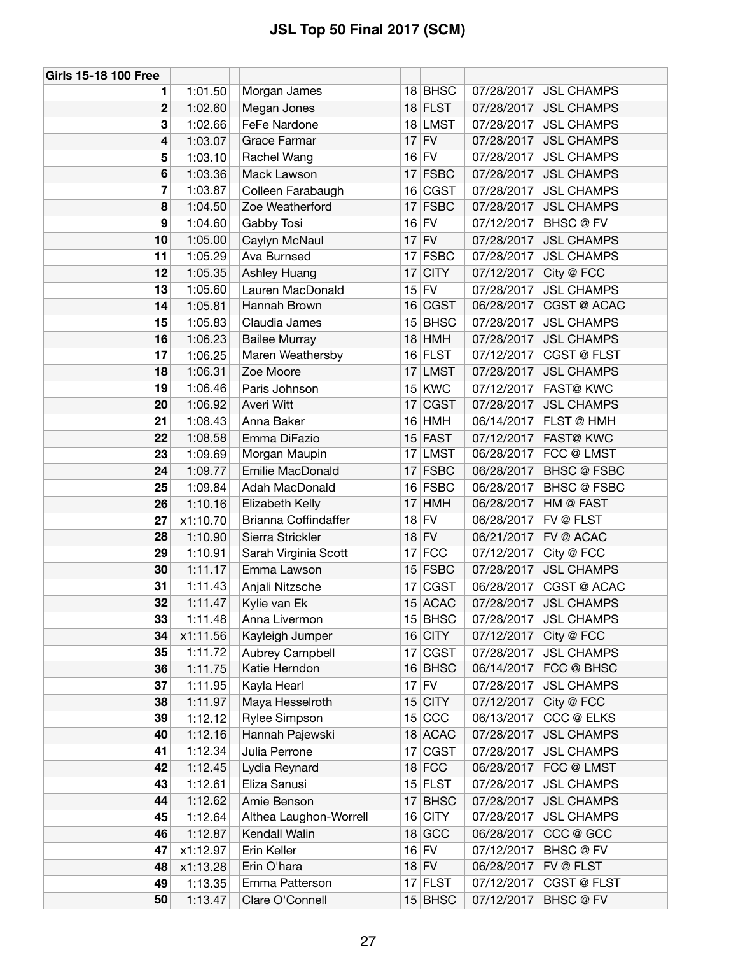| <b>Girls 15-18 100 Free</b> |          |                             |           |            |                                |
|-----------------------------|----------|-----------------------------|-----------|------------|--------------------------------|
| 1.                          | 1:01.50  | Morgan James                | 18 BHSC   | 07/28/2017 | <b>JSL CHAMPS</b>              |
| $\mathbf 2$                 | 1:02.60  | Megan Jones                 | $18$ FLST | 07/28/2017 | <b>JSL CHAMPS</b>              |
| 3                           | 1:02.66  | FeFe Nardone                | 18 LMST   | 07/28/2017 | <b>JSL CHAMPS</b>              |
| 4                           | 1:03.07  | Grace Farmar                | $17$ FV   | 07/28/2017 | <b>JSL CHAMPS</b>              |
| 5                           | 1:03.10  | Rachel Wang                 | $16$ FV   | 07/28/2017 | <b>JSL CHAMPS</b>              |
| $\bf 6$                     | 1:03.36  | Mack Lawson                 | $17$ FSBC | 07/28/2017 | <b>JSL CHAMPS</b>              |
| 7                           | 1:03.87  | Colleen Farabaugh           | 16 CGST   | 07/28/2017 | <b>JSL CHAMPS</b>              |
| 8                           | 1:04.50  | Zoe Weatherford             | $17$ FSBC | 07/28/2017 | <b>JSL CHAMPS</b>              |
| 9                           | 1:04.60  | Gabby Tosi                  | $16$ FV   | 07/12/2017 | <b>BHSC @ FV</b>               |
| 10                          | 1:05.00  | Caylyn McNaul               | $17$ FV   | 07/28/2017 | <b>JSL CHAMPS</b>              |
| 11                          | 1:05.29  | Ava Burnsed                 | $17$ FSBC | 07/28/2017 | <b>JSL CHAMPS</b>              |
| 12                          | 1:05.35  | <b>Ashley Huang</b>         | $17$ CITY | 07/12/2017 | City @ FCC                     |
| 13                          | 1:05.60  | Lauren MacDonald            | $15$ FV   | 07/28/2017 | <b>JSL CHAMPS</b>              |
| 14                          | 1:05.81  | Hannah Brown                | 16 CGST   | 06/28/2017 | CGST @ ACAC                    |
| 15                          | 1:05.83  | Claudia James               | $15$ BHSC | 07/28/2017 | <b>JSL CHAMPS</b>              |
| 16                          | 1:06.23  | <b>Bailee Murray</b>        | $18$ HMH  | 07/28/2017 | <b>JSL CHAMPS</b>              |
| 17                          | 1:06.25  | Maren Weathersby            | $16$ FLST | 07/12/2017 | CGST @ FLST                    |
| 18                          | 1:06.31  | Zoe Moore                   | 17 LMST   | 07/28/2017 | <b>JSL CHAMPS</b>              |
| 19                          | 1:06.46  |                             | $15$ KWC  | 07/12/2017 | <b>FAST@ KWC</b>               |
| 20                          |          | Paris Johnson<br>Averi Witt | 17 CGST   | 07/28/2017 | <b>JSL CHAMPS</b>              |
|                             | 1:06.92  | Anna Baker                  |           | 06/14/2017 | <b>FLST @ HMH</b>              |
| 21                          | 1:08.43  |                             | $16$ HMH  |            |                                |
| 22                          | 1:08.58  | Emma DiFazio                | $15$ FAST | 07/12/2017 | <b>FAST@ KWC</b><br>FCC @ LMST |
| 23                          | 1:09.69  | Morgan Maupin               | 17 LMST   | 06/28/2017 |                                |
| 24                          | 1:09.77  | Emilie MacDonald            | $17$ FSBC | 06/28/2017 | <b>BHSC @ FSBC</b>             |
| 25                          | 1:09.84  | Adah MacDonald              | $16$ FSBC | 06/28/2017 | <b>BHSC @ FSBC</b>             |
| 26                          | 1:10.16  | Elizabeth Kelly             | $17$ HMH  | 06/28/2017 | HM @ FAST                      |
| 27                          | x1:10.70 | Brianna Coffindaffer        | $18$ FV   | 06/28/2017 | FV @ FLST                      |
| 28                          | 1:10.90  | Sierra Strickler            | $18$ FV   | 06/21/2017 | <b>FV @ ACAC</b>               |
| 29                          | 1:10.91  | Sarah Virginia Scott        | $17$ FCC  | 07/12/2017 | City @ FCC                     |
| 30                          | 1:11.17  | Emma Lawson                 | $15$ FSBC | 07/28/2017 | <b>JSL CHAMPS</b>              |
| 31                          | 1:11.43  | Anjali Nitzsche             | 17 CGST   | 06/28/2017 | CGST @ ACAC                    |
| 32                          | 1:11.47  | Kylie van Ek                | $15$ ACAC | 07/28/2017 | <b>JSL CHAMPS</b>              |
| 33                          | 1:11.48  | Anna Livermon               | $15$ BHSC | 07/28/2017 | <b>JSL CHAMPS</b>              |
| 34                          | x1:11.56 | Kayleigh Jumper             | $16$ CITY | 07/12/2017 | City @ FCC                     |
| 35                          | 1:11.72  | Aubrey Campbell             | 17 CGST   | 07/28/2017 | <b>JSL CHAMPS</b>              |
| 36                          | 1:11.75  | Katie Herndon               | $16$ BHSC | 06/14/2017 | FCC @ BHSC                     |
| 37                          | 1:11.95  | Kayla Hearl                 | $17$ FV   | 07/28/2017 | <b>JSL CHAMPS</b>              |
| 38                          | 1:11.97  | Maya Hesselroth             | $15$ CITY | 07/12/2017 | City @ FCC                     |
| 39                          | 1:12.12  | Rylee Simpson               | $15$ CCC  | 06/13/2017 | CCC @ ELKS                     |
| 40                          | 1:12.16  | Hannah Pajewski             | 18 ACAC   | 07/28/2017 | <b>JSL CHAMPS</b>              |
| 41                          | 1:12.34  | Julia Perrone               | 17 CGST   | 07/28/2017 | <b>JSL CHAMPS</b>              |
| 42                          | 1:12.45  | Lydia Reynard               | $18$ FCC  | 06/28/2017 | FCC @ LMST                     |
| 43                          | 1:12.61  | Eliza Sanusi                | $15$ FLST | 07/28/2017 | <b>JSL CHAMPS</b>              |
| 44                          | 1:12.62  | Amie Benson                 | $17$ BHSC | 07/28/2017 | <b>JSL CHAMPS</b>              |
| 45                          | 1:12.64  | Althea Laughon-Worrell      | $16$ CITY | 07/28/2017 | <b>JSL CHAMPS</b>              |
| 46                          | 1:12.87  | Kendall Walin               | $18$ GCC  | 06/28/2017 | CCC @ GCC                      |
| 47                          | x1:12.97 | Erin Keller                 | $16$ FV   | 07/12/2017 | BHSC @ FV                      |
| 48                          | x1:13.28 | Erin O'hara                 | $18$ FV   | 06/28/2017 | FV @ FLST                      |
| 49                          | 1:13.35  | Emma Patterson              | $17$ FLST | 07/12/2017 | <b>CGST @ FLST</b>             |
| 50                          | 1:13.47  | Clare O'Connell             | $15$ BHSC | 07/12/2017 | <b>BHSC</b> @ FV               |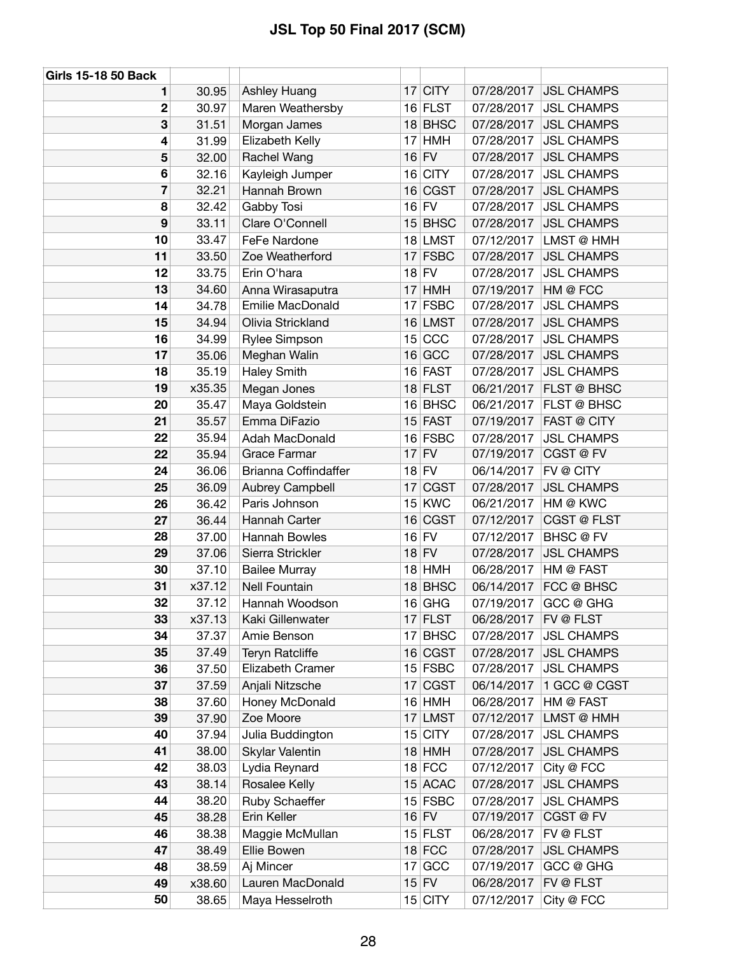| <b>Girls 15-18 50 Back</b> |        |                        |    |            |            |                    |
|----------------------------|--------|------------------------|----|------------|------------|--------------------|
| 1                          | 30.95  | <b>Ashley Huang</b>    |    | $17$ CITY  | 07/28/2017 | <b>JSL CHAMPS</b>  |
| 2                          | 30.97  | Maren Weathersby       |    | $16$ FLST  | 07/28/2017 | <b>JSL CHAMPS</b>  |
| 3                          | 31.51  | Morgan James           |    | 18 BHSC    | 07/28/2017 | <b>JSL CHAMPS</b>  |
| 4                          | 31.99  | Elizabeth Kelly        | 17 | <b>HMH</b> | 07/28/2017 | <b>JSL CHAMPS</b>  |
| 5                          | 32.00  | Rachel Wang            |    | $16$ FV    | 07/28/2017 | <b>JSL CHAMPS</b>  |
| 6                          | 32.16  | Kayleigh Jumper        |    | 16 CITY    | 07/28/2017 | <b>JSL CHAMPS</b>  |
| 7                          | 32.21  | Hannah Brown           |    | 16 CGST    | 07/28/2017 | <b>JSL CHAMPS</b>  |
| 8                          | 32.42  | Gabby Tosi             |    | $16$ FV    | 07/28/2017 | <b>JSL CHAMPS</b>  |
| 9                          | 33.11  | Clare O'Connell        |    | $15$ BHSC  | 07/28/2017 | <b>JSL CHAMPS</b>  |
| 10                         | 33.47  | FeFe Nardone           |    | 18 LMST    | 07/12/2017 | LMST @ HMH         |
| 11                         | 33.50  | Zoe Weatherford        |    | $17$ FSBC  | 07/28/2017 | <b>JSL CHAMPS</b>  |
| 12                         | 33.75  | Erin O'hara            |    | $18$ FV    | 07/28/2017 | <b>JSL CHAMPS</b>  |
| 13                         | 34.60  | Anna Wirasaputra       |    | $17$ HMH   | 07/19/2017 | HM @ FCC           |
| 14                         | 34.78  | Emilie MacDonald       |    | $17$ FSBC  | 07/28/2017 | <b>JSL CHAMPS</b>  |
| 15                         | 34.94  | Olivia Strickland      |    | 16 LMST    | 07/28/2017 | <b>JSL CHAMPS</b>  |
| 16                         | 34.99  | Rylee Simpson          |    | $15$ CCC   | 07/28/2017 | <b>JSL CHAMPS</b>  |
| 17                         | 35.06  | Meghan Walin           |    | 16 GCC     | 07/28/2017 | <b>JSL CHAMPS</b>  |
| 18                         | 35.19  | Haley Smith            |    | 16 FAST    | 07/28/2017 | <b>JSL CHAMPS</b>  |
| 19                         | x35.35 | Megan Jones            |    | $18$ FLST  | 06/21/2017 | FLST @ BHSC        |
| 20                         | 35.47  | Maya Goldstein         |    | 16 BHSC    | 06/21/2017 | <b>FLST @ BHSC</b> |
| 21                         | 35.57  | Emma DiFazio           |    | $15$ FAST  | 07/19/2017 | <b>FAST @ CITY</b> |
| 22                         | 35.94  | Adah MacDonald         |    | $16$ FSBC  | 07/28/2017 | <b>JSL CHAMPS</b>  |
| 22                         | 35.94  | <b>Grace Farmar</b>    |    | $17$ FV    | 07/19/2017 | CGST@FV            |
| 24                         | 36.06  | Brianna Coffindaffer   |    | $18$ FV    | 06/14/2017 | FV @ CITY          |
| 25                         | 36.09  | Aubrey Campbell        |    | 17 CGST    | 07/28/2017 | <b>JSL CHAMPS</b>  |
| 26                         | 36.42  | Paris Johnson          |    | $15$ KWC   | 06/21/2017 | HM @ KWC           |
| 27                         | 36.44  | Hannah Carter          |    | 16 CGST    | 07/12/2017 | <b>CGST @ FLST</b> |
| 28                         | 37.00  | Hannah Bowles          |    | $16$ FV    | 07/12/2017 | <b>BHSC @ FV</b>   |
| 29                         | 37.06  | Sierra Strickler       |    | $18$ FV    | 07/28/2017 | <b>JSL CHAMPS</b>  |
| 30                         | 37.10  | <b>Bailee Murray</b>   |    | $18$ HMH   | 06/28/2017 | HM @ FAST          |
| 31                         | x37.12 | <b>Nell Fountain</b>   |    | 18 BHSC    | 06/14/2017 | FCC @ BHSC         |
| 32                         | 37.12  | Hannah Woodson         |    | $16$ GHG   | 07/19/2017 | GCC @ GHG          |
| 33                         | x37.13 | Kaki Gillenwater       |    | $17$ FLST  | 06/28/2017 | <b>FV @ FLST</b>   |
| 34                         | 37.37  | Amie Benson            |    | $17$ BHSC  | 07/28/2017 | <b>JSL CHAMPS</b>  |
| 35                         | 37.49  | Teryn Ratcliffe        |    | 16 CGST    | 07/28/2017 | <b>JSL CHAMPS</b>  |
| 36                         | 37.50  | Elizabeth Cramer       |    | $15$ FSBC  | 07/28/2017 | <b>JSL CHAMPS</b>  |
| 37                         | 37.59  | Anjali Nitzsche        |    | 17 CGST    | 06/14/2017 | 1 GCC @ CGST       |
| 38                         | 37.60  | Honey McDonald         |    | $16$ HMH   | 06/28/2017 | HM @ FAST          |
| 39                         | 37.90  | Zoe Moore              |    | 17 LMST    | 07/12/2017 | LMST @ HMH         |
| 40                         | 37.94  | Julia Buddington       |    | $15$ CITY  | 07/28/2017 | <b>JSL CHAMPS</b>  |
| 41                         | 38.00  | <b>Skylar Valentin</b> |    | $18$ HMH   | 07/28/2017 | <b>JSL CHAMPS</b>  |
| 42                         | 38.03  | Lydia Reynard          |    | $18$ FCC   | 07/12/2017 | City @ FCC         |
| 43                         | 38.14  | Rosalee Kelly          |    | 15 ACAC    | 07/28/2017 | <b>JSL CHAMPS</b>  |
| 44                         | 38.20  | Ruby Schaeffer         |    | $15$ FSBC  | 07/28/2017 | <b>JSL CHAMPS</b>  |
| 45                         | 38.28  | Erin Keller            |    | $16$ FV    | 07/19/2017 | CGST @ FV          |
| 46                         | 38.38  | Maggie McMullan        |    | $15$ FLST  | 06/28/2017 | FV @ FLST          |
| 47                         | 38.49  | Ellie Bowen            |    | $18$ FCC   | 07/28/2017 | <b>JSL CHAMPS</b>  |
| 48                         | 38.59  | Aj Mincer              |    | $17$ GCC   | 07/19/2017 | GCC @ GHG          |
| 49                         | x38.60 | Lauren MacDonald       |    | $15$ FV    | 06/28/2017 | FV @ FLST          |
| 50                         | 38.65  | Maya Hesselroth        |    | 15 CITY    | 07/12/2017 | City @ FCC         |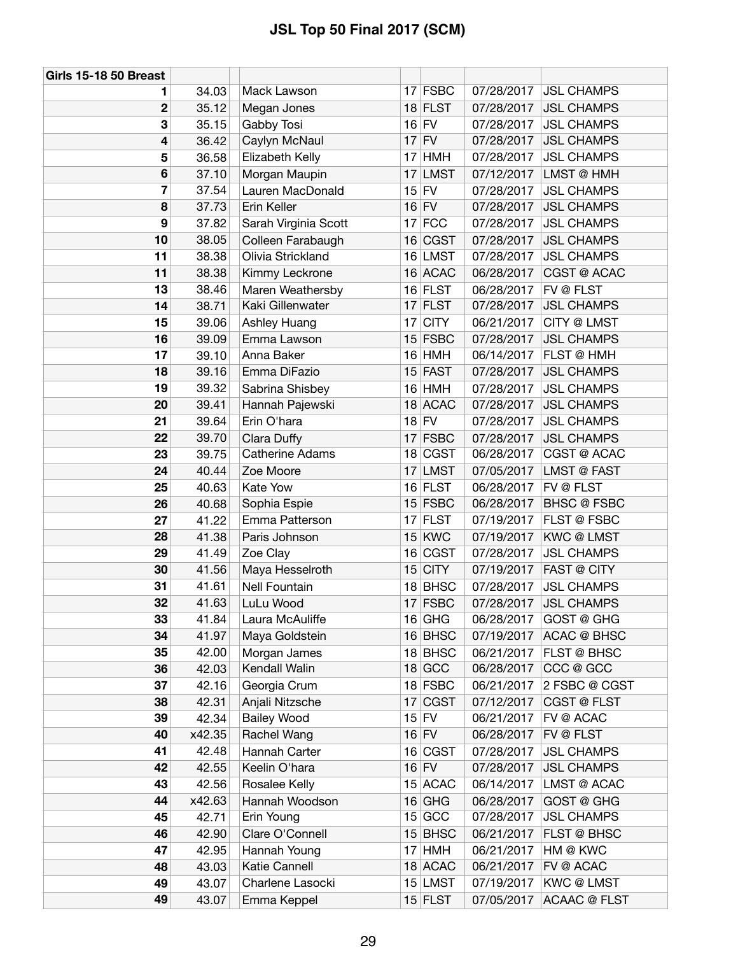| <b>Girls 15-18 50 Breast</b> |        |                        |    |             |            |                     |
|------------------------------|--------|------------------------|----|-------------|------------|---------------------|
| 1.                           | 34.03  | Mack Lawson            |    | $17$ FSBC   | 07/28/2017 | <b>JSL CHAMPS</b>   |
| 2                            | 35.12  | Megan Jones            |    | $18$ FLST   | 07/28/2017 | <b>JSL CHAMPS</b>   |
| 3                            | 35.15  | Gabby Tosi             |    | $16$ FV     | 07/28/2017 | <b>JSL CHAMPS</b>   |
| 4                            | 36.42  | Caylyn McNaul          |    | $17$ FV     | 07/28/2017 | <b>JSL CHAMPS</b>   |
| 5                            | 36.58  | Elizabeth Kelly        |    | $17$ HMH    | 07/28/2017 | <b>JSL CHAMPS</b>   |
| 6                            | 37.10  | Morgan Maupin          | 17 | <b>LMST</b> | 07/12/2017 | LMST @ HMH          |
| 7                            | 37.54  | Lauren MacDonald       |    | $15$ FV     | 07/28/2017 | <b>JSL CHAMPS</b>   |
| 8                            | 37.73  | Erin Keller            |    | $16$ FV     | 07/28/2017 | <b>JSL CHAMPS</b>   |
| 9                            | 37.82  | Sarah Virginia Scott   |    | $17$ FCC    | 07/28/2017 | <b>JSL CHAMPS</b>   |
| 10                           | 38.05  | Colleen Farabaugh      |    | 16 CGST     | 07/28/2017 | <b>JSL CHAMPS</b>   |
| 11                           | 38.38  | Olivia Strickland      |    | 16 LMST     | 07/28/2017 | <b>JSL CHAMPS</b>   |
| 11                           | 38.38  | Kimmy Leckrone         |    | 16 ACAC     | 06/28/2017 | CGST @ ACAC         |
| 13                           | 38.46  | Maren Weathersby       |    | $16$ FLST   | 06/28/2017 | FV @ FLST           |
| 14                           | 38.71  | Kaki Gillenwater       |    | $17$ FLST   | 07/28/2017 | <b>JSL CHAMPS</b>   |
| 15                           | 39.06  | Ashley Huang           | 17 | <b>CITY</b> | 06/21/2017 | <b>CITY @ LMST</b>  |
| 16                           | 39.09  | Emma Lawson            |    | $15$ FSBC   | 07/28/2017 | <b>JSL CHAMPS</b>   |
| 17                           | 39.10  | Anna Baker             |    | $16$ HMH    | 06/14/2017 | FLST @ HMH          |
| 18                           | 39.16  | Emma DiFazio           |    | $15$ FAST   | 07/28/2017 | <b>JSL CHAMPS</b>   |
| 19                           | 39.32  | Sabrina Shisbey        |    | $16$ HMH    | 07/28/2017 | <b>JSL CHAMPS</b>   |
| 20                           | 39.41  | Hannah Pajewski        |    | 18 ACAC     | 07/28/2017 | <b>JSL CHAMPS</b>   |
| 21                           | 39.64  | Erin O'hara            |    | $18$ FV     | 07/28/2017 | <b>JSL CHAMPS</b>   |
| 22                           | 39.70  | Clara Duffy            |    | $17$ FSBC   | 07/28/2017 | <b>JSL CHAMPS</b>   |
| 23                           | 39.75  | <b>Catherine Adams</b> |    | 18 CGST     | 06/28/2017 | CGST @ ACAC         |
| 24                           | 40.44  | Zoe Moore              | 17 | <b>LMST</b> | 07/05/2017 | LMST @ FAST         |
| 25                           | 40.63  | Kate Yow               |    | $16$ FLST   | 06/28/2017 | FV @ FLST           |
| 26                           | 40.68  | Sophia Espie           |    | $15$ FSBC   | 06/28/2017 | <b>BHSC @ FSBC</b>  |
| 27                           | 41.22  | Emma Patterson         |    | $17$ FLST   | 07/19/2017 | FLST @ FSBC         |
| 28                           | 41.38  | Paris Johnson          |    | $15$ KWC    | 07/19/2017 | <b>KWC@LMST</b>     |
| 29                           | 41.49  | Zoe Clay               |    | 16 CGST     | 07/28/2017 | <b>JSL CHAMPS</b>   |
| 30                           | 41.56  | Maya Hesselroth        |    | $15$ CITY   | 07/19/2017 | <b>FAST @ CITY</b>  |
| 31                           | 41.61  | <b>Nell Fountain</b>   |    | 18 BHSC     | 07/28/2017 | <b>JSL CHAMPS</b>   |
| 32                           | 41.63  | LuLu Wood              |    | $17$ FSBC   | 07/28/2017 | <b>JSL CHAMPS</b>   |
| 33                           | 41.84  | Laura McAuliffe        |    | $16$ GHG    | 06/28/2017 | GOST @ GHG          |
| 34                           | 41.97  | Maya Goldstein         |    | 16 BHSC     | 07/19/2017 | <b>ACAC @ BHSC</b>  |
| 35                           | 42.00  | Morgan James           |    | $18$ BHSC   | 06/21/2017 | FLST @ BHSC         |
| 36                           | 42.03  | Kendall Walin          |    | $18$ GCC    | 06/28/2017 | CCC @ GCC           |
| 37                           | 42.16  | Georgia Crum           |    | $18$ FSBC   | 06/21/2017 | 2 FSBC @ CGST       |
| 38                           | 42.31  | Anjali Nitzsche        | 17 | <b>CGST</b> | 07/12/2017 | <b>CGST @ FLST</b>  |
| 39                           | 42.34  | <b>Bailey Wood</b>     |    | $15$ FV     | 06/21/2017 | FV @ ACAC           |
| 40                           | x42.35 | Rachel Wang            |    | $16$ FV     | 06/28/2017 | FV @ FLST           |
| 41                           | 42.48  | Hannah Carter          |    | 16 CGST     | 07/28/2017 | <b>JSL CHAMPS</b>   |
| 42                           | 42.55  | Keelin O'hara          |    | $16$ FV     | 07/28/2017 | <b>JSL CHAMPS</b>   |
| 43                           | 42.56  | Rosalee Kelly          |    | 15 ACAC     | 06/14/2017 | LMST @ ACAC         |
| 44                           | x42.63 | Hannah Woodson         |    | $16$ GHG    | 06/28/2017 | GOST @ GHG          |
| 45                           | 42.71  | Erin Young             |    | 15 GCC      | 07/28/2017 | <b>JSL CHAMPS</b>   |
| 46                           | 42.90  | Clare O'Connell        | 15 | <b>BHSC</b> | 06/21/2017 | FLST @ BHSC         |
| 47                           | 42.95  | Hannah Young           |    | $17$ HMH    | 06/21/2017 | HM @ KWC            |
| 48                           | 43.03  | Katie Cannell          |    | 18 ACAC     | 06/21/2017 | FV @ ACAC           |
| 49                           | 43.07  | Charlene Lasocki       |    | $15$ LMST   | 07/19/2017 | <b>KWC@LMST</b>     |
| 49                           | 43.07  | Emma Keppel            |    | $15$ FLST   | 07/05/2017 | <b>ACAAC @ FLST</b> |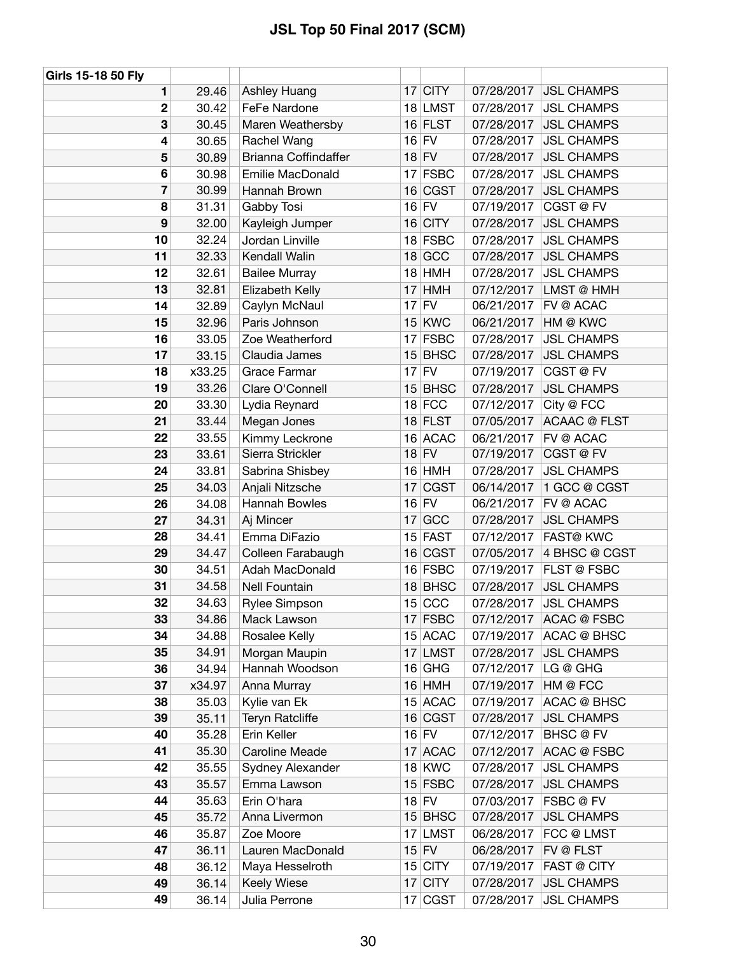| Girls 15-18 50 Fly |                |                             |    |                      |                          |                                |
|--------------------|----------------|-----------------------------|----|----------------------|--------------------------|--------------------------------|
| 1                  | 29.46          | <b>Ashley Huang</b>         |    | $17$ CITY            | 07/28/2017               | <b>JSL CHAMPS</b>              |
| 2                  | 30.42          | FeFe Nardone                |    | 18 LMST              | 07/28/2017               | <b>JSL CHAMPS</b>              |
| 3                  | 30.45          | Maren Weathersby            |    | $16$ FLST            | 07/28/2017               | <b>JSL CHAMPS</b>              |
| 4                  | 30.65          | Rachel Wang                 |    | $16$ FV              | 07/28/2017               | <b>JSL CHAMPS</b>              |
| 5                  | 30.89          | <b>Brianna Coffindaffer</b> |    | $18$ FV              | 07/28/2017               | <b>JSL CHAMPS</b>              |
| 6                  | 30.98          | <b>Emilie MacDonald</b>     |    | $17$ FSBC            | 07/28/2017               | <b>JSL CHAMPS</b>              |
| 7                  | 30.99          | Hannah Brown                |    | 16 CGST              | 07/28/2017               | <b>JSL CHAMPS</b>              |
| 8                  | 31.31          | Gabby Tosi                  |    | $16$ FV              | 07/19/2017               | CGST @ FV                      |
| 9                  | 32.00          | Kayleigh Jumper             |    | $16$ CITY            | 07/28/2017               | <b>JSL CHAMPS</b>              |
| 10                 | 32.24          | Jordan Linville             |    | 18 FSBC              | 07/28/2017               | <b>JSL CHAMPS</b>              |
| 11                 | 32.33          | Kendall Walin               |    | $18$ GCC             | 07/28/2017               | <b>JSL CHAMPS</b>              |
| 12                 | 32.61          | <b>Bailee Murray</b>        |    | $18$ HMH             | 07/28/2017               | <b>JSL CHAMPS</b>              |
| 13                 | 32.81          | Elizabeth Kelly             | 17 | <b>HMH</b>           | 07/12/2017               | LMST @ HMH                     |
| 14                 | 32.89          | Caylyn McNaul               |    | $17$ FV              | 06/21/2017               | FV @ ACAC                      |
| 15                 | 32.96          | Paris Johnson               |    | $15$ KWC             | 06/21/2017               | HM @ KWC                       |
| 16                 | 33.05          | Zoe Weatherford             |    | $17$ FSBC            | 07/28/2017               | <b>JSL CHAMPS</b>              |
| 17                 | 33.15          | Claudia James               |    | $15$ BHSC            | 07/28/2017               | <b>JSL CHAMPS</b>              |
| 18                 | x33.25         | Grace Farmar                |    | $17$ FV              | 07/19/2017               | CGST@FV                        |
| 19                 | 33.26          | Clare O'Connell             |    | $15$ BHSC            | 07/28/2017               | <b>JSL CHAMPS</b>              |
| 20                 | 33.30          | Lydia Reynard               |    | $18$ FCC             | 07/12/2017               | City @ FCC                     |
| 21                 | 33.44          | Megan Jones                 |    | $18$ FLST            | 07/05/2017               | <b>ACAAC @ FLST</b>            |
| 22                 | 33.55          | Kimmy Leckrone              |    | 16 ACAC              | 06/21/2017               | FV @ ACAC                      |
| 23                 | 33.61          | Sierra Strickler            |    | $18$ FV              | 07/19/2017               | CGST@FV                        |
| 24                 | 33.81          | Sabrina Shisbey             |    | $16$ HMH             | 07/28/2017               | <b>JSL CHAMPS</b>              |
| 25                 | 34.03          | Anjali Nitzsche             |    | 17 CGST              | 06/14/2017               | 1 GCC @ CGST                   |
| 26                 | 34.08          | Hannah Bowles               |    | $16$ FV              | 06/21/2017               | FV @ ACAC                      |
| 27                 | 34.31          | Aj Mincer                   | 17 | GCC                  | 07/28/2017               | <b>JSL CHAMPS</b>              |
| 28                 | 34.41          | Emma DiFazio                |    | $15$ FAST            | 07/12/2017               | <b>FAST@ KWC</b>               |
| 29                 | 34.47          | Colleen Farabaugh           |    | 16 CGST              | 07/05/2017               | 4 BHSC @ CGST                  |
| 30                 | 34.51          | Adah MacDonald              |    | 16 FSBC              | 07/19/2017               | FLST @ FSBC                    |
| 31                 | 34.58          | <b>Nell Fountain</b>        |    | $18$ BHSC            | 07/28/2017               | <b>JSL CHAMPS</b>              |
| 32                 | 34.63          | Rylee Simpson               |    | 15 CCC               | 07/28/2017               | <b>JSL CHAMPS</b>              |
| 33                 | 34.86          | Mack Lawson                 |    | $17$ FSBC            |                          | 07/12/2017 ACAC @ FSBC         |
| 34                 | 34.88          | Rosalee Kelly               |    | $15$ ACAC            | 07/19/2017               | ACAC @ BHSC                    |
| 35                 | 34.91          | Morgan Maupin               |    | 17 LMST              | 07/28/2017               | <b>JSL CHAMPS</b>              |
| 36                 | 34.94          | Hannah Woodson              |    | $16$ GHG             | 07/12/2017               | LG @ GHG                       |
| 37                 | x34.97         | Anna Murray                 |    | $16$ HMH             | 07/19/2017               | HM @ FCC                       |
| 38                 | 35.03          | Kylie van Ek                |    | 15 ACAC              | 07/19/2017               | <b>ACAC @ BHSC</b>             |
| 39                 | 35.11          | Teryn Ratcliffe             |    | 16 CGST              | 07/28/2017               | <b>JSL CHAMPS</b>              |
| 40                 | 35.28          | Erin Keller                 |    | $16$ FV              | 07/12/2017               | BHSC@FV                        |
| 41                 | 35.30          | Caroline Meade              |    | 17 ACAC              | 07/12/2017               | ACAC @ FSBC                    |
| 42                 | 35.55          | Sydney Alexander            |    | $18$ KWC             | 07/28/2017               | <b>JSL CHAMPS</b>              |
| 43<br>44           | 35.57          | Emma Lawson<br>Erin O'hara  |    | $15$ FSBC            | 07/28/2017               | <b>JSL CHAMPS</b><br>FSBC @ FV |
| 45                 | 35.63<br>35.72 | Anna Livermon               |    | $18$ FV<br>$15$ BHSC | 07/03/2017<br>07/28/2017 | <b>JSL CHAMPS</b>              |
| 46                 | 35.87          | Zoe Moore                   |    | 17 LMST              | 06/28/2017               | FCC @ LMST                     |
| 47                 | 36.11          | Lauren MacDonald            |    | $15$ FV              | 06/28/2017               | FV @ FLST                      |
| 48                 | 36.12          | Maya Hesselroth             |    | 15 CITY              | 07/19/2017               | FAST @ CITY                    |
| 49                 | 36.14          | Keely Wiese                 |    | $17$ CITY            | 07/28/2017               | <b>JSL CHAMPS</b>              |
| 49                 | 36.14          | Julia Perrone               |    | 17 CGST              | 07/28/2017               | <b>JSL CHAMPS</b>              |
|                    |                |                             |    |                      |                          |                                |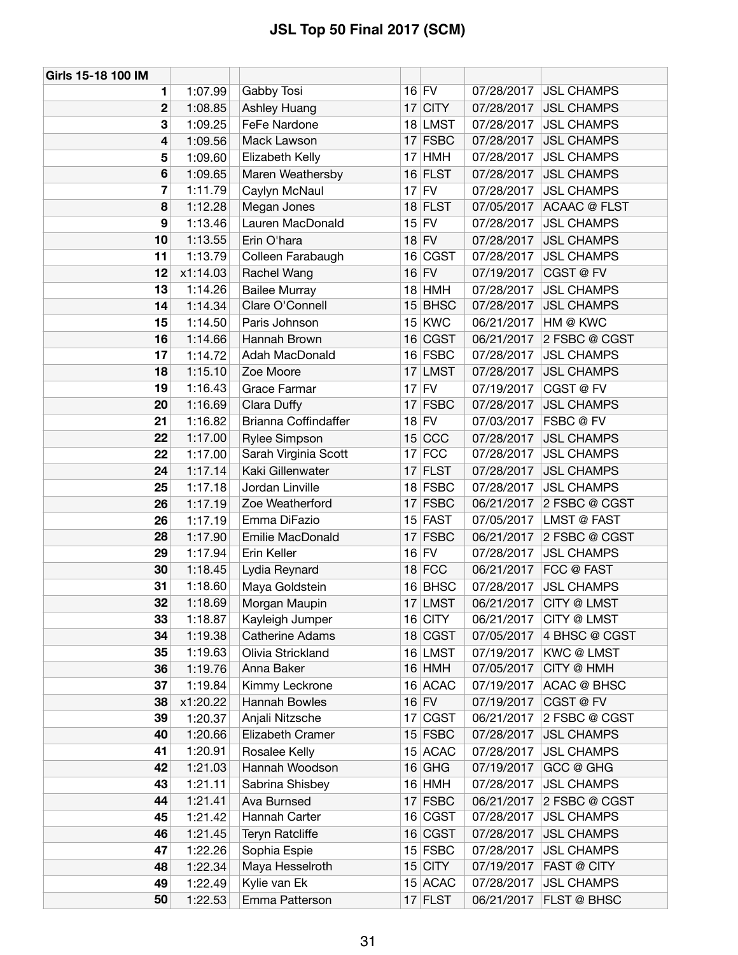| Girls 15-18 100 IM |          |                        |    |             |            |                     |
|--------------------|----------|------------------------|----|-------------|------------|---------------------|
| 1                  | 1:07.99  | Gabby Tosi             |    | $16$ FV     | 07/28/2017 | <b>JSL CHAMPS</b>   |
| $\mathbf 2$        | 1:08.85  | <b>Ashley Huang</b>    |    | $17$ CITY   | 07/28/2017 | <b>JSL CHAMPS</b>   |
| 3                  | 1:09.25  | FeFe Nardone           |    | 18 LMST     | 07/28/2017 | <b>JSL CHAMPS</b>   |
| 4                  | 1:09.56  | Mack Lawson            |    | $17$ FSBC   | 07/28/2017 | <b>JSL CHAMPS</b>   |
| 5                  | 1:09.60  | Elizabeth Kelly        |    | $17$ HMH    | 07/28/2017 | <b>JSL CHAMPS</b>   |
| 6                  | 1:09.65  | Maren Weathersby       |    | $16$ FLST   | 07/28/2017 | <b>JSL CHAMPS</b>   |
| 7                  | 1:11.79  | Caylyn McNaul          |    | $17$ FV     | 07/28/2017 | <b>JSL CHAMPS</b>   |
| 8                  | 1:12.28  | Megan Jones            |    | $18$ FLST   | 07/05/2017 | <b>ACAAC @ FLST</b> |
| 9                  | 1:13.46  | Lauren MacDonald       |    | $15$ FV     | 07/28/2017 | <b>JSL CHAMPS</b>   |
| 10                 | 1:13.55  | Erin O'hara            |    | $18$ FV     | 07/28/2017 | <b>JSL CHAMPS</b>   |
| 11                 | 1:13.79  | Colleen Farabaugh      |    | 16 CGST     | 07/28/2017 | <b>JSL CHAMPS</b>   |
| 12                 | x1:14.03 | Rachel Wang            |    | $16$ FV     | 07/19/2017 | CGST @ FV           |
| 13                 | 1:14.26  | <b>Bailee Murray</b>   |    | $18$ HMH    | 07/28/2017 | <b>JSL CHAMPS</b>   |
| 14                 | 1:14.34  | Clare O'Connell        |    | $15$ BHSC   | 07/28/2017 | <b>JSL CHAMPS</b>   |
| 15                 | 1:14.50  | Paris Johnson          |    | $15$ KWC    | 06/21/2017 | HM @ KWC            |
| 16                 | 1:14.66  | Hannah Brown           |    | 16 CGST     | 06/21/2017 | 2 FSBC @ CGST       |
| 17                 | 1:14.72  | Adah MacDonald         |    | $16$ FSBC   | 07/28/2017 | <b>JSL CHAMPS</b>   |
| 18                 | 1:15.10  | Zoe Moore              |    | 17 LMST     | 07/28/2017 | <b>JSL CHAMPS</b>   |
| 19                 | 1:16.43  | Grace Farmar           |    | $17$ FV     | 07/19/2017 | CGST@FV             |
| 20                 | 1:16.69  | Clara Duffy            |    | $17$ FSBC   | 07/28/2017 | <b>JSL CHAMPS</b>   |
| 21                 | 1:16.82  | Brianna Coffindaffer   |    | $18$ FV     | 07/03/2017 | FSBC @ FV           |
| 22                 | 1:17.00  | Rylee Simpson          |    | 15 CCC      | 07/28/2017 | <b>JSL CHAMPS</b>   |
| 22                 | 1:17.00  | Sarah Virginia Scott   |    | $17$ FCC    | 07/28/2017 | <b>JSL CHAMPS</b>   |
| 24                 | 1:17.14  | Kaki Gillenwater       |    | $17$ FLST   | 07/28/2017 | <b>JSL CHAMPS</b>   |
| 25                 | 1:17.18  | Jordan Linville        |    | $18$ FSBC   | 07/28/2017 | <b>JSL CHAMPS</b>   |
| 26                 | 1:17.19  | Zoe Weatherford        |    | $17$ FSBC   | 06/21/2017 | 2 FSBC @ CGST       |
| 26                 | 1:17.19  | Emma DiFazio           |    | $15$ FAST   | 07/05/2017 | <b>LMST @ FAST</b>  |
| 28                 | 1:17.90  | Emilie MacDonald       | 17 | <b>FSBC</b> | 06/21/2017 | 2 FSBC @ CGST       |
| 29                 | 1:17.94  | Erin Keller            |    | $16$ FV     | 07/28/2017 | <b>JSL CHAMPS</b>   |
| 30                 | 1:18.45  | Lydia Reynard          |    | $18$ FCC    | 06/21/2017 | <b>FCC @ FAST</b>   |
| 31                 | 1:18.60  | Maya Goldstein         |    | $16$ BHSC   | 07/28/2017 | <b>JSL CHAMPS</b>   |
| 32                 | 1:18.69  | Morgan Maupin          |    | 17 LMST     | 06/21/2017 | <b>CITY @ LMST</b>  |
| 33                 | 1:18.87  | Kayleigh Jumper        |    | $16$ CITY   | 06/21/2017 | CITY @ LMST         |
| 34                 | 1:19.38  | <b>Catherine Adams</b> |    | 18 CGST     | 07/05/2017 | 4 BHSC @ CGST       |
| 35                 | 1:19.63  | Olivia Strickland      |    | 16 LMST     | 07/19/2017 | <b>KWC@LMST</b>     |
| 36                 | 1:19.76  | Anna Baker             |    | $16$ HMH    | 07/05/2017 | CITY @ HMH          |
| 37                 | 1:19.84  | Kimmy Leckrone         |    | 16 ACAC     | 07/19/2017 | <b>ACAC @ BHSC</b>  |
| 38                 | x1:20.22 | <b>Hannah Bowles</b>   |    | $16$ FV     | 07/19/2017 | CGST @ FV           |
| 39                 | 1:20.37  | Anjali Nitzsche        |    | 17 CGST     | 06/21/2017 | 2 FSBC @ CGST       |
| 40                 | 1:20.66  | Elizabeth Cramer       |    | $15$ FSBC   | 07/28/2017 | <b>JSL CHAMPS</b>   |
| 41                 | 1:20.91  | Rosalee Kelly          |    | 15 ACAC     | 07/28/2017 | <b>JSL CHAMPS</b>   |
| 42                 | 1:21.03  | Hannah Woodson         |    | $16$ GHG    | 07/19/2017 | GCC @ GHG           |
| 43                 | 1:21.11  | Sabrina Shisbey        |    | $16$ HMH    | 07/28/2017 | <b>JSL CHAMPS</b>   |
| 44                 | 1:21.41  | Ava Burnsed            |    | $17$ FSBC   | 06/21/2017 | 2 FSBC @ CGST       |
| 45                 | 1:21.42  | Hannah Carter          |    | 16 CGST     | 07/28/2017 | <b>JSL CHAMPS</b>   |
| 46                 | 1:21.45  | Teryn Ratcliffe        |    | 16 CGST     | 07/28/2017 | <b>JSL CHAMPS</b>   |
| 47                 | 1:22.26  | Sophia Espie           |    | $15$ FSBC   | 07/28/2017 | <b>JSL CHAMPS</b>   |
| 48                 | 1:22.34  | Maya Hesselroth        |    | $15$ CITY   | 07/19/2017 | <b>FAST @ CITY</b>  |
| 49                 | 1:22.49  | Kylie van Ek           |    | $15$ ACAC   | 07/28/2017 | <b>JSL CHAMPS</b>   |
| 50                 | 1:22.53  | Emma Patterson         |    | $17$ FLST   | 06/21/2017 | <b>FLST @ BHSC</b>  |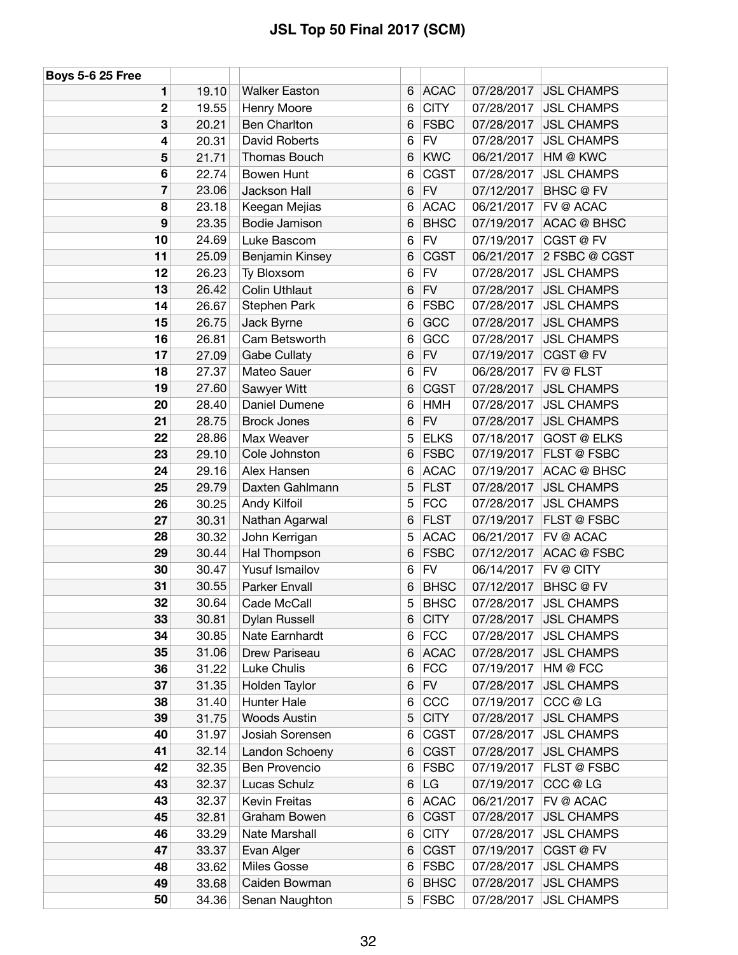| <b>Boys 5-6 25 Free</b> |       |                      |       |             |            |                       |
|-------------------------|-------|----------------------|-------|-------------|------------|-----------------------|
| 1                       | 19.10 | <b>Walker Easton</b> | 6     | <b>ACAC</b> | 07/28/2017 | <b>JSL CHAMPS</b>     |
| $\overline{\mathbf{c}}$ | 19.55 | Henry Moore          | 6     | <b>CITY</b> | 07/28/2017 | <b>JSL CHAMPS</b>     |
| 3                       | 20.21 | <b>Ben Charlton</b>  | 6     | <b>FSBC</b> | 07/28/2017 | <b>JSL CHAMPS</b>     |
| 4                       | 20.31 | David Roberts        | 6     | <b>FV</b>   | 07/28/2017 | <b>JSL CHAMPS</b>     |
| 5                       | 21.71 | Thomas Bouch         | 6     | <b>KWC</b>  | 06/21/2017 | HM @ KWC              |
| 6                       | 22.74 | Bowen Hunt           | 6     | <b>CGST</b> | 07/28/2017 | <b>JSL CHAMPS</b>     |
| $\overline{\mathbf{r}}$ | 23.06 | Jackson Hall         | $\,6$ | <b>FV</b>   | 07/12/2017 | <b>BHSC</b> @ FV      |
| 8                       | 23.18 | Keegan Mejias        | 6     | <b>ACAC</b> | 06/21/2017 | FV @ ACAC             |
| $\boldsymbol{9}$        | 23.35 | Bodie Jamison        | $\,6$ | <b>BHSC</b> | 07/19/2017 | <b>ACAC @ BHSC</b>    |
| 10                      | 24.69 | Luke Bascom          | 6     | <b>FV</b>   | 07/19/2017 | CGST @ FV             |
| 11                      | 25.09 | Benjamin Kinsey      | 6     | <b>CGST</b> | 06/21/2017 | 2 FSBC @ CGST         |
| 12                      | 26.23 | Ty Bloxsom           | 6     | <b>FV</b>   | 07/28/2017 | <b>JSL CHAMPS</b>     |
| 13                      | 26.42 | <b>Colin Uthlaut</b> | 6     | <b>FV</b>   | 07/28/2017 | <b>JSL CHAMPS</b>     |
| 14                      | 26.67 | Stephen Park         | 6     | <b>FSBC</b> | 07/28/2017 | <b>JSL CHAMPS</b>     |
| 15                      | 26.75 | Jack Byrne           | 6     | GCC         | 07/28/2017 | <b>JSL CHAMPS</b>     |
| 16                      | 26.81 | Cam Betsworth        | 6     | GCC         | 07/28/2017 | <b>JSL CHAMPS</b>     |
| 17                      | 27.09 | Gabe Cullaty         | 6     | <b>FV</b>   | 07/19/2017 | CGST@FV               |
| 18                      | 27.37 | Mateo Sauer          | 6     | <b>FV</b>   | 06/28/2017 | FV @ FLST             |
| 19                      | 27.60 | Sawyer Witt          | 6     | <b>CGST</b> | 07/28/2017 | <b>JSL CHAMPS</b>     |
| 20                      | 28.40 | Daniel Dumene        | 6     | <b>HMH</b>  | 07/28/2017 | <b>JSL CHAMPS</b>     |
| 21                      | 28.75 | <b>Brock Jones</b>   | 6     | <b>FV</b>   | 07/28/2017 | <b>JSL CHAMPS</b>     |
| 22                      | 28.86 | Max Weaver           | 5     | <b>ELKS</b> | 07/18/2017 | <b>GOST @ ELKS</b>    |
| 23                      | 29.10 | Cole Johnston        | 6     | <b>FSBC</b> | 07/19/2017 | <b>FLST @ FSBC</b>    |
| 24                      | 29.16 | Alex Hansen          | 6     | <b>ACAC</b> | 07/19/2017 | <b>ACAC @ BHSC</b>    |
| 25                      | 29.79 | Daxten Gahlmann      | 5     | <b>FLST</b> | 07/28/2017 | <b>JSL CHAMPS</b>     |
| 26                      | 30.25 | Andy Kilfoil         | 5     | <b>FCC</b>  | 07/28/2017 | <b>JSL CHAMPS</b>     |
| 27                      | 30.31 | Nathan Agarwal       | $\,6$ | <b>FLST</b> | 07/19/2017 | <b>FLST @ FSBC</b>    |
| 28                      | 30.32 | John Kerrigan        | 5     | <b>ACAC</b> | 06/21/2017 | FV @ ACAC             |
| 29                      | 30.44 | Hal Thompson         | 6     | <b>FSBC</b> | 07/12/2017 | <b>ACAC @ FSBC</b>    |
| 30                      | 30.47 | Yusuf Ismailov       | 6     | <b>FV</b>   | 06/14/2017 | FV @ CITY             |
| 31                      | 30.55 | Parker Envall        | 6     | <b>BHSC</b> | 07/12/2017 | <b>BHSC</b> @ FV      |
| 32                      | 30.64 | Cade McCall          | 5     | <b>BHSC</b> |            | 07/28/2017 JSL CHAMPS |
| 33                      | 30.81 | Dylan Russell        | 6     | <b>CITY</b> | 07/28/2017 | <b>JSL CHAMPS</b>     |
| 34                      | 30.85 | Nate Earnhardt       | 6     | <b>FCC</b>  | 07/28/2017 | <b>JSL CHAMPS</b>     |
| 35                      | 31.06 | Drew Pariseau        | 6     | <b>ACAC</b> | 07/28/2017 | <b>JSL CHAMPS</b>     |
| 36                      | 31.22 | Luke Chulis          | 6     | <b>FCC</b>  | 07/19/2017 | HM @ FCC              |
| 37                      | 31.35 | Holden Taylor        | 6     | <b>FV</b>   | 07/28/2017 | <b>JSL CHAMPS</b>     |
| 38                      | 31.40 | <b>Hunter Hale</b>   | 6     | CCC         | 07/19/2017 | CCC @ LG              |
| 39                      | 31.75 | <b>Woods Austin</b>  | 5     | <b>CITY</b> | 07/28/2017 | <b>JSL CHAMPS</b>     |
| 40                      | 31.97 | Josiah Sorensen      | 6     | <b>CGST</b> | 07/28/2017 | <b>JSL CHAMPS</b>     |
| 41                      | 32.14 | Landon Schoeny       | 6     | <b>CGST</b> | 07/28/2017 | <b>JSL CHAMPS</b>     |
| 42                      | 32.35 | Ben Provencio        | 6     | <b>FSBC</b> | 07/19/2017 | FLST @ FSBC           |
| 43                      | 32.37 | Lucas Schulz         | 6     | LG          | 07/19/2017 | CCC @ LG              |
| 43                      | 32.37 | Kevin Freitas        | 6     | <b>ACAC</b> | 06/21/2017 | FV @ ACAC             |
| 45                      | 32.81 | Graham Bowen         | 6     | <b>CGST</b> | 07/28/2017 | <b>JSL CHAMPS</b>     |
| 46                      | 33.29 | Nate Marshall        | 6     | <b>CITY</b> | 07/28/2017 | <b>JSL CHAMPS</b>     |
| 47                      | 33.37 | Evan Alger           | 6     | <b>CGST</b> | 07/19/2017 | CGST @ FV             |
| 48                      | 33.62 | Miles Gosse          | 6     | <b>FSBC</b> | 07/28/2017 | <b>JSL CHAMPS</b>     |
| 49                      | 33.68 | Caiden Bowman        | 6     | <b>BHSC</b> | 07/28/2017 | <b>JSL CHAMPS</b>     |
| 50                      | 34.36 |                      | 5     | <b>FSBC</b> | 07/28/2017 | <b>JSL CHAMPS</b>     |
|                         |       | Senan Naughton       |       |             |            |                       |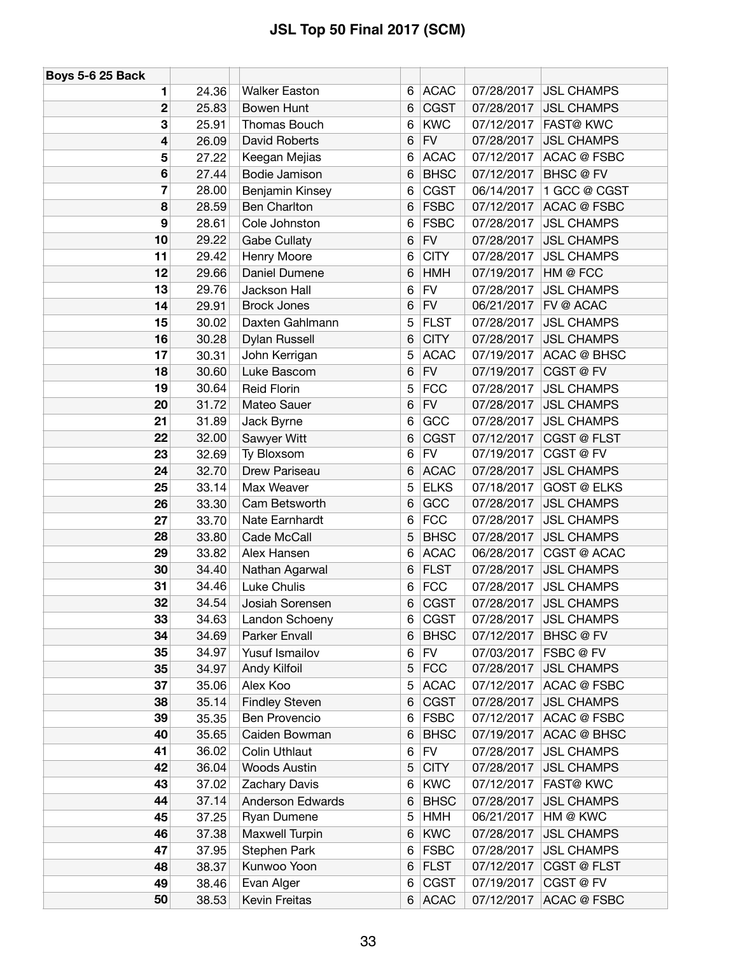| <b>Boys 5-6 25 Back</b> |       |                       |       |             |            |                       |
|-------------------------|-------|-----------------------|-------|-------------|------------|-----------------------|
| 1                       | 24.36 | <b>Walker Easton</b>  | 6.    | <b>ACAC</b> | 07/28/2017 | <b>JSL CHAMPS</b>     |
| $\overline{2}$          | 25.83 | Bowen Hunt            | 6     | <b>CGST</b> | 07/28/2017 | <b>JSL CHAMPS</b>     |
| 3                       | 25.91 | Thomas Bouch          | 6     | <b>KWC</b>  | 07/12/2017 | <b>FAST@ KWC</b>      |
| 4                       | 26.09 | David Roberts         | 6     | <b>FV</b>   | 07/28/2017 | <b>JSL CHAMPS</b>     |
| 5                       | 27.22 | Keegan Mejias         | 6     | <b>ACAC</b> | 07/12/2017 | ACAC @ FSBC           |
| 6                       | 27.44 | Bodie Jamison         | 6     | <b>BHSC</b> | 07/12/2017 | <b>BHSC</b> @ FV      |
| 7                       | 28.00 | Benjamin Kinsey       | 6     | <b>CGST</b> | 06/14/2017 | 1 GCC @ CGST          |
| 8                       | 28.59 | <b>Ben Charlton</b>   | 6     | <b>FSBC</b> | 07/12/2017 | <b>ACAC @ FSBC</b>    |
| 9                       | 28.61 | Cole Johnston         | 6     | <b>FSBC</b> | 07/28/2017 | <b>JSL CHAMPS</b>     |
| 10                      | 29.22 | <b>Gabe Cullaty</b>   | 6     | <b>FV</b>   | 07/28/2017 | <b>JSL CHAMPS</b>     |
| 11                      | 29.42 | Henry Moore           | 6     | <b>CITY</b> | 07/28/2017 | <b>JSL CHAMPS</b>     |
| 12                      | 29.66 | Daniel Dumene         | 6     | <b>HMH</b>  | 07/19/2017 | HM @ FCC              |
| 13                      | 29.76 | Jackson Hall          | 6     | <b>FV</b>   | 07/28/2017 | <b>JSL CHAMPS</b>     |
| 14                      | 29.91 | <b>Brock Jones</b>    | 6     | <b>FV</b>   | 06/21/2017 | FV @ ACAC             |
| 15                      | 30.02 | Daxten Gahlmann       | 5     | <b>FLST</b> | 07/28/2017 | <b>JSL CHAMPS</b>     |
| 16                      | 30.28 | Dylan Russell         | $\,6$ | <b>CITY</b> | 07/28/2017 | <b>JSL CHAMPS</b>     |
| 17                      | 30.31 | John Kerrigan         | 5     | <b>ACAC</b> | 07/19/2017 | <b>ACAC @ BHSC</b>    |
| 18                      | 30.60 | Luke Bascom           | 6     | <b>FV</b>   | 07/19/2017 | CGST @ FV             |
| 19                      | 30.64 | <b>Reid Florin</b>    | 5     | <b>FCC</b>  | 07/28/2017 | <b>JSL CHAMPS</b>     |
| 20                      | 31.72 | Mateo Sauer           | $\,6$ | <b>FV</b>   | 07/28/2017 | <b>JSL CHAMPS</b>     |
| 21                      | 31.89 | Jack Byrne            | 6     | GCC         | 07/28/2017 | <b>JSL CHAMPS</b>     |
| 22                      | 32.00 | Sawyer Witt           | 6     | <b>CGST</b> | 07/12/2017 | <b>CGST @ FLST</b>    |
| 23                      | 32.69 | Ty Bloxsom            | 6     | <b>FV</b>   | 07/19/2017 | CGST @ FV             |
| 24                      | 32.70 | Drew Pariseau         | 6     | <b>ACAC</b> | 07/28/2017 | <b>JSL CHAMPS</b>     |
| 25                      | 33.14 | Max Weaver            | 5     | <b>ELKS</b> | 07/18/2017 | <b>GOST @ ELKS</b>    |
| 26                      | 33.30 | Cam Betsworth         | 6     | GCC         | 07/28/2017 | <b>JSL CHAMPS</b>     |
| 27                      | 33.70 | Nate Earnhardt        | 6     | <b>FCC</b>  | 07/28/2017 | <b>JSL CHAMPS</b>     |
| 28                      | 33.80 | Cade McCall           | 5     | <b>BHSC</b> | 07/28/2017 | <b>JSL CHAMPS</b>     |
| 29                      | 33.82 | Alex Hansen           | 6     | <b>ACAC</b> | 06/28/2017 | CGST @ ACAC           |
| 30                      | 34.40 | Nathan Agarwal        | 6     | <b>FLST</b> | 07/28/2017 | <b>JSL CHAMPS</b>     |
| 31                      | 34.46 | Luke Chulis           | 6     | <b>FCC</b>  | 07/28/2017 | <b>JSL CHAMPS</b>     |
| 32                      | 34.54 | Josiah Sorensen       | 6     | <b>CGST</b> |            | 07/28/2017 JSL CHAMPS |
| 33                      | 34.63 | Landon Schoeny        | 6     | <b>CGST</b> | 07/28/2017 | <b>JSL CHAMPS</b>     |
| 34                      | 34.69 | Parker Envall         | 6     | <b>BHSC</b> | 07/12/2017 | BHSC @ FV             |
| 35                      | 34.97 | Yusuf Ismailov        | 6     | <b>FV</b>   | 07/03/2017 | FSBC @ FV             |
| 35                      | 34.97 | Andy Kilfoil          | 5     | <b>FCC</b>  | 07/28/2017 | <b>JSL CHAMPS</b>     |
| 37                      | 35.06 | Alex Koo              | 5     | <b>ACAC</b> | 07/12/2017 | ACAC @ FSBC           |
| 38                      | 35.14 | <b>Findley Steven</b> | 6     | <b>CGST</b> | 07/28/2017 | <b>JSL CHAMPS</b>     |
| 39                      | 35.35 | <b>Ben Provencio</b>  | 6     | <b>FSBC</b> | 07/12/2017 | ACAC @ FSBC           |
| 40                      | 35.65 | Caiden Bowman         | 6     | <b>BHSC</b> | 07/19/2017 | <b>ACAC @ BHSC</b>    |
| 41                      | 36.02 | Colin Uthlaut         | 6     | <b>FV</b>   | 07/28/2017 | <b>JSL CHAMPS</b>     |
| 42                      | 36.04 | <b>Woods Austin</b>   | 5     | <b>CITY</b> | 07/28/2017 | <b>JSL CHAMPS</b>     |
| 43                      | 37.02 | Zachary Davis         | 6     | <b>KWC</b>  | 07/12/2017 | <b>FAST@ KWC</b>      |
| 44                      | 37.14 | Anderson Edwards      | 6     | <b>BHSC</b> | 07/28/2017 | <b>JSL CHAMPS</b>     |
| 45                      | 37.25 | Ryan Dumene           | 5     | <b>HMH</b>  | 06/21/2017 | HM @ KWC              |
| 46                      | 37.38 | Maxwell Turpin        | 6     | <b>KWC</b>  | 07/28/2017 | <b>JSL CHAMPS</b>     |
| 47                      | 37.95 | Stephen Park          | 6     | <b>FSBC</b> | 07/28/2017 | <b>JSL CHAMPS</b>     |
| 48                      | 38.37 | Kunwoo Yoon           | 6     | <b>FLST</b> | 07/12/2017 | CGST @ FLST           |
| 49                      | 38.46 | Evan Alger            | 6     | <b>CGST</b> | 07/19/2017 | CGST @ FV             |
| 50                      | 38.53 | Kevin Freitas         |       | 6 ACAC      | 07/12/2017 | ACAC @ FSBC           |
|                         |       |                       |       |             |            |                       |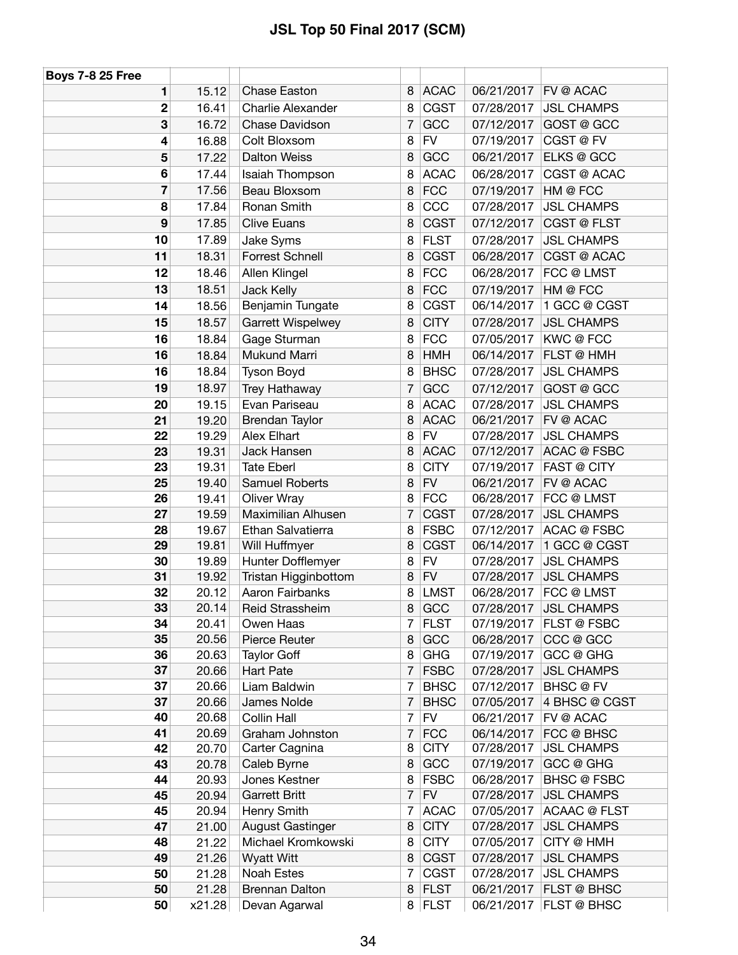| <b>Boys 7-8 25 Free</b> |        |                             |                |             |            |                       |
|-------------------------|--------|-----------------------------|----------------|-------------|------------|-----------------------|
| 1                       | 15.12  | <b>Chase Easton</b>         | 8              | <b>ACAC</b> | 06/21/2017 | <b>FV @ ACAC</b>      |
| $\overline{2}$          | 16.41  | Charlie Alexander           | 8              | <b>CGST</b> | 07/28/2017 | <b>JSL CHAMPS</b>     |
| 3                       | 16.72  | Chase Davidson              | 7              | GCC         | 07/12/2017 | GOST @ GCC            |
| 4                       | 16.88  | Colt Bloxsom                | 8              | <b>FV</b>   | 07/19/2017 | CGST @ FV             |
| 5                       | 17.22  | <b>Dalton Weiss</b>         | 8              | GCC         | 06/21/2017 | ELKS @ GCC            |
| $6\phantom{1}6$         | 17.44  | Isaiah Thompson             | 8              | <b>ACAC</b> | 06/28/2017 | CGST @ ACAC           |
| 7                       | 17.56  |                             |                | <b>FCC</b>  |            | HM @ FCC              |
|                         |        | Beau Bloxsom<br>Ronan Smith | 8              |             | 07/19/2017 |                       |
| 8                       | 17.84  |                             | 8              | CCC         | 07/28/2017 | <b>JSL CHAMPS</b>     |
| $\boldsymbol{9}$        | 17.85  | <b>Clive Euans</b>          | 8              | <b>CGST</b> | 07/12/2017 | CGST @ FLST           |
| 10                      | 17.89  | Jake Syms                   | 8              | <b>FLST</b> | 07/28/2017 | <b>JSL CHAMPS</b>     |
| 11                      | 18.31  | Forrest Schnell             | 8              | <b>CGST</b> | 06/28/2017 | CGST @ ACAC           |
| 12                      | 18.46  | Allen Klingel               | 8              | <b>FCC</b>  | 06/28/2017 | FCC @ LMST            |
| 13                      | 18.51  | Jack Kelly                  | 8              | <b>FCC</b>  | 07/19/2017 | HM @ FCC              |
| 14                      | 18.56  | Benjamin Tungate            | 8              | <b>CGST</b> | 06/14/2017 | 1 GCC @ CGST          |
| 15                      | 18.57  | <b>Garrett Wispelwey</b>    | 8              | <b>CITY</b> | 07/28/2017 | <b>JSL CHAMPS</b>     |
| 16                      | 18.84  | Gage Sturman                | 8              | <b>FCC</b>  | 07/05/2017 | KWC@FCC               |
| 16                      | 18.84  | Mukund Marri                | 8              | <b>HMH</b>  | 06/14/2017 | <b>FLST @ HMH</b>     |
| 16                      | 18.84  | Tyson Boyd                  | 8              | <b>BHSC</b> | 07/28/2017 | <b>JSL CHAMPS</b>     |
| 19                      | 18.97  | Trey Hathaway               | $\overline{7}$ | GCC         | 07/12/2017 | GOST @ GCC            |
| 20                      | 19.15  | Evan Pariseau               | 8              | <b>ACAC</b> | 07/28/2017 | <b>JSL CHAMPS</b>     |
| 21                      | 19.20  | <b>Brendan Taylor</b>       | 8              | <b>ACAC</b> | 06/21/2017 | <b>FV @ ACAC</b>      |
| 22                      | 19.29  | Alex Elhart                 | 8              | <b>FV</b>   | 07/28/2017 | <b>JSL CHAMPS</b>     |
| 23                      | 19.31  | Jack Hansen                 | 8              | <b>ACAC</b> | 07/12/2017 | <b>ACAC @ FSBC</b>    |
| 23                      | 19.31  | <b>Tate Eberl</b>           | 8              | <b>CITY</b> | 07/19/2017 | <b>FAST @ CITY</b>    |
| 25                      | 19.40  | <b>Samuel Roberts</b>       | 8              | <b>FV</b>   | 06/21/2017 | FV @ ACAC             |
| 26                      | 19.41  | Oliver Wray                 | 8              | <b>FCC</b>  | 06/28/2017 | FCC @ LMST            |
| 27                      | 19.59  | Maximilian Alhusen          | 7              | <b>CGST</b> | 07/28/2017 | <b>JSL CHAMPS</b>     |
| 28                      | 19.67  | Ethan Salvatierra           | 8              | <b>FSBC</b> | 07/12/2017 | ACAC @ FSBC           |
| 29                      | 19.81  | Will Huffmyer               | 8              | <b>CGST</b> | 06/14/2017 | 1 GCC @ CGST          |
| 30                      | 19.89  | Hunter Dofflemyer           | 8              | <b>FV</b>   | 07/28/2017 | <b>JSL CHAMPS</b>     |
| 31                      | 19.92  | Tristan Higginbottom        | 8              | <b>FV</b>   | 07/28/2017 | <b>JSL CHAMPS</b>     |
| 32                      | 20.12  | Aaron Fairbanks             | 8              | <b>LMST</b> | 06/28/2017 | FCC @ LMST            |
| 33                      | 20.14  | Reid Strassheim             |                | 8 GCC       |            | 07/28/2017 JSL CHAMPS |
| 34                      | 20.41  | Owen Haas                   | 7              | <b>FLST</b> | 07/19/2017 | FLST @ FSBC           |
| 35                      | 20.56  | Pierce Reuter               | 8              | GCC         | 06/28/2017 | CCC @ GCC             |
| 36                      | 20.63  | <b>Taylor Goff</b>          | 8              | <b>GHG</b>  | 07/19/2017 | GCC @ GHG             |
| 37                      | 20.66  | Hart Pate                   | $\overline{7}$ | <b>FSBC</b> | 07/28/2017 | <b>JSL CHAMPS</b>     |
| 37                      | 20.66  | Liam Baldwin                | $\overline{7}$ | <b>BHSC</b> | 07/12/2017 | BHSC @ FV             |
| 37                      | 20.66  | James Nolde                 | $\overline{7}$ | <b>BHSC</b> | 07/05/2017 | 4 BHSC @ CGST         |
| 40                      | 20.68  | Collin Hall                 | $\overline{7}$ | <b>FV</b>   | 06/21/2017 | FV @ ACAC             |
| 41                      | 20.69  | Graham Johnston             | $\overline{7}$ | <b>FCC</b>  | 06/14/2017 | FCC @ BHSC            |
| 42                      | 20.70  | Carter Cagnina              | 8              | <b>CITY</b> | 07/28/2017 | <b>JSL CHAMPS</b>     |
| 43                      | 20.78  | Caleb Byrne                 | 8              | GCC         | 07/19/2017 | GCC @ GHG             |
| 44                      | 20.93  | Jones Kestner               | 8              | <b>FSBC</b> | 06/28/2017 | BHSC @ FSBC           |
| 45                      | 20.94  | <b>Garrett Britt</b>        | $\overline{7}$ | <b>FV</b>   | 07/28/2017 | <b>JSL CHAMPS</b>     |
| 45                      | 20.94  | Henry Smith                 | 7              | <b>ACAC</b> | 07/05/2017 | <b>ACAAC @ FLST</b>   |
| 47                      | 21.00  | <b>August Gastinger</b>     | 8              | <b>CITY</b> | 07/28/2017 | <b>JSL CHAMPS</b>     |
| 48                      | 21.22  | Michael Kromkowski          | 8              | <b>CITY</b> | 07/05/2017 | CITY @ HMH            |
| 49                      | 21.26  | <b>Wyatt Witt</b>           | 8              | <b>CGST</b> | 07/28/2017 | <b>JSL CHAMPS</b>     |
| 50                      | 21.28  | Noah Estes                  | $\overline{7}$ | <b>CGST</b> | 07/28/2017 | <b>JSL CHAMPS</b>     |
| 50                      | 21.28  | <b>Brennan Dalton</b>       | 8              | <b>FLST</b> | 06/21/2017 | <b>FLST @ BHSC</b>    |
| 50                      | x21.28 | Devan Agarwal               |                | 8 FLST      | 06/21/2017 | <b>FLST @ BHSC</b>    |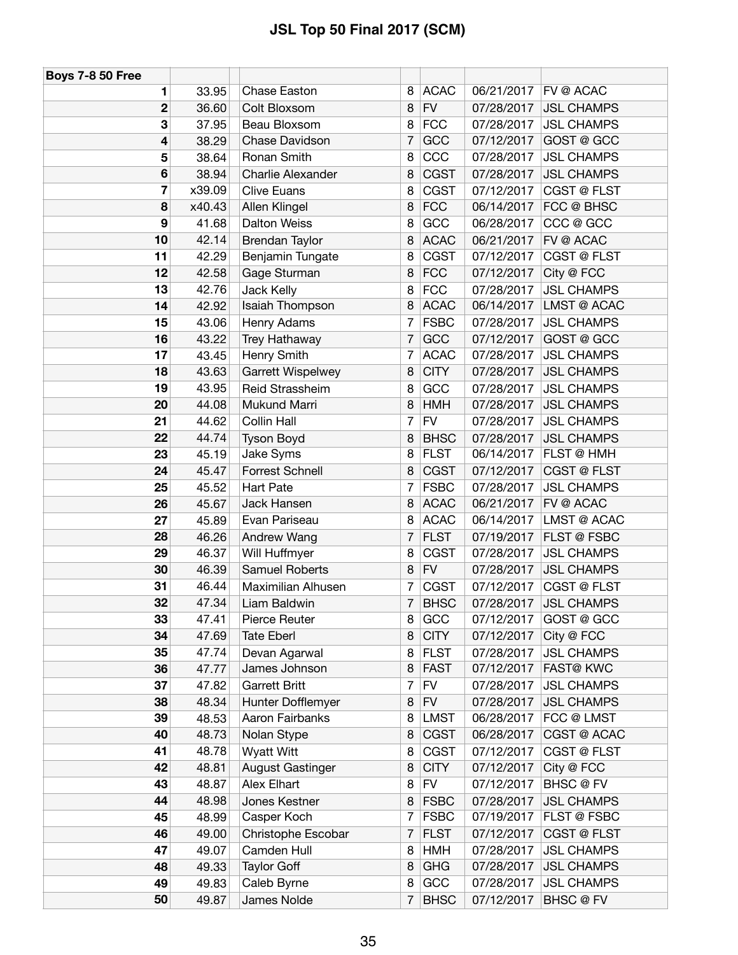| <b>Boys 7-8 50 Free</b> |                |                                   |                     |                            |                          |                    |
|-------------------------|----------------|-----------------------------------|---------------------|----------------------------|--------------------------|--------------------|
| 1                       | 33.95          | <b>Chase Easton</b>               | 8                   | <b>ACAC</b>                | 06/21/2017               | <b>FV @ ACAC</b>   |
| $\boldsymbol{2}$        | 36.60          | Colt Bloxsom                      | 8                   | <b>FV</b>                  | 07/28/2017               | <b>JSL CHAMPS</b>  |
| 3                       | 37.95          | Beau Bloxsom                      | 8                   | <b>FCC</b>                 | 07/28/2017               | <b>JSL CHAMPS</b>  |
| 4                       | 38.29          | Chase Davidson                    | 7                   | GCC                        | 07/12/2017               | GOST @ GCC         |
| 5                       | 38.64          | Ronan Smith                       | 8                   | CCC                        | 07/28/2017               | <b>JSL CHAMPS</b>  |
| $6\phantom{1}6$         | 38.94          | Charlie Alexander                 | 8                   | <b>CGST</b>                | 07/28/2017               | <b>JSL CHAMPS</b>  |
| 7                       | x39.09         | <b>Clive Euans</b>                | 8                   | <b>CGST</b>                | 07/12/2017               | <b>CGST @ FLST</b> |
| 8                       | x40.43         | Allen Klingel                     | 8                   | <b>FCC</b>                 | 06/14/2017               | FCC @ BHSC         |
| 9                       | 41.68          | <b>Dalton Weiss</b>               | 8                   | GCC                        | 06/28/2017               | CCC @ GCC          |
| 10                      | 42.14          | Brendan Taylor                    | 8                   | <b>ACAC</b>                | 06/21/2017               | FV @ ACAC          |
| 11                      | 42.29          | Benjamin Tungate                  | 8                   | <b>CGST</b>                | 07/12/2017               | CGST @ FLST        |
| 12                      | 42.58          | Gage Sturman                      | 8                   | <b>FCC</b>                 | 07/12/2017               | City @ FCC         |
| 13                      | 42.76          | Jack Kelly                        | 8                   | <b>FCC</b>                 | 07/28/2017               | <b>JSL CHAMPS</b>  |
| 14                      | 42.92          | Isaiah Thompson                   | 8                   | <b>ACAC</b>                | 06/14/2017               | LMST @ ACAC        |
| 15                      | 43.06          | Henry Adams                       | $\overline{7}$      | <b>FSBC</b>                | 07/28/2017               | <b>JSL CHAMPS</b>  |
| 16                      | 43.22          | Trey Hathaway                     | $\overline{7}$      | GCC                        | 07/12/2017               | GOST @ GCC         |
| 17                      | 43.45          | Henry Smith                       | $\overline{7}$      | <b>ACAC</b>                | 07/28/2017               | <b>JSL CHAMPS</b>  |
| 18                      | 43.63          | <b>Garrett Wispelwey</b>          | 8                   | <b>CITY</b>                | 07/28/2017               | <b>JSL CHAMPS</b>  |
| 19                      | 43.95          | Reid Strassheim                   | 8                   | GCC                        | 07/28/2017               | <b>JSL CHAMPS</b>  |
| 20                      | 44.08          | Mukund Marri                      | 8                   | <b>HMH</b>                 | 07/28/2017               | <b>JSL CHAMPS</b>  |
| 21                      | 44.62          | Collin Hall                       | $\overline{7}$      | <b>FV</b>                  | 07/28/2017               | <b>JSL CHAMPS</b>  |
| 22                      | 44.74          | Tyson Boyd                        | 8                   | <b>BHSC</b>                | 07/28/2017               | <b>JSL CHAMPS</b>  |
| 23                      | 45.19          | Jake Syms                         | 8                   | <b>FLST</b>                | 06/14/2017               | FLST @ HMH         |
| 24                      | 45.47          | <b>Forrest Schnell</b>            | 8                   | <b>CGST</b>                | 07/12/2017               | <b>CGST @ FLST</b> |
| 25                      | 45.52          | <b>Hart Pate</b>                  | 7                   | <b>FSBC</b>                | 07/28/2017               | <b>JSL CHAMPS</b>  |
| 26                      | 45.67          | Jack Hansen                       | 8                   | <b>ACAC</b>                | 06/21/2017               | FV @ ACAC          |
| 27                      | 45.89          | Evan Pariseau                     | 8                   | <b>ACAC</b>                | 06/14/2017               | LMST @ ACAC        |
| 28                      | 46.26          | Andrew Wang                       | $\overline{7}$      | <b>FLST</b>                | 07/19/2017               | <b>FLST @ FSBC</b> |
| 29                      | 46.37          | Will Huffmyer                     | 8                   | <b>CGST</b>                | 07/28/2017               | <b>JSL CHAMPS</b>  |
| 30                      | 46.39          | <b>Samuel Roberts</b>             | 8                   | <b>FV</b>                  | 07/28/2017               | <b>JSL CHAMPS</b>  |
| 31                      | 46.44          | Maximilian Alhusen                | $\overline{7}$      | <b>CGST</b>                | 07/12/2017               | CGST @ FLST        |
| 32                      | 47.34          | Liam Baldwin                      | $\overline{7}$      | <b>BHSC</b>                | 07/28/2017               | <b>JSL CHAMPS</b>  |
| 33                      | 47.41          | Pierce Reuter                     | 8                   | GCC                        | 07/12/2017               | GOST @ GCC         |
| 34                      | 47.69          | <b>Tate Eberl</b>                 | 8                   | <b>CITY</b>                | 07/12/2017               | City @ FCC         |
| 35                      | 47.74          | Devan Agarwal                     | 8                   | <b>FLST</b>                | 07/28/2017               | <b>JSL CHAMPS</b>  |
| 36                      | 47.77          | James Johnson                     | 8                   | <b>FAST</b>                | 07/12/2017               | <b>FAST@ KWC</b>   |
| 37                      | 47.82          | <b>Garrett Britt</b>              | 7                   | <b>FV</b>                  | 07/28/2017               | <b>JSL CHAMPS</b>  |
| 38                      | 48.34          | Hunter Dofflemyer                 | 8                   | <b>FV</b>                  | 07/28/2017               | <b>JSL CHAMPS</b>  |
| 39                      | 48.53          | Aaron Fairbanks                   | 8                   | <b>LMST</b>                | 06/28/2017               | FCC @ LMST         |
| 40                      | 48.73          | Nolan Stype                       | 8                   | <b>CGST</b>                | 06/28/2017               | CGST @ ACAC        |
| 41                      | 48.78          | <b>Wyatt Witt</b>                 | 8                   | <b>CGST</b>                | 07/12/2017               | <b>CGST @ FLST</b> |
| 42                      |                | <b>August Gastinger</b>           | 8                   | <b>CITY</b>                | 07/12/2017               | City @ FCC         |
| 43                      | 48.81<br>48.87 | Alex Elhart                       | 8                   | <b>FV</b>                  | 07/12/2017               | <b>BHSC</b> @ FV   |
| 44                      | 48.98          | Jones Kestner                     |                     |                            |                          | <b>JSL CHAMPS</b>  |
|                         |                |                                   | 8<br>$\overline{7}$ | <b>FSBC</b><br><b>FSBC</b> | 07/28/2017<br>07/19/2017 | FLST @ FSBC        |
| 45<br>46                | 48.99          | Casper Koch                       |                     | <b>FLST</b>                | 07/12/2017               | <b>CGST @ FLST</b> |
| 47                      | 49.00          | Christophe Escobar<br>Camden Hull | 7                   |                            |                          | <b>JSL CHAMPS</b>  |
| 48                      | 49.07<br>49.33 | <b>Taylor Goff</b>                | 8<br>8              | <b>HMH</b><br><b>GHG</b>   | 07/28/2017<br>07/28/2017 | <b>JSL CHAMPS</b>  |
| 49                      |                |                                   |                     | GCC                        |                          | <b>JSL CHAMPS</b>  |
|                         | 49.83          | Caleb Byrne                       | 8                   |                            | 07/28/2017               |                    |
| 50                      | 49.87          | James Nolde                       | 7                   | <b>BHSC</b>                | 07/12/2017               | BHSC@FV            |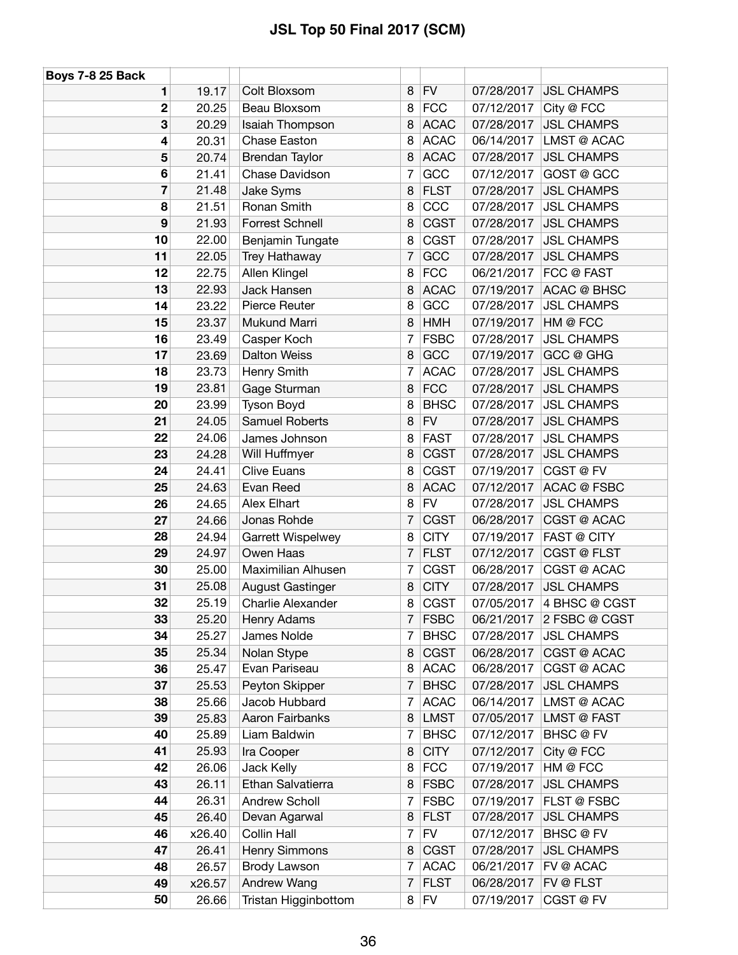| <b>Boys 7-8 25 Back</b> |        |                          |                |             |            |                    |
|-------------------------|--------|--------------------------|----------------|-------------|------------|--------------------|
| 1                       | 19.17  | Colt Bloxsom             | 8 <sup>1</sup> | <b>FV</b>   | 07/28/2017 | <b>JSL CHAMPS</b>  |
| $\mathbf{2}$            | 20.25  | Beau Bloxsom             | 8              | <b>FCC</b>  | 07/12/2017 | City @ FCC         |
| 3                       | 20.29  | Isaiah Thompson          | 8              | <b>ACAC</b> | 07/28/2017 | <b>JSL CHAMPS</b>  |
| 4                       | 20.31  | Chase Easton             | 8              | <b>ACAC</b> | 06/14/2017 | <b>LMST @ ACAC</b> |
| 5                       | 20.74  | Brendan Taylor           | 8              | <b>ACAC</b> | 07/28/2017 | <b>JSL CHAMPS</b>  |
| 6                       | 21.41  | Chase Davidson           | 7              | GCC         | 07/12/2017 | GOST @ GCC         |
| 7                       | 21.48  | Jake Syms                | 8              | <b>FLST</b> | 07/28/2017 | <b>JSL CHAMPS</b>  |
| 8                       | 21.51  | Ronan Smith              | 8              | CCC         | 07/28/2017 | <b>JSL CHAMPS</b>  |
| 9                       | 21.93  | <b>Forrest Schnell</b>   | 8              | <b>CGST</b> | 07/28/2017 | <b>JSL CHAMPS</b>  |
| 10                      | 22.00  | Benjamin Tungate         | 8              | <b>CGST</b> | 07/28/2017 | <b>JSL CHAMPS</b>  |
| 11                      | 22.05  | <b>Trey Hathaway</b>     | 7              | GCC         | 07/28/2017 | <b>JSL CHAMPS</b>  |
| 12                      | 22.75  | Allen Klingel            | 8              | <b>FCC</b>  | 06/21/2017 | FCC @ FAST         |
| 13                      | 22.93  | Jack Hansen              | 8              | <b>ACAC</b> | 07/19/2017 | <b>ACAC @ BHSC</b> |
| 14                      | 23.22  | Pierce Reuter            | 8              | GCC         | 07/28/2017 | <b>JSL CHAMPS</b>  |
| 15                      | 23.37  | Mukund Marri             | 8              | <b>HMH</b>  | 07/19/2017 | HM @ FCC           |
| 16                      | 23.49  | Casper Koch              | 7              | <b>FSBC</b> | 07/28/2017 | <b>JSL CHAMPS</b>  |
| 17                      | 23.69  | <b>Dalton Weiss</b>      | 8              | GCC         | 07/19/2017 | GCC @ GHG          |
| 18                      | 23.73  | Henry Smith              | 7              | <b>ACAC</b> | 07/28/2017 | <b>JSL CHAMPS</b>  |
| 19                      | 23.81  | Gage Sturman             | 8              | <b>FCC</b>  | 07/28/2017 | <b>JSL CHAMPS</b>  |
| 20                      | 23.99  | <b>Tyson Boyd</b>        | 8              | <b>BHSC</b> | 07/28/2017 | <b>JSL CHAMPS</b>  |
| 21                      | 24.05  | Samuel Roberts           | 8              | <b>FV</b>   | 07/28/2017 | <b>JSL CHAMPS</b>  |
| 22                      | 24.06  | James Johnson            | 8              | <b>FAST</b> | 07/28/2017 | <b>JSL CHAMPS</b>  |
| 23                      | 24.28  | Will Huffmyer            | 8              | <b>CGST</b> | 07/28/2017 | <b>JSL CHAMPS</b>  |
| 24                      | 24.41  | <b>Clive Euans</b>       | 8              | <b>CGST</b> | 07/19/2017 | CGST@FV            |
| 25                      | 24.63  | Evan Reed                | 8              | <b>ACAC</b> | 07/12/2017 | <b>ACAC @ FSBC</b> |
| 26                      | 24.65  | Alex Elhart              | 8              | <b>FV</b>   | 07/28/2017 | <b>JSL CHAMPS</b>  |
| 27                      | 24.66  | Jonas Rohde              | 7              | <b>CGST</b> | 06/28/2017 | CGST @ ACAC        |
| 28                      | 24.94  | <b>Garrett Wispelwey</b> | 8              | <b>CITY</b> | 07/19/2017 | FAST @ CITY        |
| 29                      | 24.97  | Owen Haas                | 7              | <b>FLST</b> | 07/12/2017 | <b>CGST @ FLST</b> |
| 30                      | 25.00  | Maximilian Alhusen       | 7              | <b>CGST</b> | 06/28/2017 | CGST @ ACAC        |
| 31                      | 25.08  | <b>August Gastinger</b>  | 8              | <b>CITY</b> | 07/28/2017 | <b>JSL CHAMPS</b>  |
| 32                      | 25.19  | Charlie Alexander        | 8              | <b>CGST</b> | 07/05/2017 | 4 BHSC @ CGST      |
| 33                      | 25.20  | Henry Adams              |                | <b>FSBC</b> | 06/21/2017 | 2 FSBC @ CGST      |
| 34                      | 25.27  | James Nolde              | 7              | <b>BHSC</b> | 07/28/2017 | <b>JSL CHAMPS</b>  |
| 35                      | 25.34  | Nolan Stype              | 8              | <b>CGST</b> | 06/28/2017 | CGST @ ACAC        |
| 36                      | 25.47  | Evan Pariseau            | 8              | <b>ACAC</b> | 06/28/2017 | CGST @ ACAC        |
| 37                      | 25.53  | Peyton Skipper           | 7              | <b>BHSC</b> | 07/28/2017 | <b>JSL CHAMPS</b>  |
| 38                      | 25.66  | Jacob Hubbard            | 7              | <b>ACAC</b> | 06/14/2017 | LMST @ ACAC        |
| 39                      | 25.83  | Aaron Fairbanks          | 8              | <b>LMST</b> | 07/05/2017 | LMST @ FAST        |
| 40                      | 25.89  | Liam Baldwin             | 7              | <b>BHSC</b> | 07/12/2017 | BHSC @ FV          |
| 41                      | 25.93  | Ira Cooper               | 8              | <b>CITY</b> | 07/12/2017 | City @ FCC         |
| 42                      | 26.06  | Jack Kelly               | 8              | <b>FCC</b>  | 07/19/2017 | HM @ FCC           |
| 43                      | 26.11  | Ethan Salvatierra        | 8              | <b>FSBC</b> | 07/28/2017 | <b>JSL CHAMPS</b>  |
| 44                      | 26.31  | <b>Andrew Scholl</b>     | 7              | <b>FSBC</b> | 07/19/2017 | FLST @ FSBC        |
| 45                      | 26.40  | Devan Agarwal            | 8              | <b>FLST</b> | 07/28/2017 | <b>JSL CHAMPS</b>  |
| 46                      | x26.40 | Collin Hall              | 7              | <b>FV</b>   | 07/12/2017 | <b>BHSC</b> @ FV   |
| 47                      | 26.41  | Henry Simmons            | 8              | <b>CGST</b> | 07/28/2017 | <b>JSL CHAMPS</b>  |
| 48                      | 26.57  | Brody Lawson             | 7              | <b>ACAC</b> | 06/21/2017 | FV @ ACAC          |
| 49                      | x26.57 | Andrew Wang              | $\overline{7}$ | <b>FLST</b> | 06/28/2017 | FV @ FLST          |
| 50                      | 26.66  | Tristan Higginbottom     | 8 <sup>1</sup> | <b>FV</b>   | 07/19/2017 | CGST@FV            |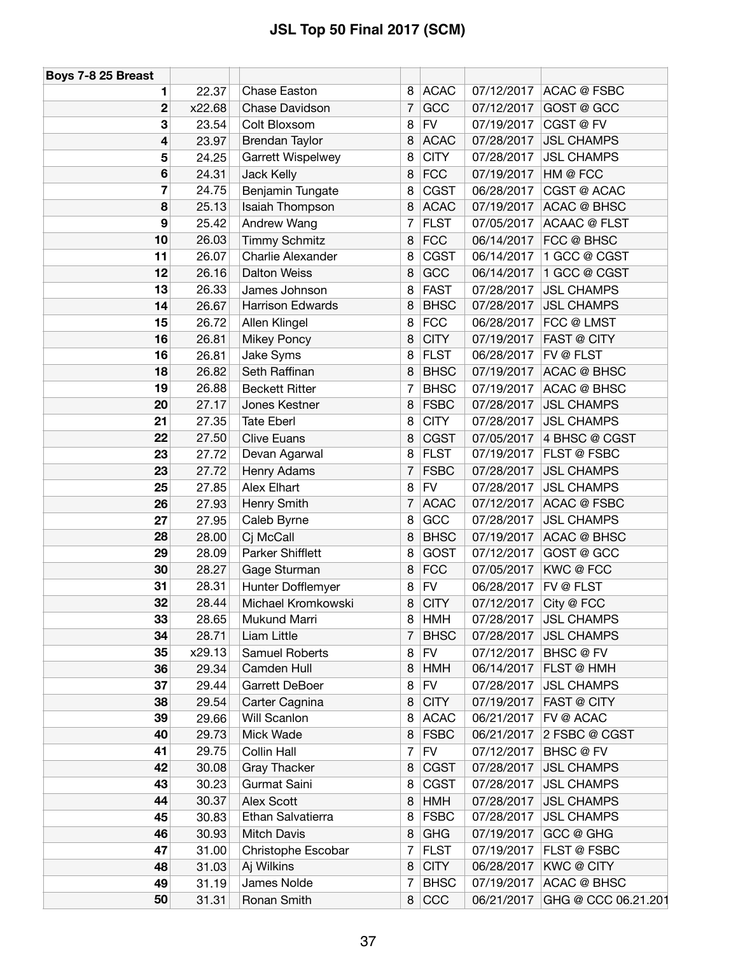| Boys 7-8 25 Breast |        |                       |   |             |            |                              |
|--------------------|--------|-----------------------|---|-------------|------------|------------------------------|
| 1                  | 22.37  | <b>Chase Easton</b>   | 8 | <b>ACAC</b> | 07/12/2017 | <b>ACAC @ FSBC</b>           |
| $\mathbf 2$        | x22.68 | Chase Davidson        | 7 | GCC         | 07/12/2017 | GOST @ GCC                   |
| 3                  | 23.54  | Colt Bloxsom          | 8 | <b>FV</b>   | 07/19/2017 | CGST @ FV                    |
| 4                  | 23.97  | Brendan Taylor        | 8 | <b>ACAC</b> | 07/28/2017 | <b>JSL CHAMPS</b>            |
| 5                  | 24.25  | Garrett Wispelwey     | 8 | <b>CITY</b> | 07/28/2017 | <b>JSL CHAMPS</b>            |
| 6                  | 24.31  | Jack Kelly            | 8 | <b>FCC</b>  | 07/19/2017 | HM @ FCC                     |
| 7                  | 24.75  | Benjamin Tungate      | 8 | <b>CGST</b> | 06/28/2017 | CGST @ ACAC                  |
| 8                  | 25.13  | Isaiah Thompson       | 8 | <b>ACAC</b> | 07/19/2017 | <b>ACAC @ BHSC</b>           |
| 9                  | 25.42  | Andrew Wang           | 7 | <b>FLST</b> | 07/05/2017 | <b>ACAAC @ FLST</b>          |
| 10                 | 26.03  | <b>Timmy Schmitz</b>  | 8 | <b>FCC</b>  | 06/14/2017 | FCC @ BHSC                   |
| 11                 | 26.07  | Charlie Alexander     | 8 | <b>CGST</b> | 06/14/2017 | 1 GCC @ CGST                 |
| 12                 | 26.16  | <b>Dalton Weiss</b>   | 8 | GCC         | 06/14/2017 | 1 GCC @ CGST                 |
| 13                 | 26.33  | James Johnson         | 8 | <b>FAST</b> | 07/28/2017 | <b>JSL CHAMPS</b>            |
| 14                 | 26.67  | Harrison Edwards      | 8 | <b>BHSC</b> | 07/28/2017 | <b>JSL CHAMPS</b>            |
| 15                 | 26.72  | Allen Klingel         | 8 | <b>FCC</b>  | 06/28/2017 | FCC @ LMST                   |
| 16                 | 26.81  | <b>Mikey Poncy</b>    | 8 | <b>CITY</b> | 07/19/2017 | <b>FAST @ CITY</b>           |
| 16                 | 26.81  | Jake Syms             | 8 | <b>FLST</b> | 06/28/2017 | FV @ FLST                    |
| 18                 | 26.82  | Seth Raffinan         | 8 | <b>BHSC</b> | 07/19/2017 | <b>ACAC @ BHSC</b>           |
| 19                 | 26.88  | <b>Beckett Ritter</b> | 7 | <b>BHSC</b> | 07/19/2017 | <b>ACAC @ BHSC</b>           |
| 20                 | 27.17  | Jones Kestner         | 8 | <b>FSBC</b> | 07/28/2017 | <b>JSL CHAMPS</b>            |
| 21                 | 27.35  | <b>Tate Eberl</b>     |   | <b>CITY</b> | 07/28/2017 | <b>JSL CHAMPS</b>            |
|                    |        |                       | 8 |             |            |                              |
| 22                 | 27.50  | <b>Clive Euans</b>    | 8 | <b>CGST</b> | 07/05/2017 | 4 BHSC @ CGST<br>FLST @ FSBC |
| 23                 | 27.72  | Devan Agarwal         | 8 | <b>FLST</b> | 07/19/2017 |                              |
| 23                 | 27.72  | Henry Adams           | 7 | <b>FSBC</b> | 07/28/2017 | <b>JSL CHAMPS</b>            |
| 25                 | 27.85  | Alex Elhart           | 8 | <b>FV</b>   | 07/28/2017 | <b>JSL CHAMPS</b>            |
| 26                 | 27.93  | Henry Smith           | 7 | <b>ACAC</b> | 07/12/2017 | ACAC @ FSBC                  |
| 27                 | 27.95  | Caleb Byrne           | 8 | GCC         | 07/28/2017 | <b>JSL CHAMPS</b>            |
| 28                 | 28.00  | Cj McCall             | 8 | <b>BHSC</b> | 07/19/2017 | <b>ACAC @ BHSC</b>           |
| 29                 | 28.09  | Parker Shifflett      | 8 | GOST        | 07/12/2017 | GOST @ GCC                   |
| 30                 | 28.27  | Gage Sturman          | 8 | <b>FCC</b>  | 07/05/2017 | KWC@FCC                      |
| 31                 | 28.31  | Hunter Dofflemyer     | 8 | <b>FV</b>   | 06/28/2017 | FV @ FLST                    |
| 32                 | 28.44  | Michael Kromkowski    | 8 | <b>CITY</b> | 07/12/2017 | City @ FCC                   |
| 33                 | 28.65  | Mukund Marri          | 8 | <b>HMH</b>  | 07/28/2017 | <b>JSL CHAMPS</b>            |
| 34                 | 28.71  | Liam Little           | 7 | <b>BHSC</b> | 07/28/2017 | <b>JSL CHAMPS</b>            |
| 35                 | x29.13 | <b>Samuel Roberts</b> | 8 | <b>FV</b>   | 07/12/2017 | <b>BHSC</b> @ FV             |
| 36                 | 29.34  | Camden Hull           | 8 | <b>HMH</b>  | 06/14/2017 | FLST @ HMH                   |
| 37                 | 29.44  | Garrett DeBoer        | 8 | <b>FV</b>   | 07/28/2017 | <b>JSL CHAMPS</b>            |
| 38                 | 29.54  | Carter Cagnina        | 8 | <b>CITY</b> | 07/19/2017 | <b>FAST @ CITY</b>           |
| 39                 | 29.66  | Will Scanlon          | 8 | <b>ACAC</b> | 06/21/2017 | FV @ ACAC                    |
| 40                 | 29.73  | Mick Wade             | 8 | <b>FSBC</b> | 06/21/2017 | 2 FSBC @ CGST                |
| 41                 | 29.75  | Collin Hall           | 7 | <b>FV</b>   | 07/12/2017 | BHSC @ FV                    |
| 42                 | 30.08  | <b>Gray Thacker</b>   | 8 | <b>CGST</b> | 07/28/2017 | <b>JSL CHAMPS</b>            |
| 43                 | 30.23  | Gurmat Saini          | 8 | <b>CGST</b> | 07/28/2017 | <b>JSL CHAMPS</b>            |
| 44                 | 30.37  | Alex Scott            | 8 | <b>HMH</b>  | 07/28/2017 | <b>JSL CHAMPS</b>            |
| 45                 | 30.83  | Ethan Salvatierra     | 8 | <b>FSBC</b> | 07/28/2017 | <b>JSL CHAMPS</b>            |
| 46                 | 30.93  | Mitch Davis           | 8 | <b>GHG</b>  | 07/19/2017 | GCC @ GHG                    |
| 47                 | 31.00  | Christophe Escobar    | 7 | <b>FLST</b> | 07/19/2017 | FLST @ FSBC                  |
| 48                 | 31.03  | Aj Wilkins            | 8 | <b>CITY</b> | 06/28/2017 | <b>KWC@CITY</b>              |
| 49                 | 31.19  | James Nolde           | 7 | <b>BHSC</b> | 07/19/2017 | ACAC @ BHSC                  |
| 50                 | 31.31  | Ronan Smith           | 8 | CCC         | 06/21/2017 | GHG @ CCC 06.21.201          |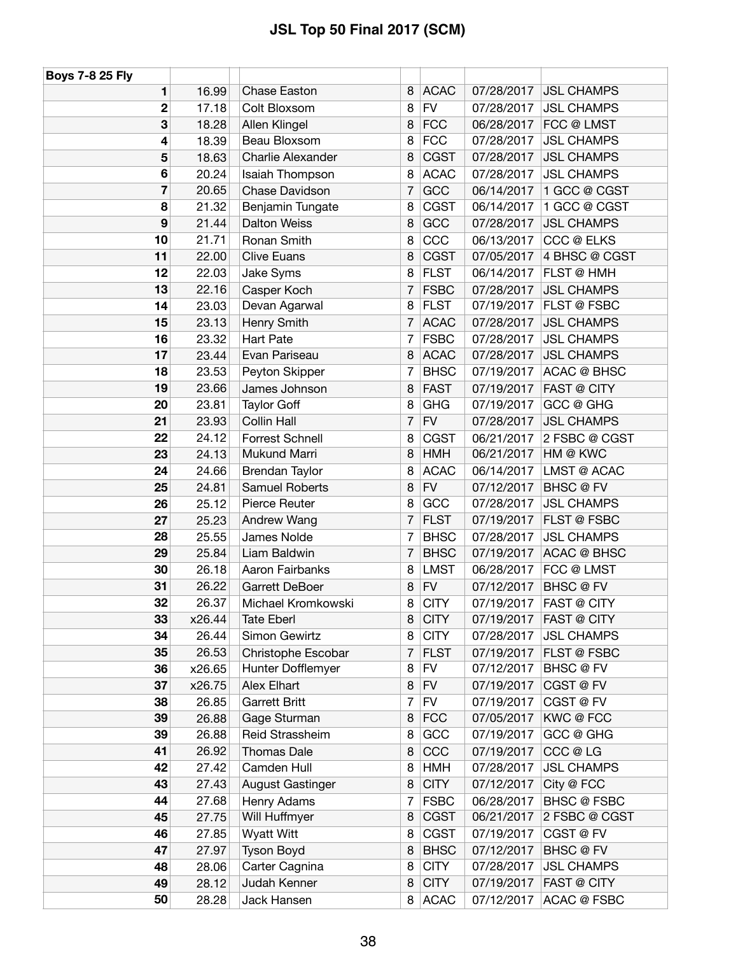| <b>Boys 7-8 25 Fly</b> |        |                          |                |             |            |                    |
|------------------------|--------|--------------------------|----------------|-------------|------------|--------------------|
| 1                      | 16.99  | <b>Chase Easton</b>      | 8              | <b>ACAC</b> | 07/28/2017 | <b>JSL CHAMPS</b>  |
| 2                      | 17.18  | Colt Bloxsom             | 8              | <b>FV</b>   | 07/28/2017 | <b>JSL CHAMPS</b>  |
| 3                      | 18.28  | Allen Klingel            | 8              | <b>FCC</b>  | 06/28/2017 | FCC @ LMST         |
| 4                      | 18.39  | Beau Bloxsom             | 8              | <b>FCC</b>  | 07/28/2017 | <b>JSL CHAMPS</b>  |
| 5                      | 18.63  | <b>Charlie Alexander</b> | 8              | <b>CGST</b> | 07/28/2017 | <b>JSL CHAMPS</b>  |
| 6                      | 20.24  | Isaiah Thompson          | 8              | <b>ACAC</b> | 07/28/2017 | <b>JSL CHAMPS</b>  |
| 7                      | 20.65  | Chase Davidson           | 7              | GCC         | 06/14/2017 | 1 GCC @ CGST       |
| 8                      | 21.32  | Benjamin Tungate         | 8              | <b>CGST</b> | 06/14/2017 | 1 GCC @ CGST       |
| 9                      | 21.44  | <b>Dalton Weiss</b>      | 8              | GCC         | 07/28/2017 | <b>JSL CHAMPS</b>  |
| 10                     | 21.71  | Ronan Smith              | 8              | CCC         | 06/13/2017 | CCC @ ELKS         |
| 11                     | 22.00  | <b>Clive Euans</b>       | 8              | <b>CGST</b> | 07/05/2017 | 4 BHSC @ CGST      |
| 12                     | 22.03  | Jake Syms                | 8              | <b>FLST</b> | 06/14/2017 | FLST @ HMH         |
| 13                     | 22.16  | Casper Koch              | $\overline{7}$ | <b>FSBC</b> | 07/28/2017 | <b>JSL CHAMPS</b>  |
| 14                     | 23.03  | Devan Agarwal            | 8              | <b>FLST</b> | 07/19/2017 | FLST @ FSBC        |
| 15                     | 23.13  | Henry Smith              | 7              | <b>ACAC</b> | 07/28/2017 | <b>JSL CHAMPS</b>  |
| 16                     | 23.32  | Hart Pate                | 7              | <b>FSBC</b> | 07/28/2017 | <b>JSL CHAMPS</b>  |
| 17                     | 23.44  | Evan Pariseau            | 8              | <b>ACAC</b> | 07/28/2017 | <b>JSL CHAMPS</b>  |
| 18                     | 23.53  | Peyton Skipper           | 7              | <b>BHSC</b> | 07/19/2017 | <b>ACAC @ BHSC</b> |
| 19                     | 23.66  | James Johnson            | 8              | <b>FAST</b> | 07/19/2017 | <b>FAST @ CITY</b> |
| 20                     | 23.81  | <b>Taylor Goff</b>       | 8              | <b>GHG</b>  | 07/19/2017 | GCC @ GHG          |
| 21                     | 23.93  | Collin Hall              | $\overline{7}$ | <b>FV</b>   | 07/28/2017 | <b>JSL CHAMPS</b>  |
| 22                     | 24.12  | Forrest Schnell          | 8              | <b>CGST</b> | 06/21/2017 | 2 FSBC @ CGST      |
| 23                     | 24.13  | Mukund Marri             | 8              | <b>HMH</b>  | 06/21/2017 | HM @ KWC           |
| 24                     | 24.66  | Brendan Taylor           | 8              | <b>ACAC</b> | 06/14/2017 | LMST @ ACAC        |
| 25                     | 24.81  | <b>Samuel Roberts</b>    | 8              | <b>FV</b>   | 07/12/2017 | <b>BHSC</b> @ FV   |
| 26                     | 25.12  | Pierce Reuter            | 8              | GCC         | 07/28/2017 | <b>JSL CHAMPS</b>  |
| 27                     | 25.23  | Andrew Wang              | 7              | <b>FLST</b> | 07/19/2017 | FLST @ FSBC        |
| 28                     | 25.55  | James Nolde              | 7              | <b>BHSC</b> | 07/28/2017 | <b>JSL CHAMPS</b>  |
| 29                     | 25.84  | Liam Baldwin             | 7              | <b>BHSC</b> | 07/19/2017 | <b>ACAC @ BHSC</b> |
| 30                     | 26.18  | Aaron Fairbanks          | 8              | <b>LMST</b> | 06/28/2017 | FCC @ LMST         |
| 31                     | 26.22  | <b>Garrett DeBoer</b>    | 8              | <b>FV</b>   | 07/12/2017 | <b>BHSC</b> @ FV   |
| 32                     | 26.37  | Michael Kromkowski       | 8              | <b>CITY</b> | 07/19/2017 | FAST @ CITY        |
| 33                     | x26.44 | <b>Tate Eberl</b>        | 8              | <b>CITY</b> | 07/19/2017 | FAST @ CITY        |
| 34                     | 26.44  | Simon Gewirtz            | 8              | <b>CITY</b> | 07/28/2017 | <b>JSL CHAMPS</b>  |
| 35                     | 26.53  | Christophe Escobar       | $\overline{7}$ | <b>FLST</b> | 07/19/2017 | FLST @ FSBC        |
| 36                     | x26.65 | Hunter Dofflemyer        | 8              | <b>FV</b>   | 07/12/2017 | BHSC @ FV          |
| 37                     | x26.75 | Alex Elhart              | 8              | <b>FV</b>   | 07/19/2017 | CGST @ FV          |
| 38                     | 26.85  | <b>Garrett Britt</b>     | 7              | <b>FV</b>   | 07/19/2017 | CGST@FV            |
| 39                     | 26.88  | Gage Sturman             | 8              | <b>FCC</b>  | 07/05/2017 | KWC@FCC            |
| 39                     | 26.88  | Reid Strassheim          | 8              | GCC         | 07/19/2017 | GCC @ GHG          |
| 41                     | 26.92  | <b>Thomas Dale</b>       | 8              | CCC         | 07/19/2017 | CCC @ LG           |
| 42                     | 27.42  | Camden Hull              | 8              | <b>HMH</b>  | 07/28/2017 | <b>JSL CHAMPS</b>  |
| 43                     | 27.43  | <b>August Gastinger</b>  | 8              | <b>CITY</b> | 07/12/2017 | City @ FCC         |
| 44                     | 27.68  | Henry Adams              | 7              | <b>FSBC</b> | 06/28/2017 | <b>BHSC @ FSBC</b> |
| 45                     | 27.75  | Will Huffmyer            | 8              | <b>CGST</b> | 06/21/2017 | 2 FSBC @ CGST      |
| 46                     | 27.85  | <b>Wyatt Witt</b>        | 8              | <b>CGST</b> | 07/19/2017 | CGST @ FV          |
| 47                     | 27.97  | <b>Tyson Boyd</b>        | 8              | <b>BHSC</b> | 07/12/2017 | <b>BHSC</b> @ FV   |
| 48                     | 28.06  | Carter Cagnina           | 8              | <b>CITY</b> | 07/28/2017 | <b>JSL CHAMPS</b>  |
| 49                     | 28.12  | Judah Kenner             | 8              | <b>CITY</b> | 07/19/2017 | <b>FAST @ CITY</b> |
| 50                     | 28.28  | Jack Hansen              | 8 <sup>1</sup> | <b>ACAC</b> | 07/12/2017 | ACAC @ FSBC        |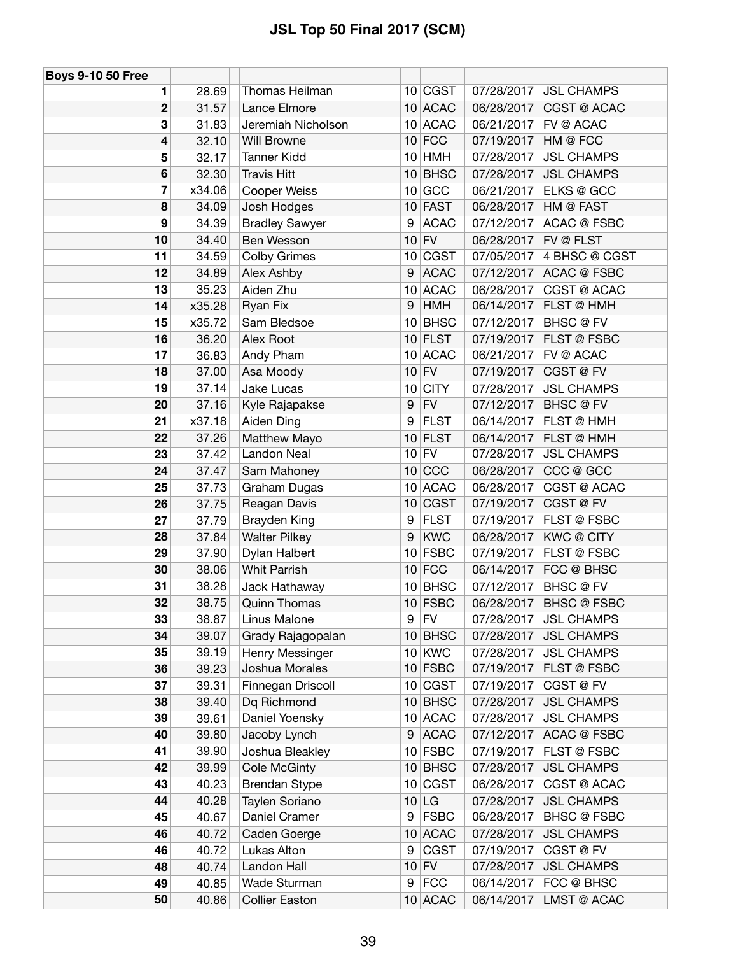| 10 CGST<br><b>JSL CHAMPS</b><br>Thomas Heilman<br>07/28/2017<br>28.69<br>1<br>10 ACAC<br>31.57<br>Lance Elmore<br>06/28/2017<br>CGST @ ACAC<br>2<br>10 ACAC<br>31.83<br>Jeremiah Nicholson<br>06/21/2017<br>FV @ ACAC<br>3<br>$10$ FCC<br>4<br>Will Browne<br>07/19/2017<br>HM @ FCC<br>32.10<br><b>Tanner Kidd</b><br>$10$ HMH<br>07/28/2017<br><b>JSL CHAMPS</b><br>32.17<br>5<br>6<br>32.30<br><b>Travis Hitt</b><br>10 BHSC<br>07/28/2017<br><b>JSL CHAMPS</b><br>7<br>x34.06<br>$10$ GCC<br><b>Cooper Weiss</b><br>06/21/2017<br>ELKS @ GCC<br>HM @ FAST<br>8<br>34.09<br>Josh Hodges<br>$10$ FAST<br>06/28/2017<br><b>ACAC</b><br>ACAC @ FSBC<br>34.39<br><b>Bradley Sawyer</b><br>07/12/2017<br>9<br>9<br>10<br>$10$ FV<br>34.40<br>FV @ FLST<br>Ben Wesson<br>06/28/2017<br>Colby Grimes<br>10 CGST<br>07/05/2017<br>4 BHSC @ CGST<br>34.59<br>11<br><b>ACAC</b><br>34.89<br>Alex Ashby<br>07/12/2017<br>ACAC @ FSBC<br>12<br>9<br>35.23<br>13<br>Aiden Zhu<br>10 ACAC<br>06/28/2017<br>CGST @ ACAC<br><b>HMH</b><br>FLST @ HMH<br>Ryan Fix<br>9<br>06/14/2017<br>14<br>x35.28<br>15<br>$10$ BHSC<br><b>BHSC</b> @ FV<br>x35.72<br>07/12/2017<br>Sam Bledsoe<br>36.20<br>$10$ FLST<br>FLST @ FSBC<br>16<br>Alex Root<br>07/19/2017<br>10 ACAC<br>FV @ ACAC<br>17<br>06/21/2017<br>36.83<br>Andy Pham<br>$10$ FV<br>18<br>37.00<br>07/19/2017<br>CGST@FV<br>Asa Moody<br>37.14<br><b>JSL CHAMPS</b><br>19<br>Jake Lucas<br>$10$ CITY<br>07/28/2017<br><b>FV</b><br>9<br>07/12/2017<br>BHSC @ FV<br>20<br>37.16<br>Kyle Rajapakse<br><b>FLST</b><br>21<br>x37.18<br>Aiden Ding<br>06/14/2017<br>FLST @ HMH<br>9<br>22<br>37.26<br>Matthew Mayo<br>$10$ FLST<br>FLST @ HMH<br>06/14/2017<br>Landon Neal<br>$10$ FV<br>07/28/2017<br><b>JSL CHAMPS</b><br>37.42<br>23<br>$10$ CCC<br>24<br>37.47<br>Sam Mahoney<br>06/28/2017<br>CCC @ GCC<br>25<br>10 ACAC<br>37.73<br>06/28/2017<br>CGST @ ACAC<br>Graham Dugas<br>CGST@FV<br>Reagan Davis<br>10 CGST<br>07/19/2017<br>26<br>37.75<br>37.79<br>Brayden King<br><b>FLST</b><br>07/19/2017<br>FLST @ FSBC<br>27<br>9<br><b>KWC</b><br><b>Walter Pilkey</b><br>06/28/2017<br><b>KWC@CITY</b><br>37.84<br>9<br>28<br>$10$ FSBC<br>FLST @ FSBC<br>Dylan Halbert<br>07/19/2017<br>29<br>37.90<br>$10$ FCC<br><b>Whit Parrish</b><br>06/14/2017<br>FCC @ BHSC<br>30<br>38.06<br>31<br>38.28<br>10 BHSC<br><b>BHSC</b> @ FV<br>Jack Hathaway<br>07/12/2017<br>32<br>38.75<br>$10$ FSBC<br><b>BHSC @ FSBC</b><br><b>Quinn Thomas</b><br>06/28/2017<br><b>FV</b><br>33<br>38.87<br>Linus Malone<br>07/28/2017<br><b>JSL CHAMPS</b><br>9 <sup>°</sup><br>39.07<br>Grady Rajagopalan<br>$10$ BHSC<br>07/28/2017<br><b>JSL CHAMPS</b><br>34<br>35<br>39.19<br>Henry Messinger<br>$10$ KWC<br><b>JSL CHAMPS</b><br>07/28/2017 |
|-----------------------------------------------------------------------------------------------------------------------------------------------------------------------------------------------------------------------------------------------------------------------------------------------------------------------------------------------------------------------------------------------------------------------------------------------------------------------------------------------------------------------------------------------------------------------------------------------------------------------------------------------------------------------------------------------------------------------------------------------------------------------------------------------------------------------------------------------------------------------------------------------------------------------------------------------------------------------------------------------------------------------------------------------------------------------------------------------------------------------------------------------------------------------------------------------------------------------------------------------------------------------------------------------------------------------------------------------------------------------------------------------------------------------------------------------------------------------------------------------------------------------------------------------------------------------------------------------------------------------------------------------------------------------------------------------------------------------------------------------------------------------------------------------------------------------------------------------------------------------------------------------------------------------------------------------------------------------------------------------------------------------------------------------------------------------------------------------------------------------------------------------------------------------------------------------------------------------------------------------------------------------------------------------------------------------------------------------------------------------------------------------------------------------------------------------------------------------------------------------------------------------------------------------------------------------------------------------------------------------------------------------------------------------------------------------------------------------------------------------------------------------|
|                                                                                                                                                                                                                                                                                                                                                                                                                                                                                                                                                                                                                                                                                                                                                                                                                                                                                                                                                                                                                                                                                                                                                                                                                                                                                                                                                                                                                                                                                                                                                                                                                                                                                                                                                                                                                                                                                                                                                                                                                                                                                                                                                                                                                                                                                                                                                                                                                                                                                                                                                                                                                                                                                                                                                                       |
|                                                                                                                                                                                                                                                                                                                                                                                                                                                                                                                                                                                                                                                                                                                                                                                                                                                                                                                                                                                                                                                                                                                                                                                                                                                                                                                                                                                                                                                                                                                                                                                                                                                                                                                                                                                                                                                                                                                                                                                                                                                                                                                                                                                                                                                                                                                                                                                                                                                                                                                                                                                                                                                                                                                                                                       |
|                                                                                                                                                                                                                                                                                                                                                                                                                                                                                                                                                                                                                                                                                                                                                                                                                                                                                                                                                                                                                                                                                                                                                                                                                                                                                                                                                                                                                                                                                                                                                                                                                                                                                                                                                                                                                                                                                                                                                                                                                                                                                                                                                                                                                                                                                                                                                                                                                                                                                                                                                                                                                                                                                                                                                                       |
|                                                                                                                                                                                                                                                                                                                                                                                                                                                                                                                                                                                                                                                                                                                                                                                                                                                                                                                                                                                                                                                                                                                                                                                                                                                                                                                                                                                                                                                                                                                                                                                                                                                                                                                                                                                                                                                                                                                                                                                                                                                                                                                                                                                                                                                                                                                                                                                                                                                                                                                                                                                                                                                                                                                                                                       |
|                                                                                                                                                                                                                                                                                                                                                                                                                                                                                                                                                                                                                                                                                                                                                                                                                                                                                                                                                                                                                                                                                                                                                                                                                                                                                                                                                                                                                                                                                                                                                                                                                                                                                                                                                                                                                                                                                                                                                                                                                                                                                                                                                                                                                                                                                                                                                                                                                                                                                                                                                                                                                                                                                                                                                                       |
|                                                                                                                                                                                                                                                                                                                                                                                                                                                                                                                                                                                                                                                                                                                                                                                                                                                                                                                                                                                                                                                                                                                                                                                                                                                                                                                                                                                                                                                                                                                                                                                                                                                                                                                                                                                                                                                                                                                                                                                                                                                                                                                                                                                                                                                                                                                                                                                                                                                                                                                                                                                                                                                                                                                                                                       |
|                                                                                                                                                                                                                                                                                                                                                                                                                                                                                                                                                                                                                                                                                                                                                                                                                                                                                                                                                                                                                                                                                                                                                                                                                                                                                                                                                                                                                                                                                                                                                                                                                                                                                                                                                                                                                                                                                                                                                                                                                                                                                                                                                                                                                                                                                                                                                                                                                                                                                                                                                                                                                                                                                                                                                                       |
|                                                                                                                                                                                                                                                                                                                                                                                                                                                                                                                                                                                                                                                                                                                                                                                                                                                                                                                                                                                                                                                                                                                                                                                                                                                                                                                                                                                                                                                                                                                                                                                                                                                                                                                                                                                                                                                                                                                                                                                                                                                                                                                                                                                                                                                                                                                                                                                                                                                                                                                                                                                                                                                                                                                                                                       |
|                                                                                                                                                                                                                                                                                                                                                                                                                                                                                                                                                                                                                                                                                                                                                                                                                                                                                                                                                                                                                                                                                                                                                                                                                                                                                                                                                                                                                                                                                                                                                                                                                                                                                                                                                                                                                                                                                                                                                                                                                                                                                                                                                                                                                                                                                                                                                                                                                                                                                                                                                                                                                                                                                                                                                                       |
|                                                                                                                                                                                                                                                                                                                                                                                                                                                                                                                                                                                                                                                                                                                                                                                                                                                                                                                                                                                                                                                                                                                                                                                                                                                                                                                                                                                                                                                                                                                                                                                                                                                                                                                                                                                                                                                                                                                                                                                                                                                                                                                                                                                                                                                                                                                                                                                                                                                                                                                                                                                                                                                                                                                                                                       |
|                                                                                                                                                                                                                                                                                                                                                                                                                                                                                                                                                                                                                                                                                                                                                                                                                                                                                                                                                                                                                                                                                                                                                                                                                                                                                                                                                                                                                                                                                                                                                                                                                                                                                                                                                                                                                                                                                                                                                                                                                                                                                                                                                                                                                                                                                                                                                                                                                                                                                                                                                                                                                                                                                                                                                                       |
|                                                                                                                                                                                                                                                                                                                                                                                                                                                                                                                                                                                                                                                                                                                                                                                                                                                                                                                                                                                                                                                                                                                                                                                                                                                                                                                                                                                                                                                                                                                                                                                                                                                                                                                                                                                                                                                                                                                                                                                                                                                                                                                                                                                                                                                                                                                                                                                                                                                                                                                                                                                                                                                                                                                                                                       |
|                                                                                                                                                                                                                                                                                                                                                                                                                                                                                                                                                                                                                                                                                                                                                                                                                                                                                                                                                                                                                                                                                                                                                                                                                                                                                                                                                                                                                                                                                                                                                                                                                                                                                                                                                                                                                                                                                                                                                                                                                                                                                                                                                                                                                                                                                                                                                                                                                                                                                                                                                                                                                                                                                                                                                                       |
|                                                                                                                                                                                                                                                                                                                                                                                                                                                                                                                                                                                                                                                                                                                                                                                                                                                                                                                                                                                                                                                                                                                                                                                                                                                                                                                                                                                                                                                                                                                                                                                                                                                                                                                                                                                                                                                                                                                                                                                                                                                                                                                                                                                                                                                                                                                                                                                                                                                                                                                                                                                                                                                                                                                                                                       |
|                                                                                                                                                                                                                                                                                                                                                                                                                                                                                                                                                                                                                                                                                                                                                                                                                                                                                                                                                                                                                                                                                                                                                                                                                                                                                                                                                                                                                                                                                                                                                                                                                                                                                                                                                                                                                                                                                                                                                                                                                                                                                                                                                                                                                                                                                                                                                                                                                                                                                                                                                                                                                                                                                                                                                                       |
|                                                                                                                                                                                                                                                                                                                                                                                                                                                                                                                                                                                                                                                                                                                                                                                                                                                                                                                                                                                                                                                                                                                                                                                                                                                                                                                                                                                                                                                                                                                                                                                                                                                                                                                                                                                                                                                                                                                                                                                                                                                                                                                                                                                                                                                                                                                                                                                                                                                                                                                                                                                                                                                                                                                                                                       |
|                                                                                                                                                                                                                                                                                                                                                                                                                                                                                                                                                                                                                                                                                                                                                                                                                                                                                                                                                                                                                                                                                                                                                                                                                                                                                                                                                                                                                                                                                                                                                                                                                                                                                                                                                                                                                                                                                                                                                                                                                                                                                                                                                                                                                                                                                                                                                                                                                                                                                                                                                                                                                                                                                                                                                                       |
|                                                                                                                                                                                                                                                                                                                                                                                                                                                                                                                                                                                                                                                                                                                                                                                                                                                                                                                                                                                                                                                                                                                                                                                                                                                                                                                                                                                                                                                                                                                                                                                                                                                                                                                                                                                                                                                                                                                                                                                                                                                                                                                                                                                                                                                                                                                                                                                                                                                                                                                                                                                                                                                                                                                                                                       |
|                                                                                                                                                                                                                                                                                                                                                                                                                                                                                                                                                                                                                                                                                                                                                                                                                                                                                                                                                                                                                                                                                                                                                                                                                                                                                                                                                                                                                                                                                                                                                                                                                                                                                                                                                                                                                                                                                                                                                                                                                                                                                                                                                                                                                                                                                                                                                                                                                                                                                                                                                                                                                                                                                                                                                                       |
|                                                                                                                                                                                                                                                                                                                                                                                                                                                                                                                                                                                                                                                                                                                                                                                                                                                                                                                                                                                                                                                                                                                                                                                                                                                                                                                                                                                                                                                                                                                                                                                                                                                                                                                                                                                                                                                                                                                                                                                                                                                                                                                                                                                                                                                                                                                                                                                                                                                                                                                                                                                                                                                                                                                                                                       |
|                                                                                                                                                                                                                                                                                                                                                                                                                                                                                                                                                                                                                                                                                                                                                                                                                                                                                                                                                                                                                                                                                                                                                                                                                                                                                                                                                                                                                                                                                                                                                                                                                                                                                                                                                                                                                                                                                                                                                                                                                                                                                                                                                                                                                                                                                                                                                                                                                                                                                                                                                                                                                                                                                                                                                                       |
|                                                                                                                                                                                                                                                                                                                                                                                                                                                                                                                                                                                                                                                                                                                                                                                                                                                                                                                                                                                                                                                                                                                                                                                                                                                                                                                                                                                                                                                                                                                                                                                                                                                                                                                                                                                                                                                                                                                                                                                                                                                                                                                                                                                                                                                                                                                                                                                                                                                                                                                                                                                                                                                                                                                                                                       |
|                                                                                                                                                                                                                                                                                                                                                                                                                                                                                                                                                                                                                                                                                                                                                                                                                                                                                                                                                                                                                                                                                                                                                                                                                                                                                                                                                                                                                                                                                                                                                                                                                                                                                                                                                                                                                                                                                                                                                                                                                                                                                                                                                                                                                                                                                                                                                                                                                                                                                                                                                                                                                                                                                                                                                                       |
|                                                                                                                                                                                                                                                                                                                                                                                                                                                                                                                                                                                                                                                                                                                                                                                                                                                                                                                                                                                                                                                                                                                                                                                                                                                                                                                                                                                                                                                                                                                                                                                                                                                                                                                                                                                                                                                                                                                                                                                                                                                                                                                                                                                                                                                                                                                                                                                                                                                                                                                                                                                                                                                                                                                                                                       |
|                                                                                                                                                                                                                                                                                                                                                                                                                                                                                                                                                                                                                                                                                                                                                                                                                                                                                                                                                                                                                                                                                                                                                                                                                                                                                                                                                                                                                                                                                                                                                                                                                                                                                                                                                                                                                                                                                                                                                                                                                                                                                                                                                                                                                                                                                                                                                                                                                                                                                                                                                                                                                                                                                                                                                                       |
|                                                                                                                                                                                                                                                                                                                                                                                                                                                                                                                                                                                                                                                                                                                                                                                                                                                                                                                                                                                                                                                                                                                                                                                                                                                                                                                                                                                                                                                                                                                                                                                                                                                                                                                                                                                                                                                                                                                                                                                                                                                                                                                                                                                                                                                                                                                                                                                                                                                                                                                                                                                                                                                                                                                                                                       |
|                                                                                                                                                                                                                                                                                                                                                                                                                                                                                                                                                                                                                                                                                                                                                                                                                                                                                                                                                                                                                                                                                                                                                                                                                                                                                                                                                                                                                                                                                                                                                                                                                                                                                                                                                                                                                                                                                                                                                                                                                                                                                                                                                                                                                                                                                                                                                                                                                                                                                                                                                                                                                                                                                                                                                                       |
|                                                                                                                                                                                                                                                                                                                                                                                                                                                                                                                                                                                                                                                                                                                                                                                                                                                                                                                                                                                                                                                                                                                                                                                                                                                                                                                                                                                                                                                                                                                                                                                                                                                                                                                                                                                                                                                                                                                                                                                                                                                                                                                                                                                                                                                                                                                                                                                                                                                                                                                                                                                                                                                                                                                                                                       |
|                                                                                                                                                                                                                                                                                                                                                                                                                                                                                                                                                                                                                                                                                                                                                                                                                                                                                                                                                                                                                                                                                                                                                                                                                                                                                                                                                                                                                                                                                                                                                                                                                                                                                                                                                                                                                                                                                                                                                                                                                                                                                                                                                                                                                                                                                                                                                                                                                                                                                                                                                                                                                                                                                                                                                                       |
|                                                                                                                                                                                                                                                                                                                                                                                                                                                                                                                                                                                                                                                                                                                                                                                                                                                                                                                                                                                                                                                                                                                                                                                                                                                                                                                                                                                                                                                                                                                                                                                                                                                                                                                                                                                                                                                                                                                                                                                                                                                                                                                                                                                                                                                                                                                                                                                                                                                                                                                                                                                                                                                                                                                                                                       |
|                                                                                                                                                                                                                                                                                                                                                                                                                                                                                                                                                                                                                                                                                                                                                                                                                                                                                                                                                                                                                                                                                                                                                                                                                                                                                                                                                                                                                                                                                                                                                                                                                                                                                                                                                                                                                                                                                                                                                                                                                                                                                                                                                                                                                                                                                                                                                                                                                                                                                                                                                                                                                                                                                                                                                                       |
|                                                                                                                                                                                                                                                                                                                                                                                                                                                                                                                                                                                                                                                                                                                                                                                                                                                                                                                                                                                                                                                                                                                                                                                                                                                                                                                                                                                                                                                                                                                                                                                                                                                                                                                                                                                                                                                                                                                                                                                                                                                                                                                                                                                                                                                                                                                                                                                                                                                                                                                                                                                                                                                                                                                                                                       |
|                                                                                                                                                                                                                                                                                                                                                                                                                                                                                                                                                                                                                                                                                                                                                                                                                                                                                                                                                                                                                                                                                                                                                                                                                                                                                                                                                                                                                                                                                                                                                                                                                                                                                                                                                                                                                                                                                                                                                                                                                                                                                                                                                                                                                                                                                                                                                                                                                                                                                                                                                                                                                                                                                                                                                                       |
|                                                                                                                                                                                                                                                                                                                                                                                                                                                                                                                                                                                                                                                                                                                                                                                                                                                                                                                                                                                                                                                                                                                                                                                                                                                                                                                                                                                                                                                                                                                                                                                                                                                                                                                                                                                                                                                                                                                                                                                                                                                                                                                                                                                                                                                                                                                                                                                                                                                                                                                                                                                                                                                                                                                                                                       |
|                                                                                                                                                                                                                                                                                                                                                                                                                                                                                                                                                                                                                                                                                                                                                                                                                                                                                                                                                                                                                                                                                                                                                                                                                                                                                                                                                                                                                                                                                                                                                                                                                                                                                                                                                                                                                                                                                                                                                                                                                                                                                                                                                                                                                                                                                                                                                                                                                                                                                                                                                                                                                                                                                                                                                                       |
| Joshua Morales<br>$10$ FSBC<br>FLST @ FSBC<br>07/19/2017<br>36<br>39.23                                                                                                                                                                                                                                                                                                                                                                                                                                                                                                                                                                                                                                                                                                                                                                                                                                                                                                                                                                                                                                                                                                                                                                                                                                                                                                                                                                                                                                                                                                                                                                                                                                                                                                                                                                                                                                                                                                                                                                                                                                                                                                                                                                                                                                                                                                                                                                                                                                                                                                                                                                                                                                                                                               |
| Finnegan Driscoll<br>10 CGST<br>37<br>39.31<br>07/19/2017<br>CGST @ FV                                                                                                                                                                                                                                                                                                                                                                                                                                                                                                                                                                                                                                                                                                                                                                                                                                                                                                                                                                                                                                                                                                                                                                                                                                                                                                                                                                                                                                                                                                                                                                                                                                                                                                                                                                                                                                                                                                                                                                                                                                                                                                                                                                                                                                                                                                                                                                                                                                                                                                                                                                                                                                                                                                |
| 38<br>39.40<br>$10$ BHSC<br>Dq Richmond<br>07/28/2017<br><b>JSL CHAMPS</b>                                                                                                                                                                                                                                                                                                                                                                                                                                                                                                                                                                                                                                                                                                                                                                                                                                                                                                                                                                                                                                                                                                                                                                                                                                                                                                                                                                                                                                                                                                                                                                                                                                                                                                                                                                                                                                                                                                                                                                                                                                                                                                                                                                                                                                                                                                                                                                                                                                                                                                                                                                                                                                                                                            |
| Daniel Yoensky<br>10 ACAC<br><b>JSL CHAMPS</b><br>39<br>39.61<br>07/28/2017                                                                                                                                                                                                                                                                                                                                                                                                                                                                                                                                                                                                                                                                                                                                                                                                                                                                                                                                                                                                                                                                                                                                                                                                                                                                                                                                                                                                                                                                                                                                                                                                                                                                                                                                                                                                                                                                                                                                                                                                                                                                                                                                                                                                                                                                                                                                                                                                                                                                                                                                                                                                                                                                                           |
| 40<br>39.80<br><b>ACAC</b><br><b>ACAC @ FSBC</b><br>Jacoby Lynch<br>07/12/2017<br>9                                                                                                                                                                                                                                                                                                                                                                                                                                                                                                                                                                                                                                                                                                                                                                                                                                                                                                                                                                                                                                                                                                                                                                                                                                                                                                                                                                                                                                                                                                                                                                                                                                                                                                                                                                                                                                                                                                                                                                                                                                                                                                                                                                                                                                                                                                                                                                                                                                                                                                                                                                                                                                                                                   |
| 39.90<br>$10$ FSBC<br>FLST @ FSBC<br>41<br>Joshua Bleakley<br>07/19/2017                                                                                                                                                                                                                                                                                                                                                                                                                                                                                                                                                                                                                                                                                                                                                                                                                                                                                                                                                                                                                                                                                                                                                                                                                                                                                                                                                                                                                                                                                                                                                                                                                                                                                                                                                                                                                                                                                                                                                                                                                                                                                                                                                                                                                                                                                                                                                                                                                                                                                                                                                                                                                                                                                              |
| 42<br><b>Cole McGinty</b><br>$10$ BHSC<br><b>JSL CHAMPS</b><br>39.99<br>07/28/2017                                                                                                                                                                                                                                                                                                                                                                                                                                                                                                                                                                                                                                                                                                                                                                                                                                                                                                                                                                                                                                                                                                                                                                                                                                                                                                                                                                                                                                                                                                                                                                                                                                                                                                                                                                                                                                                                                                                                                                                                                                                                                                                                                                                                                                                                                                                                                                                                                                                                                                                                                                                                                                                                                    |
| 10 CGST<br>43<br>40.23<br><b>Brendan Stype</b><br>06/28/2017<br>CGST @ ACAC<br><b>JSL CHAMPS</b><br>44<br>40.28                                                                                                                                                                                                                                                                                                                                                                                                                                                                                                                                                                                                                                                                                                                                                                                                                                                                                                                                                                                                                                                                                                                                                                                                                                                                                                                                                                                                                                                                                                                                                                                                                                                                                                                                                                                                                                                                                                                                                                                                                                                                                                                                                                                                                                                                                                                                                                                                                                                                                                                                                                                                                                                       |
| Taylen Soriano<br>$10$ LG<br>07/28/2017<br>Daniel Cramer<br><b>FSBC</b><br>40.67<br>9<br>06/28/2017<br><b>BHSC @ FSBC</b><br>45                                                                                                                                                                                                                                                                                                                                                                                                                                                                                                                                                                                                                                                                                                                                                                                                                                                                                                                                                                                                                                                                                                                                                                                                                                                                                                                                                                                                                                                                                                                                                                                                                                                                                                                                                                                                                                                                                                                                                                                                                                                                                                                                                                                                                                                                                                                                                                                                                                                                                                                                                                                                                                       |
| 10 ACAC<br><b>JSL CHAMPS</b><br>46<br>40.72<br>Caden Goerge<br>07/28/2017                                                                                                                                                                                                                                                                                                                                                                                                                                                                                                                                                                                                                                                                                                                                                                                                                                                                                                                                                                                                                                                                                                                                                                                                                                                                                                                                                                                                                                                                                                                                                                                                                                                                                                                                                                                                                                                                                                                                                                                                                                                                                                                                                                                                                                                                                                                                                                                                                                                                                                                                                                                                                                                                                             |
| Lukas Alton<br><b>CGST</b><br>CGST@FV<br>46<br>40.72<br>07/19/2017<br>9                                                                                                                                                                                                                                                                                                                                                                                                                                                                                                                                                                                                                                                                                                                                                                                                                                                                                                                                                                                                                                                                                                                                                                                                                                                                                                                                                                                                                                                                                                                                                                                                                                                                                                                                                                                                                                                                                                                                                                                                                                                                                                                                                                                                                                                                                                                                                                                                                                                                                                                                                                                                                                                                                               |
| Landon Hall<br><b>FV</b><br><b>JSL CHAMPS</b><br>10<br>07/28/2017<br>48<br>40.74                                                                                                                                                                                                                                                                                                                                                                                                                                                                                                                                                                                                                                                                                                                                                                                                                                                                                                                                                                                                                                                                                                                                                                                                                                                                                                                                                                                                                                                                                                                                                                                                                                                                                                                                                                                                                                                                                                                                                                                                                                                                                                                                                                                                                                                                                                                                                                                                                                                                                                                                                                                                                                                                                      |
| 49<br>Wade Sturman<br><b>FCC</b><br>FCC @ BHSC<br>40.85<br>9<br>06/14/2017                                                                                                                                                                                                                                                                                                                                                                                                                                                                                                                                                                                                                                                                                                                                                                                                                                                                                                                                                                                                                                                                                                                                                                                                                                                                                                                                                                                                                                                                                                                                                                                                                                                                                                                                                                                                                                                                                                                                                                                                                                                                                                                                                                                                                                                                                                                                                                                                                                                                                                                                                                                                                                                                                            |
| 50<br>40.86<br><b>Collier Easton</b><br>10 ACAC<br>06/14/2017<br>LMST @ ACAC                                                                                                                                                                                                                                                                                                                                                                                                                                                                                                                                                                                                                                                                                                                                                                                                                                                                                                                                                                                                                                                                                                                                                                                                                                                                                                                                                                                                                                                                                                                                                                                                                                                                                                                                                                                                                                                                                                                                                                                                                                                                                                                                                                                                                                                                                                                                                                                                                                                                                                                                                                                                                                                                                          |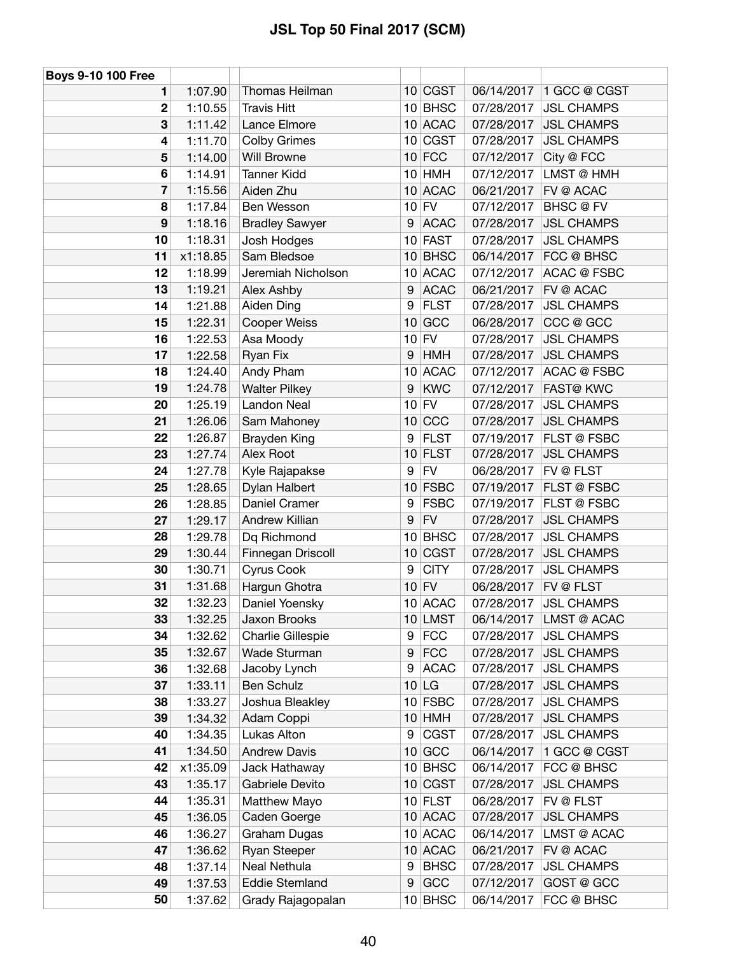| <b>Boys 9-10 100 Free</b> |          |                       |                 |             |            |                    |
|---------------------------|----------|-----------------------|-----------------|-------------|------------|--------------------|
| 1                         | 1:07.90  | Thomas Heilman        |                 | 10 CGST     | 06/14/2017 | 1 GCC @ CGST       |
| 2                         | 1:10.55  | <b>Travis Hitt</b>    |                 | 10 BHSC     | 07/28/2017 | <b>JSL CHAMPS</b>  |
| 3                         | 1:11.42  | Lance Elmore          |                 | 10 ACAC     | 07/28/2017 | <b>JSL CHAMPS</b>  |
| 4                         | 1:11.70  | <b>Colby Grimes</b>   |                 | 10 CGST     | 07/28/2017 | <b>JSL CHAMPS</b>  |
| 5                         | 1:14.00  | Will Browne           |                 | $10$ FCC    | 07/12/2017 | City @ FCC         |
| 6                         | 1:14.91  | <b>Tanner Kidd</b>    |                 | $10$ HMH    | 07/12/2017 | LMST @ HMH         |
| 7                         | 1:15.56  | Aiden Zhu             |                 | 10 ACAC     | 06/21/2017 | FV @ ACAC          |
| 8                         | 1:17.84  | Ben Wesson            |                 | $10$ FV     | 07/12/2017 | BHSC @ FV          |
| 9                         | 1:18.16  | <b>Bradley Sawyer</b> | 9               | <b>ACAC</b> | 07/28/2017 | <b>JSL CHAMPS</b>  |
| 10                        | 1:18.31  | Josh Hodges           |                 | 10 FAST     | 07/28/2017 | <b>JSL CHAMPS</b>  |
| 11                        | x1:18.85 | Sam Bledsoe           |                 | 10 BHSC     | 06/14/2017 | FCC @ BHSC         |
| 12                        | 1:18.99  | Jeremiah Nicholson    |                 | 10 ACAC     | 07/12/2017 | <b>ACAC @ FSBC</b> |
| 13                        | 1:19.21  | Alex Ashby            | 9               | <b>ACAC</b> | 06/21/2017 | FV @ ACAC          |
| 14                        | 1:21.88  | Aiden Ding            | 9               | <b>FLST</b> | 07/28/2017 | <b>JSL CHAMPS</b>  |
| 15                        | 1:22.31  | Cooper Weiss          | 10 <sup>1</sup> | GCC         | 06/28/2017 | CCC @ GCC          |
| 16                        | 1:22.53  | Asa Moody             |                 | $10$ FV     | 07/28/2017 | <b>JSL CHAMPS</b>  |
| 17                        | 1:22.58  | Ryan Fix              | 9               | <b>HMH</b>  | 07/28/2017 | <b>JSL CHAMPS</b>  |
| 18                        | 1:24.40  | Andy Pham             |                 | 10 ACAC     | 07/12/2017 | <b>ACAC @ FSBC</b> |
| 19                        | 1:24.78  | <b>Walter Pilkey</b>  | 9               | <b>KWC</b>  | 07/12/2017 | <b>FAST@ KWC</b>   |
| 20                        | 1:25.19  | Landon Neal           | 10 <sup>1</sup> | <b>FV</b>   | 07/28/2017 | <b>JSL CHAMPS</b>  |
| 21                        | 1:26.06  | Sam Mahoney           |                 | $10$ CCC    | 07/28/2017 | <b>JSL CHAMPS</b>  |
| 22                        | 1:26.87  | <b>Brayden King</b>   | 9               | <b>FLST</b> | 07/19/2017 | FLST @ FSBC        |
| 23                        | 1:27.74  | Alex Root             |                 | $10$ FLST   | 07/28/2017 | <b>JSL CHAMPS</b>  |
| 24                        | 1:27.78  | Kyle Rajapakse        | 9               | <b>FV</b>   | 06/28/2017 | FV @ FLST          |
| 25                        | 1:28.65  | Dylan Halbert         |                 | $10$ FSBC   | 07/19/2017 | FLST @ FSBC        |
| 26                        | 1:28.85  | Daniel Cramer         | 9               | <b>FSBC</b> | 07/19/2017 | FLST @ FSBC        |
| 27                        | 1:29.17  | Andrew Killian        | 9               | <b>FV</b>   | 07/28/2017 | <b>JSL CHAMPS</b>  |
| 28                        | 1:29.78  | Dq Richmond           | 10 <sup>1</sup> | <b>BHSC</b> | 07/28/2017 | <b>JSL CHAMPS</b>  |
| 29                        | 1:30.44  | Finnegan Driscoll     | 10              | <b>CGST</b> | 07/28/2017 | <b>JSL CHAMPS</b>  |
| 30                        | 1:30.71  | Cyrus Cook            | 9               | <b>CITY</b> | 07/28/2017 | <b>JSL CHAMPS</b>  |
| 31                        | 1:31.68  | Hargun Ghotra         |                 | $10$ FV     | 06/28/2017 | FV @ FLST          |
| 32                        | 1:32.23  | Daniel Yoensky        |                 | 10 ACAC     | 07/28/2017 | <b>JSL CHAMPS</b>  |
| 33                        | 1:32.25  | Jaxon Brooks          |                 | 10 LMST     | 06/14/2017 | LMST @ ACAC        |
| 34                        | 1:32.62  | Charlie Gillespie     | 9               | <b>FCC</b>  | 07/28/2017 | <b>JSL CHAMPS</b>  |
| 35                        | 1:32.67  | Wade Sturman          | 9               | <b>FCC</b>  | 07/28/2017 | <b>JSL CHAMPS</b>  |
| 36                        | 1:32.68  | Jacoby Lynch          | 9               | <b>ACAC</b> | 07/28/2017 | <b>JSL CHAMPS</b>  |
| 37                        | 1:33.11  | Ben Schulz            |                 | 10 LG       | 07/28/2017 | <b>JSL CHAMPS</b>  |
| 38                        | 1:33.27  | Joshua Bleakley       |                 | $10$ FSBC   | 07/28/2017 | <b>JSL CHAMPS</b>  |
| 39                        | 1:34.32  | Adam Coppi            |                 | $10$ HMH    | 07/28/2017 | <b>JSL CHAMPS</b>  |
| 40                        | 1:34.35  | Lukas Alton           | 9               | <b>CGST</b> | 07/28/2017 | <b>JSL CHAMPS</b>  |
| 41                        | 1:34.50  | <b>Andrew Davis</b>   |                 | $10$ GCC    | 06/14/2017 | 1 GCC @ CGST       |
| 42                        | x1:35.09 | Jack Hathaway         |                 | $10$ BHSC   | 06/14/2017 | FCC @ BHSC         |
| 43                        | 1:35.17  | Gabriele Devito       |                 | 10 CGST     | 07/28/2017 | <b>JSL CHAMPS</b>  |
| 44                        | 1:35.31  | Matthew Mayo          |                 | $10$ FLST   | 06/28/2017 | FV @ FLST          |
| 45                        | 1:36.05  | Caden Goerge          |                 | 10 ACAC     | 07/28/2017 | <b>JSL CHAMPS</b>  |
| 46                        | 1:36.27  | Graham Dugas          |                 | 10 ACAC     | 06/14/2017 | LMST @ ACAC        |
| 47                        | 1:36.62  | Ryan Steeper          |                 | 10 ACAC     | 06/21/2017 | FV @ ACAC          |
| 48                        | 1:37.14  | Neal Nethula          | 9               | <b>BHSC</b> | 07/28/2017 | <b>JSL CHAMPS</b>  |
| 49                        | 1:37.53  | <b>Eddie Stemland</b> | 9               | GCC         | 07/12/2017 | GOST @ GCC         |
| 50                        | 1:37.62  | Grady Rajagopalan     |                 | $10$ BHSC   | 06/14/2017 | FCC @ BHSC         |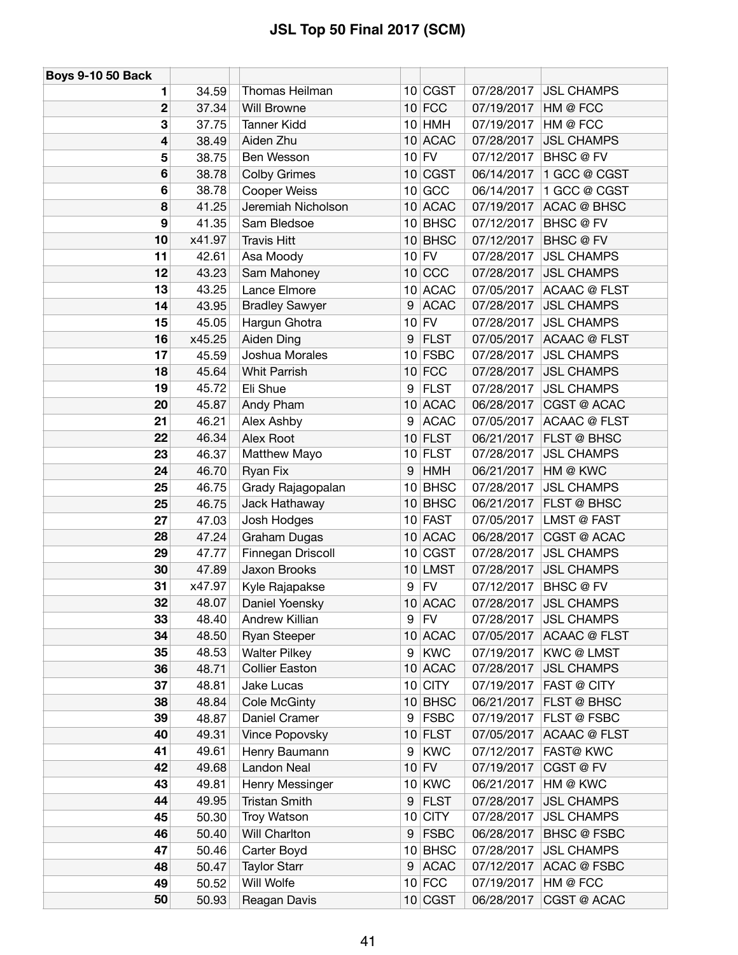| 10 CGST<br>Thomas Heilman<br>07/28/2017<br><b>JSL CHAMPS</b><br>34.59<br>1<br>$10$ FCC<br>37.34<br><b>Will Browne</b><br>07/19/2017<br>HM @ FCC<br>2<br>$10$ HMH<br>HM @ FCC<br>3<br>37.75<br><b>Tanner Kidd</b><br>07/19/2017<br>10 ACAC<br>Aiden Zhu<br>07/28/2017<br><b>JSL CHAMPS</b><br>4<br>38.49<br>$10$ FV<br><b>BHSC</b> @ FV<br>5<br>Ben Wesson<br>07/12/2017<br>38.75<br>38.78<br>1 GCC @ CGST<br>6<br><b>Colby Grimes</b><br>10 CGST<br>06/14/2017<br>38.78<br>6<br>10 GCC<br>1 GCC @ CGST<br><b>Cooper Weiss</b><br>06/14/2017<br>10 ACAC<br><b>ACAC @ BHSC</b><br>8<br>41.25<br>Jeremiah Nicholson<br>07/19/2017<br>41.35<br>Sam Bledsoe<br>10 BHSC<br>07/12/2017<br><b>BHSC</b> @ FV<br>9<br>x41.97<br>$10$ BHSC<br><b>BHSC</b> @ FV<br>10<br><b>Travis Hitt</b><br>07/12/2017<br>$10$ FV<br><b>JSL CHAMPS</b><br>11<br>Asa Moody<br>07/28/2017<br>42.61<br>12<br>Sam Mahoney<br>$10$ CCC<br>07/28/2017<br><b>JSL CHAMPS</b><br>43.23<br>13<br>43.25<br>Lance Elmore<br>10 ACAC<br>07/05/2017<br><b>ACAAC @ FLST</b><br><b>Bradley Sawyer</b><br>9<br><b>ACAC</b><br>07/28/2017<br><b>JSL CHAMPS</b><br>14<br>43.95<br>15<br>$10$ FV<br>45.05<br>07/28/2017<br><b>JSL CHAMPS</b><br>Hargun Ghotra<br>16<br>x45.25<br>Aiden Ding<br><b>FLST</b><br>07/05/2017<br><b>ACAAC @ FLST</b><br>9 <sup>1</sup><br>$10$ FSBC<br>17<br>Joshua Morales<br>07/28/2017<br><b>JSL CHAMPS</b><br>45.59<br>$10$ FCC<br>45.64<br><b>Whit Parrish</b><br>07/28/2017<br><b>JSL CHAMPS</b><br>18<br>19<br>45.72<br><b>FLST</b><br>Eli Shue<br>07/28/2017<br><b>JSL CHAMPS</b><br>9<br>10 ACAC<br>06/28/2017<br>CGST @ ACAC<br>45.87<br>Andy Pham<br>20<br><b>ACAC</b><br>21<br>46.21<br>9<br>07/05/2017<br><b>ACAAC @ FLST</b><br>Alex Ashby<br>22<br>46.34<br>Alex Root<br>$10$ FLST<br>FLST @ BHSC<br>06/21/2017<br>$10$ FLST<br>07/28/2017<br><b>JSL CHAMPS</b><br>23<br>46.37<br>Matthew Mayo<br>46.70<br>Ryan Fix<br><b>HMH</b><br>06/21/2017<br>HM @ KWC<br>24<br>9<br>25<br>46.75<br><b>JSL CHAMPS</b><br>Grady Rajagopalan<br>10 <sup>1</sup><br><b>BHSC</b><br>07/28/2017<br>$10$ BHSC<br>06/21/2017<br>FLST @ BHSC<br>25<br>46.75<br>Jack Hathaway<br>Josh Hodges<br>$10$ FAST<br>07/05/2017<br><b>LMST @ FAST</b><br>27<br>47.03<br>10 ACAC<br>28<br>47.24<br>Graham Dugas<br>06/28/2017<br>CGST @ ACAC<br><b>JSL CHAMPS</b><br>Finnegan Driscoll<br>10 CGST<br>07/28/2017<br>29<br>47.77<br>Jaxon Brooks<br>10 LMST<br>07/28/2017<br><b>JSL CHAMPS</b><br>30<br>47.89<br>x47.97<br><b>FV</b><br><b>BHSC</b> @ FV<br>31<br>Kyle Rajapakse<br>07/12/2017<br>9<br>32<br>48.07<br>10 ACAC<br>Daniel Yoensky<br><b>JSL CHAMPS</b><br>07/28/2017<br><b>FV</b><br>48.40<br>Andrew Killian<br>07/28/2017<br><b>JSL CHAMPS</b><br>33<br>9 <sup>1</sup><br>34<br>Ryan Steeper<br>10 ACAC<br>07/05/2017<br><b>ACAAC @ FLST</b><br>48.50<br><b>KWC</b><br><b>KWC@LMST</b><br>35<br>48.53<br><b>Walter Pilkey</b><br>9<br>07/19/2017<br>10 ACAC<br><b>JSL CHAMPS</b><br><b>Collier Easton</b><br>07/28/2017<br>36<br>48.71<br>37<br>Jake Lucas<br>$10$ CITY<br>07/19/2017<br>FAST @ CITY<br>48.81<br>38<br>48.84<br>$10$ BHSC<br>06/21/2017<br>FLST @ BHSC<br>Cole McGinty<br>Daniel Cramer<br><b>FSBC</b><br>07/19/2017<br>FLST @ FSBC<br>39<br>9<br>48.87<br>40<br>49.31<br>Vince Popovsky<br>$10$ FLST<br>07/05/2017<br><b>ACAAC @ FLST</b><br>41<br>49.61<br><b>KWC</b><br>07/12/2017<br><b>FAST@ KWC</b><br>Henry Baumann<br>9<br>Landon Neal<br>$10$ FV<br>CGST @ FV<br>42<br>07/19/2017<br>49.68<br>Henry Messinger<br>$10$ KWC<br>43<br>49.81<br>06/21/2017<br>HM @ KWC<br>49.95<br>44<br><b>Tristan Smith</b><br><b>FLST</b><br>07/28/2017<br><b>JSL CHAMPS</b><br>9<br>$10$ CITY<br><b>JSL CHAMPS</b><br>50.30<br>Troy Watson<br>07/28/2017<br>45<br><b>FSBC</b><br>50.40<br>Will Charlton<br>06/28/2017<br><b>BHSC @ FSBC</b><br>46<br>9 <sup>°</sup><br>47<br>50.46<br><b>BHSC</b><br>07/28/2017<br><b>JSL CHAMPS</b><br>Carter Boyd<br>10 <sup>1</sup><br><b>Taylor Starr</b><br><b>ACAC</b><br>07/12/2017<br><b>ACAC @ FSBC</b><br>48<br>50.47<br>9<br>$10$ FCC<br>49<br>50.52<br>Will Wolfe<br>07/19/2017<br>HM @ FCC<br>50<br>50.93<br>$10$ CGST<br>CGST @ ACAC<br>Reagan Davis<br>06/28/2017 | <b>Boys 9-10 50 Back</b> |  |  |  |
|--------------------------------------------------------------------------------------------------------------------------------------------------------------------------------------------------------------------------------------------------------------------------------------------------------------------------------------------------------------------------------------------------------------------------------------------------------------------------------------------------------------------------------------------------------------------------------------------------------------------------------------------------------------------------------------------------------------------------------------------------------------------------------------------------------------------------------------------------------------------------------------------------------------------------------------------------------------------------------------------------------------------------------------------------------------------------------------------------------------------------------------------------------------------------------------------------------------------------------------------------------------------------------------------------------------------------------------------------------------------------------------------------------------------------------------------------------------------------------------------------------------------------------------------------------------------------------------------------------------------------------------------------------------------------------------------------------------------------------------------------------------------------------------------------------------------------------------------------------------------------------------------------------------------------------------------------------------------------------------------------------------------------------------------------------------------------------------------------------------------------------------------------------------------------------------------------------------------------------------------------------------------------------------------------------------------------------------------------------------------------------------------------------------------------------------------------------------------------------------------------------------------------------------------------------------------------------------------------------------------------------------------------------------------------------------------------------------------------------------------------------------------------------------------------------------------------------------------------------------------------------------------------------------------------------------------------------------------------------------------------------------------------------------------------------------------------------------------------------------------------------------------------------------------------------------------------------------------------------------------------------------------------------------------------------------------------------------------------------------------------------------------------------------------------------------------------------------------------------------------------------------------------------------------------------------------------------------------------------------------------------------------------------------------------------------------------------------------------------------------------------------------------------------------------------------------------------------------------------------------------------------------------------------------------------------------------------------------------------------------------------------------------------------------------------------------------------------------------------------------------------------------------------------------------------------------------------|--------------------------|--|--|--|
|                                                                                                                                                                                                                                                                                                                                                                                                                                                                                                                                                                                                                                                                                                                                                                                                                                                                                                                                                                                                                                                                                                                                                                                                                                                                                                                                                                                                                                                                                                                                                                                                                                                                                                                                                                                                                                                                                                                                                                                                                                                                                                                                                                                                                                                                                                                                                                                                                                                                                                                                                                                                                                                                                                                                                                                                                                                                                                                                                                                                                                                                                                                                                                                                                                                                                                                                                                                                                                                                                                                                                                                                                                                                                                                                                                                                                                                                                                                                                                                                                                                                                                                                                                                                        |                          |  |  |  |
|                                                                                                                                                                                                                                                                                                                                                                                                                                                                                                                                                                                                                                                                                                                                                                                                                                                                                                                                                                                                                                                                                                                                                                                                                                                                                                                                                                                                                                                                                                                                                                                                                                                                                                                                                                                                                                                                                                                                                                                                                                                                                                                                                                                                                                                                                                                                                                                                                                                                                                                                                                                                                                                                                                                                                                                                                                                                                                                                                                                                                                                                                                                                                                                                                                                                                                                                                                                                                                                                                                                                                                                                                                                                                                                                                                                                                                                                                                                                                                                                                                                                                                                                                                                                        |                          |  |  |  |
|                                                                                                                                                                                                                                                                                                                                                                                                                                                                                                                                                                                                                                                                                                                                                                                                                                                                                                                                                                                                                                                                                                                                                                                                                                                                                                                                                                                                                                                                                                                                                                                                                                                                                                                                                                                                                                                                                                                                                                                                                                                                                                                                                                                                                                                                                                                                                                                                                                                                                                                                                                                                                                                                                                                                                                                                                                                                                                                                                                                                                                                                                                                                                                                                                                                                                                                                                                                                                                                                                                                                                                                                                                                                                                                                                                                                                                                                                                                                                                                                                                                                                                                                                                                                        |                          |  |  |  |
|                                                                                                                                                                                                                                                                                                                                                                                                                                                                                                                                                                                                                                                                                                                                                                                                                                                                                                                                                                                                                                                                                                                                                                                                                                                                                                                                                                                                                                                                                                                                                                                                                                                                                                                                                                                                                                                                                                                                                                                                                                                                                                                                                                                                                                                                                                                                                                                                                                                                                                                                                                                                                                                                                                                                                                                                                                                                                                                                                                                                                                                                                                                                                                                                                                                                                                                                                                                                                                                                                                                                                                                                                                                                                                                                                                                                                                                                                                                                                                                                                                                                                                                                                                                                        |                          |  |  |  |
|                                                                                                                                                                                                                                                                                                                                                                                                                                                                                                                                                                                                                                                                                                                                                                                                                                                                                                                                                                                                                                                                                                                                                                                                                                                                                                                                                                                                                                                                                                                                                                                                                                                                                                                                                                                                                                                                                                                                                                                                                                                                                                                                                                                                                                                                                                                                                                                                                                                                                                                                                                                                                                                                                                                                                                                                                                                                                                                                                                                                                                                                                                                                                                                                                                                                                                                                                                                                                                                                                                                                                                                                                                                                                                                                                                                                                                                                                                                                                                                                                                                                                                                                                                                                        |                          |  |  |  |
|                                                                                                                                                                                                                                                                                                                                                                                                                                                                                                                                                                                                                                                                                                                                                                                                                                                                                                                                                                                                                                                                                                                                                                                                                                                                                                                                                                                                                                                                                                                                                                                                                                                                                                                                                                                                                                                                                                                                                                                                                                                                                                                                                                                                                                                                                                                                                                                                                                                                                                                                                                                                                                                                                                                                                                                                                                                                                                                                                                                                                                                                                                                                                                                                                                                                                                                                                                                                                                                                                                                                                                                                                                                                                                                                                                                                                                                                                                                                                                                                                                                                                                                                                                                                        |                          |  |  |  |
|                                                                                                                                                                                                                                                                                                                                                                                                                                                                                                                                                                                                                                                                                                                                                                                                                                                                                                                                                                                                                                                                                                                                                                                                                                                                                                                                                                                                                                                                                                                                                                                                                                                                                                                                                                                                                                                                                                                                                                                                                                                                                                                                                                                                                                                                                                                                                                                                                                                                                                                                                                                                                                                                                                                                                                                                                                                                                                                                                                                                                                                                                                                                                                                                                                                                                                                                                                                                                                                                                                                                                                                                                                                                                                                                                                                                                                                                                                                                                                                                                                                                                                                                                                                                        |                          |  |  |  |
|                                                                                                                                                                                                                                                                                                                                                                                                                                                                                                                                                                                                                                                                                                                                                                                                                                                                                                                                                                                                                                                                                                                                                                                                                                                                                                                                                                                                                                                                                                                                                                                                                                                                                                                                                                                                                                                                                                                                                                                                                                                                                                                                                                                                                                                                                                                                                                                                                                                                                                                                                                                                                                                                                                                                                                                                                                                                                                                                                                                                                                                                                                                                                                                                                                                                                                                                                                                                                                                                                                                                                                                                                                                                                                                                                                                                                                                                                                                                                                                                                                                                                                                                                                                                        |                          |  |  |  |
|                                                                                                                                                                                                                                                                                                                                                                                                                                                                                                                                                                                                                                                                                                                                                                                                                                                                                                                                                                                                                                                                                                                                                                                                                                                                                                                                                                                                                                                                                                                                                                                                                                                                                                                                                                                                                                                                                                                                                                                                                                                                                                                                                                                                                                                                                                                                                                                                                                                                                                                                                                                                                                                                                                                                                                                                                                                                                                                                                                                                                                                                                                                                                                                                                                                                                                                                                                                                                                                                                                                                                                                                                                                                                                                                                                                                                                                                                                                                                                                                                                                                                                                                                                                                        |                          |  |  |  |
|                                                                                                                                                                                                                                                                                                                                                                                                                                                                                                                                                                                                                                                                                                                                                                                                                                                                                                                                                                                                                                                                                                                                                                                                                                                                                                                                                                                                                                                                                                                                                                                                                                                                                                                                                                                                                                                                                                                                                                                                                                                                                                                                                                                                                                                                                                                                                                                                                                                                                                                                                                                                                                                                                                                                                                                                                                                                                                                                                                                                                                                                                                                                                                                                                                                                                                                                                                                                                                                                                                                                                                                                                                                                                                                                                                                                                                                                                                                                                                                                                                                                                                                                                                                                        |                          |  |  |  |
|                                                                                                                                                                                                                                                                                                                                                                                                                                                                                                                                                                                                                                                                                                                                                                                                                                                                                                                                                                                                                                                                                                                                                                                                                                                                                                                                                                                                                                                                                                                                                                                                                                                                                                                                                                                                                                                                                                                                                                                                                                                                                                                                                                                                                                                                                                                                                                                                                                                                                                                                                                                                                                                                                                                                                                                                                                                                                                                                                                                                                                                                                                                                                                                                                                                                                                                                                                                                                                                                                                                                                                                                                                                                                                                                                                                                                                                                                                                                                                                                                                                                                                                                                                                                        |                          |  |  |  |
|                                                                                                                                                                                                                                                                                                                                                                                                                                                                                                                                                                                                                                                                                                                                                                                                                                                                                                                                                                                                                                                                                                                                                                                                                                                                                                                                                                                                                                                                                                                                                                                                                                                                                                                                                                                                                                                                                                                                                                                                                                                                                                                                                                                                                                                                                                                                                                                                                                                                                                                                                                                                                                                                                                                                                                                                                                                                                                                                                                                                                                                                                                                                                                                                                                                                                                                                                                                                                                                                                                                                                                                                                                                                                                                                                                                                                                                                                                                                                                                                                                                                                                                                                                                                        |                          |  |  |  |
|                                                                                                                                                                                                                                                                                                                                                                                                                                                                                                                                                                                                                                                                                                                                                                                                                                                                                                                                                                                                                                                                                                                                                                                                                                                                                                                                                                                                                                                                                                                                                                                                                                                                                                                                                                                                                                                                                                                                                                                                                                                                                                                                                                                                                                                                                                                                                                                                                                                                                                                                                                                                                                                                                                                                                                                                                                                                                                                                                                                                                                                                                                                                                                                                                                                                                                                                                                                                                                                                                                                                                                                                                                                                                                                                                                                                                                                                                                                                                                                                                                                                                                                                                                                                        |                          |  |  |  |
|                                                                                                                                                                                                                                                                                                                                                                                                                                                                                                                                                                                                                                                                                                                                                                                                                                                                                                                                                                                                                                                                                                                                                                                                                                                                                                                                                                                                                                                                                                                                                                                                                                                                                                                                                                                                                                                                                                                                                                                                                                                                                                                                                                                                                                                                                                                                                                                                                                                                                                                                                                                                                                                                                                                                                                                                                                                                                                                                                                                                                                                                                                                                                                                                                                                                                                                                                                                                                                                                                                                                                                                                                                                                                                                                                                                                                                                                                                                                                                                                                                                                                                                                                                                                        |                          |  |  |  |
|                                                                                                                                                                                                                                                                                                                                                                                                                                                                                                                                                                                                                                                                                                                                                                                                                                                                                                                                                                                                                                                                                                                                                                                                                                                                                                                                                                                                                                                                                                                                                                                                                                                                                                                                                                                                                                                                                                                                                                                                                                                                                                                                                                                                                                                                                                                                                                                                                                                                                                                                                                                                                                                                                                                                                                                                                                                                                                                                                                                                                                                                                                                                                                                                                                                                                                                                                                                                                                                                                                                                                                                                                                                                                                                                                                                                                                                                                                                                                                                                                                                                                                                                                                                                        |                          |  |  |  |
|                                                                                                                                                                                                                                                                                                                                                                                                                                                                                                                                                                                                                                                                                                                                                                                                                                                                                                                                                                                                                                                                                                                                                                                                                                                                                                                                                                                                                                                                                                                                                                                                                                                                                                                                                                                                                                                                                                                                                                                                                                                                                                                                                                                                                                                                                                                                                                                                                                                                                                                                                                                                                                                                                                                                                                                                                                                                                                                                                                                                                                                                                                                                                                                                                                                                                                                                                                                                                                                                                                                                                                                                                                                                                                                                                                                                                                                                                                                                                                                                                                                                                                                                                                                                        |                          |  |  |  |
|                                                                                                                                                                                                                                                                                                                                                                                                                                                                                                                                                                                                                                                                                                                                                                                                                                                                                                                                                                                                                                                                                                                                                                                                                                                                                                                                                                                                                                                                                                                                                                                                                                                                                                                                                                                                                                                                                                                                                                                                                                                                                                                                                                                                                                                                                                                                                                                                                                                                                                                                                                                                                                                                                                                                                                                                                                                                                                                                                                                                                                                                                                                                                                                                                                                                                                                                                                                                                                                                                                                                                                                                                                                                                                                                                                                                                                                                                                                                                                                                                                                                                                                                                                                                        |                          |  |  |  |
|                                                                                                                                                                                                                                                                                                                                                                                                                                                                                                                                                                                                                                                                                                                                                                                                                                                                                                                                                                                                                                                                                                                                                                                                                                                                                                                                                                                                                                                                                                                                                                                                                                                                                                                                                                                                                                                                                                                                                                                                                                                                                                                                                                                                                                                                                                                                                                                                                                                                                                                                                                                                                                                                                                                                                                                                                                                                                                                                                                                                                                                                                                                                                                                                                                                                                                                                                                                                                                                                                                                                                                                                                                                                                                                                                                                                                                                                                                                                                                                                                                                                                                                                                                                                        |                          |  |  |  |
|                                                                                                                                                                                                                                                                                                                                                                                                                                                                                                                                                                                                                                                                                                                                                                                                                                                                                                                                                                                                                                                                                                                                                                                                                                                                                                                                                                                                                                                                                                                                                                                                                                                                                                                                                                                                                                                                                                                                                                                                                                                                                                                                                                                                                                                                                                                                                                                                                                                                                                                                                                                                                                                                                                                                                                                                                                                                                                                                                                                                                                                                                                                                                                                                                                                                                                                                                                                                                                                                                                                                                                                                                                                                                                                                                                                                                                                                                                                                                                                                                                                                                                                                                                                                        |                          |  |  |  |
|                                                                                                                                                                                                                                                                                                                                                                                                                                                                                                                                                                                                                                                                                                                                                                                                                                                                                                                                                                                                                                                                                                                                                                                                                                                                                                                                                                                                                                                                                                                                                                                                                                                                                                                                                                                                                                                                                                                                                                                                                                                                                                                                                                                                                                                                                                                                                                                                                                                                                                                                                                                                                                                                                                                                                                                                                                                                                                                                                                                                                                                                                                                                                                                                                                                                                                                                                                                                                                                                                                                                                                                                                                                                                                                                                                                                                                                                                                                                                                                                                                                                                                                                                                                                        |                          |  |  |  |
|                                                                                                                                                                                                                                                                                                                                                                                                                                                                                                                                                                                                                                                                                                                                                                                                                                                                                                                                                                                                                                                                                                                                                                                                                                                                                                                                                                                                                                                                                                                                                                                                                                                                                                                                                                                                                                                                                                                                                                                                                                                                                                                                                                                                                                                                                                                                                                                                                                                                                                                                                                                                                                                                                                                                                                                                                                                                                                                                                                                                                                                                                                                                                                                                                                                                                                                                                                                                                                                                                                                                                                                                                                                                                                                                                                                                                                                                                                                                                                                                                                                                                                                                                                                                        |                          |  |  |  |
|                                                                                                                                                                                                                                                                                                                                                                                                                                                                                                                                                                                                                                                                                                                                                                                                                                                                                                                                                                                                                                                                                                                                                                                                                                                                                                                                                                                                                                                                                                                                                                                                                                                                                                                                                                                                                                                                                                                                                                                                                                                                                                                                                                                                                                                                                                                                                                                                                                                                                                                                                                                                                                                                                                                                                                                                                                                                                                                                                                                                                                                                                                                                                                                                                                                                                                                                                                                                                                                                                                                                                                                                                                                                                                                                                                                                                                                                                                                                                                                                                                                                                                                                                                                                        |                          |  |  |  |
|                                                                                                                                                                                                                                                                                                                                                                                                                                                                                                                                                                                                                                                                                                                                                                                                                                                                                                                                                                                                                                                                                                                                                                                                                                                                                                                                                                                                                                                                                                                                                                                                                                                                                                                                                                                                                                                                                                                                                                                                                                                                                                                                                                                                                                                                                                                                                                                                                                                                                                                                                                                                                                                                                                                                                                                                                                                                                                                                                                                                                                                                                                                                                                                                                                                                                                                                                                                                                                                                                                                                                                                                                                                                                                                                                                                                                                                                                                                                                                                                                                                                                                                                                                                                        |                          |  |  |  |
|                                                                                                                                                                                                                                                                                                                                                                                                                                                                                                                                                                                                                                                                                                                                                                                                                                                                                                                                                                                                                                                                                                                                                                                                                                                                                                                                                                                                                                                                                                                                                                                                                                                                                                                                                                                                                                                                                                                                                                                                                                                                                                                                                                                                                                                                                                                                                                                                                                                                                                                                                                                                                                                                                                                                                                                                                                                                                                                                                                                                                                                                                                                                                                                                                                                                                                                                                                                                                                                                                                                                                                                                                                                                                                                                                                                                                                                                                                                                                                                                                                                                                                                                                                                                        |                          |  |  |  |
|                                                                                                                                                                                                                                                                                                                                                                                                                                                                                                                                                                                                                                                                                                                                                                                                                                                                                                                                                                                                                                                                                                                                                                                                                                                                                                                                                                                                                                                                                                                                                                                                                                                                                                                                                                                                                                                                                                                                                                                                                                                                                                                                                                                                                                                                                                                                                                                                                                                                                                                                                                                                                                                                                                                                                                                                                                                                                                                                                                                                                                                                                                                                                                                                                                                                                                                                                                                                                                                                                                                                                                                                                                                                                                                                                                                                                                                                                                                                                                                                                                                                                                                                                                                                        |                          |  |  |  |
|                                                                                                                                                                                                                                                                                                                                                                                                                                                                                                                                                                                                                                                                                                                                                                                                                                                                                                                                                                                                                                                                                                                                                                                                                                                                                                                                                                                                                                                                                                                                                                                                                                                                                                                                                                                                                                                                                                                                                                                                                                                                                                                                                                                                                                                                                                                                                                                                                                                                                                                                                                                                                                                                                                                                                                                                                                                                                                                                                                                                                                                                                                                                                                                                                                                                                                                                                                                                                                                                                                                                                                                                                                                                                                                                                                                                                                                                                                                                                                                                                                                                                                                                                                                                        |                          |  |  |  |
|                                                                                                                                                                                                                                                                                                                                                                                                                                                                                                                                                                                                                                                                                                                                                                                                                                                                                                                                                                                                                                                                                                                                                                                                                                                                                                                                                                                                                                                                                                                                                                                                                                                                                                                                                                                                                                                                                                                                                                                                                                                                                                                                                                                                                                                                                                                                                                                                                                                                                                                                                                                                                                                                                                                                                                                                                                                                                                                                                                                                                                                                                                                                                                                                                                                                                                                                                                                                                                                                                                                                                                                                                                                                                                                                                                                                                                                                                                                                                                                                                                                                                                                                                                                                        |                          |  |  |  |
|                                                                                                                                                                                                                                                                                                                                                                                                                                                                                                                                                                                                                                                                                                                                                                                                                                                                                                                                                                                                                                                                                                                                                                                                                                                                                                                                                                                                                                                                                                                                                                                                                                                                                                                                                                                                                                                                                                                                                                                                                                                                                                                                                                                                                                                                                                                                                                                                                                                                                                                                                                                                                                                                                                                                                                                                                                                                                                                                                                                                                                                                                                                                                                                                                                                                                                                                                                                                                                                                                                                                                                                                                                                                                                                                                                                                                                                                                                                                                                                                                                                                                                                                                                                                        |                          |  |  |  |
|                                                                                                                                                                                                                                                                                                                                                                                                                                                                                                                                                                                                                                                                                                                                                                                                                                                                                                                                                                                                                                                                                                                                                                                                                                                                                                                                                                                                                                                                                                                                                                                                                                                                                                                                                                                                                                                                                                                                                                                                                                                                                                                                                                                                                                                                                                                                                                                                                                                                                                                                                                                                                                                                                                                                                                                                                                                                                                                                                                                                                                                                                                                                                                                                                                                                                                                                                                                                                                                                                                                                                                                                                                                                                                                                                                                                                                                                                                                                                                                                                                                                                                                                                                                                        |                          |  |  |  |
|                                                                                                                                                                                                                                                                                                                                                                                                                                                                                                                                                                                                                                                                                                                                                                                                                                                                                                                                                                                                                                                                                                                                                                                                                                                                                                                                                                                                                                                                                                                                                                                                                                                                                                                                                                                                                                                                                                                                                                                                                                                                                                                                                                                                                                                                                                                                                                                                                                                                                                                                                                                                                                                                                                                                                                                                                                                                                                                                                                                                                                                                                                                                                                                                                                                                                                                                                                                                                                                                                                                                                                                                                                                                                                                                                                                                                                                                                                                                                                                                                                                                                                                                                                                                        |                          |  |  |  |
|                                                                                                                                                                                                                                                                                                                                                                                                                                                                                                                                                                                                                                                                                                                                                                                                                                                                                                                                                                                                                                                                                                                                                                                                                                                                                                                                                                                                                                                                                                                                                                                                                                                                                                                                                                                                                                                                                                                                                                                                                                                                                                                                                                                                                                                                                                                                                                                                                                                                                                                                                                                                                                                                                                                                                                                                                                                                                                                                                                                                                                                                                                                                                                                                                                                                                                                                                                                                                                                                                                                                                                                                                                                                                                                                                                                                                                                                                                                                                                                                                                                                                                                                                                                                        |                          |  |  |  |
|                                                                                                                                                                                                                                                                                                                                                                                                                                                                                                                                                                                                                                                                                                                                                                                                                                                                                                                                                                                                                                                                                                                                                                                                                                                                                                                                                                                                                                                                                                                                                                                                                                                                                                                                                                                                                                                                                                                                                                                                                                                                                                                                                                                                                                                                                                                                                                                                                                                                                                                                                                                                                                                                                                                                                                                                                                                                                                                                                                                                                                                                                                                                                                                                                                                                                                                                                                                                                                                                                                                                                                                                                                                                                                                                                                                                                                                                                                                                                                                                                                                                                                                                                                                                        |                          |  |  |  |
|                                                                                                                                                                                                                                                                                                                                                                                                                                                                                                                                                                                                                                                                                                                                                                                                                                                                                                                                                                                                                                                                                                                                                                                                                                                                                                                                                                                                                                                                                                                                                                                                                                                                                                                                                                                                                                                                                                                                                                                                                                                                                                                                                                                                                                                                                                                                                                                                                                                                                                                                                                                                                                                                                                                                                                                                                                                                                                                                                                                                                                                                                                                                                                                                                                                                                                                                                                                                                                                                                                                                                                                                                                                                                                                                                                                                                                                                                                                                                                                                                                                                                                                                                                                                        |                          |  |  |  |
|                                                                                                                                                                                                                                                                                                                                                                                                                                                                                                                                                                                                                                                                                                                                                                                                                                                                                                                                                                                                                                                                                                                                                                                                                                                                                                                                                                                                                                                                                                                                                                                                                                                                                                                                                                                                                                                                                                                                                                                                                                                                                                                                                                                                                                                                                                                                                                                                                                                                                                                                                                                                                                                                                                                                                                                                                                                                                                                                                                                                                                                                                                                                                                                                                                                                                                                                                                                                                                                                                                                                                                                                                                                                                                                                                                                                                                                                                                                                                                                                                                                                                                                                                                                                        |                          |  |  |  |
|                                                                                                                                                                                                                                                                                                                                                                                                                                                                                                                                                                                                                                                                                                                                                                                                                                                                                                                                                                                                                                                                                                                                                                                                                                                                                                                                                                                                                                                                                                                                                                                                                                                                                                                                                                                                                                                                                                                                                                                                                                                                                                                                                                                                                                                                                                                                                                                                                                                                                                                                                                                                                                                                                                                                                                                                                                                                                                                                                                                                                                                                                                                                                                                                                                                                                                                                                                                                                                                                                                                                                                                                                                                                                                                                                                                                                                                                                                                                                                                                                                                                                                                                                                                                        |                          |  |  |  |
|                                                                                                                                                                                                                                                                                                                                                                                                                                                                                                                                                                                                                                                                                                                                                                                                                                                                                                                                                                                                                                                                                                                                                                                                                                                                                                                                                                                                                                                                                                                                                                                                                                                                                                                                                                                                                                                                                                                                                                                                                                                                                                                                                                                                                                                                                                                                                                                                                                                                                                                                                                                                                                                                                                                                                                                                                                                                                                                                                                                                                                                                                                                                                                                                                                                                                                                                                                                                                                                                                                                                                                                                                                                                                                                                                                                                                                                                                                                                                                                                                                                                                                                                                                                                        |                          |  |  |  |
|                                                                                                                                                                                                                                                                                                                                                                                                                                                                                                                                                                                                                                                                                                                                                                                                                                                                                                                                                                                                                                                                                                                                                                                                                                                                                                                                                                                                                                                                                                                                                                                                                                                                                                                                                                                                                                                                                                                                                                                                                                                                                                                                                                                                                                                                                                                                                                                                                                                                                                                                                                                                                                                                                                                                                                                                                                                                                                                                                                                                                                                                                                                                                                                                                                                                                                                                                                                                                                                                                                                                                                                                                                                                                                                                                                                                                                                                                                                                                                                                                                                                                                                                                                                                        |                          |  |  |  |
|                                                                                                                                                                                                                                                                                                                                                                                                                                                                                                                                                                                                                                                                                                                                                                                                                                                                                                                                                                                                                                                                                                                                                                                                                                                                                                                                                                                                                                                                                                                                                                                                                                                                                                                                                                                                                                                                                                                                                                                                                                                                                                                                                                                                                                                                                                                                                                                                                                                                                                                                                                                                                                                                                                                                                                                                                                                                                                                                                                                                                                                                                                                                                                                                                                                                                                                                                                                                                                                                                                                                                                                                                                                                                                                                                                                                                                                                                                                                                                                                                                                                                                                                                                                                        |                          |  |  |  |
|                                                                                                                                                                                                                                                                                                                                                                                                                                                                                                                                                                                                                                                                                                                                                                                                                                                                                                                                                                                                                                                                                                                                                                                                                                                                                                                                                                                                                                                                                                                                                                                                                                                                                                                                                                                                                                                                                                                                                                                                                                                                                                                                                                                                                                                                                                                                                                                                                                                                                                                                                                                                                                                                                                                                                                                                                                                                                                                                                                                                                                                                                                                                                                                                                                                                                                                                                                                                                                                                                                                                                                                                                                                                                                                                                                                                                                                                                                                                                                                                                                                                                                                                                                                                        |                          |  |  |  |
|                                                                                                                                                                                                                                                                                                                                                                                                                                                                                                                                                                                                                                                                                                                                                                                                                                                                                                                                                                                                                                                                                                                                                                                                                                                                                                                                                                                                                                                                                                                                                                                                                                                                                                                                                                                                                                                                                                                                                                                                                                                                                                                                                                                                                                                                                                                                                                                                                                                                                                                                                                                                                                                                                                                                                                                                                                                                                                                                                                                                                                                                                                                                                                                                                                                                                                                                                                                                                                                                                                                                                                                                                                                                                                                                                                                                                                                                                                                                                                                                                                                                                                                                                                                                        |                          |  |  |  |
|                                                                                                                                                                                                                                                                                                                                                                                                                                                                                                                                                                                                                                                                                                                                                                                                                                                                                                                                                                                                                                                                                                                                                                                                                                                                                                                                                                                                                                                                                                                                                                                                                                                                                                                                                                                                                                                                                                                                                                                                                                                                                                                                                                                                                                                                                                                                                                                                                                                                                                                                                                                                                                                                                                                                                                                                                                                                                                                                                                                                                                                                                                                                                                                                                                                                                                                                                                                                                                                                                                                                                                                                                                                                                                                                                                                                                                                                                                                                                                                                                                                                                                                                                                                                        |                          |  |  |  |
|                                                                                                                                                                                                                                                                                                                                                                                                                                                                                                                                                                                                                                                                                                                                                                                                                                                                                                                                                                                                                                                                                                                                                                                                                                                                                                                                                                                                                                                                                                                                                                                                                                                                                                                                                                                                                                                                                                                                                                                                                                                                                                                                                                                                                                                                                                                                                                                                                                                                                                                                                                                                                                                                                                                                                                                                                                                                                                                                                                                                                                                                                                                                                                                                                                                                                                                                                                                                                                                                                                                                                                                                                                                                                                                                                                                                                                                                                                                                                                                                                                                                                                                                                                                                        |                          |  |  |  |
|                                                                                                                                                                                                                                                                                                                                                                                                                                                                                                                                                                                                                                                                                                                                                                                                                                                                                                                                                                                                                                                                                                                                                                                                                                                                                                                                                                                                                                                                                                                                                                                                                                                                                                                                                                                                                                                                                                                                                                                                                                                                                                                                                                                                                                                                                                                                                                                                                                                                                                                                                                                                                                                                                                                                                                                                                                                                                                                                                                                                                                                                                                                                                                                                                                                                                                                                                                                                                                                                                                                                                                                                                                                                                                                                                                                                                                                                                                                                                                                                                                                                                                                                                                                                        |                          |  |  |  |
|                                                                                                                                                                                                                                                                                                                                                                                                                                                                                                                                                                                                                                                                                                                                                                                                                                                                                                                                                                                                                                                                                                                                                                                                                                                                                                                                                                                                                                                                                                                                                                                                                                                                                                                                                                                                                                                                                                                                                                                                                                                                                                                                                                                                                                                                                                                                                                                                                                                                                                                                                                                                                                                                                                                                                                                                                                                                                                                                                                                                                                                                                                                                                                                                                                                                                                                                                                                                                                                                                                                                                                                                                                                                                                                                                                                                                                                                                                                                                                                                                                                                                                                                                                                                        |                          |  |  |  |
|                                                                                                                                                                                                                                                                                                                                                                                                                                                                                                                                                                                                                                                                                                                                                                                                                                                                                                                                                                                                                                                                                                                                                                                                                                                                                                                                                                                                                                                                                                                                                                                                                                                                                                                                                                                                                                                                                                                                                                                                                                                                                                                                                                                                                                                                                                                                                                                                                                                                                                                                                                                                                                                                                                                                                                                                                                                                                                                                                                                                                                                                                                                                                                                                                                                                                                                                                                                                                                                                                                                                                                                                                                                                                                                                                                                                                                                                                                                                                                                                                                                                                                                                                                                                        |                          |  |  |  |
|                                                                                                                                                                                                                                                                                                                                                                                                                                                                                                                                                                                                                                                                                                                                                                                                                                                                                                                                                                                                                                                                                                                                                                                                                                                                                                                                                                                                                                                                                                                                                                                                                                                                                                                                                                                                                                                                                                                                                                                                                                                                                                                                                                                                                                                                                                                                                                                                                                                                                                                                                                                                                                                                                                                                                                                                                                                                                                                                                                                                                                                                                                                                                                                                                                                                                                                                                                                                                                                                                                                                                                                                                                                                                                                                                                                                                                                                                                                                                                                                                                                                                                                                                                                                        |                          |  |  |  |
|                                                                                                                                                                                                                                                                                                                                                                                                                                                                                                                                                                                                                                                                                                                                                                                                                                                                                                                                                                                                                                                                                                                                                                                                                                                                                                                                                                                                                                                                                                                                                                                                                                                                                                                                                                                                                                                                                                                                                                                                                                                                                                                                                                                                                                                                                                                                                                                                                                                                                                                                                                                                                                                                                                                                                                                                                                                                                                                                                                                                                                                                                                                                                                                                                                                                                                                                                                                                                                                                                                                                                                                                                                                                                                                                                                                                                                                                                                                                                                                                                                                                                                                                                                                                        |                          |  |  |  |
|                                                                                                                                                                                                                                                                                                                                                                                                                                                                                                                                                                                                                                                                                                                                                                                                                                                                                                                                                                                                                                                                                                                                                                                                                                                                                                                                                                                                                                                                                                                                                                                                                                                                                                                                                                                                                                                                                                                                                                                                                                                                                                                                                                                                                                                                                                                                                                                                                                                                                                                                                                                                                                                                                                                                                                                                                                                                                                                                                                                                                                                                                                                                                                                                                                                                                                                                                                                                                                                                                                                                                                                                                                                                                                                                                                                                                                                                                                                                                                                                                                                                                                                                                                                                        |                          |  |  |  |
|                                                                                                                                                                                                                                                                                                                                                                                                                                                                                                                                                                                                                                                                                                                                                                                                                                                                                                                                                                                                                                                                                                                                                                                                                                                                                                                                                                                                                                                                                                                                                                                                                                                                                                                                                                                                                                                                                                                                                                                                                                                                                                                                                                                                                                                                                                                                                                                                                                                                                                                                                                                                                                                                                                                                                                                                                                                                                                                                                                                                                                                                                                                                                                                                                                                                                                                                                                                                                                                                                                                                                                                                                                                                                                                                                                                                                                                                                                                                                                                                                                                                                                                                                                                                        |                          |  |  |  |
|                                                                                                                                                                                                                                                                                                                                                                                                                                                                                                                                                                                                                                                                                                                                                                                                                                                                                                                                                                                                                                                                                                                                                                                                                                                                                                                                                                                                                                                                                                                                                                                                                                                                                                                                                                                                                                                                                                                                                                                                                                                                                                                                                                                                                                                                                                                                                                                                                                                                                                                                                                                                                                                                                                                                                                                                                                                                                                                                                                                                                                                                                                                                                                                                                                                                                                                                                                                                                                                                                                                                                                                                                                                                                                                                                                                                                                                                                                                                                                                                                                                                                                                                                                                                        |                          |  |  |  |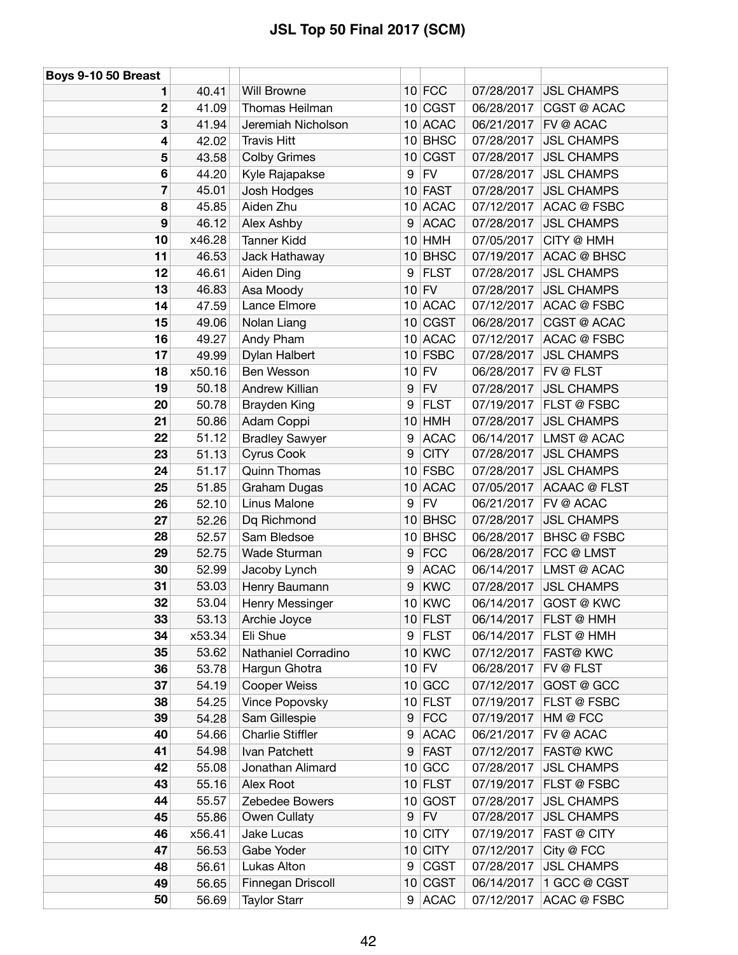| $10$ FCC<br>Will Browne<br>07/28/2017<br><b>JSL CHAMPS</b><br>40.41<br>1<br>10 CGST<br>41.09<br>Thomas Heilman<br>06/28/2017<br>CGST @ ACAC<br>2<br>10 ACAC<br>FV @ ACAC<br>3<br>41.94<br>Jeremiah Nicholson<br>06/21/2017<br><b>BHSC</b><br>07/28/2017<br><b>JSL CHAMPS</b><br>4<br>42.02<br><b>Travis Hitt</b><br>10 <sup>1</sup><br><b>Colby Grimes</b><br><b>CGST</b><br>07/28/2017<br><b>JSL CHAMPS</b><br>5<br>43.58<br>10 <br>6<br>44.20<br><b>FV</b><br><b>JSL CHAMPS</b><br>Kyle Rajapakse<br>9<br>07/28/2017<br>7<br>45.01<br>10 FAST<br>Josh Hodges<br>07/28/2017<br><b>JSL CHAMPS</b><br>8<br>45.85<br>Aiden Zhu<br>10 ACAC<br>07/12/2017<br><b>ACAC @ FSBC</b><br><b>ACAC</b><br>9<br>46.12<br>Alex Ashby<br>07/28/2017<br><b>JSL CHAMPS</b><br>9<br>10<br>x46.28<br><b>Tanner Kidd</b><br>$10$ HMH<br>07/05/2017<br>CITY @ HMH<br>$10$ BHSC<br>07/19/2017<br><b>ACAC @ BHSC</b><br>11<br>46.53<br>Jack Hathaway<br>Aiden Ding<br><b>FLST</b><br>07/28/2017<br><b>JSL CHAMPS</b><br>12<br>46.61<br>9<br>13<br>46.83<br>Asa Moody<br>$10$ FV<br><b>JSL CHAMPS</b><br>07/28/2017<br>10 ACAC<br>Lance Elmore<br>07/12/2017<br><b>ACAC @ FSBC</b><br>14<br>47.59<br>15<br>$10$ CGST<br>49.06<br>06/28/2017<br>CGST @ ACAC<br>Nolan Liang<br>49.27<br>10 ACAC<br><b>ACAC @ FSBC</b><br>16<br>Andy Pham<br>07/12/2017<br>$10$ FSBC<br>17<br>Dylan Halbert<br>07/28/2017<br><b>JSL CHAMPS</b><br>49.99<br>$10$ FV<br>x50.16<br><b>Ben Wesson</b><br>06/28/2017<br>FV @ FLST<br>18<br>19<br>50.18<br>Andrew Killian<br><b>JSL CHAMPS</b><br><b>FV</b><br>07/28/2017<br>9<br><b>FLST</b><br>07/19/2017<br>FLST @ FSBC<br>50.78<br>Brayden King<br>9<br>20<br><b>HMH</b><br><b>JSL CHAMPS</b><br>21<br>50.86<br>Adam Coppi<br>07/28/2017<br>10<br>22<br>51.12<br>LMST @ ACAC<br><b>Bradley Sawyer</b><br><b>ACAC</b><br>06/14/2017<br>9<br><b>CITY</b><br>07/28/2017<br><b>JSL CHAMPS</b><br>23<br>51.13<br>Cyrus Cook<br>9<br>$10$ FSBC<br>51.17<br>Quinn Thomas<br>07/28/2017<br><b>JSL CHAMPS</b><br>24<br>25<br>51.85<br><b>ACAC</b><br>07/05/2017<br><b>ACAAC @ FLST</b><br>Graham Dugas<br>10 <sup>1</sup><br>Linus Malone<br><b>FV</b><br>06/21/2017<br>FV @ ACAC<br>9<br>26<br>52.10<br>52.26<br><b>BHSC</b><br>07/28/2017<br><b>JSL CHAMPS</b><br>27<br>Dq Richmond<br>10 <sup>1</sup><br><b>BHSC @ FSBC</b><br>Sam Bledsoe<br><b>BHSC</b><br>06/28/2017<br>28<br>52.57<br>10 <sup>1</sup><br><b>FCC</b><br>Wade Sturman<br>06/28/2017<br>FCC @ LMST<br>29<br>9<br>52.75<br>Jacoby Lynch<br><b>ACAC</b><br>06/14/2017<br>LMST @ ACAC<br>30<br>52.99<br>9<br>31<br>53.03<br><b>KWC</b><br><b>JSL CHAMPS</b><br>Henry Baumann<br>9<br>07/28/2017<br>32<br>53.04<br>$10$ KWC<br>GOST @ KWC<br>Henry Messinger<br>06/14/2017<br>$10$ FLST<br><b>FLST @ HMH</b><br>53.13<br>06/14/2017<br>33<br>Archie Joyce<br>x53.34<br>Eli Shue<br><b>FLST</b><br>06/14/2017<br>FLST @ HMH<br>34<br>9 <sup>1</sup><br>35<br>$10$ KWC<br>53.62<br>Nathaniel Corradino<br>07/12/2017<br><b>FAST@ KWC</b><br>$10$ FV<br>FV @ FLST<br>Hargun Ghotra<br>06/28/2017<br>36<br>53.78<br>54.19<br><b>Cooper Weiss</b><br>$10$ GCC<br>07/12/2017<br>GOST @ GCC<br>37<br>38<br>54.25<br>FLST @ FSBC<br>Vince Popovsky<br>$10$ FLST<br>07/19/2017<br><b>FCC</b><br>Sam Gillespie<br>HM @ FCC<br>39<br>9<br>07/19/2017<br>54.28<br>40<br><b>Charlie Stiffler</b><br><b>ACAC</b><br>FV @ ACAC<br>54.66<br>06/21/2017<br>9<br>41<br>54.98<br>Ivan Patchett<br><b>FAST</b><br>07/12/2017<br><b>FAST@ KWC</b><br>9<br>Jonathan Alimard<br>$10$ GCC<br><b>JSL CHAMPS</b><br>42<br>07/28/2017<br>55.08<br>55.16<br>Alex Root<br>$10$ FLST<br>FLST @ FSBC<br>43<br>07/19/2017<br>44<br>55.57<br>Zebedee Bowers<br>$10$ GOST<br>07/28/2017<br><b>JSL CHAMPS</b><br><b>FV</b><br>9<br><b>JSL CHAMPS</b><br>55.86<br>Owen Cullaty<br>07/28/2017<br>45<br>$10$ CITY<br>FAST @ CITY<br>46<br>x56.41<br>Jake Lucas<br>07/19/2017<br>56.53<br>47<br>Gabe Yoder<br>$10$ CITY<br>07/12/2017<br>City @ FCC | Boys 9-10 50 Breast |  |  |  |
|------------------------------------------------------------------------------------------------------------------------------------------------------------------------------------------------------------------------------------------------------------------------------------------------------------------------------------------------------------------------------------------------------------------------------------------------------------------------------------------------------------------------------------------------------------------------------------------------------------------------------------------------------------------------------------------------------------------------------------------------------------------------------------------------------------------------------------------------------------------------------------------------------------------------------------------------------------------------------------------------------------------------------------------------------------------------------------------------------------------------------------------------------------------------------------------------------------------------------------------------------------------------------------------------------------------------------------------------------------------------------------------------------------------------------------------------------------------------------------------------------------------------------------------------------------------------------------------------------------------------------------------------------------------------------------------------------------------------------------------------------------------------------------------------------------------------------------------------------------------------------------------------------------------------------------------------------------------------------------------------------------------------------------------------------------------------------------------------------------------------------------------------------------------------------------------------------------------------------------------------------------------------------------------------------------------------------------------------------------------------------------------------------------------------------------------------------------------------------------------------------------------------------------------------------------------------------------------------------------------------------------------------------------------------------------------------------------------------------------------------------------------------------------------------------------------------------------------------------------------------------------------------------------------------------------------------------------------------------------------------------------------------------------------------------------------------------------------------------------------------------------------------------------------------------------------------------------------------------------------------------------------------------------------------------------------------------------------------------------------------------------------------------------------------------------------------------------------------------------------------------------------------------------------------------------------------------------------------------------------------------------------------------------------------------------------------------------------------------------------------------------------------------------------------------------------------------------------------------------------------------------------------------------------------------------------------------------------------|---------------------|--|--|--|
|                                                                                                                                                                                                                                                                                                                                                                                                                                                                                                                                                                                                                                                                                                                                                                                                                                                                                                                                                                                                                                                                                                                                                                                                                                                                                                                                                                                                                                                                                                                                                                                                                                                                                                                                                                                                                                                                                                                                                                                                                                                                                                                                                                                                                                                                                                                                                                                                                                                                                                                                                                                                                                                                                                                                                                                                                                                                                                                                                                                                                                                                                                                                                                                                                                                                                                                                                                                                                                                                                                                                                                                                                                                                                                                                                                                                                                                                                                                                                                        |                     |  |  |  |
|                                                                                                                                                                                                                                                                                                                                                                                                                                                                                                                                                                                                                                                                                                                                                                                                                                                                                                                                                                                                                                                                                                                                                                                                                                                                                                                                                                                                                                                                                                                                                                                                                                                                                                                                                                                                                                                                                                                                                                                                                                                                                                                                                                                                                                                                                                                                                                                                                                                                                                                                                                                                                                                                                                                                                                                                                                                                                                                                                                                                                                                                                                                                                                                                                                                                                                                                                                                                                                                                                                                                                                                                                                                                                                                                                                                                                                                                                                                                                                        |                     |  |  |  |
|                                                                                                                                                                                                                                                                                                                                                                                                                                                                                                                                                                                                                                                                                                                                                                                                                                                                                                                                                                                                                                                                                                                                                                                                                                                                                                                                                                                                                                                                                                                                                                                                                                                                                                                                                                                                                                                                                                                                                                                                                                                                                                                                                                                                                                                                                                                                                                                                                                                                                                                                                                                                                                                                                                                                                                                                                                                                                                                                                                                                                                                                                                                                                                                                                                                                                                                                                                                                                                                                                                                                                                                                                                                                                                                                                                                                                                                                                                                                                                        |                     |  |  |  |
|                                                                                                                                                                                                                                                                                                                                                                                                                                                                                                                                                                                                                                                                                                                                                                                                                                                                                                                                                                                                                                                                                                                                                                                                                                                                                                                                                                                                                                                                                                                                                                                                                                                                                                                                                                                                                                                                                                                                                                                                                                                                                                                                                                                                                                                                                                                                                                                                                                                                                                                                                                                                                                                                                                                                                                                                                                                                                                                                                                                                                                                                                                                                                                                                                                                                                                                                                                                                                                                                                                                                                                                                                                                                                                                                                                                                                                                                                                                                                                        |                     |  |  |  |
|                                                                                                                                                                                                                                                                                                                                                                                                                                                                                                                                                                                                                                                                                                                                                                                                                                                                                                                                                                                                                                                                                                                                                                                                                                                                                                                                                                                                                                                                                                                                                                                                                                                                                                                                                                                                                                                                                                                                                                                                                                                                                                                                                                                                                                                                                                                                                                                                                                                                                                                                                                                                                                                                                                                                                                                                                                                                                                                                                                                                                                                                                                                                                                                                                                                                                                                                                                                                                                                                                                                                                                                                                                                                                                                                                                                                                                                                                                                                                                        |                     |  |  |  |
|                                                                                                                                                                                                                                                                                                                                                                                                                                                                                                                                                                                                                                                                                                                                                                                                                                                                                                                                                                                                                                                                                                                                                                                                                                                                                                                                                                                                                                                                                                                                                                                                                                                                                                                                                                                                                                                                                                                                                                                                                                                                                                                                                                                                                                                                                                                                                                                                                                                                                                                                                                                                                                                                                                                                                                                                                                                                                                                                                                                                                                                                                                                                                                                                                                                                                                                                                                                                                                                                                                                                                                                                                                                                                                                                                                                                                                                                                                                                                                        |                     |  |  |  |
|                                                                                                                                                                                                                                                                                                                                                                                                                                                                                                                                                                                                                                                                                                                                                                                                                                                                                                                                                                                                                                                                                                                                                                                                                                                                                                                                                                                                                                                                                                                                                                                                                                                                                                                                                                                                                                                                                                                                                                                                                                                                                                                                                                                                                                                                                                                                                                                                                                                                                                                                                                                                                                                                                                                                                                                                                                                                                                                                                                                                                                                                                                                                                                                                                                                                                                                                                                                                                                                                                                                                                                                                                                                                                                                                                                                                                                                                                                                                                                        |                     |  |  |  |
|                                                                                                                                                                                                                                                                                                                                                                                                                                                                                                                                                                                                                                                                                                                                                                                                                                                                                                                                                                                                                                                                                                                                                                                                                                                                                                                                                                                                                                                                                                                                                                                                                                                                                                                                                                                                                                                                                                                                                                                                                                                                                                                                                                                                                                                                                                                                                                                                                                                                                                                                                                                                                                                                                                                                                                                                                                                                                                                                                                                                                                                                                                                                                                                                                                                                                                                                                                                                                                                                                                                                                                                                                                                                                                                                                                                                                                                                                                                                                                        |                     |  |  |  |
|                                                                                                                                                                                                                                                                                                                                                                                                                                                                                                                                                                                                                                                                                                                                                                                                                                                                                                                                                                                                                                                                                                                                                                                                                                                                                                                                                                                                                                                                                                                                                                                                                                                                                                                                                                                                                                                                                                                                                                                                                                                                                                                                                                                                                                                                                                                                                                                                                                                                                                                                                                                                                                                                                                                                                                                                                                                                                                                                                                                                                                                                                                                                                                                                                                                                                                                                                                                                                                                                                                                                                                                                                                                                                                                                                                                                                                                                                                                                                                        |                     |  |  |  |
|                                                                                                                                                                                                                                                                                                                                                                                                                                                                                                                                                                                                                                                                                                                                                                                                                                                                                                                                                                                                                                                                                                                                                                                                                                                                                                                                                                                                                                                                                                                                                                                                                                                                                                                                                                                                                                                                                                                                                                                                                                                                                                                                                                                                                                                                                                                                                                                                                                                                                                                                                                                                                                                                                                                                                                                                                                                                                                                                                                                                                                                                                                                                                                                                                                                                                                                                                                                                                                                                                                                                                                                                                                                                                                                                                                                                                                                                                                                                                                        |                     |  |  |  |
|                                                                                                                                                                                                                                                                                                                                                                                                                                                                                                                                                                                                                                                                                                                                                                                                                                                                                                                                                                                                                                                                                                                                                                                                                                                                                                                                                                                                                                                                                                                                                                                                                                                                                                                                                                                                                                                                                                                                                                                                                                                                                                                                                                                                                                                                                                                                                                                                                                                                                                                                                                                                                                                                                                                                                                                                                                                                                                                                                                                                                                                                                                                                                                                                                                                                                                                                                                                                                                                                                                                                                                                                                                                                                                                                                                                                                                                                                                                                                                        |                     |  |  |  |
|                                                                                                                                                                                                                                                                                                                                                                                                                                                                                                                                                                                                                                                                                                                                                                                                                                                                                                                                                                                                                                                                                                                                                                                                                                                                                                                                                                                                                                                                                                                                                                                                                                                                                                                                                                                                                                                                                                                                                                                                                                                                                                                                                                                                                                                                                                                                                                                                                                                                                                                                                                                                                                                                                                                                                                                                                                                                                                                                                                                                                                                                                                                                                                                                                                                                                                                                                                                                                                                                                                                                                                                                                                                                                                                                                                                                                                                                                                                                                                        |                     |  |  |  |
|                                                                                                                                                                                                                                                                                                                                                                                                                                                                                                                                                                                                                                                                                                                                                                                                                                                                                                                                                                                                                                                                                                                                                                                                                                                                                                                                                                                                                                                                                                                                                                                                                                                                                                                                                                                                                                                                                                                                                                                                                                                                                                                                                                                                                                                                                                                                                                                                                                                                                                                                                                                                                                                                                                                                                                                                                                                                                                                                                                                                                                                                                                                                                                                                                                                                                                                                                                                                                                                                                                                                                                                                                                                                                                                                                                                                                                                                                                                                                                        |                     |  |  |  |
|                                                                                                                                                                                                                                                                                                                                                                                                                                                                                                                                                                                                                                                                                                                                                                                                                                                                                                                                                                                                                                                                                                                                                                                                                                                                                                                                                                                                                                                                                                                                                                                                                                                                                                                                                                                                                                                                                                                                                                                                                                                                                                                                                                                                                                                                                                                                                                                                                                                                                                                                                                                                                                                                                                                                                                                                                                                                                                                                                                                                                                                                                                                                                                                                                                                                                                                                                                                                                                                                                                                                                                                                                                                                                                                                                                                                                                                                                                                                                                        |                     |  |  |  |
|                                                                                                                                                                                                                                                                                                                                                                                                                                                                                                                                                                                                                                                                                                                                                                                                                                                                                                                                                                                                                                                                                                                                                                                                                                                                                                                                                                                                                                                                                                                                                                                                                                                                                                                                                                                                                                                                                                                                                                                                                                                                                                                                                                                                                                                                                                                                                                                                                                                                                                                                                                                                                                                                                                                                                                                                                                                                                                                                                                                                                                                                                                                                                                                                                                                                                                                                                                                                                                                                                                                                                                                                                                                                                                                                                                                                                                                                                                                                                                        |                     |  |  |  |
|                                                                                                                                                                                                                                                                                                                                                                                                                                                                                                                                                                                                                                                                                                                                                                                                                                                                                                                                                                                                                                                                                                                                                                                                                                                                                                                                                                                                                                                                                                                                                                                                                                                                                                                                                                                                                                                                                                                                                                                                                                                                                                                                                                                                                                                                                                                                                                                                                                                                                                                                                                                                                                                                                                                                                                                                                                                                                                                                                                                                                                                                                                                                                                                                                                                                                                                                                                                                                                                                                                                                                                                                                                                                                                                                                                                                                                                                                                                                                                        |                     |  |  |  |
|                                                                                                                                                                                                                                                                                                                                                                                                                                                                                                                                                                                                                                                                                                                                                                                                                                                                                                                                                                                                                                                                                                                                                                                                                                                                                                                                                                                                                                                                                                                                                                                                                                                                                                                                                                                                                                                                                                                                                                                                                                                                                                                                                                                                                                                                                                                                                                                                                                                                                                                                                                                                                                                                                                                                                                                                                                                                                                                                                                                                                                                                                                                                                                                                                                                                                                                                                                                                                                                                                                                                                                                                                                                                                                                                                                                                                                                                                                                                                                        |                     |  |  |  |
|                                                                                                                                                                                                                                                                                                                                                                                                                                                                                                                                                                                                                                                                                                                                                                                                                                                                                                                                                                                                                                                                                                                                                                                                                                                                                                                                                                                                                                                                                                                                                                                                                                                                                                                                                                                                                                                                                                                                                                                                                                                                                                                                                                                                                                                                                                                                                                                                                                                                                                                                                                                                                                                                                                                                                                                                                                                                                                                                                                                                                                                                                                                                                                                                                                                                                                                                                                                                                                                                                                                                                                                                                                                                                                                                                                                                                                                                                                                                                                        |                     |  |  |  |
|                                                                                                                                                                                                                                                                                                                                                                                                                                                                                                                                                                                                                                                                                                                                                                                                                                                                                                                                                                                                                                                                                                                                                                                                                                                                                                                                                                                                                                                                                                                                                                                                                                                                                                                                                                                                                                                                                                                                                                                                                                                                                                                                                                                                                                                                                                                                                                                                                                                                                                                                                                                                                                                                                                                                                                                                                                                                                                                                                                                                                                                                                                                                                                                                                                                                                                                                                                                                                                                                                                                                                                                                                                                                                                                                                                                                                                                                                                                                                                        |                     |  |  |  |
|                                                                                                                                                                                                                                                                                                                                                                                                                                                                                                                                                                                                                                                                                                                                                                                                                                                                                                                                                                                                                                                                                                                                                                                                                                                                                                                                                                                                                                                                                                                                                                                                                                                                                                                                                                                                                                                                                                                                                                                                                                                                                                                                                                                                                                                                                                                                                                                                                                                                                                                                                                                                                                                                                                                                                                                                                                                                                                                                                                                                                                                                                                                                                                                                                                                                                                                                                                                                                                                                                                                                                                                                                                                                                                                                                                                                                                                                                                                                                                        |                     |  |  |  |
|                                                                                                                                                                                                                                                                                                                                                                                                                                                                                                                                                                                                                                                                                                                                                                                                                                                                                                                                                                                                                                                                                                                                                                                                                                                                                                                                                                                                                                                                                                                                                                                                                                                                                                                                                                                                                                                                                                                                                                                                                                                                                                                                                                                                                                                                                                                                                                                                                                                                                                                                                                                                                                                                                                                                                                                                                                                                                                                                                                                                                                                                                                                                                                                                                                                                                                                                                                                                                                                                                                                                                                                                                                                                                                                                                                                                                                                                                                                                                                        |                     |  |  |  |
|                                                                                                                                                                                                                                                                                                                                                                                                                                                                                                                                                                                                                                                                                                                                                                                                                                                                                                                                                                                                                                                                                                                                                                                                                                                                                                                                                                                                                                                                                                                                                                                                                                                                                                                                                                                                                                                                                                                                                                                                                                                                                                                                                                                                                                                                                                                                                                                                                                                                                                                                                                                                                                                                                                                                                                                                                                                                                                                                                                                                                                                                                                                                                                                                                                                                                                                                                                                                                                                                                                                                                                                                                                                                                                                                                                                                                                                                                                                                                                        |                     |  |  |  |
|                                                                                                                                                                                                                                                                                                                                                                                                                                                                                                                                                                                                                                                                                                                                                                                                                                                                                                                                                                                                                                                                                                                                                                                                                                                                                                                                                                                                                                                                                                                                                                                                                                                                                                                                                                                                                                                                                                                                                                                                                                                                                                                                                                                                                                                                                                                                                                                                                                                                                                                                                                                                                                                                                                                                                                                                                                                                                                                                                                                                                                                                                                                                                                                                                                                                                                                                                                                                                                                                                                                                                                                                                                                                                                                                                                                                                                                                                                                                                                        |                     |  |  |  |
|                                                                                                                                                                                                                                                                                                                                                                                                                                                                                                                                                                                                                                                                                                                                                                                                                                                                                                                                                                                                                                                                                                                                                                                                                                                                                                                                                                                                                                                                                                                                                                                                                                                                                                                                                                                                                                                                                                                                                                                                                                                                                                                                                                                                                                                                                                                                                                                                                                                                                                                                                                                                                                                                                                                                                                                                                                                                                                                                                                                                                                                                                                                                                                                                                                                                                                                                                                                                                                                                                                                                                                                                                                                                                                                                                                                                                                                                                                                                                                        |                     |  |  |  |
|                                                                                                                                                                                                                                                                                                                                                                                                                                                                                                                                                                                                                                                                                                                                                                                                                                                                                                                                                                                                                                                                                                                                                                                                                                                                                                                                                                                                                                                                                                                                                                                                                                                                                                                                                                                                                                                                                                                                                                                                                                                                                                                                                                                                                                                                                                                                                                                                                                                                                                                                                                                                                                                                                                                                                                                                                                                                                                                                                                                                                                                                                                                                                                                                                                                                                                                                                                                                                                                                                                                                                                                                                                                                                                                                                                                                                                                                                                                                                                        |                     |  |  |  |
|                                                                                                                                                                                                                                                                                                                                                                                                                                                                                                                                                                                                                                                                                                                                                                                                                                                                                                                                                                                                                                                                                                                                                                                                                                                                                                                                                                                                                                                                                                                                                                                                                                                                                                                                                                                                                                                                                                                                                                                                                                                                                                                                                                                                                                                                                                                                                                                                                                                                                                                                                                                                                                                                                                                                                                                                                                                                                                                                                                                                                                                                                                                                                                                                                                                                                                                                                                                                                                                                                                                                                                                                                                                                                                                                                                                                                                                                                                                                                                        |                     |  |  |  |
|                                                                                                                                                                                                                                                                                                                                                                                                                                                                                                                                                                                                                                                                                                                                                                                                                                                                                                                                                                                                                                                                                                                                                                                                                                                                                                                                                                                                                                                                                                                                                                                                                                                                                                                                                                                                                                                                                                                                                                                                                                                                                                                                                                                                                                                                                                                                                                                                                                                                                                                                                                                                                                                                                                                                                                                                                                                                                                                                                                                                                                                                                                                                                                                                                                                                                                                                                                                                                                                                                                                                                                                                                                                                                                                                                                                                                                                                                                                                                                        |                     |  |  |  |
|                                                                                                                                                                                                                                                                                                                                                                                                                                                                                                                                                                                                                                                                                                                                                                                                                                                                                                                                                                                                                                                                                                                                                                                                                                                                                                                                                                                                                                                                                                                                                                                                                                                                                                                                                                                                                                                                                                                                                                                                                                                                                                                                                                                                                                                                                                                                                                                                                                                                                                                                                                                                                                                                                                                                                                                                                                                                                                                                                                                                                                                                                                                                                                                                                                                                                                                                                                                                                                                                                                                                                                                                                                                                                                                                                                                                                                                                                                                                                                        |                     |  |  |  |
|                                                                                                                                                                                                                                                                                                                                                                                                                                                                                                                                                                                                                                                                                                                                                                                                                                                                                                                                                                                                                                                                                                                                                                                                                                                                                                                                                                                                                                                                                                                                                                                                                                                                                                                                                                                                                                                                                                                                                                                                                                                                                                                                                                                                                                                                                                                                                                                                                                                                                                                                                                                                                                                                                                                                                                                                                                                                                                                                                                                                                                                                                                                                                                                                                                                                                                                                                                                                                                                                                                                                                                                                                                                                                                                                                                                                                                                                                                                                                                        |                     |  |  |  |
|                                                                                                                                                                                                                                                                                                                                                                                                                                                                                                                                                                                                                                                                                                                                                                                                                                                                                                                                                                                                                                                                                                                                                                                                                                                                                                                                                                                                                                                                                                                                                                                                                                                                                                                                                                                                                                                                                                                                                                                                                                                                                                                                                                                                                                                                                                                                                                                                                                                                                                                                                                                                                                                                                                                                                                                                                                                                                                                                                                                                                                                                                                                                                                                                                                                                                                                                                                                                                                                                                                                                                                                                                                                                                                                                                                                                                                                                                                                                                                        |                     |  |  |  |
|                                                                                                                                                                                                                                                                                                                                                                                                                                                                                                                                                                                                                                                                                                                                                                                                                                                                                                                                                                                                                                                                                                                                                                                                                                                                                                                                                                                                                                                                                                                                                                                                                                                                                                                                                                                                                                                                                                                                                                                                                                                                                                                                                                                                                                                                                                                                                                                                                                                                                                                                                                                                                                                                                                                                                                                                                                                                                                                                                                                                                                                                                                                                                                                                                                                                                                                                                                                                                                                                                                                                                                                                                                                                                                                                                                                                                                                                                                                                                                        |                     |  |  |  |
|                                                                                                                                                                                                                                                                                                                                                                                                                                                                                                                                                                                                                                                                                                                                                                                                                                                                                                                                                                                                                                                                                                                                                                                                                                                                                                                                                                                                                                                                                                                                                                                                                                                                                                                                                                                                                                                                                                                                                                                                                                                                                                                                                                                                                                                                                                                                                                                                                                                                                                                                                                                                                                                                                                                                                                                                                                                                                                                                                                                                                                                                                                                                                                                                                                                                                                                                                                                                                                                                                                                                                                                                                                                                                                                                                                                                                                                                                                                                                                        |                     |  |  |  |
|                                                                                                                                                                                                                                                                                                                                                                                                                                                                                                                                                                                                                                                                                                                                                                                                                                                                                                                                                                                                                                                                                                                                                                                                                                                                                                                                                                                                                                                                                                                                                                                                                                                                                                                                                                                                                                                                                                                                                                                                                                                                                                                                                                                                                                                                                                                                                                                                                                                                                                                                                                                                                                                                                                                                                                                                                                                                                                                                                                                                                                                                                                                                                                                                                                                                                                                                                                                                                                                                                                                                                                                                                                                                                                                                                                                                                                                                                                                                                                        |                     |  |  |  |
|                                                                                                                                                                                                                                                                                                                                                                                                                                                                                                                                                                                                                                                                                                                                                                                                                                                                                                                                                                                                                                                                                                                                                                                                                                                                                                                                                                                                                                                                                                                                                                                                                                                                                                                                                                                                                                                                                                                                                                                                                                                                                                                                                                                                                                                                                                                                                                                                                                                                                                                                                                                                                                                                                                                                                                                                                                                                                                                                                                                                                                                                                                                                                                                                                                                                                                                                                                                                                                                                                                                                                                                                                                                                                                                                                                                                                                                                                                                                                                        |                     |  |  |  |
|                                                                                                                                                                                                                                                                                                                                                                                                                                                                                                                                                                                                                                                                                                                                                                                                                                                                                                                                                                                                                                                                                                                                                                                                                                                                                                                                                                                                                                                                                                                                                                                                                                                                                                                                                                                                                                                                                                                                                                                                                                                                                                                                                                                                                                                                                                                                                                                                                                                                                                                                                                                                                                                                                                                                                                                                                                                                                                                                                                                                                                                                                                                                                                                                                                                                                                                                                                                                                                                                                                                                                                                                                                                                                                                                                                                                                                                                                                                                                                        |                     |  |  |  |
|                                                                                                                                                                                                                                                                                                                                                                                                                                                                                                                                                                                                                                                                                                                                                                                                                                                                                                                                                                                                                                                                                                                                                                                                                                                                                                                                                                                                                                                                                                                                                                                                                                                                                                                                                                                                                                                                                                                                                                                                                                                                                                                                                                                                                                                                                                                                                                                                                                                                                                                                                                                                                                                                                                                                                                                                                                                                                                                                                                                                                                                                                                                                                                                                                                                                                                                                                                                                                                                                                                                                                                                                                                                                                                                                                                                                                                                                                                                                                                        |                     |  |  |  |
|                                                                                                                                                                                                                                                                                                                                                                                                                                                                                                                                                                                                                                                                                                                                                                                                                                                                                                                                                                                                                                                                                                                                                                                                                                                                                                                                                                                                                                                                                                                                                                                                                                                                                                                                                                                                                                                                                                                                                                                                                                                                                                                                                                                                                                                                                                                                                                                                                                                                                                                                                                                                                                                                                                                                                                                                                                                                                                                                                                                                                                                                                                                                                                                                                                                                                                                                                                                                                                                                                                                                                                                                                                                                                                                                                                                                                                                                                                                                                                        |                     |  |  |  |
|                                                                                                                                                                                                                                                                                                                                                                                                                                                                                                                                                                                                                                                                                                                                                                                                                                                                                                                                                                                                                                                                                                                                                                                                                                                                                                                                                                                                                                                                                                                                                                                                                                                                                                                                                                                                                                                                                                                                                                                                                                                                                                                                                                                                                                                                                                                                                                                                                                                                                                                                                                                                                                                                                                                                                                                                                                                                                                                                                                                                                                                                                                                                                                                                                                                                                                                                                                                                                                                                                                                                                                                                                                                                                                                                                                                                                                                                                                                                                                        |                     |  |  |  |
|                                                                                                                                                                                                                                                                                                                                                                                                                                                                                                                                                                                                                                                                                                                                                                                                                                                                                                                                                                                                                                                                                                                                                                                                                                                                                                                                                                                                                                                                                                                                                                                                                                                                                                                                                                                                                                                                                                                                                                                                                                                                                                                                                                                                                                                                                                                                                                                                                                                                                                                                                                                                                                                                                                                                                                                                                                                                                                                                                                                                                                                                                                                                                                                                                                                                                                                                                                                                                                                                                                                                                                                                                                                                                                                                                                                                                                                                                                                                                                        |                     |  |  |  |
|                                                                                                                                                                                                                                                                                                                                                                                                                                                                                                                                                                                                                                                                                                                                                                                                                                                                                                                                                                                                                                                                                                                                                                                                                                                                                                                                                                                                                                                                                                                                                                                                                                                                                                                                                                                                                                                                                                                                                                                                                                                                                                                                                                                                                                                                                                                                                                                                                                                                                                                                                                                                                                                                                                                                                                                                                                                                                                                                                                                                                                                                                                                                                                                                                                                                                                                                                                                                                                                                                                                                                                                                                                                                                                                                                                                                                                                                                                                                                                        |                     |  |  |  |
|                                                                                                                                                                                                                                                                                                                                                                                                                                                                                                                                                                                                                                                                                                                                                                                                                                                                                                                                                                                                                                                                                                                                                                                                                                                                                                                                                                                                                                                                                                                                                                                                                                                                                                                                                                                                                                                                                                                                                                                                                                                                                                                                                                                                                                                                                                                                                                                                                                                                                                                                                                                                                                                                                                                                                                                                                                                                                                                                                                                                                                                                                                                                                                                                                                                                                                                                                                                                                                                                                                                                                                                                                                                                                                                                                                                                                                                                                                                                                                        |                     |  |  |  |
|                                                                                                                                                                                                                                                                                                                                                                                                                                                                                                                                                                                                                                                                                                                                                                                                                                                                                                                                                                                                                                                                                                                                                                                                                                                                                                                                                                                                                                                                                                                                                                                                                                                                                                                                                                                                                                                                                                                                                                                                                                                                                                                                                                                                                                                                                                                                                                                                                                                                                                                                                                                                                                                                                                                                                                                                                                                                                                                                                                                                                                                                                                                                                                                                                                                                                                                                                                                                                                                                                                                                                                                                                                                                                                                                                                                                                                                                                                                                                                        |                     |  |  |  |
|                                                                                                                                                                                                                                                                                                                                                                                                                                                                                                                                                                                                                                                                                                                                                                                                                                                                                                                                                                                                                                                                                                                                                                                                                                                                                                                                                                                                                                                                                                                                                                                                                                                                                                                                                                                                                                                                                                                                                                                                                                                                                                                                                                                                                                                                                                                                                                                                                                                                                                                                                                                                                                                                                                                                                                                                                                                                                                                                                                                                                                                                                                                                                                                                                                                                                                                                                                                                                                                                                                                                                                                                                                                                                                                                                                                                                                                                                                                                                                        |                     |  |  |  |
|                                                                                                                                                                                                                                                                                                                                                                                                                                                                                                                                                                                                                                                                                                                                                                                                                                                                                                                                                                                                                                                                                                                                                                                                                                                                                                                                                                                                                                                                                                                                                                                                                                                                                                                                                                                                                                                                                                                                                                                                                                                                                                                                                                                                                                                                                                                                                                                                                                                                                                                                                                                                                                                                                                                                                                                                                                                                                                                                                                                                                                                                                                                                                                                                                                                                                                                                                                                                                                                                                                                                                                                                                                                                                                                                                                                                                                                                                                                                                                        |                     |  |  |  |
|                                                                                                                                                                                                                                                                                                                                                                                                                                                                                                                                                                                                                                                                                                                                                                                                                                                                                                                                                                                                                                                                                                                                                                                                                                                                                                                                                                                                                                                                                                                                                                                                                                                                                                                                                                                                                                                                                                                                                                                                                                                                                                                                                                                                                                                                                                                                                                                                                                                                                                                                                                                                                                                                                                                                                                                                                                                                                                                                                                                                                                                                                                                                                                                                                                                                                                                                                                                                                                                                                                                                                                                                                                                                                                                                                                                                                                                                                                                                                                        |                     |  |  |  |
|                                                                                                                                                                                                                                                                                                                                                                                                                                                                                                                                                                                                                                                                                                                                                                                                                                                                                                                                                                                                                                                                                                                                                                                                                                                                                                                                                                                                                                                                                                                                                                                                                                                                                                                                                                                                                                                                                                                                                                                                                                                                                                                                                                                                                                                                                                                                                                                                                                                                                                                                                                                                                                                                                                                                                                                                                                                                                                                                                                                                                                                                                                                                                                                                                                                                                                                                                                                                                                                                                                                                                                                                                                                                                                                                                                                                                                                                                                                                                                        |                     |  |  |  |
| Lukas Alton<br><b>CGST</b><br><b>JSL CHAMPS</b><br>07/28/2017<br>48<br>56.61<br>9                                                                                                                                                                                                                                                                                                                                                                                                                                                                                                                                                                                                                                                                                                                                                                                                                                                                                                                                                                                                                                                                                                                                                                                                                                                                                                                                                                                                                                                                                                                                                                                                                                                                                                                                                                                                                                                                                                                                                                                                                                                                                                                                                                                                                                                                                                                                                                                                                                                                                                                                                                                                                                                                                                                                                                                                                                                                                                                                                                                                                                                                                                                                                                                                                                                                                                                                                                                                                                                                                                                                                                                                                                                                                                                                                                                                                                                                                      |                     |  |  |  |
| 49<br>56.65<br>Finnegan Driscoll<br>10 CGST<br>1 GCC @ CGST<br>06/14/2017                                                                                                                                                                                                                                                                                                                                                                                                                                                                                                                                                                                                                                                                                                                                                                                                                                                                                                                                                                                                                                                                                                                                                                                                                                                                                                                                                                                                                                                                                                                                                                                                                                                                                                                                                                                                                                                                                                                                                                                                                                                                                                                                                                                                                                                                                                                                                                                                                                                                                                                                                                                                                                                                                                                                                                                                                                                                                                                                                                                                                                                                                                                                                                                                                                                                                                                                                                                                                                                                                                                                                                                                                                                                                                                                                                                                                                                                                              |                     |  |  |  |
| <b>ACAC @ FSBC</b><br>50<br>56.69<br><b>Taylor Starr</b><br>9 ACAC<br>07/12/2017                                                                                                                                                                                                                                                                                                                                                                                                                                                                                                                                                                                                                                                                                                                                                                                                                                                                                                                                                                                                                                                                                                                                                                                                                                                                                                                                                                                                                                                                                                                                                                                                                                                                                                                                                                                                                                                                                                                                                                                                                                                                                                                                                                                                                                                                                                                                                                                                                                                                                                                                                                                                                                                                                                                                                                                                                                                                                                                                                                                                                                                                                                                                                                                                                                                                                                                                                                                                                                                                                                                                                                                                                                                                                                                                                                                                                                                                                       |                     |  |  |  |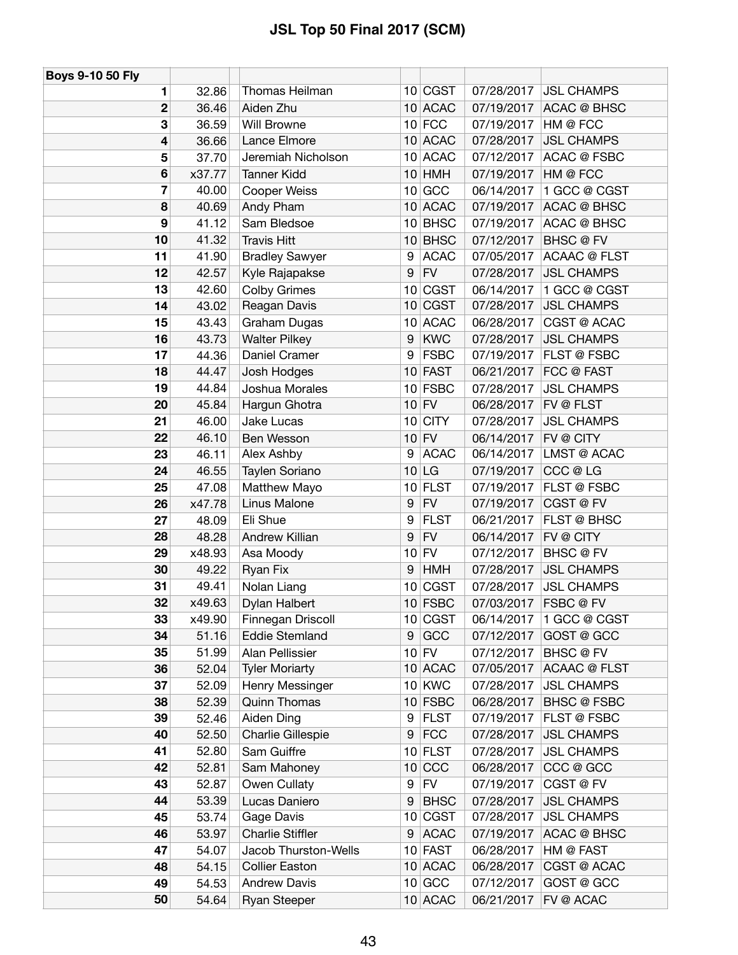| <b>Boys 9-10 50 Fly</b> |        |                         |                  |            |                     |
|-------------------------|--------|-------------------------|------------------|------------|---------------------|
| 1                       | 32.86  | Thomas Heilman          | 10 CGST          | 07/28/2017 | <b>JSL CHAMPS</b>   |
| 2                       | 36.46  | Aiden Zhu               | 10 ACAC          | 07/19/2017 | <b>ACAC @ BHSC</b>  |
| 3                       | 36.59  | Will Browne             | $10$ FCC         | 07/19/2017 | HM @ FCC            |
| 4                       | 36.66  | Lance Elmore            | 10 ACAC          | 07/28/2017 | <b>JSL CHAMPS</b>   |
| 5                       | 37.70  | Jeremiah Nicholson      | 10 ACAC          | 07/12/2017 | ACAC @ FSBC         |
| 6                       | x37.77 | <b>Tanner Kidd</b>      | $10$ HMH         | 07/19/2017 | HM @ FCC            |
| 7                       | 40.00  | <b>Cooper Weiss</b>     | $10$ GCC         | 06/14/2017 | 1 GCC @ CGST        |
| 8                       | 40.69  | Andy Pham               | 10 ACAC          | 07/19/2017 | <b>ACAC @ BHSC</b>  |
| 9                       | 41.12  | Sam Bledsoe             | $10$ BHSC        | 07/19/2017 | <b>ACAC @ BHSC</b>  |
| 10                      | 41.32  | <b>Travis Hitt</b>      | $10$ BHSC        | 07/12/2017 | <b>BHSC</b> @ FV    |
| 11                      | 41.90  | <b>Bradley Sawyer</b>   | <b>ACAC</b><br>9 | 07/05/2017 | <b>ACAAC @ FLST</b> |
| 12                      | 42.57  | Kyle Rajapakse          | <b>FV</b><br>9   | 07/28/2017 | <b>JSL CHAMPS</b>   |
| 13                      | 42.60  | <b>Colby Grimes</b>     | $10$ CGST        | 06/14/2017 | 1 GCC @ CGST        |
| 14                      | 43.02  | Reagan Davis            | 10 CGST          | 07/28/2017 | <b>JSL CHAMPS</b>   |
| 15                      | 43.43  | Graham Dugas            | 10 ACAC          | 06/28/2017 | CGST @ ACAC         |
| 16                      | 43.73  | <b>Walter Pilkey</b>    | <b>KWC</b><br>9  | 07/28/2017 | <b>JSL CHAMPS</b>   |
| 17                      | 44.36  | Daniel Cramer           | <b>FSBC</b><br>9 | 07/19/2017 | FLST @ FSBC         |
| 18                      | 44.47  | Josh Hodges             | $10$ FAST        | 06/21/2017 | FCC @ FAST          |
| 19                      | 44.84  | Joshua Morales          | 10 FSBC          | 07/28/2017 | <b>JSL CHAMPS</b>   |
| 20                      | 45.84  | Hargun Ghotra           | $10$ FV          | 06/28/2017 | FV @ FLST           |
| 21                      | 46.00  | Jake Lucas              | $10$ CITY        | 07/28/2017 | <b>JSL CHAMPS</b>   |
| 22                      | 46.10  | Ben Wesson              | $10$ FV          | 06/14/2017 | FV @ CITY           |
| 23                      | 46.11  | Alex Ashby              | <b>ACAC</b><br>9 | 06/14/2017 | LMST @ ACAC         |
| 24                      | 46.55  | Taylen Soriano          | $10$ LG          | 07/19/2017 | CCC @ LG            |
| 25                      | 47.08  | Matthew Mayo            | $10$ FLST        | 07/19/2017 | FLST @ FSBC         |
| 26                      | x47.78 | Linus Malone            | <b>FV</b><br>9   | 07/19/2017 | CGST@FV             |
| 27                      | 48.09  | Eli Shue                | 9<br><b>FLST</b> | 06/21/2017 | FLST @ BHSC         |
| 28                      | 48.28  | Andrew Killian          | 9<br><b>FV</b>   | 06/14/2017 | FV @ CITY           |
| 29                      | x48.93 | Asa Moody               | $10$ FV          | 07/12/2017 | <b>BHSC</b> @ FV    |
| 30                      | 49.22  | Ryan Fix                | <b>HMH</b><br>9  | 07/28/2017 | <b>JSL CHAMPS</b>   |
| 31                      | 49.41  | Nolan Liang             | $10$ CGST        | 07/28/2017 | <b>JSL CHAMPS</b>   |
| 32                      | x49.63 | Dylan Halbert           | $10$ FSBC        | 07/03/2017 | FSBC @ FV           |
| 33                      | x49.90 | Finnegan Driscoll       | 10 CGST          | 06/14/2017 | 1 GCC @ CGST        |
| 34                      | 51.16  | <b>Eddie Stemland</b>   | GCC<br>9         | 07/12/2017 | GOST @ GCC          |
| 35                      | 51.99  | Alan Pellissier         | $10$ FV          | 07/12/2017 | <b>BHSC @ FV</b>    |
| 36                      | 52.04  | <b>Tyler Moriarty</b>   | 10 ACAC          | 07/05/2017 | <b>ACAAC @ FLST</b> |
| 37                      | 52.09  | Henry Messinger         | $10$ KWC         | 07/28/2017 | <b>JSL CHAMPS</b>   |
| 38                      | 52.39  | <b>Quinn Thomas</b>     | $10$ FSBC        | 06/28/2017 | <b>BHSC @ FSBC</b>  |
| 39                      | 52.46  | Aiden Ding              | <b>FLST</b><br>9 | 07/19/2017 | FLST @ FSBC         |
| 40                      | 52.50  | Charlie Gillespie       | <b>FCC</b><br>9  | 07/28/2017 | <b>JSL CHAMPS</b>   |
| 41                      | 52.80  | Sam Guiffre             | $10$ FLST        | 07/28/2017 | <b>JSL CHAMPS</b>   |
| 42                      | 52.81  | Sam Mahoney             | $10$ CCC         | 06/28/2017 | CCC @ GCC           |
| 43                      | 52.87  | Owen Cullaty            | <b>FV</b><br>9   | 07/19/2017 | CGST @ FV           |
| 44                      | 53.39  | Lucas Daniero           | <b>BHSC</b><br>9 | 07/28/2017 | <b>JSL CHAMPS</b>   |
| 45                      | 53.74  | Gage Davis              | 10 CGST          | 07/28/2017 | <b>JSL CHAMPS</b>   |
| 46                      | 53.97  | <b>Charlie Stiffler</b> | <b>ACAC</b><br>9 | 07/19/2017 | <b>ACAC @ BHSC</b>  |
| 47                      | 54.07  | Jacob Thurston-Wells    | 10 FAST          | 06/28/2017 | HM @ FAST           |
| 48                      | 54.15  | <b>Collier Easton</b>   | 10 ACAC          | 06/28/2017 | CGST @ ACAC         |
| 49                      | 54.53  | <b>Andrew Davis</b>     | 10 GCC           | 07/12/2017 | GOST @ GCC          |
| 50                      | 54.64  | Ryan Steeper            | 10 ACAC          | 06/21/2017 | FV @ ACAC           |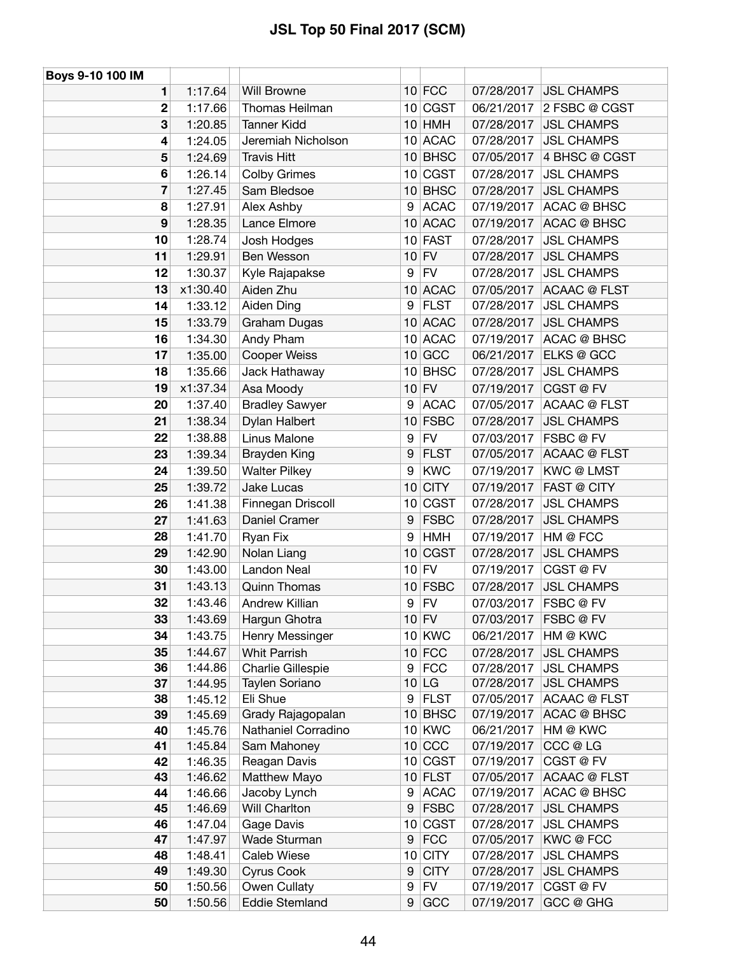| Boys 9-10 100 IM |                    |                            |                 |                       |                          |                                        |
|------------------|--------------------|----------------------------|-----------------|-----------------------|--------------------------|----------------------------------------|
| 1                | 1:17.64            | <b>Will Browne</b>         |                 | $10$ FCC              | 07/28/2017               | <b>JSL CHAMPS</b>                      |
| 2                | 1:17.66            | Thomas Heilman             |                 | 10 CGST               | 06/21/2017               | 2 FSBC @ CGST                          |
| 3                | 1:20.85            | <b>Tanner Kidd</b>         |                 | $10$ HMH              | 07/28/2017               | <b>JSL CHAMPS</b>                      |
| 4                | 1:24.05            | Jeremiah Nicholson         |                 | 10 ACAC               | 07/28/2017               | <b>JSL CHAMPS</b>                      |
| 5                | 1:24.69            | <b>Travis Hitt</b>         |                 | $10$ BHSC             | 07/05/2017               | 4 BHSC @ CGST                          |
| 6                | 1:26.14            | <b>Colby Grimes</b>        |                 | 10 CGST               | 07/28/2017               | <b>JSL CHAMPS</b>                      |
| 7                | 1:27.45            | Sam Bledsoe                |                 | $10$ BHSC             | 07/28/2017               | <b>JSL CHAMPS</b>                      |
| 8                | 1:27.91            | Alex Ashby                 | 9               | <b>ACAC</b>           | 07/19/2017               | <b>ACAC @ BHSC</b>                     |
| 9                | 1:28.35            | Lance Elmore               |                 | 10 ACAC               | 07/19/2017               | <b>ACAC @ BHSC</b>                     |
| 10               | 1:28.74            | Josh Hodges                |                 | $10$ FAST             | 07/28/2017               | <b>JSL CHAMPS</b>                      |
| 11               | 1:29.91            | Ben Wesson                 |                 | $10$ FV               | 07/28/2017               | <b>JSL CHAMPS</b>                      |
| 12               | 1:30.37            | Kyle Rajapakse             | 9               | <b>FV</b>             | 07/28/2017               | <b>JSL CHAMPS</b>                      |
| 13               | x1:30.40           | Aiden Zhu                  |                 | 10 ACAC               | 07/05/2017               | <b>ACAAC @ FLST</b>                    |
| 14               | 1:33.12            | Aiden Ding                 | 9               | <b>FLST</b>           | 07/28/2017               | <b>JSL CHAMPS</b>                      |
| 15               | 1:33.79            | Graham Dugas               |                 | 10 ACAC               | 07/28/2017               | <b>JSL CHAMPS</b>                      |
| 16               | 1:34.30            | Andy Pham                  |                 | 10 ACAC               | 07/19/2017               | <b>ACAC @ BHSC</b>                     |
| 17               | 1:35.00            | Cooper Weiss               |                 | $10$ GCC              | 06/21/2017               | ELKS @ GCC                             |
| 18               | 1:35.66            | Jack Hathaway              |                 | 10 BHSC               | 07/28/2017               | <b>JSL CHAMPS</b>                      |
| 19               | x1:37.34           | Asa Moody                  |                 | $10$ FV               | 07/19/2017               | CGST @ FV                              |
| 20               | 1:37.40            | <b>Bradley Sawyer</b>      | 9               | <b>ACAC</b>           | 07/05/2017               | <b>ACAAC @ FLST</b>                    |
| 21               | 1:38.34            | Dylan Halbert              |                 | $10$ FSBC             | 07/28/2017               | <b>JSL CHAMPS</b>                      |
| 22               | 1:38.88            | Linus Malone               | 9               | <b>FV</b>             | 07/03/2017               | FSBC @ FV                              |
| 23               | 1:39.34            | Brayden King               | 9               | <b>FLST</b>           | 07/05/2017               | <b>ACAAC @ FLST</b>                    |
| 24               | 1:39.50            | <b>Walter Pilkey</b>       | 9               | <b>KWC</b>            | 07/19/2017               | <b>KWC@LMST</b>                        |
| 25               | 1:39.72            | Jake Lucas                 |                 | 10 CITY               | 07/19/2017               | <b>FAST @ CITY</b>                     |
| 26               | 1:41.38            | Finnegan Driscoll          | 10 <sup>1</sup> | <b>CGST</b>           | 07/28/2017               | <b>JSL CHAMPS</b>                      |
| 27               | 1:41.63            | Daniel Cramer              | 9               | <b>FSBC</b>           | 07/28/2017               | <b>JSL CHAMPS</b>                      |
| 28               | 1:41.70            | Ryan Fix                   | 9               | <b>HMH</b>            | 07/19/2017               | HM @ FCC                               |
| 29               | 1:42.90            | Nolan Liang                |                 | $10$ CGST             | 07/28/2017               | <b>JSL CHAMPS</b>                      |
| 30               | 1:43.00            | <b>Landon Neal</b>         |                 | $10$ FV               | 07/19/2017               | CGST @ FV                              |
| 31               | 1:43.13            | <b>Quinn Thomas</b>        |                 | 10 FSBC               | 07/28/2017               | <b>JSL CHAMPS</b>                      |
| 32               | 1:43.46            | Andrew Killian             | 9 <sup>1</sup>  | <b>FV</b>             | 07/03/2017               | <b>FSBC</b> @ FV                       |
| 33               | 1:43.69            | Hargun Ghotra              |                 | $10$ FV               | 07/03/2017               | <b>FSBC</b> @ FV                       |
| 34               | 1:43.75            | Henry Messinger            |                 | $10$ KWC              | 06/21/2017               | HM @ KWC                               |
| 35               | 1:44.67            | Whit Parrish               |                 | $10$ FCC              | 07/28/2017               | <b>JSL CHAMPS</b>                      |
| 36               | 1:44.86            | Charlie Gillespie          | 9               | <b>FCC</b>            | 07/28/2017               | <b>JSL CHAMPS</b>                      |
| 37               | 1:44.95            | Taylen Soriano             |                 | 10 LG                 | 07/28/2017               | <b>JSL CHAMPS</b>                      |
| 38               | 1:45.12            | Eli Shue                   | 9               | <b>FLST</b>           | 07/05/2017               | <b>ACAAC @ FLST</b>                    |
| 39               | 1:45.69            | Grady Rajagopalan          |                 | 10 BHSC               | 07/19/2017               | ACAC @ BHSC                            |
| 40               | 1:45.76            | Nathaniel Corradino        |                 | $10$ KWC              | 06/21/2017               | HM @ KWC                               |
| 41               | 1:45.84            | Sam Mahoney                |                 | $10$ CCC              | 07/19/2017               | CCC @ LG                               |
| 42               | 1:46.35            | Reagan Davis               |                 | 10 CGST               | 07/19/2017               | CGST @ FV                              |
| 43               | 1:46.62            | Matthew Mayo               |                 | $10$ FLST             | 07/05/2017               | <b>ACAAC @ FLST</b>                    |
| 44               | 1:46.66            | Jacoby Lynch               | 9               | <b>ACAC</b>           | 07/19/2017               | ACAC @ BHSC                            |
| 45               | 1:46.69            | Will Charlton              | 9               | <b>FSBC</b>           | 07/28/2017               | <b>JSL CHAMPS</b><br><b>JSL CHAMPS</b> |
| 46<br>47         | 1:47.04<br>1:47.97 | Gage Davis<br>Wade Sturman | 9               | 10 CGST<br><b>FCC</b> | 07/28/2017<br>07/05/2017 | KWC@FCC                                |
| 48               | 1:48.41            | Caleb Wiese                |                 | $10$ CITY             | 07/28/2017               | <b>JSL CHAMPS</b>                      |
| 49               | 1:49.30            | Cyrus Cook                 | 9               | <b>CITY</b>           | 07/28/2017               | <b>JSL CHAMPS</b>                      |
| 50               | 1:50.56            | Owen Cullaty               | 9               | <b>FV</b>             | 07/19/2017               | CGST@FV                                |
| 50               | 1:50.56            | <b>Eddie Stemland</b>      | 9 <sup>1</sup>  | GCC                   | 07/19/2017               | GCC @ GHG                              |
|                  |                    |                            |                 |                       |                          |                                        |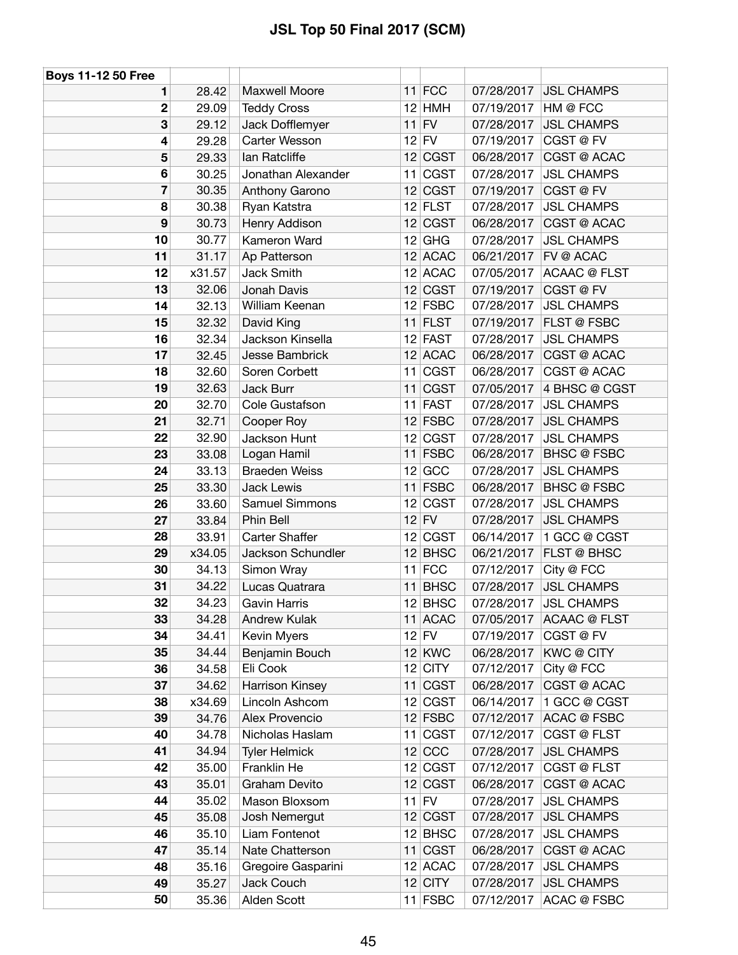| <b>Boys 11-12 50 Free</b> |                |                                       |         |                        |                          |                                        |
|---------------------------|----------------|---------------------------------------|---------|------------------------|--------------------------|----------------------------------------|
| 1                         | 28.42          | Maxwell Moore                         |         | $11$ FCC               | 07/28/2017               | <b>JSL CHAMPS</b>                      |
| $\mathbf{2}$              | 29.09          | <b>Teddy Cross</b>                    |         | $12$ HMH               | 07/19/2017               | HM @ FCC                               |
| 3                         | 29.12          | Jack Dofflemyer                       | $11$ FV |                        | 07/28/2017               | <b>JSL CHAMPS</b>                      |
| 4                         | 29.28          | Carter Wesson                         | $12$ FV |                        | 07/19/2017               | CGST @ FV                              |
| 5                         | 29.33          | lan Ratcliffe                         |         | 12 CGST                | 06/28/2017               | CGST @ ACAC                            |
| 6                         | 30.25          | Jonathan Alexander                    | 11      | CGST                   | 07/28/2017               | <b>JSL CHAMPS</b>                      |
| 7                         | 30.35          | Anthony Garono                        |         | $12$ CGST              | 07/19/2017               | CGST@FV                                |
| 8                         | 30.38          | Ryan Katstra                          |         | $12$ FLST              | 07/28/2017               | <b>JSL CHAMPS</b>                      |
| 9                         | 30.73          | Henry Addison                         |         | 12 CGST                | 06/28/2017               | CGST @ ACAC                            |
| 10                        | 30.77          | Kameron Ward                          |         | $12$ GHG               | 07/28/2017               | <b>JSL CHAMPS</b>                      |
| 11                        | 31.17          | Ap Patterson                          |         | 12 ACAC                | 06/21/2017               | FV @ ACAC                              |
| 12                        | x31.57         | <b>Jack Smith</b>                     |         | $12$ ACAC              | 07/05/2017               | <b>ACAAC @ FLST</b>                    |
| 13                        | 32.06          | Jonah Davis                           |         | 12 CGST                | 07/19/2017               | CGST @ FV                              |
| 14                        | 32.13          | William Keenan                        |         | $12$ FSBC              | 07/28/2017               | <b>JSL CHAMPS</b>                      |
| 15                        | 32.32          | David King                            |         | $11$ FLST              | 07/19/2017               | FLST @ FSBC                            |
| 16                        | 32.34          | Jackson Kinsella                      |         | $12$ FAST              | 07/28/2017               | <b>JSL CHAMPS</b>                      |
| 17                        | 32.45          | Jesse Bambrick                        |         | 12 ACAC                | 06/28/2017               | CGST @ ACAC                            |
| 18                        | 32.60          | Soren Corbett                         |         | 11 CGST                | 06/28/2017               | CGST @ ACAC                            |
| 19                        | 32.63          | <b>Jack Burr</b>                      | 11      | <b>CGST</b>            | 07/05/2017               | 4 BHSC @ CGST                          |
| 20                        | 32.70          | Cole Gustafson                        | 11      | <b>FAST</b>            | 07/28/2017               | <b>JSL CHAMPS</b>                      |
| 21                        | 32.71          | Cooper Roy                            |         | $12$ FSBC              | 07/28/2017               | <b>JSL CHAMPS</b>                      |
| 22                        | 32.90          | Jackson Hunt                          |         | $12$ CGST              | 07/28/2017               | <b>JSL CHAMPS</b>                      |
| 23                        | 33.08          | Logan Hamil                           |         | $11$ FSBC              | 06/28/2017               | <b>BHSC @ FSBC</b>                     |
| 24                        | 33.13          | <b>Braeden Weiss</b>                  | 12      | GCC                    | 07/28/2017               | <b>JSL CHAMPS</b>                      |
| 25                        | 33.30          | <b>Jack Lewis</b>                     |         | $11$ FSBC              | 06/28/2017               | <b>BHSC @ FSBC</b>                     |
| 26                        | 33.60          | <b>Samuel Simmons</b>                 | 12      | <b>CGST</b>            | 07/28/2017               | <b>JSL CHAMPS</b>                      |
| 27                        | 33.84          | Phin Bell                             | $12$ FV |                        | 07/28/2017               | <b>JSL CHAMPS</b>                      |
| 28                        | 33.91          | <b>Carter Shaffer</b>                 |         | 12 CGST                | 06/14/2017               | 1 GCC @ CGST                           |
| 29                        | x34.05         | Jackson Schundler                     |         | $12$ BHSC              | 06/21/2017               | FLST @ BHSC                            |
| 30                        | 34.13          | Simon Wray                            |         | $11$ FCC               | 07/12/2017               | City @ FCC                             |
| 31                        | 34.22          | Lucas Quatrara                        | 11      | <b>BHSC</b>            | 07/28/2017               | <b>JSL CHAMPS</b>                      |
| 32                        | 34.23          | <b>Gavin Harris</b>                   |         | $12$ BHSC              | 07/28/2017               | <b>JSL CHAMPS</b>                      |
| 33                        | 34.28          | Andrew Kulak                          |         | 11 ACAC                | 07/05/2017               | <b>ACAAC @ FLST</b>                    |
| 34                        | 34.41          | Kevin Myers                           | $12$ FV |                        | 07/19/2017               | CGST @ FV                              |
| 35                        | 34.44          | Benjamin Bouch                        |         | $12$ KWC               | 06/28/2017               | <b>KWC @ CITY</b>                      |
| 36                        | 34.58          | Eli Cook                              |         | $12$ CITY              | 07/12/2017               | City @ FCC                             |
| 37                        | 34.62          | Harrison Kinsey                       |         | $11$ CGST              | 06/28/2017               | CGST @ ACAC                            |
| 38                        | x34.69         | Lincoln Ashcom                        |         | 12 CGST                | 06/14/2017               | 1 GCC @ CGST                           |
| 39                        | 34.76          | Alex Provencio                        |         | $12$ FSBC              | 07/12/2017               | ACAC @ FSBC                            |
| 40                        | 34.78          | Nicholas Haslam                       | 11      | <b>CGST</b>            | 07/12/2017               | <b>CGST @ FLST</b>                     |
| 41                        | 34.94          | <b>Tyler Helmick</b>                  |         | $12$ CCC               | 07/28/2017               | <b>JSL CHAMPS</b>                      |
| 42                        | 35.00          | Franklin He                           |         | 12 CGST                | 07/12/2017               | <b>CGST @ FLST</b>                     |
| 43                        | 35.01          | Graham Devito                         |         | 12 CGST                | 06/28/2017               | CGST @ ACAC                            |
| 44                        | 35.02          | Mason Bloxsom                         | $11$ FV | 12 CGST                | 07/28/2017<br>07/28/2017 | <b>JSL CHAMPS</b><br><b>JSL CHAMPS</b> |
| 45                        | 35.08          | Josh Nemergut                         |         |                        |                          |                                        |
| 46                        | 35.10          | Liam Fontenot                         |         | $12$ BHSC              | 07/28/2017               | <b>JSL CHAMPS</b>                      |
| 47<br>48                  | 35.14          | Nate Chatterson<br>Gregoire Gasparini |         | $11$ CGST<br>$12$ ACAC | 06/28/2017<br>07/28/2017 | CGST @ ACAC<br><b>JSL CHAMPS</b>       |
| 49                        | 35.16<br>35.27 | Jack Couch                            |         | $12$ CITY              | 07/28/2017               | <b>JSL CHAMPS</b>                      |
| 50                        | 35.36          |                                       |         |                        |                          | ACAC @ FSBC                            |
|                           |                | Alden Scott                           |         | $11$ FSBC              | 07/12/2017               |                                        |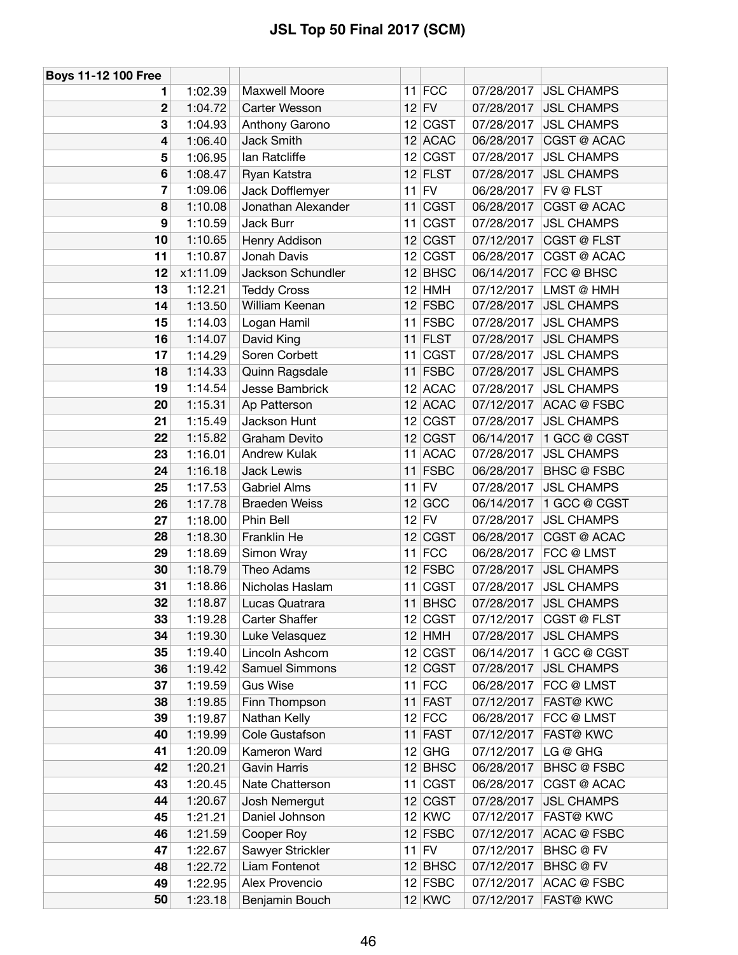| <b>Boys 11-12 100 Free</b> |          |                       |    |             |            |                    |
|----------------------------|----------|-----------------------|----|-------------|------------|--------------------|
| 1.                         | 1:02.39  | Maxwell Moore         |    | $11$ FCC    | 07/28/2017 | <b>JSL CHAMPS</b>  |
| 2                          | 1:04.72  | Carter Wesson         |    | $12$ FV     | 07/28/2017 | <b>JSL CHAMPS</b>  |
| 3                          | 1:04.93  | Anthony Garono        |    | 12 CGST     | 07/28/2017 | <b>JSL CHAMPS</b>  |
| 4                          | 1:06.40  | Jack Smith            |    | 12 ACAC     | 06/28/2017 | CGST @ ACAC        |
| 5                          | 1:06.95  | lan Ratcliffe         |    | $12$ CGST   | 07/28/2017 | <b>JSL CHAMPS</b>  |
| 6                          | 1:08.47  | Ryan Katstra          |    | $12$ FLST   | 07/28/2017 | <b>JSL CHAMPS</b>  |
| 7                          | 1:09.06  | Jack Dofflemyer       |    | $11$ FV     | 06/28/2017 | FV @ FLST          |
| 8                          | 1:10.08  | Jonathan Alexander    |    | 11 CGST     | 06/28/2017 | CGST @ ACAC        |
| 9                          | 1:10.59  | Jack Burr             | 11 | CGST        | 07/28/2017 | <b>JSL CHAMPS</b>  |
| 10                         | 1:10.65  | Henry Addison         |    | $12$ CGST   | 07/12/2017 | CGST @ FLST        |
| 11                         | 1:10.87  | Jonah Davis           |    | 12 CGST     | 06/28/2017 | CGST @ ACAC        |
| 12                         | x1:11.09 | Jackson Schundler     |    | $12$ BHSC   | 06/14/2017 | FCC @ BHSC         |
| 13                         | 1:12.21  | <b>Teddy Cross</b>    |    | $12$ HMH    | 07/12/2017 | LMST @ HMH         |
| 14                         | 1:13.50  | William Keenan        |    | $12$ FSBC   | 07/28/2017 | <b>JSL CHAMPS</b>  |
| 15                         | 1:14.03  | Logan Hamil           |    | $11$ FSBC   | 07/28/2017 | <b>JSL CHAMPS</b>  |
| 16                         | 1:14.07  | David King            |    | $11$ FLST   | 07/28/2017 | <b>JSL CHAMPS</b>  |
| 17                         | 1:14.29  | Soren Corbett         | 11 | <b>CGST</b> | 07/28/2017 | <b>JSL CHAMPS</b>  |
| 18                         | 1:14.33  | Quinn Ragsdale        |    | $11$ FSBC   | 07/28/2017 | <b>JSL CHAMPS</b>  |
| 19                         | 1:14.54  | Jesse Bambrick        |    | 12 ACAC     | 07/28/2017 | <b>JSL CHAMPS</b>  |
| 20                         | 1:15.31  | Ap Patterson          |    | $12$ ACAC   | 07/12/2017 | ACAC @ FSBC        |
| 21                         | 1:15.49  | Jackson Hunt          |    | 12 CGST     | 07/28/2017 | <b>JSL CHAMPS</b>  |
| 22                         | 1:15.82  | Graham Devito         |    | 12 CGST     | 06/14/2017 | 1 GCC @ CGST       |
| 23                         | 1:16.01  | Andrew Kulak          |    | 11 ACAC     | 07/28/2017 | <b>JSL CHAMPS</b>  |
| 24                         | 1:16.18  | Jack Lewis            | 11 | <b>FSBC</b> | 06/28/2017 | <b>BHSC @ FSBC</b> |
| 25                         | 1:17.53  | <b>Gabriel Alms</b>   | 11 | <b>FV</b>   | 07/28/2017 | <b>JSL CHAMPS</b>  |
| 26                         | 1:17.78  | <b>Braeden Weiss</b>  | 12 | GCC         | 06/14/2017 | 1 GCC @ CGST       |
| 27                         | 1:18.00  | Phin Bell             |    | $12$ FV     | 07/28/2017 | <b>JSL CHAMPS</b>  |
| 28                         | 1:18.30  | Franklin He           |    | 12 CGST     | 06/28/2017 | CGST @ ACAC        |
| 29                         | 1:18.69  | Simon Wray            |    | $11$ FCC    | 06/28/2017 | FCC @ LMST         |
| 30                         | 1:18.79  | Theo Adams            |    | $12$ FSBC   | 07/28/2017 | <b>JSL CHAMPS</b>  |
| 31                         | 1:18.86  | Nicholas Haslam       | 11 | <b>CGST</b> | 07/28/2017 | <b>JSL CHAMPS</b>  |
| 32                         | 1:18.87  | Lucas Quatrara        |    | 11 BHSC     | 07/28/2017 | <b>JSL CHAMPS</b>  |
| 33                         | 1:19.28  | Carter Shaffer        |    | 12 CGST     | 07/12/2017 | CGST @ FLST        |
| 34                         | 1:19.30  | Luke Velasquez        |    | $12$ HMH    | 07/28/2017 | <b>JSL CHAMPS</b>  |
| 35                         | 1:19.40  | Lincoln Ashcom        |    | $12$ CGST   | 06/14/2017 | 1 GCC @ CGST       |
| 36                         | 1:19.42  | <b>Samuel Simmons</b> |    | 12 CGST     | 07/28/2017 | <b>JSL CHAMPS</b>  |
| 37                         | 1:19.59  | <b>Gus Wise</b>       |    | $11$ FCC    | 06/28/2017 | FCC @ LMST         |
| 38                         | 1:19.85  | Finn Thompson         | 11 | <b>FAST</b> | 07/12/2017 | <b>FAST@ KWC</b>   |
| 39                         | 1:19.87  | Nathan Kelly          |    | $12$ FCC    | 06/28/2017 | FCC @ LMST         |
| 40                         | 1:19.99  | Cole Gustafson        |    | 11 FAST     | 07/12/2017 | <b>FAST@ KWC</b>   |
| 41                         | 1:20.09  | Kameron Ward          |    | $12$ GHG    | 07/12/2017 | LG @ GHG           |
| 42                         | 1:20.21  | <b>Gavin Harris</b>   |    | $12$ BHSC   | 06/28/2017 | <b>BHSC @ FSBC</b> |
| 43                         | 1:20.45  | Nate Chatterson       |    | 11 CGST     | 06/28/2017 | CGST @ ACAC        |
| 44                         | 1:20.67  | Josh Nemergut         |    | $12$ CGST   | 07/28/2017 | <b>JSL CHAMPS</b>  |
| 45                         | 1:21.21  | Daniel Johnson        |    | $12$ KWC    | 07/12/2017 | <b>FAST@ KWC</b>   |
| 46                         | 1:21.59  | Cooper Roy            |    | $12$ FSBC   | 07/12/2017 | <b>ACAC @ FSBC</b> |
| 47                         | 1:22.67  | Sawyer Strickler      |    | $11$ FV     | 07/12/2017 | <b>BHSC</b> @ FV   |
| 48                         | 1:22.72  | Liam Fontenot         |    | $12$ BHSC   | 07/12/2017 | BHSC@FV            |
| 49                         | 1:22.95  | Alex Provencio        |    | $12$ FSBC   | 07/12/2017 | ACAC @ FSBC        |
| 50                         | 1:23.18  | Benjamin Bouch        |    | $12$ KWC    | 07/12/2017 | <b>FAST@ KWC</b>   |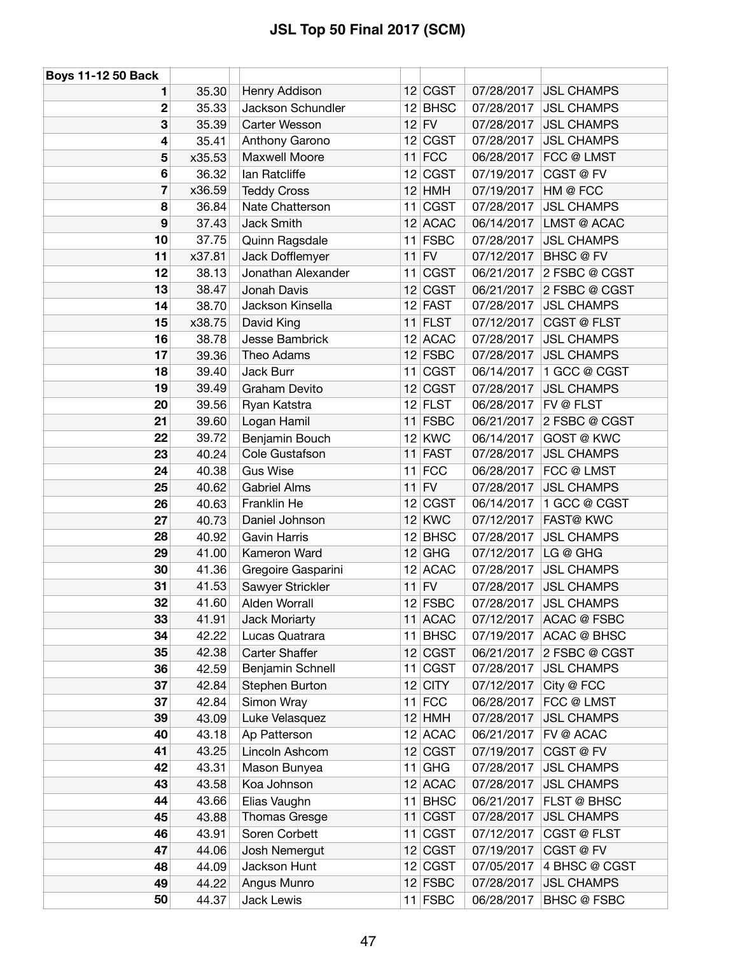| <b>Boys 11-12 50 Back</b> |        |                      |         |             |            |                        |
|---------------------------|--------|----------------------|---------|-------------|------------|------------------------|
| 1                         | 35.30  | Henry Addison        |         | 12 CGST     | 07/28/2017 | <b>JSL CHAMPS</b>      |
| 2                         | 35.33  | Jackson Schundler    |         | $12$ BHSC   | 07/28/2017 | <b>JSL CHAMPS</b>      |
| 3                         | 35.39  | Carter Wesson        | $12$ FV |             | 07/28/2017 | <b>JSL CHAMPS</b>      |
| 4                         | 35.41  | Anthony Garono       |         | $12$ CGST   | 07/28/2017 | <b>JSL CHAMPS</b>      |
| 5                         | x35.53 | Maxwell Moore        |         | $11$ FCC    | 06/28/2017 | FCC @ LMST             |
| 6                         | 36.32  | lan Ratcliffe        | 12      | CGST        | 07/19/2017 | CGST@FV                |
| 7                         | x36.59 | <b>Teddy Cross</b>   |         | $12$ HMH    | 07/19/2017 | HM @ FCC               |
| 8                         | 36.84  | Nate Chatterson      |         | $11$ CGST   | 07/28/2017 | <b>JSL CHAMPS</b>      |
| 9                         | 37.43  | Jack Smith           |         | 12 ACAC     | 06/14/2017 | LMST @ ACAC            |
| 10                        | 37.75  | Quinn Ragsdale       |         | $11$ FSBC   | 07/28/2017 | <b>JSL CHAMPS</b>      |
| 11                        | x37.81 | Jack Dofflemyer      | $11$ FV |             | 07/12/2017 | <b>BHSC</b> @ FV       |
| 12                        | 38.13  | Jonathan Alexander   |         | 11 CGST     | 06/21/2017 | 2 FSBC @ CGST          |
| 13                        | 38.47  | Jonah Davis          | 12      | <b>CGST</b> | 06/21/2017 | 2 FSBC @ CGST          |
| 14                        | 38.70  | Jackson Kinsella     |         | 12 FAST     | 07/28/2017 | <b>JSL CHAMPS</b>      |
| 15                        | x38.75 | David King           |         | $11$ FLST   | 07/12/2017 | <b>CGST @ FLST</b>     |
| 16                        | 38.78  | Jesse Bambrick       |         | $12$ ACAC   | 07/28/2017 | <b>JSL CHAMPS</b>      |
| 17                        | 39.36  | Theo Adams           |         | $12$ FSBC   | 07/28/2017 | <b>JSL CHAMPS</b>      |
| 18                        | 39.40  | <b>Jack Burr</b>     |         | 11 CGST     | 06/14/2017 | 1 GCC @ CGST           |
| 19                        | 39.49  | Graham Devito        |         | $12$ CGST   | 07/28/2017 | <b>JSL CHAMPS</b>      |
| 20                        | 39.56  | Ryan Katstra         |         | $12$ FLST   | 06/28/2017 | FV @ FLST              |
| 21                        | 39.60  | Logan Hamil          |         | 11 FSBC     | 06/21/2017 | 2 FSBC @ CGST          |
| 22                        | 39.72  | Benjamin Bouch       |         | $12$ KWC    | 06/14/2017 | GOST @ KWC             |
| 23                        | 40.24  | Cole Gustafson       |         | $11$ FAST   | 07/28/2017 | <b>JSL CHAMPS</b>      |
| 24                        | 40.38  | <b>Gus Wise</b>      | 11      | <b>FCC</b>  | 06/28/2017 | FCC @ LMST             |
| 25                        | 40.62  | <b>Gabriel Alms</b>  | 11      | <b>FV</b>   | 07/28/2017 | <b>JSL CHAMPS</b>      |
| 26                        | 40.63  | Franklin He          | 12      | <b>CGST</b> | 06/14/2017 | 1 GCC @ CGST           |
| 27                        | 40.73  | Daniel Johnson       |         | $12$ KWC    | 07/12/2017 | <b>FAST@ KWC</b>       |
| 28                        | 40.92  | <b>Gavin Harris</b>  |         | $12$ BHSC   | 07/28/2017 | <b>JSL CHAMPS</b>      |
| 29                        | 41.00  | Kameron Ward         |         | $12$ GHG    | 07/12/2017 | LG @ GHG               |
| 30                        | 41.36  | Gregoire Gasparini   |         | $12$ ACAC   | 07/28/2017 | <b>JSL CHAMPS</b>      |
| 31                        | 41.53  | Sawyer Strickler     | $11$ FV |             | 07/28/2017 | <b>JSL CHAMPS</b>      |
| 32                        | 41.60  | <b>Alden Worrall</b> |         | $12$ FSBC   | 07/28/2017 | <b>JSL CHAMPS</b>      |
| 33                        | 41.91  | <b>Jack Moriarty</b> |         | 11 ACAC     |            | 07/12/2017 ACAC @ FSBC |
| 34                        | 42.22  | Lucas Quatrara       |         | $11$ BHSC   | 07/19/2017 | ACAC @ BHSC            |
| 35                        | 42.38  | Carter Shaffer       |         | $12$ CGST   | 06/21/2017 | 2 FSBC @ CGST          |
| 36                        | 42.59  | Benjamin Schnell     |         | $11$ CGST   | 07/28/2017 | <b>JSL CHAMPS</b>      |
| 37                        | 42.84  | Stephen Burton       |         | $12$ CITY   | 07/12/2017 | City @ FCC             |
| 37                        | 42.84  | Simon Wray           | 11      | <b>FCC</b>  | 06/28/2017 | FCC @ LMST             |
| 39                        | 43.09  | Luke Velasquez       |         | $12$ HMH    | 07/28/2017 | <b>JSL CHAMPS</b>      |
| 40                        | 43.18  | Ap Patterson         |         | 12 ACAC     | 06/21/2017 | FV @ ACAC              |
| 41                        | 43.25  | Lincoln Ashcom       |         | 12 CGST     | 07/19/2017 | CGST @ FV              |
| 42                        | 43.31  | Mason Bunyea         |         | $11$ GHG    | 07/28/2017 | <b>JSL CHAMPS</b>      |
| 43                        | 43.58  | Koa Johnson          |         | 12 ACAC     | 07/28/2017 | <b>JSL CHAMPS</b>      |
| 44                        | 43.66  | Elias Vaughn         | 11      | <b>BHSC</b> | 06/21/2017 | FLST @ BHSC            |
| 45                        | 43.88  | <b>Thomas Gresge</b> | 11      | <b>CGST</b> | 07/28/2017 | <b>JSL CHAMPS</b>      |
| 46                        | 43.91  | Soren Corbett        |         | 11 CGST     | 07/12/2017 | <b>CGST @ FLST</b>     |
| 47                        | 44.06  | Josh Nemergut        |         | 12 CGST     | 07/19/2017 | CGST @ FV              |
| 48                        | 44.09  | Jackson Hunt         |         | 12 CGST     | 07/05/2017 | 4 BHSC @ CGST          |
| 49                        | 44.22  | Angus Munro          |         | $12$ FSBC   | 07/28/2017 | <b>JSL CHAMPS</b>      |
| 50                        | 44.37  | Jack Lewis           |         | $11$ FSBC   | 06/28/2017 | <b>BHSC @ FSBC</b>     |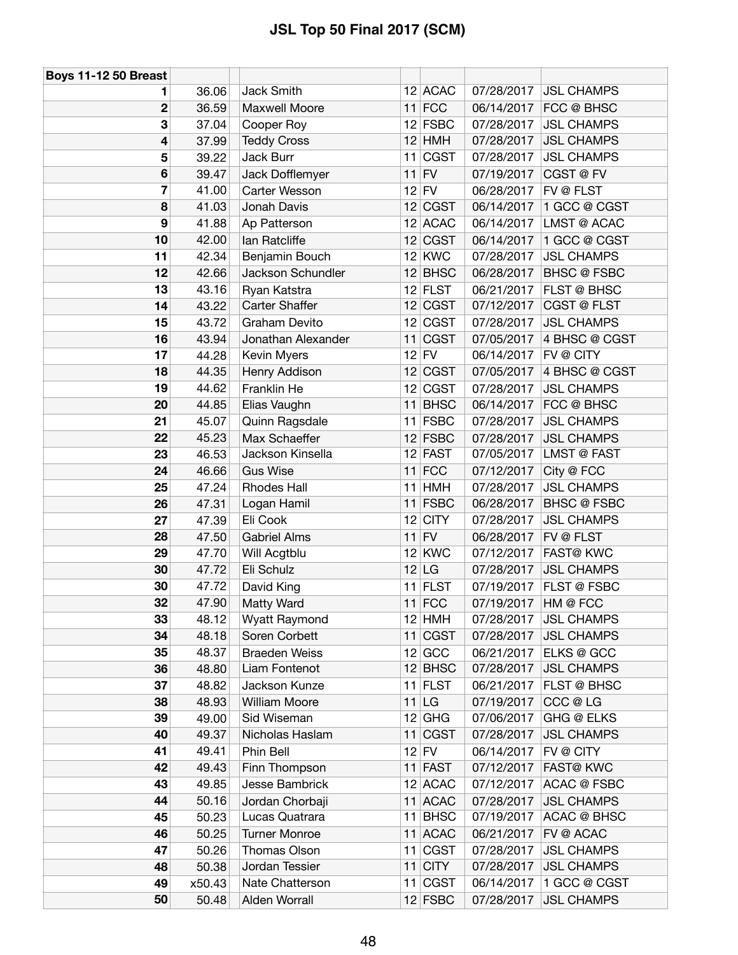| <b>Boys 11-12 50 Breast</b> |        |                       |    |             |            |                    |
|-----------------------------|--------|-----------------------|----|-------------|------------|--------------------|
| 1                           | 36.06  | <b>Jack Smith</b>     |    | $12$ ACAC   | 07/28/2017 | <b>JSL CHAMPS</b>  |
| $\mathbf 2$                 | 36.59  | Maxwell Moore         |    | $11$ FCC    | 06/14/2017 | FCC @ BHSC         |
| 3                           | 37.04  | Cooper Roy            |    | $12$ FSBC   | 07/28/2017 | <b>JSL CHAMPS</b>  |
| 4                           | 37.99  | <b>Teddy Cross</b>    |    | $12$ HMH    | 07/28/2017 | <b>JSL CHAMPS</b>  |
| 5                           | 39.22  | Jack Burr             | 11 | <b>CGST</b> | 07/28/2017 | <b>JSL CHAMPS</b>  |
| 6                           | 39.47  | Jack Dofflemyer       |    | $11$ FV     | 07/19/2017 | CGST @ FV          |
| 7                           | 41.00  | Carter Wesson         |    | $12$ FV     | 06/28/2017 | FV @ FLST          |
| 8                           | 41.03  | Jonah Davis           |    | 12 CGST     | 06/14/2017 | 1 GCC @ CGST       |
| 9                           | 41.88  | Ap Patterson          |    | $12$ ACAC   | 06/14/2017 | LMST @ ACAC        |
| 10                          | 42.00  | lan Ratcliffe         |    | 12 CGST     | 06/14/2017 | 1 GCC @ CGST       |
| 11                          | 42.34  | Benjamin Bouch        |    | $12$ KWC    | 07/28/2017 | <b>JSL CHAMPS</b>  |
| 12                          | 42.66  | Jackson Schundler     |    | $12$ BHSC   | 06/28/2017 | <b>BHSC @ FSBC</b> |
| 13                          | 43.16  | Ryan Katstra          |    | $12$ FLST   | 06/21/2017 | <b>FLST @ BHSC</b> |
| 14                          | 43.22  | <b>Carter Shaffer</b> |    | 12 CGST     | 07/12/2017 | <b>CGST @ FLST</b> |
| 15                          | 43.72  | Graham Devito         |    | 12 CGST     | 07/28/2017 | <b>JSL CHAMPS</b>  |
| 16                          | 43.94  | Jonathan Alexander    |    | 11 CGST     | 07/05/2017 | 4 BHSC @ CGST      |
| 17                          | 44.28  | Kevin Myers           |    | $12$ FV     | 06/14/2017 | FV @ CITY          |
| 18                          | 44.35  | Henry Addison         |    | 12 CGST     | 07/05/2017 | 4 BHSC @ CGST      |
| 19                          | 44.62  | Franklin He           |    | 12 CGST     | 07/28/2017 | <b>JSL CHAMPS</b>  |
| 20                          | 44.85  | Elias Vaughn          |    | $11$ BHSC   | 06/14/2017 | FCC @ BHSC         |
| 21                          | 45.07  | Quinn Ragsdale        |    | $11$ FSBC   | 07/28/2017 | <b>JSL CHAMPS</b>  |
| 22                          | 45.23  | Max Schaeffer         |    | $12$ FSBC   | 07/28/2017 | <b>JSL CHAMPS</b>  |
| 23                          | 46.53  | Jackson Kinsella      |    | 12 FAST     | 07/05/2017 | LMST @ FAST        |
| 24                          | 46.66  | <b>Gus Wise</b>       |    | $11$ FCC    | 07/12/2017 | City @ FCC         |
| 25                          | 47.24  | <b>Rhodes Hall</b>    |    | $11$ HMH    | 07/28/2017 | <b>JSL CHAMPS</b>  |
| 26                          | 47.31  | Logan Hamil           |    | 11 FSBC     | 06/28/2017 | <b>BHSC @ FSBC</b> |
| 27                          | 47.39  | Eli Cook              |    | $12$ CITY   | 07/28/2017 | <b>JSL CHAMPS</b>  |
| 28                          | 47.50  | <b>Gabriel Alms</b>   |    | $11$ FV     | 06/28/2017 | FV @ FLST          |
| 29                          | 47.70  | Will Acgtblu          |    | $12$ KWC    | 07/12/2017 | <b>FAST@ KWC</b>   |
| 30                          | 47.72  | Eli Schulz            |    | 12 LG       | 07/28/2017 | <b>JSL CHAMPS</b>  |
| 30                          | 47.72  | David King            |    | $11$ FLST   | 07/19/2017 | <b>FLST @ FSBC</b> |
| 32                          | 47.90  | Matty Ward            |    | $11$ FCC    | 07/19/2017 | HM @ FCC           |
| 33                          | 48.12  | Wyatt Raymond         |    | $12$ HMH    | 07/28/2017 | <b>JSL CHAMPS</b>  |
| 34                          | 48.18  | Soren Corbett         |    | $11$ CGST   | 07/28/2017 | <b>JSL CHAMPS</b>  |
| 35                          | 48.37  | <b>Braeden Weiss</b>  |    | $12$ GCC    | 06/21/2017 | ELKS @ GCC         |
| 36                          | 48.80  | Liam Fontenot         |    | $12$ BHSC   | 07/28/2017 | <b>JSL CHAMPS</b>  |
| 37                          | 48.82  | Jackson Kunze         |    | $11$ FLST   | 06/21/2017 | FLST @ BHSC        |
| 38                          | 48.93  | William Moore         |    | 11 LG       | 07/19/2017 | CCC @ LG           |
| 39                          | 49.00  | Sid Wiseman           |    | $12$ GHG    | 07/06/2017 | <b>GHG @ ELKS</b>  |
| 40                          | 49.37  | Nicholas Haslam       |    | 11 CGST     | 07/28/2017 | <b>JSL CHAMPS</b>  |
| 41                          | 49.41  | Phin Bell             |    | $12$ FV     | 06/14/2017 | FV @ CITY          |
| 42                          | 49.43  | Finn Thompson         |    | $11$ FAST   | 07/12/2017 | <b>FAST@ KWC</b>   |
| 43                          | 49.85  | Jesse Bambrick        |    | 12 ACAC     | 07/12/2017 | ACAC @ FSBC        |
| 44                          | 50.16  | Jordan Chorbaji       |    | 11 ACAC     | 07/28/2017 | <b>JSL CHAMPS</b>  |
| 45                          | 50.23  | Lucas Quatrara        |    | $11$ BHSC   | 07/19/2017 | ACAC @ BHSC        |
| 46                          | 50.25  | <b>Turner Monroe</b>  |    | 11 ACAC     | 06/21/2017 | FV @ ACAC          |
| 47                          | 50.26  | Thomas Olson          |    | 11 CGST     | 07/28/2017 | <b>JSL CHAMPS</b>  |
| 48                          | 50.38  | Jordan Tessier        |    | $11$ CITY   | 07/28/2017 | <b>JSL CHAMPS</b>  |
| 49                          | x50.43 | Nate Chatterson       |    | 11 CGST     | 06/14/2017 | 1 GCC @ CGST       |
| 50                          | 50.48  | Alden Worrall         |    | $12$ FSBC   | 07/28/2017 | <b>JSL CHAMPS</b>  |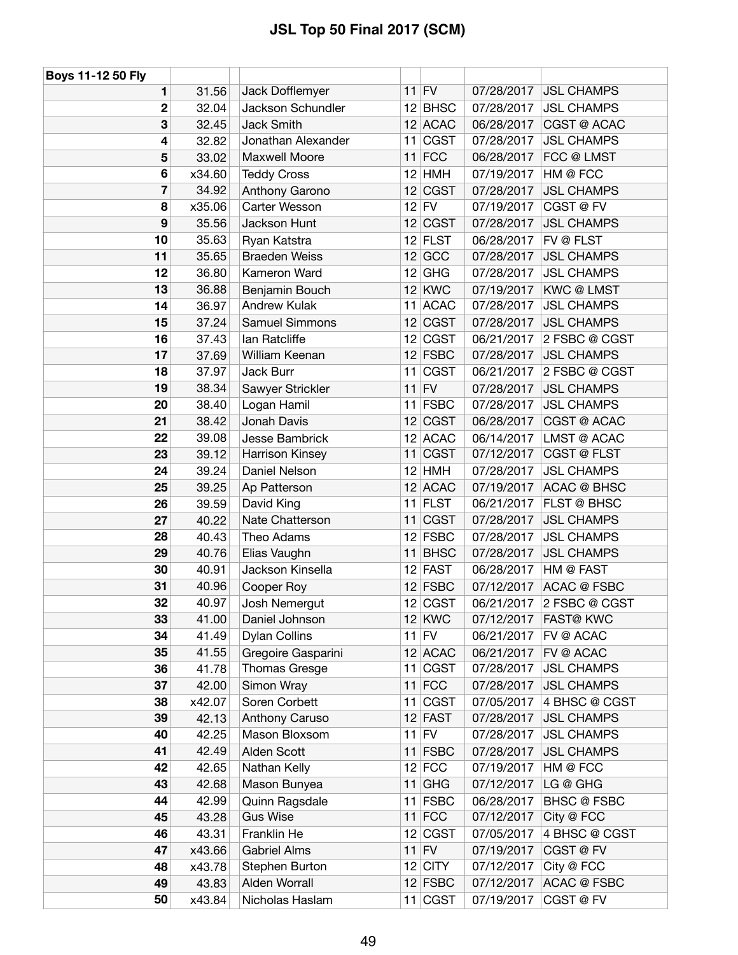| Boys 11-12 50 Fly |        |                       |                   |            |                    |
|-------------------|--------|-----------------------|-------------------|------------|--------------------|
| 1                 | 31.56  | Jack Dofflemyer       | $11$ FV           | 07/28/2017 | <b>JSL CHAMPS</b>  |
| 2                 | 32.04  | Jackson Schundler     | $12$ BHSC         | 07/28/2017 | <b>JSL CHAMPS</b>  |
| 3                 | 32.45  | <b>Jack Smith</b>     | 12 ACAC           | 06/28/2017 | CGST @ ACAC        |
| 4                 | 32.82  | Jonathan Alexander    | $11$ CGST         | 07/28/2017 | <b>JSL CHAMPS</b>  |
| 5                 | 33.02  | Maxwell Moore         | 11<br><b>FCC</b>  | 06/28/2017 | FCC @ LMST         |
| 6                 | x34.60 | <b>Teddy Cross</b>    | $12$ HMH          | 07/19/2017 | HM @ FCC           |
| 7                 | 34.92  | Anthony Garono        | <b>CGST</b><br>12 | 07/28/2017 | <b>JSL CHAMPS</b>  |
| 8                 | x35.06 | Carter Wesson         | $12$ FV           | 07/19/2017 | CGST @ FV          |
| 9                 | 35.56  | Jackson Hunt          | 12 CGST           | 07/28/2017 | <b>JSL CHAMPS</b>  |
| 10                | 35.63  | Ryan Katstra          | $12$ FLST         | 06/28/2017 | FV @ FLST          |
| 11                | 35.65  | <b>Braeden Weiss</b>  | $12$ GCC          | 07/28/2017 | <b>JSL CHAMPS</b>  |
| 12                | 36.80  | Kameron Ward          | $12$ GHG          | 07/28/2017 | <b>JSL CHAMPS</b>  |
| 13                | 36.88  | Benjamin Bouch        | $12$ KWC          | 07/19/2017 | <b>KWC@LMST</b>    |
| 14                | 36.97  | <b>Andrew Kulak</b>   | 11 ACAC           | 07/28/2017 | <b>JSL CHAMPS</b>  |
| 15                | 37.24  | <b>Samuel Simmons</b> | 12 CGST           | 07/28/2017 | <b>JSL CHAMPS</b>  |
| 16                | 37.43  | lan Ratcliffe         | 12 CGST           | 06/21/2017 | 2 FSBC @ CGST      |
| 17                | 37.69  | William Keenan        | $12$ FSBC         | 07/28/2017 | <b>JSL CHAMPS</b>  |
| 18                | 37.97  | <b>Jack Burr</b>      | 11 CGST           | 06/21/2017 | 2 FSBC @ CGST      |
| 19                | 38.34  | Sawyer Strickler      | $11$ FV           | 07/28/2017 | <b>JSL CHAMPS</b>  |
| 20                | 38.40  | Logan Hamil           | $11$ FSBC         | 07/28/2017 | <b>JSL CHAMPS</b>  |
| 21                | 38.42  | Jonah Davis           | 12 CGST           | 06/28/2017 | CGST @ ACAC        |
| 22                | 39.08  | Jesse Bambrick        | 12 ACAC           | 06/14/2017 | LMST @ ACAC        |
| 23                | 39.12  | Harrison Kinsey       | 11 CGST           | 07/12/2017 | CGST @ FLST        |
| 24                | 39.24  | Daniel Nelson         | $12$ HMH          | 07/28/2017 | <b>JSL CHAMPS</b>  |
| 25                | 39.25  | Ap Patterson          | 12 ACAC           | 07/19/2017 | <b>ACAC @ BHSC</b> |
| 26                | 39.59  | David King            | $11$ FLST         | 06/21/2017 | FLST @ BHSC        |
| 27                | 40.22  | Nate Chatterson       | 11<br><b>CGST</b> | 07/28/2017 | <b>JSL CHAMPS</b>  |
| 28                | 40.43  | Theo Adams            | $12$ FSBC         | 07/28/2017 | <b>JSL CHAMPS</b>  |
| 29                | 40.76  | Elias Vaughn          | 11<br><b>BHSC</b> | 07/28/2017 | <b>JSL CHAMPS</b>  |
| 30                | 40.91  | Jackson Kinsella      | $12$ FAST         | 06/28/2017 | HM @ FAST          |
| 31                | 40.96  | Cooper Roy            | $12$ FSBC         | 07/12/2017 | <b>ACAC @ FSBC</b> |
| 32                | 40.97  | Josh Nemergut         | $12$ CGST         | 06/21/2017 | 2 FSBC @ CGST      |
| 33                | 41.00  | Daniel Johnson        | $12$ KWC          | 07/12/2017 | <b>FAST@ KWC</b>   |
| 34                | 41.49  | <b>Dylan Collins</b>  | $11$ FV           | 06/21/2017 | FV @ ACAC          |
| 35                | 41.55  | Gregoire Gasparini    | 12 ACAC           | 06/21/2017 | FV @ ACAC          |
| 36                | 41.78  | <b>Thomas Gresge</b>  | $11$ CGST         | 07/28/2017 | <b>JSL CHAMPS</b>  |
| 37                | 42.00  | Simon Wray            | $11$ FCC          | 07/28/2017 | <b>JSL CHAMPS</b>  |
| 38                | x42.07 | Soren Corbett         | $11$ CGST         | 07/05/2017 | 4 BHSC @ CGST      |
| 39                | 42.13  | Anthony Caruso        | $12$ FAST         | 07/28/2017 | <b>JSL CHAMPS</b>  |
| 40                | 42.25  | Mason Bloxsom         | $11$ FV           | 07/28/2017 | <b>JSL CHAMPS</b>  |
| 41                | 42.49  | Alden Scott           | $11$ FSBC         | 07/28/2017 | <b>JSL CHAMPS</b>  |
| 42                | 42.65  | Nathan Kelly          | $12$ FCC          | 07/19/2017 | HM @ FCC           |
| 43                | 42.68  | Mason Bunyea          | $11$ GHG          | 07/12/2017 | LG @ GHG           |
| 44                | 42.99  | Quinn Ragsdale        | $11$ FSBC         | 06/28/2017 | <b>BHSC @ FSBC</b> |
| 45                | 43.28  | <b>Gus Wise</b>       | $11$ FCC          | 07/12/2017 | City @ FCC         |
| 46                | 43.31  | Franklin He           | 12 CGST           | 07/05/2017 | 4 BHSC @ CGST      |
| 47                | x43.66 | <b>Gabriel Alms</b>   | $11$ FV           | 07/19/2017 | CGST @ FV          |
| 48                | x43.78 | Stephen Burton        | $12$ CITY         | 07/12/2017 | City @ FCC         |
| 49                | 43.83  | Alden Worrall         | $12$ FSBC         | 07/12/2017 | <b>ACAC @ FSBC</b> |
| 50                | x43.84 | Nicholas Haslam       | $11$ CGST         | 07/19/2017 | CGST@FV            |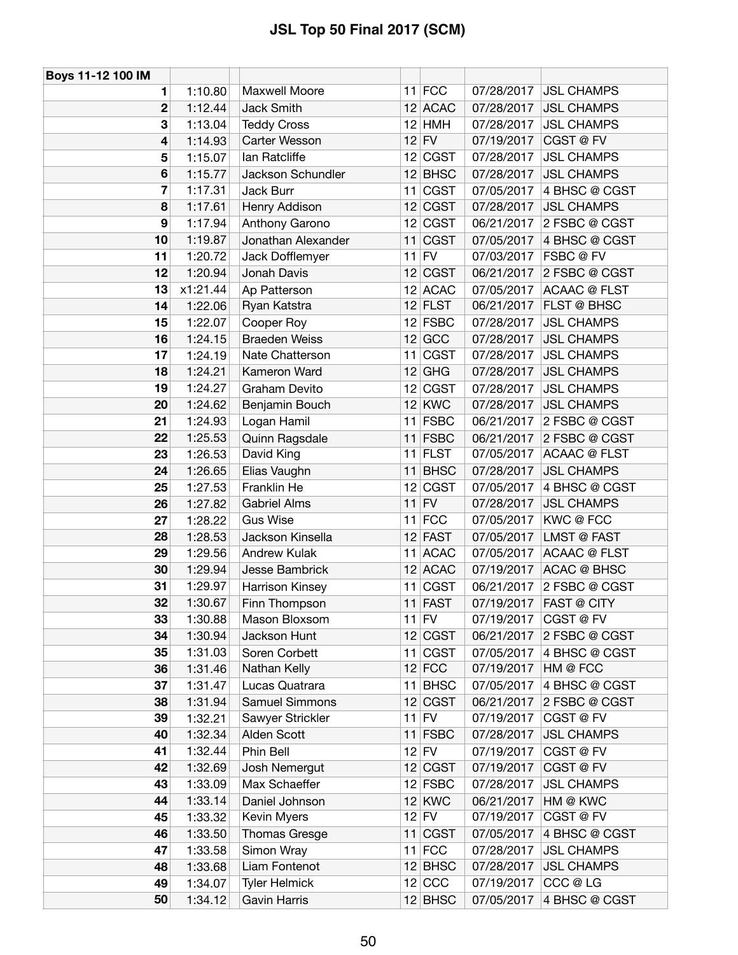| Boys 11-12 100 IM |          |                       |         |             |            |                          |
|-------------------|----------|-----------------------|---------|-------------|------------|--------------------------|
| 1                 | 1:10.80  | Maxwell Moore         |         | $11$ FCC    | 07/28/2017 | <b>JSL CHAMPS</b>        |
| 2                 | 1:12.44  | Jack Smith            |         | 12 ACAC     | 07/28/2017 | <b>JSL CHAMPS</b>        |
| 3                 | 1:13.04  | <b>Teddy Cross</b>    |         | $12$ HMH    | 07/28/2017 | <b>JSL CHAMPS</b>        |
| 4                 | 1:14.93  | Carter Wesson         | $12$ FV |             | 07/19/2017 | CGST @ FV                |
| 5                 | 1:15.07  | lan Ratcliffe         |         | 12 CGST     | 07/28/2017 | <b>JSL CHAMPS</b>        |
| 6                 | 1:15.77  | Jackson Schundler     |         | $12$ BHSC   | 07/28/2017 | <b>JSL CHAMPS</b>        |
| 7                 | 1:17.31  | Jack Burr             |         | $11$ CGST   | 07/05/2017 | 4 BHSC @ CGST            |
| 8                 | 1:17.61  | Henry Addison         |         | 12 CGST     | 07/28/2017 | <b>JSL CHAMPS</b>        |
| 9                 | 1:17.94  | Anthony Garono        |         | 12 CGST     | 06/21/2017 | 2 FSBC @ CGST            |
| 10                | 1:19.87  | Jonathan Alexander    |         | $11$ CGST   | 07/05/2017 | 4 BHSC @ CGST            |
| 11                | 1:20.72  | Jack Dofflemyer       | $11$ FV |             | 07/03/2017 | <b>FSBC</b> @ FV         |
| 12                | 1:20.94  | Jonah Davis           |         | 12 CGST     | 06/21/2017 | 2 FSBC @ CGST            |
| 13                | x1:21.44 | Ap Patterson          |         | 12 ACAC     | 07/05/2017 | <b>ACAAC @ FLST</b>      |
| 14                | 1:22.06  | Ryan Katstra          |         | $12$ FLST   | 06/21/2017 | <b>FLST @ BHSC</b>       |
| 15                | 1:22.07  | Cooper Roy            |         | $12$ FSBC   | 07/28/2017 | <b>JSL CHAMPS</b>        |
| 16                | 1:24.15  | <b>Braeden Weiss</b>  |         | $12$ GCC    | 07/28/2017 | <b>JSL CHAMPS</b>        |
| 17                | 1:24.19  | Nate Chatterson       | 11      | <b>CGST</b> | 07/28/2017 | <b>JSL CHAMPS</b>        |
| 18                | 1:24.21  | Kameron Ward          |         | $12$ GHG    | 07/28/2017 | <b>JSL CHAMPS</b>        |
| 19                | 1:24.27  | Graham Devito         |         | $12$ CGST   | 07/28/2017 | <b>JSL CHAMPS</b>        |
| 20                | 1:24.62  | Benjamin Bouch        |         | $12$ KWC    | 07/28/2017 | <b>JSL CHAMPS</b>        |
| 21                | 1:24.93  | Logan Hamil           |         | $11$ FSBC   | 06/21/2017 | 2 FSBC @ CGST            |
| 22                | 1:25.53  | Quinn Ragsdale        |         | $11$ FSBC   | 06/21/2017 | 2 FSBC @ CGST            |
| 23                | 1:26.53  | David King            |         | $11$ FLST   | 07/05/2017 | <b>ACAAC @ FLST</b>      |
| 24                | 1:26.65  | Elias Vaughn          | 11      | <b>BHSC</b> | 07/28/2017 | <b>JSL CHAMPS</b>        |
| 25                | 1:27.53  | Franklin He           |         | $12$ CGST   | 07/05/2017 | 4 BHSC @ CGST            |
| 26                | 1:27.82  | <b>Gabriel Alms</b>   | $11$ FV |             | 07/28/2017 | <b>JSL CHAMPS</b>        |
| 27                | 1:28.22  | <b>Gus Wise</b>       | 11      | <b>FCC</b>  | 07/05/2017 | KWC@FCC                  |
| 28                | 1:28.53  | Jackson Kinsella      |         | $12$ FAST   | 07/05/2017 | LMST @ FAST              |
| 29                | 1:29.56  | <b>Andrew Kulak</b>   |         | 11 ACAC     | 07/05/2017 | <b>ACAAC @ FLST</b>      |
| 30                | 1:29.94  | Jesse Bambrick        |         | 12 ACAC     | 07/19/2017 | ACAC @ BHSC              |
| 31                | 1:29.97  | Harrison Kinsey       | 11      | <b>CGST</b> | 06/21/2017 | 2 FSBC @ CGST            |
| 32                | 1:30.67  | Finn Thompson         |         | $11$ FAST   |            | 07/19/2017 FAST @ CITY   |
| 33                | 1:30.88  | Mason Bloxsom         | $11$ FV |             | 07/19/2017 | CGST @ FV                |
| 34                | 1:30.94  | Jackson Hunt          |         | 12 CGST     | 06/21/2017 | 2 FSBC @ CGST            |
| 35                | 1:31.03  | Soren Corbett         |         | $11$ CGST   | 07/05/2017 | 4 BHSC @ CGST            |
| 36                | 1:31.46  | Nathan Kelly          |         | $12$ FCC    | 07/19/2017 | HM @ FCC                 |
| 37                | 1:31.47  | Lucas Quatrara        | 11      | <b>BHSC</b> | 07/05/2017 | 4 BHSC @ CGST            |
| 38                | 1:31.94  | <b>Samuel Simmons</b> |         | $12$ CGST   | 06/21/2017 | 2 FSBC @ CGST            |
| 39                | 1:32.21  | Sawyer Strickler      | $11$ FV |             | 07/19/2017 | CGST @ FV                |
| 40                | 1:32.34  | Alden Scott           |         | $11$ FSBC   | 07/28/2017 | <b>JSL CHAMPS</b>        |
| 41                | 1:32.44  | Phin Bell             | $12$ FV |             | 07/19/2017 | CGST@FV                  |
| 42                | 1:32.69  | Josh Nemergut         |         | $12$ CGST   | 07/19/2017 | CGST@FV                  |
| 43                | 1:33.09  | Max Schaeffer         |         | $12$ FSBC   | 07/28/2017 | <b>JSL CHAMPS</b>        |
| 44                | 1:33.14  | Daniel Johnson        |         | $12$ KWC    | 06/21/2017 | HM @ KWC                 |
| 45                | 1:33.32  | Kevin Myers           | $12$ FV |             | 07/19/2017 | CGST@FV                  |
| 46                | 1:33.50  | <b>Thomas Gresge</b>  |         | 11 CGST     | 07/05/2017 | 4 BHSC @ CGST            |
| 47                | 1:33.58  | Simon Wray            |         | $11$ FCC    | 07/28/2017 | <b>JSL CHAMPS</b>        |
| 48                | 1:33.68  | Liam Fontenot         |         | $12$ BHSC   | 07/28/2017 | <b>JSL CHAMPS</b>        |
| 49                | 1:34.07  | <b>Tyler Helmick</b>  |         | 12 CCC      | 07/19/2017 | CCC @ LG                 |
| 50                | 1:34.12  | <b>Gavin Harris</b>   |         | $12$ BHSC   |            | 07/05/2017 4 BHSC @ CGST |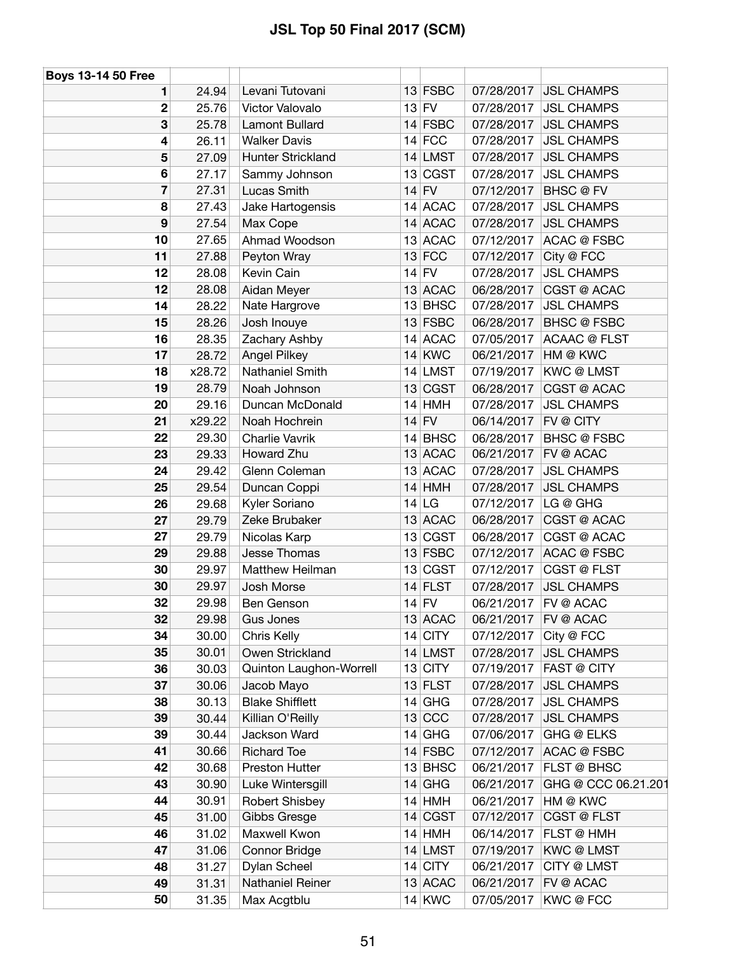| <b>Boys 13-14 50 Free</b> |        |                          |    |             |            |                     |
|---------------------------|--------|--------------------------|----|-------------|------------|---------------------|
| 1                         | 24.94  | Levani Tutovani          |    | $13$ FSBC   | 07/28/2017 | <b>JSL CHAMPS</b>   |
| 2                         | 25.76  | Victor Valovalo          |    | $13$ FV     | 07/28/2017 | <b>JSL CHAMPS</b>   |
| 3                         | 25.78  | <b>Lamont Bullard</b>    |    | $14$ FSBC   | 07/28/2017 | <b>JSL CHAMPS</b>   |
| 4                         | 26.11  | <b>Walker Davis</b>      |    | $14$ FCC    | 07/28/2017 | <b>JSL CHAMPS</b>   |
| 5                         | 27.09  | <b>Hunter Strickland</b> |    | 14 LMST     | 07/28/2017 | <b>JSL CHAMPS</b>   |
| 6                         | 27.17  | Sammy Johnson            | 13 | <b>CGST</b> | 07/28/2017 | <b>JSL CHAMPS</b>   |
| 7                         | 27.31  | Lucas Smith              |    | $14$ FV     | 07/12/2017 | <b>BHSC</b> @ FV    |
| 8                         | 27.43  | Jake Hartogensis         |    | 14 ACAC     | 07/28/2017 | <b>JSL CHAMPS</b>   |
| 9                         | 27.54  | Max Cope                 |    | 14 ACAC     | 07/28/2017 | <b>JSL CHAMPS</b>   |
| 10                        | 27.65  | Ahmad Woodson            |    | 13 ACAC     | 07/12/2017 | ACAC @ FSBC         |
| 11                        | 27.88  | Peyton Wray              |    | $13$ FCC    | 07/12/2017 | City @ FCC          |
| 12                        | 28.08  | Kevin Cain               |    | $14$ FV     | 07/28/2017 | <b>JSL CHAMPS</b>   |
| 12                        | 28.08  | Aidan Meyer              | 13 | <b>ACAC</b> | 06/28/2017 | CGST @ ACAC         |
| 14                        | 28.22  | Nate Hargrove            | 13 | <b>BHSC</b> | 07/28/2017 | <b>JSL CHAMPS</b>   |
| 15                        | 28.26  | Josh Inouye              |    | $13$ FSBC   | 06/28/2017 | <b>BHSC @ FSBC</b>  |
| 16                        | 28.35  | Zachary Ashby            |    | 14 ACAC     | 07/05/2017 | <b>ACAAC @ FLST</b> |
| 17                        | 28.72  | <b>Angel Pilkey</b>      |    | $14$ KWC    | 06/21/2017 | HM @ KWC            |
| 18                        | x28.72 | Nathaniel Smith          |    | 14 LMST     | 07/19/2017 | <b>KWC@LMST</b>     |
| 19                        | 28.79  | Noah Johnson             |    | 13 CGST     | 06/28/2017 | CGST @ ACAC         |
| 20                        | 29.16  | Duncan McDonald          |    | $14$ HMH    | 07/28/2017 | <b>JSL CHAMPS</b>   |
| 21                        | x29.22 | Noah Hochrein            |    | $14$ FV     | 06/14/2017 | FV @ CITY           |
| 22                        | 29.30  | <b>Charlie Vavrik</b>    |    | $14$ BHSC   | 06/28/2017 | <b>BHSC @ FSBC</b>  |
| 23                        | 29.33  | Howard Zhu               |    | 13 ACAC     | 06/21/2017 | FV @ ACAC           |
| 24                        | 29.42  | Glenn Coleman            |    | 13 ACAC     | 07/28/2017 | <b>JSL CHAMPS</b>   |
| 25                        | 29.54  | Duncan Coppi             | 14 | <b>HMH</b>  | 07/28/2017 | <b>JSL CHAMPS</b>   |
| 26                        | 29.68  | Kyler Soriano            |    | 14 LG       | 07/12/2017 | LG @ GHG            |
| 27                        | 29.79  | Zeke Brubaker            |    | $13$ ACAC   | 06/28/2017 | CGST @ ACAC         |
| 27                        | 29.79  | Nicolas Karp             | 13 | <b>CGST</b> | 06/28/2017 | CGST @ ACAC         |
| 29                        | 29.88  | Jesse Thomas             |    | $13$ FSBC   | 07/12/2017 | ACAC @ FSBC         |
| 30                        | 29.97  | Matthew Heilman          |    | 13 CGST     | 07/12/2017 | <b>CGST @ FLST</b>  |
| 30                        | 29.97  | Josh Morse               |    | $14$ FLST   | 07/28/2017 | <b>JSL CHAMPS</b>   |
| 32                        | 29.98  | Ben Genson               |    | $14$ FV     | 06/21/2017 | FV @ ACAC           |
| 32                        | 29.98  | Gus Jones                |    | 13 ACAC     | 06/21/2017 | FV @ ACAC           |
| 34                        | 30.00  | Chris Kelly              |    | $14$ CITY   | 07/12/2017 | City @ FCC          |
| 35                        | 30.01  | Owen Strickland          |    | 14 LMST     | 07/28/2017 | <b>JSL CHAMPS</b>   |
| 36                        | 30.03  | Quinton Laughon-Worrell  |    | $13$ CITY   | 07/19/2017 | FAST @ CITY         |
| 37                        | 30.06  | Jacob Mayo               |    | $13$ FLST   | 07/28/2017 | <b>JSL CHAMPS</b>   |
| 38                        | 30.13  | <b>Blake Shifflett</b>   | 14 | <b>GHG</b>  | 07/28/2017 | <b>JSL CHAMPS</b>   |
| 39                        | 30.44  | Killian O'Reilly         |    | $13$ CCC    | 07/28/2017 | <b>JSL CHAMPS</b>   |
| 39                        | 30.44  | Jackson Ward             |    | $14$ GHG    | 07/06/2017 | <b>GHG @ ELKS</b>   |
| 41                        | 30.66  | <b>Richard Toe</b>       |    | $14$ FSBC   | 07/12/2017 | ACAC @ FSBC         |
| 42                        | 30.68  | Preston Hutter           | 13 | <b>BHSC</b> | 06/21/2017 | FLST @ BHSC         |
| 43                        | 30.90  | Luke Wintersgill         | 14 | <b>GHG</b>  | 06/21/2017 | GHG @ CCC 06.21.201 |
| 44                        | 30.91  | Robert Shisbey           |    | $14$ HMH    | 06/21/2017 | HM @ KWC            |
| 45                        | 31.00  | Gibbs Gresge             | 14 | <b>CGST</b> | 07/12/2017 | CGST @ FLST         |
| 46                        | 31.02  | Maxwell Kwon             | 14 | <b>HMH</b>  | 06/14/2017 | FLST @ HMH          |
| 47                        | 31.06  | Connor Bridge            |    | 14 LMST     | 07/19/2017 | <b>KWC@LMST</b>     |
| 48                        | 31.27  | Dylan Scheel             |    | $14$ CITY   | 06/21/2017 | CITY @ LMST         |
| 49                        | 31.31  | Nathaniel Reiner         |    | 13 ACAC     | 06/21/2017 | FV @ ACAC           |
| 50                        | 31.35  | Max Acgtblu              |    | $14$ KWC    | 07/05/2017 | KWC@FCC             |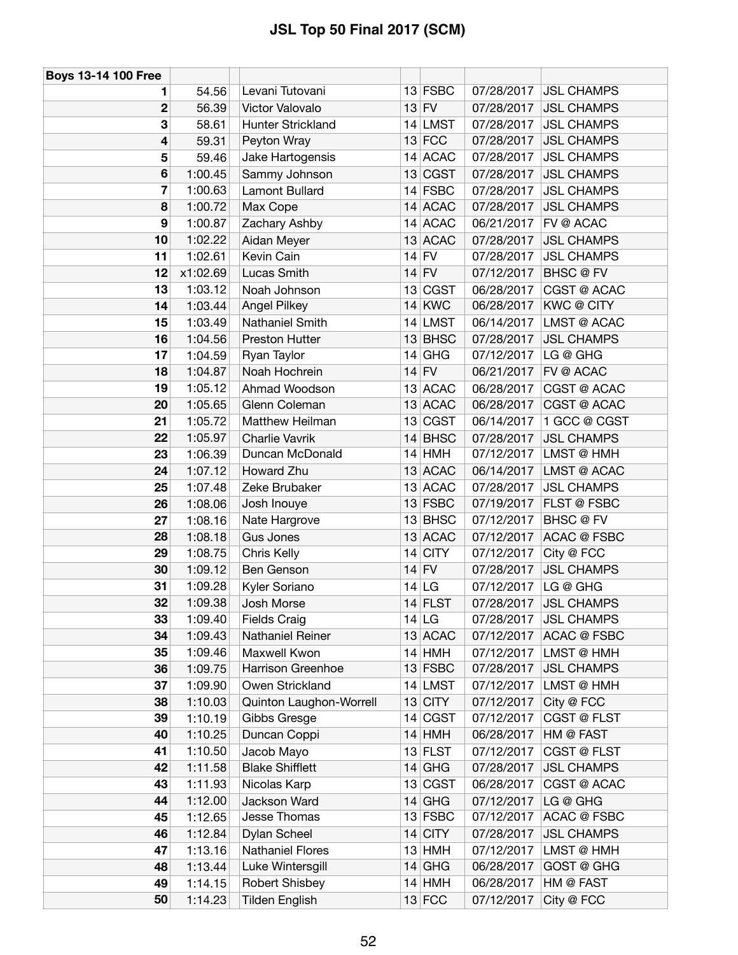| <b>Boys 13-14 100 Free</b> |          |                         |                      |            |                          |
|----------------------------|----------|-------------------------|----------------------|------------|--------------------------|
| 1                          | 54.56    | Levani Tutovani         | $13$ FSBC            | 07/28/2017 | <b>JSL CHAMPS</b>        |
| 2                          | 56.39    | Victor Valovalo         | $13$ FV              | 07/28/2017 | <b>JSL CHAMPS</b>        |
| 3                          | 58.61    | Hunter Strickland       | $14$ LMST            | 07/28/2017 | <b>JSL CHAMPS</b>        |
| 4                          | 59.31    | Peyton Wray             | $13$ FCC             | 07/28/2017 | <b>JSL CHAMPS</b>        |
| 5                          | 59.46    | Jake Hartogensis        | 14 ACAC              | 07/28/2017 | <b>JSL CHAMPS</b>        |
| 6                          | 1:00.45  | Sammy Johnson           | 13 CGST              | 07/28/2017 | <b>JSL CHAMPS</b>        |
| 7                          | 1:00.63  | <b>Lamont Bullard</b>   | $14$ FSBC            | 07/28/2017 | <b>JSL CHAMPS</b>        |
| 8                          | 1:00.72  | Max Cope                | 14 ACAC              | 07/28/2017 | <b>JSL CHAMPS</b>        |
| 9                          | 1:00.87  | Zachary Ashby           | 14 ACAC              | 06/21/2017 | FV @ ACAC                |
| 10                         | 1:02.22  | Aidan Meyer             | 13 ACAC              | 07/28/2017 | <b>JSL CHAMPS</b>        |
| 11                         | 1:02.61  | Kevin Cain              | $14$ FV              | 07/28/2017 | <b>JSL CHAMPS</b>        |
| 12                         | x1:02.69 | Lucas Smith             | $14$ FV              | 07/12/2017 | <b>BHSC</b> @ FV         |
| 13                         | 1:03.12  | Noah Johnson            | 13 CGST              | 06/28/2017 | CGST @ ACAC              |
| 14                         | 1:03.44  | <b>Angel Pilkey</b>     | $14$ KWC             | 06/28/2017 | <b>KWC@CITY</b>          |
| 15                         | 1:03.49  | Nathaniel Smith         | 14 LMST              | 06/14/2017 | LMST @ ACAC              |
| 16                         | 1:04.56  | Preston Hutter          | $13$ BHSC            | 07/28/2017 | <b>JSL CHAMPS</b>        |
| 17                         | 1:04.59  | Ryan Taylor             | $14$ GHG             | 07/12/2017 | LG @ GHG                 |
| 18                         | 1:04.87  | Noah Hochrein           | $14$ FV              | 06/21/2017 | FV @ ACAC                |
| 19                         | 1:05.12  | Ahmad Woodson           | 13 ACAC              | 06/28/2017 | CGST @ ACAC              |
| 20                         | 1:05.65  | Glenn Coleman           | 13 ACAC              | 06/28/2017 | CGST @ ACAC              |
| 21                         | 1:05.72  | Matthew Heilman         | 13 CGST              | 06/14/2017 | 1 GCC @ CGST             |
| 22                         | 1:05.97  | Charlie Vavrik          | $14$ BHSC            | 07/28/2017 | <b>JSL CHAMPS</b>        |
| 23                         | 1:06.39  | Duncan McDonald         | $14$ HMH             | 07/12/2017 | LMST @ HMH               |
| 24                         | 1:07.12  | Howard Zhu              | 13 ACAC              | 06/14/2017 | LMST @ ACAC              |
| 25                         | 1:07.48  | Zeke Brubaker           | 13 ACAC              | 07/28/2017 | <b>JSL CHAMPS</b>        |
| 26                         | 1:08.06  | Josh Inouye             | $13$ FSBC            | 07/19/2017 | FLST @ FSBC              |
| 27                         | 1:08.16  | Nate Hargrove           | $13$ BHSC            | 07/12/2017 | <b>BHSC</b> @ FV         |
| 28                         | 1:08.18  | <b>Gus Jones</b>        | 13 ACAC              | 07/12/2017 | <b>ACAC @ FSBC</b>       |
| 29                         | 1:08.75  | Chris Kelly             | $14$ CITY            | 07/12/2017 | City @ FCC               |
| 30                         | 1:09.12  | Ben Genson              | $14$ FV              | 07/28/2017 | <b>JSL CHAMPS</b>        |
| 31                         | 1:09.28  | Kyler Soriano           | 14 LG                | 07/12/2017 | LG @ GHG                 |
| 32                         | 1:09.38  | Josh Morse              | $14$ FLST            | 07/28/2017 | <b>JSL CHAMPS</b>        |
| 33                         | 1:09.40  | <b>Fields Craig</b>     | 14 LG                | 07/28/2017 | <b>JSL CHAMPS</b>        |
| 34                         | 1:09.43  | Nathaniel Reiner        | 13 ACAC              | 07/12/2017 | <b>ACAC @ FSBC</b>       |
| 35                         | 1:09.46  | Maxwell Kwon            | $14$ HMH             | 07/12/2017 | LMST @ HMH               |
| 36                         | 1:09.75  | Harrison Greenhoe       | $13$ FSBC            | 07/28/2017 | <b>JSL CHAMPS</b>        |
| 37                         | 1:09.90  | Owen Strickland         | 14 LMST              | 07/12/2017 | LMST @ HMH               |
| 38                         | 1:10.03  | Quinton Laughon-Worrell | $13$ CITY            | 07/12/2017 | City @ FCC               |
| 39                         | 1:10.19  | Gibbs Gresge            | 14 CGST              | 07/12/2017 | CGST @ FLST              |
| 40                         | 1:10.25  | Duncan Coppi            | $14$ HMH             | 06/28/2017 | HM @ FAST                |
| 41                         | 1:10.50  | Jacob Mayo              | $13$ FLST            | 07/12/2017 | CGST @ FLST              |
| 42                         | 1:11.58  | <b>Blake Shifflett</b>  | $14$ GHG             | 07/28/2017 | <b>JSL CHAMPS</b>        |
| 43                         | 1:11.93  | Nicolas Karp            | 13 CGST              | 06/28/2017 | CGST @ ACAC              |
| 44                         | 1:12.00  | Jackson Ward            | $14$ GHG             | 07/12/2017 | LG @ GHG                 |
| 45                         | 1:12.65  | Jesse Thomas            | 13 FSBC              | 07/12/2017 | ACAC @ FSBC              |
| 46                         | 1:12.84  | Dylan Scheel            | $14$ CITY            | 07/28/2017 | <b>JSL CHAMPS</b>        |
| 47                         | 1:13.16  | <b>Nathaniel Flores</b> | $13$ HMH<br>$14$ GHG | 07/12/2017 | LMST @ HMH<br>GOST @ GHG |
| 48                         | 1:13.44  | Luke Wintersgill        |                      | 06/28/2017 | HM @ FAST                |
| 49                         | 1:14.15  | Robert Shisbey          | $14$ HMH             | 06/28/2017 |                          |
| 50                         | 1:14.23  | <b>Tilden English</b>   | $13$ FCC             | 07/12/2017 | City @ FCC               |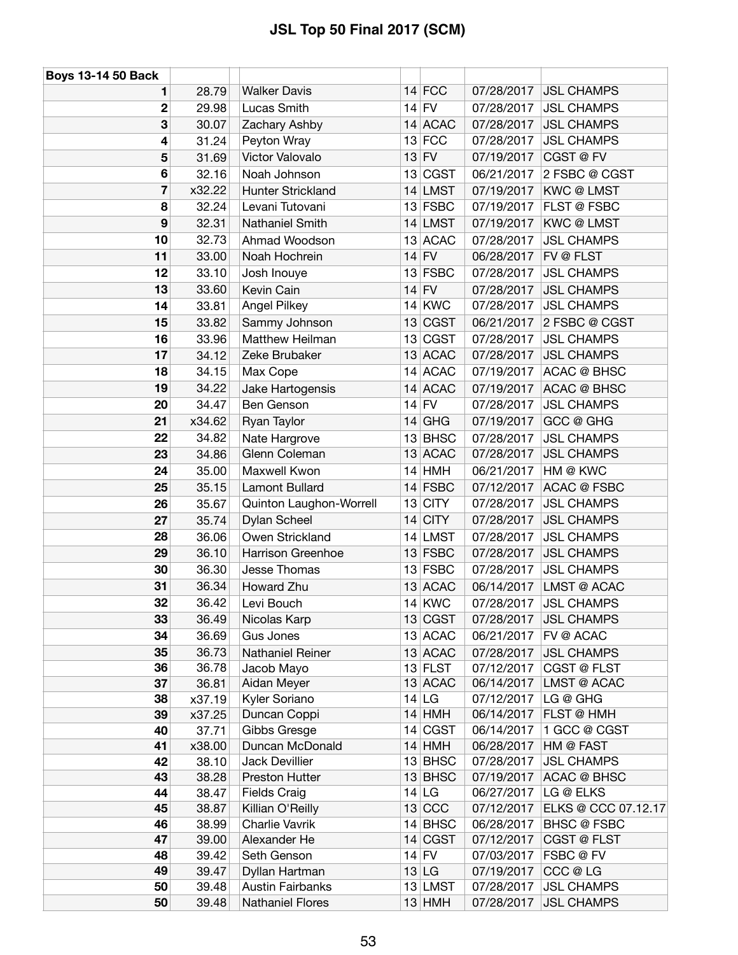| <b>Boys 13-14 50 Back</b> |                |                                   |    |                       |                          |                                |
|---------------------------|----------------|-----------------------------------|----|-----------------------|--------------------------|--------------------------------|
| 1                         | 28.79          | <b>Walker Davis</b>               |    | $14$ FCC              | 07/28/2017               | <b>JSL CHAMPS</b>              |
| 2                         | 29.98          | Lucas Smith                       |    | $14$ FV               | 07/28/2017               | <b>JSL CHAMPS</b>              |
| 3                         | 30.07          | Zachary Ashby                     |    | 14 ACAC               | 07/28/2017               | <b>JSL CHAMPS</b>              |
| 4                         | 31.24          | Peyton Wray                       |    | $13$ FCC              | 07/28/2017               | <b>JSL CHAMPS</b>              |
| 5                         | 31.69          | Victor Valovalo                   |    | $13$ FV               | 07/19/2017               | CGST @ FV                      |
| 6                         | 32.16          | Noah Johnson                      |    | 13 CGST               | 06/21/2017               | 2 FSBC @ CGST                  |
| 7                         | x32.22         | <b>Hunter Strickland</b>          |    | $14$ LMST             | 07/19/2017               | <b>KWC@LMST</b>                |
| 8                         | 32.24          | Levani Tutovani                   |    | $13$ FSBC             | 07/19/2017               | FLST @ FSBC                    |
| 9                         | 32.31          | <b>Nathaniel Smith</b>            |    | $14$ LMST             | 07/19/2017               | <b>KWC@LMST</b>                |
| 10                        | 32.73          | Ahmad Woodson                     |    | 13 ACAC               | 07/28/2017               | <b>JSL CHAMPS</b>              |
| 11                        | 33.00          | Noah Hochrein                     |    | $14$ FV               | 06/28/2017               | FV @ FLST                      |
| 12                        | 33.10          | Josh Inouye                       |    | $13$ FSBC             | 07/28/2017               | <b>JSL CHAMPS</b>              |
| 13                        | 33.60          | Kevin Cain                        | 14 | <b>FV</b>             | 07/28/2017               | <b>JSL CHAMPS</b>              |
| 14                        | 33.81          | <b>Angel Pilkey</b>               |    | $14$ KWC              | 07/28/2017               | <b>JSL CHAMPS</b>              |
| 15                        | 33.82          | Sammy Johnson                     |    | 13 CGST               | 06/21/2017               | 2 FSBC @ CGST                  |
| 16                        | 33.96          | Matthew Heilman                   |    | 13 CGST               | 07/28/2017               | <b>JSL CHAMPS</b>              |
| 17                        | 34.12          | Zeke Brubaker                     |    | 13 ACAC               | 07/28/2017               | <b>JSL CHAMPS</b>              |
| 18                        | 34.15          | Max Cope                          |    | $14$ ACAC             | 07/19/2017               | <b>ACAC @ BHSC</b>             |
| 19                        | 34.22          | Jake Hartogensis                  |    | 14 ACAC               | 07/19/2017               | <b>ACAC @ BHSC</b>             |
| 20                        | 34.47          | Ben Genson                        |    | $14$ FV               | 07/28/2017               | <b>JSL CHAMPS</b>              |
| 21                        | x34.62         | Ryan Taylor                       |    | $14$ GHG              | 07/19/2017               | GCC @ GHG                      |
| 22                        | 34.82          | Nate Hargrove                     | 13 | <b>BHSC</b>           | 07/28/2017               | <b>JSL CHAMPS</b>              |
| 23                        | 34.86          | Glenn Coleman                     |    | 13 ACAC               | 07/28/2017               | <b>JSL CHAMPS</b>              |
| 24                        | 35.00          | Maxwell Kwon                      |    | $14$ HMH              | 06/21/2017               | HM @ KWC                       |
| 25                        | 35.15          | Lamont Bullard                    |    | $14$ FSBC             | 07/12/2017               | <b>ACAC @ FSBC</b>             |
| 26                        | 35.67          | Quinton Laughon-Worrell           |    | $13$ CITY             | 07/28/2017               | <b>JSL CHAMPS</b>              |
| 27                        | 35.74          | Dylan Scheel                      |    | $14$ CITY             | 07/28/2017               | <b>JSL CHAMPS</b>              |
| 28                        | 36.06          | Owen Strickland                   |    | $14$ LMST             | 07/28/2017               | <b>JSL CHAMPS</b>              |
| 29                        | 36.10          | <b>Harrison Greenhoe</b>          |    | $13$ FSBC             | 07/28/2017               | <b>JSL CHAMPS</b>              |
| 30                        | 36.30          | Jesse Thomas                      |    | $13$ FSBC             | 07/28/2017               | <b>JSL CHAMPS</b>              |
| 31                        | 36.34          | Howard Zhu                        |    | 13 ACAC               | 06/14/2017               | LMST @ ACAC                    |
| 32                        | 36.42          | Levi Bouch                        |    | $14$ KWC              | 07/28/2017               | <b>JSL CHAMPS</b>              |
| 33                        | 36.49          | Nicolas Karp                      |    | 13 CGST               | 07/28/2017               | <b>JSL CHAMPS</b>              |
| 34                        | 36.69          | Gus Jones                         |    | $13$ ACAC             | 06/21/2017               | FV @ ACAC                      |
| 35                        | 36.73          | Nathaniel Reiner                  |    | 13 ACAC               | 07/28/2017               | <b>JSL CHAMPS</b>              |
| 36                        | 36.78          | Jacob Mayo                        |    | $13$ FLST             | 07/12/2017               | <b>CGST @ FLST</b>             |
| 37                        | 36.81          | Aidan Meyer                       |    | 13 ACAC               | 06/14/2017               | LMST @ ACAC                    |
| 38                        | x37.19         | Kyler Soriano                     |    | 14 LG                 | 07/12/2017               | LG @ GHG                       |
| 39                        | x37.25         | Duncan Coppi                      |    | $14$ HMH              | 06/14/2017               | FLST @ HMH                     |
| 40                        | 37.71          | Gibbs Gresge                      |    | 14 CGST               | 06/14/2017               | 1 GCC @ CGST                   |
| 41<br>42                  | x38.00         | Duncan McDonald<br>Jack Devillier |    | $14$ HMH<br>$13$ BHSC | 06/28/2017<br>07/28/2017 | HM @ FAST<br><b>JSL CHAMPS</b> |
| 43                        | 38.10<br>38.28 | Preston Hutter                    |    | $13$ BHSC             | 07/19/2017               | <b>ACAC @ BHSC</b>             |
| 44                        | 38.47          | <b>Fields Craig</b>               |    | 14 LG                 | 06/27/2017               | LG @ ELKS                      |
| 45                        | 38.87          | Killian O'Reilly                  |    | 13 CCC                | 07/12/2017               | ELKS @ CCC 07.12.17            |
| 46                        | 38.99          | Charlie Vavrik                    |    | $14$ BHSC             | 06/28/2017               | <b>BHSC @ FSBC</b>             |
| 47                        | 39.00          | Alexander He                      |    | 14 CGST               | 07/12/2017               | <b>CGST @ FLST</b>             |
| 48                        | 39.42          | Seth Genson                       |    | $14$ FV               | 07/03/2017               | FSBC @ FV                      |
| 49                        | 39.47          | Dyllan Hartman                    |    | 13 LG                 | 07/19/2017               | CCC @ LG                       |
| 50                        | 39.48          | <b>Austin Fairbanks</b>           |    | 13 LMST               | 07/28/2017               | <b>JSL CHAMPS</b>              |
| 50                        | 39.48          | Nathaniel Flores                  |    | $13$ HMH              | 07/28/2017               | <b>JSL CHAMPS</b>              |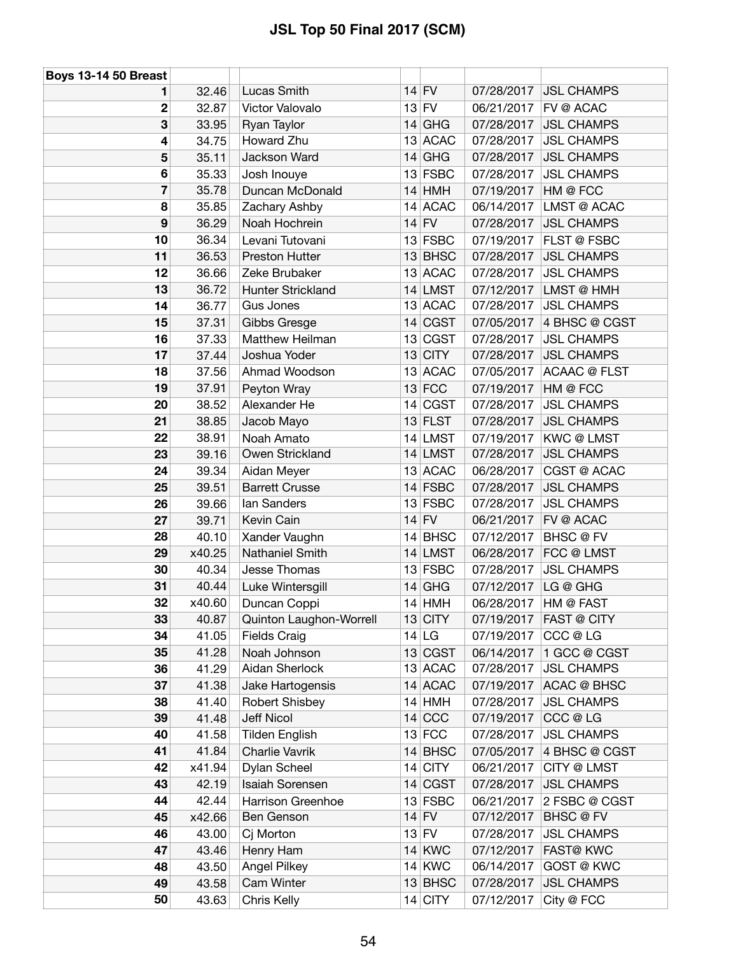| <b>Boys 13-14 50 Breast</b> |        |                                     |                      |                          |                                   |
|-----------------------------|--------|-------------------------------------|----------------------|--------------------------|-----------------------------------|
| 1.                          | 32.46  | Lucas Smith                         | $14$ FV              | 07/28/2017               | <b>JSL CHAMPS</b>                 |
| $\overline{2}$              | 32.87  | Victor Valovalo                     | $13$ FV              | 06/21/2017               | FV @ ACAC                         |
| 3                           | 33.95  | Ryan Taylor                         | $14$ GHG             | 07/28/2017               | <b>JSL CHAMPS</b>                 |
| 4                           | 34.75  | Howard Zhu                          | 13 ACAC              | 07/28/2017               | <b>JSL CHAMPS</b>                 |
| 5                           | 35.11  | Jackson Ward                        | $14$ GHG             | 07/28/2017               | <b>JSL CHAMPS</b>                 |
| $6\phantom{1}6$             | 35.33  | Josh Inouye                         | $13$ FSBC            | 07/28/2017               | <b>JSL CHAMPS</b>                 |
| $\overline{\mathbf{r}}$     | 35.78  | Duncan McDonald                     | $14$ HMH             | 07/19/2017               | HM @ FCC                          |
| 8                           | 35.85  | Zachary Ashby                       | 14 ACAC              | 06/14/2017               | LMST @ ACAC                       |
| 9                           | 36.29  | Noah Hochrein                       | $14$ FV              | 07/28/2017               | <b>JSL CHAMPS</b>                 |
| 10                          | 36.34  | Levani Tutovani                     | $13$ FSBC            | 07/19/2017               | FLST @ FSBC                       |
| 11                          | 36.53  | Preston Hutter                      | $13$ BHSC            | 07/28/2017               | <b>JSL CHAMPS</b>                 |
| 12                          | 36.66  | Zeke Brubaker                       | 13 ACAC              | 07/28/2017               | <b>JSL CHAMPS</b>                 |
| 13                          | 36.72  | Hunter Strickland                   | 14 LMST              | 07/12/2017               | LMST @ HMH                        |
| 14                          | 36.77  | <b>Gus Jones</b>                    | 13 ACAC              | 07/28/2017               | <b>JSL CHAMPS</b>                 |
| 15                          | 37.31  | Gibbs Gresge                        | 14 CGST              | 07/05/2017               | 4 BHSC @ CGST                     |
| 16                          | 37.33  | Matthew Heilman                     | 13 CGST              | 07/28/2017               | <b>JSL CHAMPS</b>                 |
| 17                          | 37.44  | Joshua Yoder                        | $13$ CITY            | 07/28/2017               | <b>JSL CHAMPS</b>                 |
| 18                          | 37.56  | Ahmad Woodson                       | 13 ACAC              | 07/05/2017               | <b>ACAAC @ FLST</b>               |
| 19                          | 37.91  | Peyton Wray                         | $13$ FCC             | 07/19/2017               | HM @ FCC                          |
| 20                          | 38.52  | Alexander He                        | 14 CGST              | 07/28/2017               | <b>JSL CHAMPS</b>                 |
| 21                          | 38.85  | Jacob Mayo                          | $13$ FLST            | 07/28/2017               | <b>JSL CHAMPS</b>                 |
| 22                          | 38.91  | Noah Amato                          | 14 LMST              | 07/19/2017               | <b>KWC@LMST</b>                   |
| 23                          | 39.16  | Owen Strickland                     | $14$ LMST            | 07/28/2017               | <b>JSL CHAMPS</b>                 |
| 24                          | 39.34  | Aidan Meyer                         | 13 ACAC              | 06/28/2017               | CGST @ ACAC                       |
| 25                          | 39.51  | <b>Barrett Crusse</b>               | $14$ FSBC            | 07/28/2017               | <b>JSL CHAMPS</b>                 |
| 26                          | 39.66  | lan Sanders                         | $13$ FSBC            | 07/28/2017               | <b>JSL CHAMPS</b>                 |
| 27                          | 39.71  | Kevin Cain                          | $14$ FV              | 06/21/2017               | FV @ ACAC                         |
| 28                          | 40.10  | Xander Vaughn                       | $14$ BHSC            | 07/12/2017               | <b>BHSC</b> @ FV                  |
| 29                          | x40.25 | Nathaniel Smith                     | 14 LMST              | 06/28/2017               | FCC @ LMST                        |
| 30                          | 40.34  | Jesse Thomas                        | $13$ FSBC            | 07/28/2017               | <b>JSL CHAMPS</b>                 |
| 31                          | 40.44  |                                     | $14$ GHG             |                          | LG @ GHG                          |
|                             |        | Luke Wintersgill                    |                      | 07/12/2017               |                                   |
| 32                          | x40.60 | Duncan Coppi                        | $14$ HMH             | 06/28/2017               | HM @ FAST                         |
| 33                          | 40.87  | Quinton Laughon-Worrell             | $13$ CITY            | 07/19/2017<br>07/19/2017 | <b>FAST @ CITY</b><br>CCC @ LG    |
| 34                          | 41.05  | <b>Fields Craig</b>                 | 14 LG                |                          |                                   |
| 35                          | 41.28  | Noah Johnson<br>Aidan Sherlock      | 13 CGST<br>$13$ ACAC | 06/14/2017<br>07/28/2017 | 1 GCC @ CGST<br><b>JSL CHAMPS</b> |
| 36<br>37                    | 41.29  | Jake Hartogensis                    | 14 ACAC              | 07/19/2017               | <b>ACAC @ BHSC</b>                |
|                             | 41.38  |                                     |                      |                          |                                   |
| 38                          | 41.40  | <b>Robert Shisbey</b><br>Jeff Nicol | $14$ HMH<br>$14$ CCC | 07/28/2017<br>07/19/2017 | <b>JSL CHAMPS</b><br>CCC @ LG     |
| 39<br>40                    | 41.48  |                                     |                      |                          |                                   |
|                             | 41.58  | <b>Tilden English</b>               | $13$ FCC             | 07/28/2017               | <b>JSL CHAMPS</b>                 |
| 41                          | 41.84  | Charlie Vavrik                      | $14$ BHSC            | 07/05/2017               | 4 BHSC @ CGST                     |
| 42                          | x41.94 | Dylan Scheel                        | $14$ CITY            | 06/21/2017               | CITY @ LMST                       |
| 43                          | 42.19  | Isaiah Sorensen                     | 14 CGST              | 07/28/2017               | <b>JSL CHAMPS</b>                 |
| 44                          | 42.44  | Harrison Greenhoe                   | $13$ FSBC            | 06/21/2017               | 2 FSBC @ CGST                     |
| 45                          | x42.66 | Ben Genson                          | $14$ FV              | 07/12/2017               | BHSC @ FV                         |
| 46                          | 43.00  | Cj Morton                           | $13$ FV              | 07/28/2017               | <b>JSL CHAMPS</b>                 |
| 47                          | 43.46  | Henry Ham                           | $14$ KWC             | 07/12/2017               | <b>FAST@ KWC</b>                  |
| 48                          | 43.50  | <b>Angel Pilkey</b>                 | $14$ KWC             | 06/14/2017               | GOST @ KWC                        |
| 49                          | 43.58  | Cam Winter                          | $13$ BHSC            | 07/28/2017               | <b>JSL CHAMPS</b>                 |
| 50                          | 43.63  | Chris Kelly                         | $14$ CITY            | 07/12/2017               | City @ FCC                        |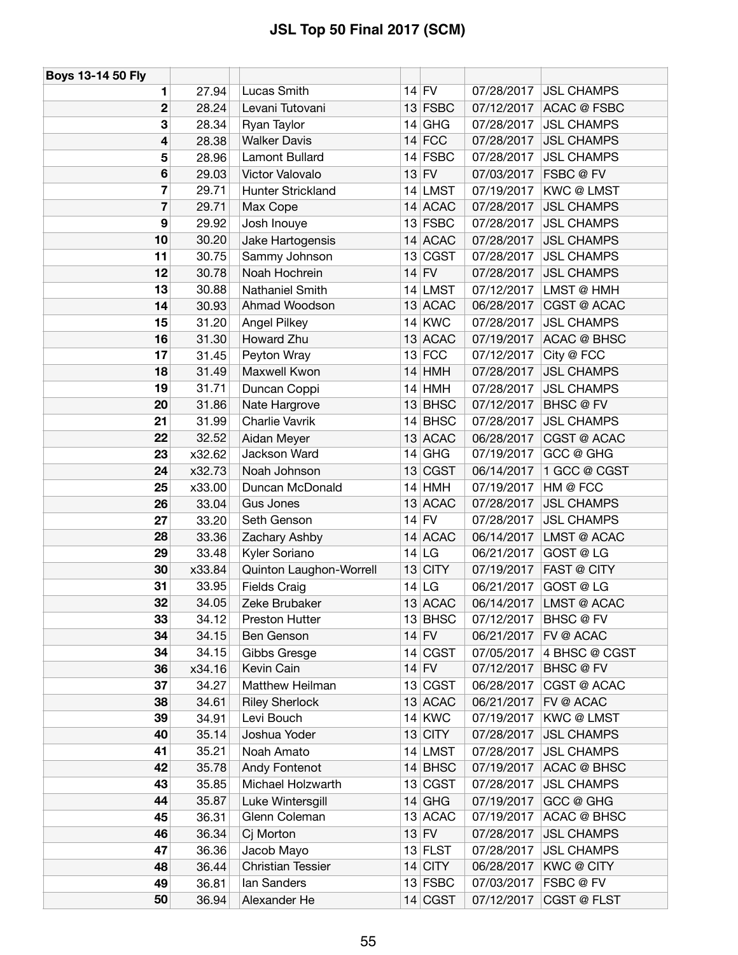| Boys 13-14 50 Fly |        |                          |           |            |                    |
|-------------------|--------|--------------------------|-----------|------------|--------------------|
| 1                 | 27.94  | Lucas Smith              | $14$ FV   | 07/28/2017 | <b>JSL CHAMPS</b>  |
| 2                 | 28.24  | Levani Tutovani          | $13$ FSBC | 07/12/2017 | <b>ACAC @ FSBC</b> |
| 3                 | 28.34  | Ryan Taylor              | $14$ GHG  | 07/28/2017 | <b>JSL CHAMPS</b>  |
| 4                 | 28.38  | <b>Walker Davis</b>      | $14$ FCC  | 07/28/2017 | <b>JSL CHAMPS</b>  |
| 5                 | 28.96  | Lamont Bullard           | $14$ FSBC | 07/28/2017 | <b>JSL CHAMPS</b>  |
| 6                 | 29.03  | Victor Valovalo          | $13$ FV   | 07/03/2017 | FSBC @ FV          |
| 7                 | 29.71  | Hunter Strickland        | $14$ LMST | 07/19/2017 | <b>KWC@LMST</b>    |
| 7                 | 29.71  | Max Cope                 | 14 ACAC   | 07/28/2017 | <b>JSL CHAMPS</b>  |
| 9                 | 29.92  | Josh Inouye              | $13$ FSBC | 07/28/2017 | <b>JSL CHAMPS</b>  |
| 10                | 30.20  | Jake Hartogensis         | 14 ACAC   | 07/28/2017 | <b>JSL CHAMPS</b>  |
| 11                | 30.75  | Sammy Johnson            | 13 CGST   | 07/28/2017 | <b>JSL CHAMPS</b>  |
| 12                | 30.78  | Noah Hochrein            | $14$ FV   | 07/28/2017 | <b>JSL CHAMPS</b>  |
| 13                | 30.88  | Nathaniel Smith          | $14$ LMST | 07/12/2017 | LMST @ HMH         |
| 14                | 30.93  | Ahmad Woodson            | 13 ACAC   | 06/28/2017 | CGST @ ACAC        |
| 15                | 31.20  | Angel Pilkey             | $14$ KWC  | 07/28/2017 | <b>JSL CHAMPS</b>  |
| 16                | 31.30  | Howard Zhu               | 13 ACAC   | 07/19/2017 | <b>ACAC @ BHSC</b> |
| 17                | 31.45  | Peyton Wray              | $13$ FCC  | 07/12/2017 | City @ FCC         |
| 18                | 31.49  | Maxwell Kwon             | $14$ HMH  | 07/28/2017 | <b>JSL CHAMPS</b>  |
| 19                | 31.71  | Duncan Coppi             | $14$ HMH  | 07/28/2017 | <b>JSL CHAMPS</b>  |
| 20                | 31.86  | Nate Hargrove            | $13$ BHSC | 07/12/2017 | <b>BHSC @ FV</b>   |
| 21                | 31.99  | Charlie Vavrik           | $14$ BHSC | 07/28/2017 | <b>JSL CHAMPS</b>  |
| 22                | 32.52  | Aidan Meyer              | 13 ACAC   | 06/28/2017 | CGST @ ACAC        |
| 23                | x32.62 | Jackson Ward             | $14$ GHG  | 07/19/2017 | GCC @ GHG          |
| 24                | x32.73 | Noah Johnson             | 13 CGST   | 06/14/2017 | 1 GCC @ CGST       |
| 25                | x33.00 | Duncan McDonald          | $14$ HMH  | 07/19/2017 | HM @ FCC           |
| 26                | 33.04  | <b>Gus Jones</b>         | 13 ACAC   | 07/28/2017 | <b>JSL CHAMPS</b>  |
| 27                | 33.20  | Seth Genson              | $14$ FV   | 07/28/2017 | <b>JSL CHAMPS</b>  |
| 28                | 33.36  | Zachary Ashby            | 14 ACAC   | 06/14/2017 | LMST @ ACAC        |
| 29                | 33.48  | Kyler Soriano            | $14$ LG   | 06/21/2017 | GOST @ LG          |
| 30                | x33.84 | Quinton Laughon-Worrell  | $13$ CITY | 07/19/2017 | <b>FAST @ CITY</b> |
| 31                | 33.95  | <b>Fields Craig</b>      | 14 LG     | 06/21/2017 | GOST @ LG          |
| 32                | 34.05  | Zeke Brubaker            | 13 ACAC   | 06/14/2017 | LMST @ ACAC        |
| 33                | 34.12  | Preston Hutter           | $13$ BHSC | 07/12/2017 | BHSC@FV            |
| 34                | 34.15  | Ben Genson               | $14$ FV   | 06/21/2017 | FV @ ACAC          |
| 34                | 34.15  | Gibbs Gresge             | 14 CGST   | 07/05/2017 | 4 BHSC @ CGST      |
| 36                | x34.16 | Kevin Cain               | $14$ FV   | 07/12/2017 | BHSC @ FV          |
| 37                | 34.27  | Matthew Heilman          | 13 CGST   | 06/28/2017 | CGST @ ACAC        |
| 38                | 34.61  | <b>Riley Sherlock</b>    | 13 ACAC   | 06/21/2017 | FV @ ACAC          |
| 39                | 34.91  | Levi Bouch               | $14$ KWC  | 07/19/2017 | <b>KWC@LMST</b>    |
| 40                | 35.14  | Joshua Yoder             | $13$ CITY | 07/28/2017 | <b>JSL CHAMPS</b>  |
| 41                | 35.21  | Noah Amato               | $14$ LMST | 07/28/2017 | <b>JSL CHAMPS</b>  |
| 42                | 35.78  | Andy Fontenot            | $14$ BHSC | 07/19/2017 | ACAC @ BHSC        |
| 43                | 35.85  | Michael Holzwarth        | 13 CGST   | 07/28/2017 | <b>JSL CHAMPS</b>  |
| 44                | 35.87  | Luke Wintersgill         | $14$ GHG  | 07/19/2017 | GCC @ GHG          |
| 45                | 36.31  | Glenn Coleman            | 13 ACAC   | 07/19/2017 | <b>ACAC @ BHSC</b> |
| 46                | 36.34  | Cj Morton                | $13$ FV   | 07/28/2017 | <b>JSL CHAMPS</b>  |
| 47                | 36.36  | Jacob Mayo               | $13$ FLST | 07/28/2017 | <b>JSL CHAMPS</b>  |
| 48                | 36.44  | <b>Christian Tessier</b> | $14$ CITY | 06/28/2017 | KWC @ CITY         |
| 49                | 36.81  | lan Sanders              | $13$ FSBC | 07/03/2017 | FSBC @ FV          |
| 50                | 36.94  | Alexander He             | 14 CGST   | 07/12/2017 | <b>CGST @ FLST</b> |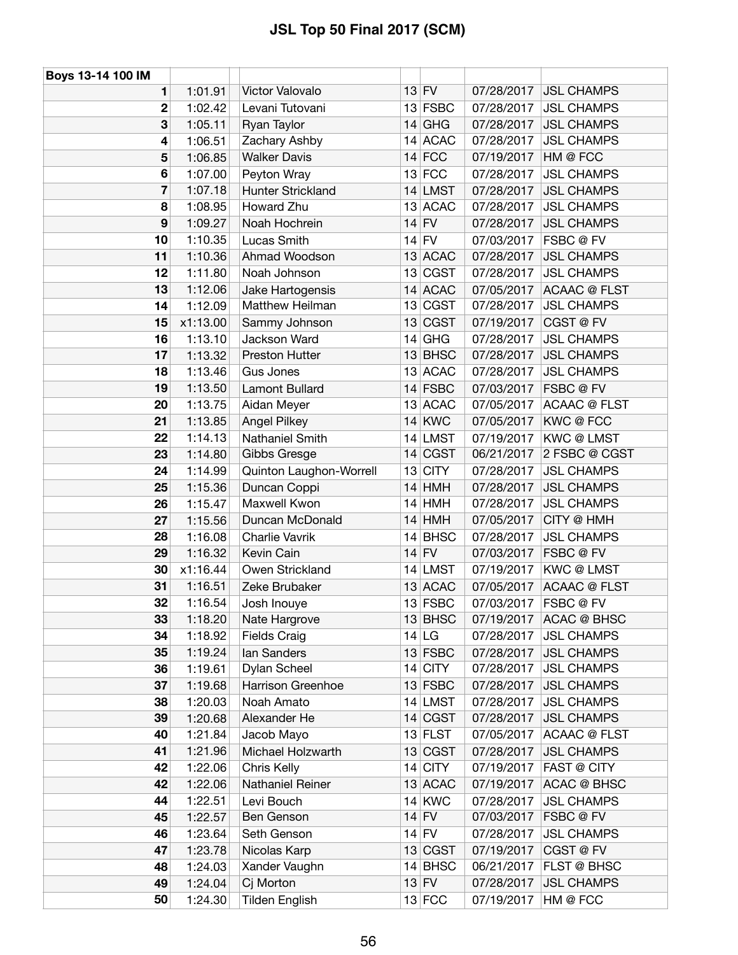| Boys 13-14 100 IM |          |                         |           |            |                        |
|-------------------|----------|-------------------------|-----------|------------|------------------------|
| 1                 | 1:01.91  | Victor Valovalo         | $13$ FV   | 07/28/2017 | <b>JSL CHAMPS</b>      |
| 2                 | 1:02.42  | Levani Tutovani         | $13$ FSBC | 07/28/2017 | <b>JSL CHAMPS</b>      |
| 3                 | 1:05.11  | Ryan Taylor             | $14$ GHG  | 07/28/2017 | <b>JSL CHAMPS</b>      |
| 4                 | 1:06.51  | Zachary Ashby           | 14 ACAC   | 07/28/2017 | <b>JSL CHAMPS</b>      |
| 5                 | 1:06.85  | <b>Walker Davis</b>     | $14$ FCC  | 07/19/2017 | HM @ FCC               |
| 6                 | 1:07.00  | Peyton Wray             | $13$ FCC  | 07/28/2017 | <b>JSL CHAMPS</b>      |
| 7                 | 1:07.18  | Hunter Strickland       | 14 LMST   | 07/28/2017 | <b>JSL CHAMPS</b>      |
| 8                 | 1:08.95  | Howard Zhu              | 13 ACAC   | 07/28/2017 | <b>JSL CHAMPS</b>      |
| 9                 | 1:09.27  | Noah Hochrein           | $14$ FV   | 07/28/2017 | <b>JSL CHAMPS</b>      |
| 10                | 1:10.35  | Lucas Smith             | $14$ FV   | 07/03/2017 | FSBC @ FV              |
| 11                | 1:10.36  | Ahmad Woodson           | 13 ACAC   | 07/28/2017 | <b>JSL CHAMPS</b>      |
| 12                | 1:11.80  | Noah Johnson            | 13 CGST   | 07/28/2017 | <b>JSL CHAMPS</b>      |
| 13                | 1:12.06  | Jake Hartogensis        | 14 ACAC   | 07/05/2017 | <b>ACAAC @ FLST</b>    |
| 14                | 1:12.09  | Matthew Heilman         | 13 CGST   | 07/28/2017 | <b>JSL CHAMPS</b>      |
| 15                | x1:13.00 | Sammy Johnson           | 13 CGST   | 07/19/2017 | CGST @ FV              |
| 16                | 1:13.10  | Jackson Ward            | $14$ GHG  | 07/28/2017 | <b>JSL CHAMPS</b>      |
| 17                | 1:13.32  | Preston Hutter          | $13$ BHSC | 07/28/2017 | <b>JSL CHAMPS</b>      |
| 18                | 1:13.46  | Gus Jones               | 13 ACAC   | 07/28/2017 | <b>JSL CHAMPS</b>      |
| 19                | 1:13.50  | <b>Lamont Bullard</b>   | $14$ FSBC | 07/03/2017 | FSBC @ FV              |
| 20                | 1:13.75  | Aidan Meyer             | 13 ACAC   | 07/05/2017 | <b>ACAAC @ FLST</b>    |
| 21                | 1:13.85  | <b>Angel Pilkey</b>     | $14$ KWC  | 07/05/2017 | KWC@FCC                |
| 22                | 1:14.13  | Nathaniel Smith         | 14 LMST   | 07/19/2017 | <b>KWC@LMST</b>        |
| 23                | 1:14.80  | Gibbs Gresge            | 14 CGST   | 06/21/2017 | 2 FSBC @ CGST          |
| 24                | 1:14.99  | Quinton Laughon-Worrell | $13$ CITY | 07/28/2017 | <b>JSL CHAMPS</b>      |
| 25                | 1:15.36  | Duncan Coppi            | $14$ HMH  | 07/28/2017 | <b>JSL CHAMPS</b>      |
| 26                | 1:15.47  | Maxwell Kwon            | $14$ HMH  | 07/28/2017 | <b>JSL CHAMPS</b>      |
| 27                | 1:15.56  | Duncan McDonald         | $14$ HMH  | 07/05/2017 | CITY @ HMH             |
| 28                | 1:16.08  | Charlie Vavrik          | $14$ BHSC | 07/28/2017 | <b>JSL CHAMPS</b>      |
| 29                | 1:16.32  | Kevin Cain              | $14$ FV   | 07/03/2017 | FSBC @ FV              |
| 30                | x1:16.44 | Owen Strickland         | $14$ LMST | 07/19/2017 | <b>KWC@LMST</b>        |
| 31                | 1:16.51  | Zeke Brubaker           | 13 ACAC   | 07/05/2017 | <b>ACAAC @ FLST</b>    |
| 32                | 1:16.54  | Josh Inouye             | $13$ FSBC | 07/03/2017 | FSBC @ FV              |
| 33                | 1:18.20  | Nate Hargrove           | $13$ BHSC |            | 07/19/2017 ACAC @ BHSC |
| 34                | 1:18.92  | <b>Fields Craig</b>     | 14 LG     | 07/28/2017 | <b>JSL CHAMPS</b>      |
| 35                | 1:19.24  | lan Sanders             | $13$ FSBC | 07/28/2017 | <b>JSL CHAMPS</b>      |
| 36                | 1:19.61  | Dylan Scheel            | $14$ CITY | 07/28/2017 | <b>JSL CHAMPS</b>      |
| 37                | 1:19.68  | Harrison Greenhoe       | $13$ FSBC | 07/28/2017 | <b>JSL CHAMPS</b>      |
| 38                | 1:20.03  | Noah Amato              | $14$ LMST | 07/28/2017 | <b>JSL CHAMPS</b>      |
| 39                | 1:20.68  | Alexander He            | 14 CGST   | 07/28/2017 | <b>JSL CHAMPS</b>      |
| 40                | 1:21.84  | Jacob Mayo              | $13$ FLST | 07/05/2017 | <b>ACAAC @ FLST</b>    |
| 41                | 1:21.96  | Michael Holzwarth       | 13 CGST   | 07/28/2017 | <b>JSL CHAMPS</b>      |
| 42                | 1:22.06  | Chris Kelly             | $14$ CITY | 07/19/2017 | FAST @ CITY            |
| 42                | 1:22.06  | Nathaniel Reiner        | 13 ACAC   | 07/19/2017 | <b>ACAC @ BHSC</b>     |
| 44                | 1:22.51  | Levi Bouch              | $14$ KWC  | 07/28/2017 | <b>JSL CHAMPS</b>      |
| 45                | 1:22.57  | Ben Genson              | $14$ FV   | 07/03/2017 | FSBC @ FV              |
| 46                | 1:23.64  | Seth Genson             | $14$ FV   | 07/28/2017 | <b>JSL CHAMPS</b>      |
| 47                | 1:23.78  | Nicolas Karp            | 13 CGST   | 07/19/2017 | CGST@FV                |
| 48                | 1:24.03  | Xander Vaughn           | $14$ BHSC | 06/21/2017 | FLST @ BHSC            |
| 49                | 1:24.04  | Cj Morton               | $13$ FV   | 07/28/2017 | <b>JSL CHAMPS</b>      |
| 50                | 1:24.30  | <b>Tilden English</b>   | $13$ FCC  | 07/19/2017 | HM @ FCC               |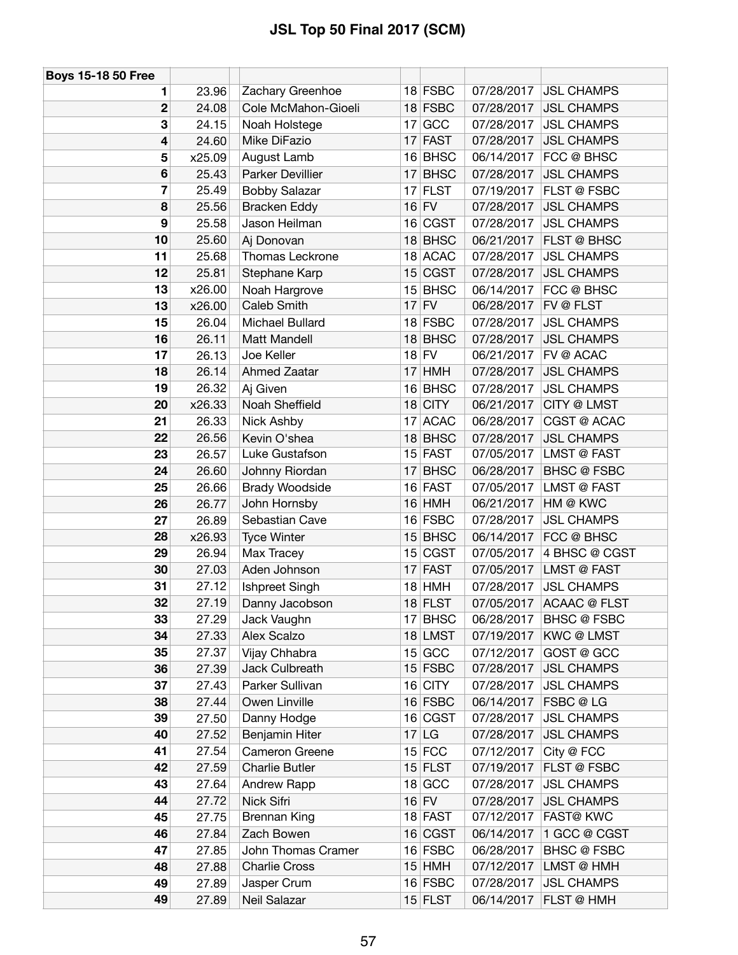| <b>Boys 15-18 50 Free</b> |                |                                         |                        |                          |                                               |
|---------------------------|----------------|-----------------------------------------|------------------------|--------------------------|-----------------------------------------------|
| 1                         | 23.96          | Zachary Greenhoe                        | $18$ FSBC              | 07/28/2017               | <b>JSL CHAMPS</b>                             |
| $\mathbf 2$               | 24.08          | Cole McMahon-Gioeli                     | 18 FSBC                | 07/28/2017               | <b>JSL CHAMPS</b>                             |
| 3                         | 24.15          | Noah Holstege                           | $17$ GCC               | 07/28/2017               | <b>JSL CHAMPS</b>                             |
| 4                         | 24.60          | Mike DiFazio                            | $17$ FAST              | 07/28/2017               | <b>JSL CHAMPS</b>                             |
| 5                         | x25.09         | August Lamb                             | $16$ BHSC              | 06/14/2017               | FCC @ BHSC                                    |
| $6\phantom{1}6$           | 25.43          | Parker Devillier                        | $17$ BHSC              | 07/28/2017               | <b>JSL CHAMPS</b>                             |
| 7                         | 25.49          | <b>Bobby Salazar</b>                    | $17$ FLST              | 07/19/2017               | FLST @ FSBC                                   |
| 8                         | 25.56          | <b>Bracken Eddy</b>                     | $16$ FV                | 07/28/2017               | <b>JSL CHAMPS</b>                             |
| 9                         | 25.58          | Jason Heilman                           | 16 CGST                | 07/28/2017               | <b>JSL CHAMPS</b>                             |
| 10                        | 25.60          | Aj Donovan                              | $18$ BHSC              | 06/21/2017               | FLST @ BHSC                                   |
| 11                        | 25.68          | Thomas Leckrone                         | 18 ACAC                | 07/28/2017               | <b>JSL CHAMPS</b>                             |
| 12                        | 25.81          | Stephane Karp                           | 15 CGST                | 07/28/2017               | <b>JSL CHAMPS</b>                             |
| 13                        | x26.00         | Noah Hargrove                           | $15$ BHSC              | 06/14/2017               | FCC @ BHSC                                    |
| 13                        | x26.00         | Caleb Smith                             | $17$ FV                | 06/28/2017               | FV @ FLST                                     |
| 15                        | 26.04          | Michael Bullard                         | $18$ FSBC              | 07/28/2017               | <b>JSL CHAMPS</b>                             |
| 16                        | 26.11          | Matt Mandell                            | $18$ BHSC              | 07/28/2017               | <b>JSL CHAMPS</b>                             |
| 17                        | 26.13          | Joe Keller                              | $18$ FV                | 06/21/2017               | FV @ ACAC                                     |
| 18                        | 26.14          | Ahmed Zaatar                            | $17$ HMH               | 07/28/2017               | <b>JSL CHAMPS</b>                             |
| 19                        | 26.32          | Aj Given                                | 16 BHSC                | 07/28/2017               | <b>JSL CHAMPS</b>                             |
| 20                        | x26.33         | Noah Sheffield                          | $18$ CITY              | 06/21/2017               | <b>CITY @ LMST</b>                            |
| 21                        | 26.33          | Nick Ashby                              | 17 ACAC                | 06/28/2017               | CGST @ ACAC                                   |
| 22                        | 26.56          | Kevin O'shea                            | $18$ BHSC              | 07/28/2017               | <b>JSL CHAMPS</b>                             |
| 23                        | 26.57          | Luke Gustafson                          | 15 FAST                | 07/05/2017               | LMST @ FAST                                   |
| 24                        | 26.60          | Johnny Riordan                          | 17 BHSC                | 06/28/2017               | <b>BHSC @ FSBC</b>                            |
| 25                        | 26.66          | <b>Brady Woodside</b>                   | 16 FAST                | 07/05/2017               | <b>LMST @ FAST</b>                            |
| 26                        | 26.77          | John Hornsby                            | $16$ HMH               | 06/21/2017               | HM @ KWC                                      |
| 27                        | 26.89          | Sebastian Cave                          | 16 FSBC                | 07/28/2017               | <b>JSL CHAMPS</b>                             |
| 28                        | x26.93         | <b>Tyce Winter</b>                      | $15$ BHSC              | 06/14/2017               | FCC @ BHSC                                    |
| 29                        | 26.94          | Max Tracey                              | 15 CGST                | 07/05/2017               | 4 BHSC @ CGST                                 |
| 30                        | 27.03          | Aden Johnson                            | $17$ FAST              | 07/05/2017               | <b>LMST @ FAST</b>                            |
| 31                        | 27.12          | Ishpreet Singh                          | $18$ HMH               | 07/28/2017               | <b>JSL CHAMPS</b>                             |
| 32                        | 27.19          |                                         |                        |                          |                                               |
| 33                        | 27.29          | Danny Jacobson<br>Jack Vaughn           | $18$ FLST<br>$17$ BHSC | 06/28/2017               | 07/05/2017 ACAAC @ FLST<br><b>BHSC @ FSBC</b> |
| 34                        |                | Alex Scalzo                             |                        | 07/19/2017               | <b>KWC@LMST</b>                               |
| 35                        | 27.33<br>27.37 |                                         | 18 LMST<br>$15$ GCC    | 07/12/2017               | GOST @ GCC                                    |
| 36                        | 27.39          | Vijay Chhabra<br>Jack Culbreath         | $15$ FSBC              | 07/28/2017               | <b>JSL CHAMPS</b>                             |
| 37                        | 27.43          | Parker Sullivan                         | $16$ CITY              | 07/28/2017               | <b>JSL CHAMPS</b>                             |
| 38                        | 27.44          | Owen Linville                           | 16 FSBC                | 06/14/2017               | FSBC @ LG                                     |
| 39                        |                | Danny Hodge                             | 16 CGST                | 07/28/2017               | <b>JSL CHAMPS</b>                             |
| 40                        | 27.50<br>27.52 |                                         |                        | 07/28/2017               | <b>JSL CHAMPS</b>                             |
| 41                        |                | Benjamin Hiter                          | $17$ LG                |                          |                                               |
| 42                        | 27.54          | Cameron Greene<br><b>Charlie Butler</b> | $15$ FCC<br>$15$ FLST  | 07/12/2017               | City @ FCC<br>FLST @ FSBC                     |
|                           | 27.59          |                                         |                        | 07/19/2017               |                                               |
| 43<br>44                  | 27.64<br>27.72 | Andrew Rapp<br>Nick Sifri               | $18$ GCC<br>$16$ FV    | 07/28/2017               | <b>JSL CHAMPS</b><br><b>JSL CHAMPS</b>        |
|                           |                |                                         | $18$ FAST              | 07/28/2017<br>07/12/2017 | <b>FAST@ KWC</b>                              |
| 45                        | 27.75          | <b>Brennan King</b>                     |                        |                          |                                               |
| 46                        | 27.84          | Zach Bowen                              | 16 CGST                | 06/14/2017               | 1 GCC @ CGST                                  |
| 47                        | 27.85          | John Thomas Cramer                      | $16$ FSBC              | 06/28/2017               | <b>BHSC @ FSBC</b>                            |
| 48                        | 27.88          | <b>Charlie Cross</b>                    | $15$ HMH               | 07/12/2017               | LMST @ HMH                                    |
| 49                        | 27.89          | Jasper Crum                             | 16 FSBC                | 07/28/2017               | <b>JSL CHAMPS</b>                             |
| 49                        | 27.89          | Neil Salazar                            | $15$ FLST              | 06/14/2017               | FLST @ HMH                                    |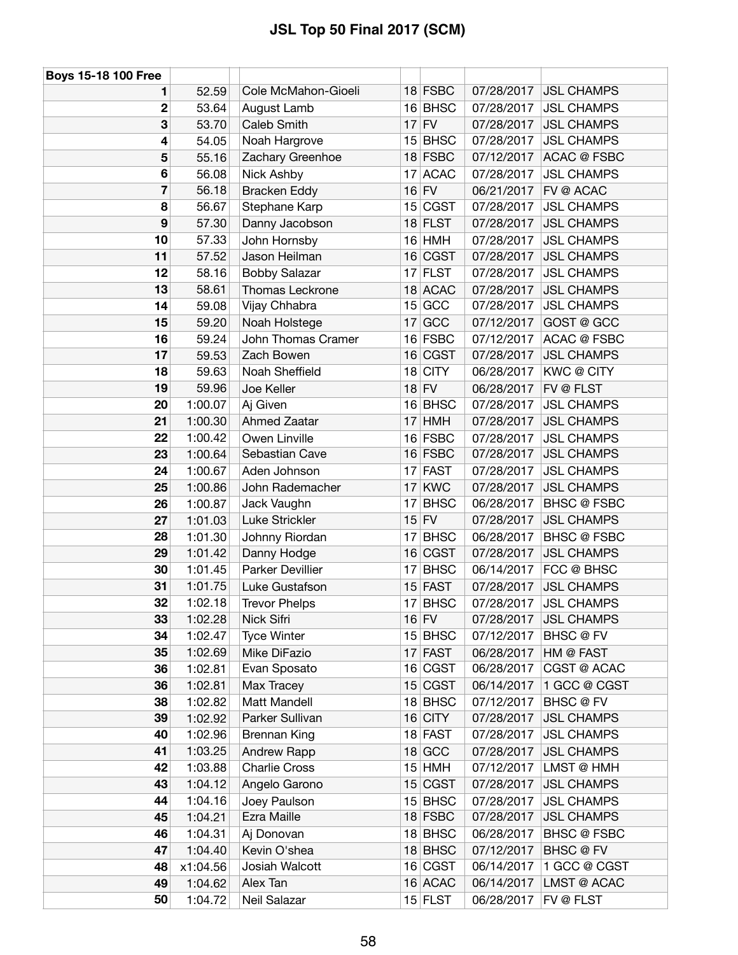| <b>Boys 15-18 100 Free</b> |          |                      |           |            |                    |
|----------------------------|----------|----------------------|-----------|------------|--------------------|
| 1                          | 52.59    | Cole McMahon-Gioeli  | 18 FSBC   | 07/28/2017 | <b>JSL CHAMPS</b>  |
| 2                          | 53.64    | August Lamb          | 16 BHSC   | 07/28/2017 | <b>JSL CHAMPS</b>  |
| 3                          | 53.70    | Caleb Smith          | $17$ FV   | 07/28/2017 | <b>JSL CHAMPS</b>  |
| 4                          | 54.05    | Noah Hargrove        | $15$ BHSC | 07/28/2017 | <b>JSL CHAMPS</b>  |
| 5                          | 55.16    | Zachary Greenhoe     | 18 FSBC   | 07/12/2017 | ACAC @ FSBC        |
| 6                          | 56.08    | Nick Ashby           | 17 ACAC   | 07/28/2017 | <b>JSL CHAMPS</b>  |
| 7                          | 56.18    | <b>Bracken Eddy</b>  | $16$ FV   | 06/21/2017 | FV @ ACAC          |
| 8                          | 56.67    | Stephane Karp        | 15 CGST   | 07/28/2017 | <b>JSL CHAMPS</b>  |
| 9                          | 57.30    | Danny Jacobson       | $18$ FLST | 07/28/2017 | <b>JSL CHAMPS</b>  |
| 10                         | 57.33    | John Hornsby         | $16$ HMH  | 07/28/2017 | <b>JSL CHAMPS</b>  |
| 11                         | 57.52    | Jason Heilman        | 16 CGST   | 07/28/2017 | <b>JSL CHAMPS</b>  |
| 12                         | 58.16    | <b>Bobby Salazar</b> | $17$ FLST | 07/28/2017 | <b>JSL CHAMPS</b>  |
| 13                         | 58.61    | Thomas Leckrone      | 18 ACAC   | 07/28/2017 | <b>JSL CHAMPS</b>  |
| 14                         | 59.08    | Vijay Chhabra        | $15$ GCC  | 07/28/2017 | <b>JSL CHAMPS</b>  |
| 15                         | 59.20    | Noah Holstege        | $17$ GCC  | 07/12/2017 | GOST @ GCC         |
| 16                         | 59.24    | John Thomas Cramer   | $16$ FSBC | 07/12/2017 | <b>ACAC @ FSBC</b> |
| 17                         | 59.53    | Zach Bowen           | 16 CGST   | 07/28/2017 | <b>JSL CHAMPS</b>  |
| 18                         | 59.63    | Noah Sheffield       | $18$ CITY | 06/28/2017 | <b>KWC@CITY</b>    |
| 19                         | 59.96    | Joe Keller           | $18$ FV   | 06/28/2017 | FV @ FLST          |
| 20                         | 1:00.07  | Aj Given             | 16 BHSC   | 07/28/2017 | <b>JSL CHAMPS</b>  |
| 21                         | 1:00.30  | Ahmed Zaatar         | $17$ HMH  | 07/28/2017 | <b>JSL CHAMPS</b>  |
| 22                         | 1:00.42  | Owen Linville        | $16$ FSBC | 07/28/2017 | <b>JSL CHAMPS</b>  |
| 23                         | 1:00.64  | Sebastian Cave       | 16 FSBC   | 07/28/2017 | <b>JSL CHAMPS</b>  |
| 24                         | 1:00.67  | Aden Johnson         | $17$ FAST | 07/28/2017 | <b>JSL CHAMPS</b>  |
| 25                         | 1:00.86  | John Rademacher      | $17$ KWC  | 07/28/2017 | <b>JSL CHAMPS</b>  |
| 26                         | 1:00.87  | Jack Vaughn          | $17$ BHSC | 06/28/2017 | <b>BHSC @ FSBC</b> |
| 27                         | 1:01.03  | Luke Strickler       | $15$ FV   | 07/28/2017 | <b>JSL CHAMPS</b>  |
| 28                         | 1:01.30  | Johnny Riordan       | $17$ BHSC | 06/28/2017 | <b>BHSC @ FSBC</b> |
| 29                         | 1:01.42  | Danny Hodge          | 16 CGST   | 07/28/2017 | <b>JSL CHAMPS</b>  |
| 30                         | 1:01.45  | Parker Devillier     | $17$ BHSC | 06/14/2017 | FCC @ BHSC         |
| 31                         | 1:01.75  | Luke Gustafson       | $15$ FAST | 07/28/2017 | <b>JSL CHAMPS</b>  |
| 32                         | 1:02.18  | <b>Trevor Phelps</b> | $17$ BHSC | 07/28/2017 | <b>JSL CHAMPS</b>  |
| 33                         | 1:02.28  | Nick Sifri           | $16$ FV   | 07/28/2017 | <b>JSL CHAMPS</b>  |
| 34                         | 1:02.47  | <b>Tyce Winter</b>   | $15$ BHSC | 07/12/2017 | BHSC @ FV          |
| 35                         | 1:02.69  | Mike DiFazio         | $17$ FAST | 06/28/2017 | HM @ FAST          |
| 36                         | 1:02.81  | Evan Sposato         | 16 CGST   | 06/28/2017 | CGST @ ACAC        |
| 36                         | 1:02.81  | Max Tracey           | 15 CGST   | 06/14/2017 | 1 GCC @ CGST       |
| 38                         | 1:02.82  | Matt Mandell         | 18 BHSC   | 07/12/2017 | <b>BHSC</b> @ FV   |
| 39                         | 1:02.92  | Parker Sullivan      | 16 CITY   | 07/28/2017 | <b>JSL CHAMPS</b>  |
| 40                         | 1:02.96  | <b>Brennan King</b>  | $18$ FAST | 07/28/2017 | <b>JSL CHAMPS</b>  |
| 41                         | 1:03.25  | Andrew Rapp          | $18$ GCC  | 07/28/2017 | <b>JSL CHAMPS</b>  |
| 42                         | 1:03.88  | <b>Charlie Cross</b> | $15$ HMH  | 07/12/2017 | LMST @ HMH         |
| 43                         | 1:04.12  | Angelo Garono        | 15 CGST   | 07/28/2017 | <b>JSL CHAMPS</b>  |
| 44                         | 1:04.16  | Joey Paulson         | $15$ BHSC | 07/28/2017 | <b>JSL CHAMPS</b>  |
| 45                         | 1:04.21  | Ezra Maille          | $18$ FSBC | 07/28/2017 | <b>JSL CHAMPS</b>  |
| 46                         | 1:04.31  | Aj Donovan           | $18$ BHSC | 06/28/2017 | BHSC @ FSBC        |
| 47                         | 1:04.40  | Kevin O'shea         | 18 BHSC   | 07/12/2017 | <b>BHSC</b> @ FV   |
| 48                         | x1:04.56 | Josiah Walcott       | 16 CGST   | 06/14/2017 | 1 GCC @ CGST       |
| 49                         | 1:04.62  | Alex Tan             | 16 ACAC   | 06/14/2017 | LMST @ ACAC        |
| 50                         | 1:04.72  | Neil Salazar         | $15$ FLST | 06/28/2017 | FV @ FLST          |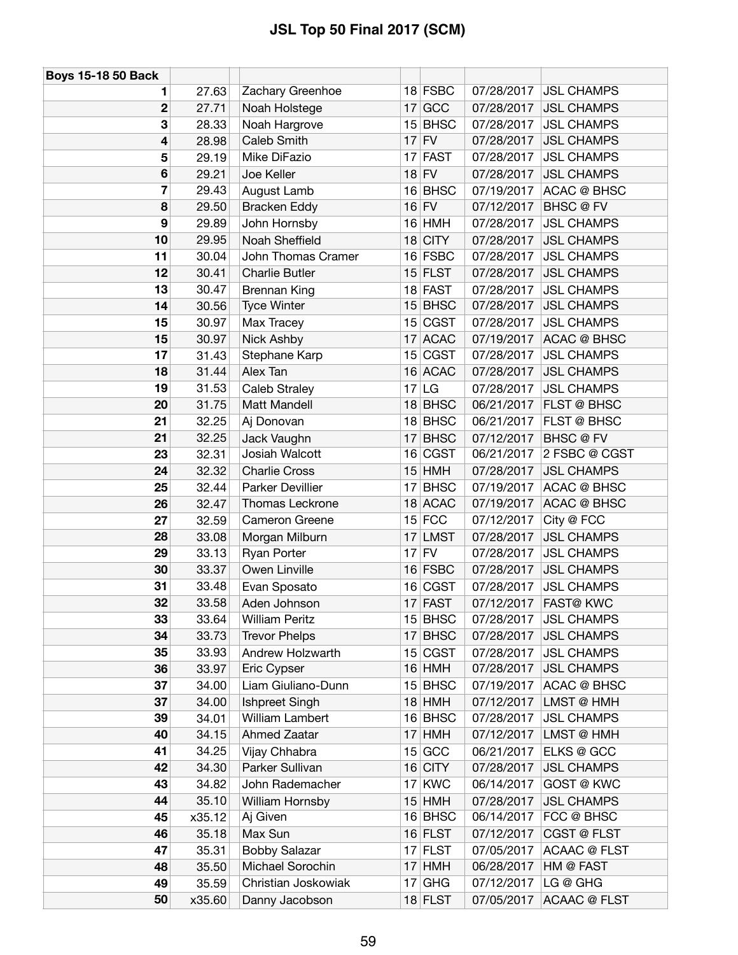| <b>Boys 15-18 50 Back</b> |        |                        |                   |            |                     |
|---------------------------|--------|------------------------|-------------------|------------|---------------------|
| 1                         | 27.63  | Zachary Greenhoe       | $18$ FSBC         | 07/28/2017 | <b>JSL CHAMPS</b>   |
| 2                         | 27.71  | Noah Holstege          | $17$ GCC          | 07/28/2017 | <b>JSL CHAMPS</b>   |
| 3                         | 28.33  | Noah Hargrove          | $15$ BHSC         | 07/28/2017 | <b>JSL CHAMPS</b>   |
| 4                         | 28.98  | Caleb Smith            | $17$ FV           | 07/28/2017 | <b>JSL CHAMPS</b>   |
| 5                         | 29.19  | Mike DiFazio           | $17$ FAST         | 07/28/2017 | <b>JSL CHAMPS</b>   |
| 6                         | 29.21  | Joe Keller             | $18$ FV           | 07/28/2017 | <b>JSL CHAMPS</b>   |
| 7                         | 29.43  | August Lamb            | $16$ BHSC         | 07/19/2017 | <b>ACAC @ BHSC</b>  |
| 8                         | 29.50  | Bracken Eddy           | $16$ FV           | 07/12/2017 | <b>BHSC</b> @ FV    |
| 9                         | 29.89  | John Hornsby           | $16$ HMH          | 07/28/2017 | <b>JSL CHAMPS</b>   |
| 10                        | 29.95  | Noah Sheffield         | $18$ CITY         | 07/28/2017 | <b>JSL CHAMPS</b>   |
| 11                        | 30.04  | John Thomas Cramer     | 16 FSBC           | 07/28/2017 | <b>JSL CHAMPS</b>   |
| 12                        | 30.41  | <b>Charlie Butler</b>  | $15$ FLST         | 07/28/2017 | <b>JSL CHAMPS</b>   |
| 13                        | 30.47  | Brennan King           | $18$ FAST         | 07/28/2017 | <b>JSL CHAMPS</b>   |
| 14                        | 30.56  | <b>Tyce Winter</b>     | 15 BHSC           | 07/28/2017 | <b>JSL CHAMPS</b>   |
| 15                        | 30.97  | Max Tracey             | 15 CGST           | 07/28/2017 | <b>JSL CHAMPS</b>   |
| 15                        | 30.97  | Nick Ashby             | 17 ACAC           | 07/19/2017 | <b>ACAC @ BHSC</b>  |
| 17                        | 31.43  | Stephane Karp          | 15 CGST           | 07/28/2017 | <b>JSL CHAMPS</b>   |
| 18                        | 31.44  | Alex Tan               | 16 ACAC           | 07/28/2017 | <b>JSL CHAMPS</b>   |
| 19                        | 31.53  | <b>Caleb Straley</b>   | $17$ LG           | 07/28/2017 | <b>JSL CHAMPS</b>   |
| 20                        | 31.75  | Matt Mandell           | $18$ BHSC         | 06/21/2017 | FLST @ BHSC         |
| 21                        | 32.25  | Aj Donovan             | $18$ BHSC         | 06/21/2017 | FLST @ BHSC         |
| 21                        | 32.25  | Jack Vaughn            | <b>BHSC</b><br>17 | 07/12/2017 | <b>BHSC</b> @ FV    |
| 23                        | 32.31  | Josiah Walcott         | 16 CGST           | 06/21/2017 | 2 FSBC @ CGST       |
| 24                        | 32.32  | <b>Charlie Cross</b>   | $15$ HMH          | 07/28/2017 | <b>JSL CHAMPS</b>   |
| 25                        | 32.44  | Parker Devillier       | <b>BHSC</b><br>17 | 07/19/2017 | <b>ACAC @ BHSC</b>  |
| 26                        | 32.47  | <b>Thomas Leckrone</b> | 18 ACAC           | 07/19/2017 | <b>ACAC @ BHSC</b>  |
| 27                        | 32.59  | Cameron Greene         | $15$ FCC          | 07/12/2017 | City @ FCC          |
| 28                        | 33.08  | Morgan Milburn         | 17<br><b>LMST</b> | 07/28/2017 | <b>JSL CHAMPS</b>   |
| 29                        | 33.13  | Ryan Porter            | $17$ FV           | 07/28/2017 | <b>JSL CHAMPS</b>   |
| 30                        | 33.37  | Owen Linville          | $16$ FSBC         | 07/28/2017 | <b>JSL CHAMPS</b>   |
| 31                        | 33.48  | Evan Sposato           | 16 CGST           | 07/28/2017 | <b>JSL CHAMPS</b>   |
| 32                        | 33.58  | Aden Johnson           | 17 FAST           | 07/12/2017 | <b>FAST@ KWC</b>    |
| 33                        | 33.64  | <b>William Peritz</b>  | $15$ BHSC         | 07/28/2017 | <b>JSL CHAMPS</b>   |
| 34                        | 33.73  | <b>Trevor Phelps</b>   | $17$ BHSC         | 07/28/2017 | <b>JSL CHAMPS</b>   |
| 35                        | 33.93  | Andrew Holzwarth       | 15 CGST           | 07/28/2017 | <b>JSL CHAMPS</b>   |
| 36                        | 33.97  | Eric Cypser            | $16$ HMH          | 07/28/2017 | <b>JSL CHAMPS</b>   |
| 37                        | 34.00  | Liam Giuliano-Dunn     | $15$ BHSC         | 07/19/2017 | <b>ACAC @ BHSC</b>  |
| 37                        | 34.00  | Ishpreet Singh         | $18$ HMH          | 07/12/2017 | LMST @ HMH          |
| 39                        | 34.01  | William Lambert        | $16$ BHSC         | 07/28/2017 | <b>JSL CHAMPS</b>   |
| 40                        | 34.15  | Ahmed Zaatar           | $17$ HMH          | 07/12/2017 | LMST @ HMH          |
| 41                        | 34.25  | Vijay Chhabra          | 15<br>GCC         | 06/21/2017 | ELKS @ GCC          |
| 42                        | 34.30  | Parker Sullivan        | $16$ CITY         | 07/28/2017 | <b>JSL CHAMPS</b>   |
| 43                        | 34.82  | John Rademacher        | $17$ KWC          | 06/14/2017 | GOST @ KWC          |
| 44                        | 35.10  | William Hornsby        | $15$ HMH          | 07/28/2017 | <b>JSL CHAMPS</b>   |
| 45                        | x35.12 | Aj Given               | 16 BHSC           | 06/14/2017 | FCC @ BHSC          |
| 46                        | 35.18  | Max Sun                | $16$ FLST         | 07/12/2017 | CGST @ FLST         |
| 47                        | 35.31  | <b>Bobby Salazar</b>   | $17$ FLST         | 07/05/2017 | <b>ACAAC @ FLST</b> |
| 48                        | 35.50  | Michael Sorochin       | $17$ HMH          | 06/28/2017 | HM @ FAST           |
| 49                        | 35.59  | Christian Joskowiak    | $17$ GHG          | 07/12/2017 | LG @ GHG            |
| 50                        | x35.60 | Danny Jacobson         | $18$ FLST         | 07/05/2017 | <b>ACAAC @ FLST</b> |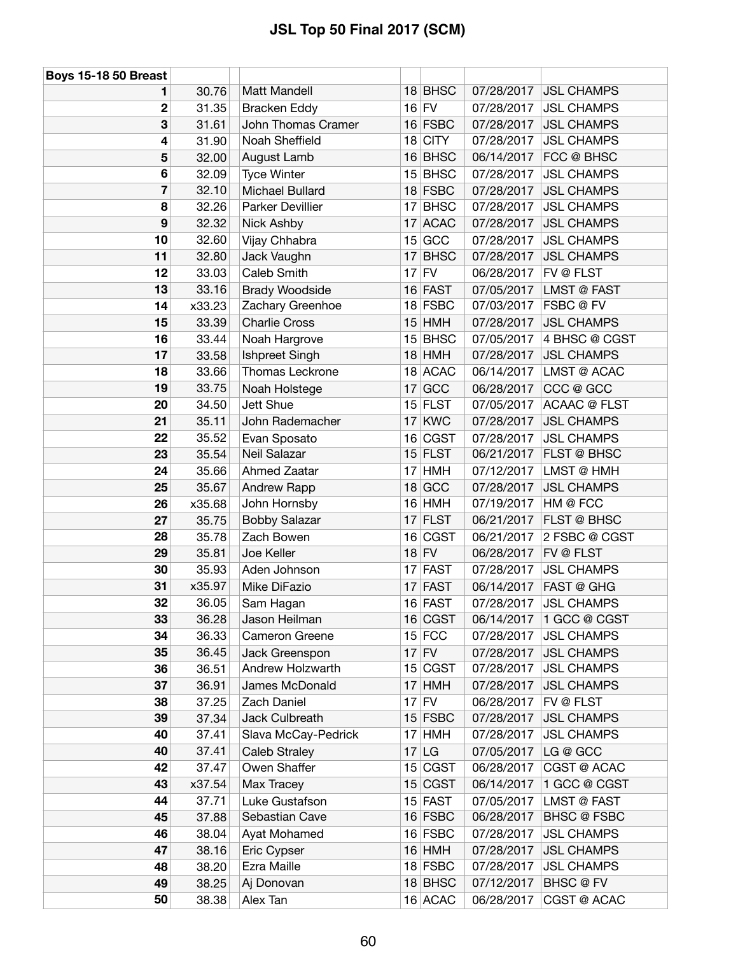| <b>Boys 15-18 50 Breast</b> |        |                       |    |             |            |                     |
|-----------------------------|--------|-----------------------|----|-------------|------------|---------------------|
| 1                           | 30.76  | Matt Mandell          |    | 18 BHSC     | 07/28/2017 | <b>JSL CHAMPS</b>   |
| 2                           | 31.35  | <b>Bracken Eddy</b>   |    | $16$ FV     | 07/28/2017 | <b>JSL CHAMPS</b>   |
| 3                           | 31.61  | John Thomas Cramer    |    | 16 FSBC     | 07/28/2017 | <b>JSL CHAMPS</b>   |
| 4                           | 31.90  | Noah Sheffield        |    | $18$ CITY   | 07/28/2017 | <b>JSL CHAMPS</b>   |
| 5                           | 32.00  | August Lamb           |    | 16 BHSC     | 06/14/2017 | FCC @ BHSC          |
| 6                           | 32.09  | <b>Tyce Winter</b>    |    | $15$ BHSC   | 07/28/2017 | <b>JSL CHAMPS</b>   |
| 7                           | 32.10  | Michael Bullard       |    | $18$ FSBC   | 07/28/2017 | <b>JSL CHAMPS</b>   |
| 8                           | 32.26  | Parker Devillier      | 17 | <b>BHSC</b> | 07/28/2017 | <b>JSL CHAMPS</b>   |
| 9                           | 32.32  | Nick Ashby            |    | 17 ACAC     | 07/28/2017 | <b>JSL CHAMPS</b>   |
| 10                          | 32.60  | Vijay Chhabra         |    | $15$ GCC    | 07/28/2017 | <b>JSL CHAMPS</b>   |
| 11                          | 32.80  | Jack Vaughn           | 17 | <b>BHSC</b> | 07/28/2017 | <b>JSL CHAMPS</b>   |
| 12                          | 33.03  | Caleb Smith           |    | $17$ FV     | 06/28/2017 | FV @ FLST           |
| 13                          | 33.16  | <b>Brady Woodside</b> |    | $16$ FAST   | 07/05/2017 | <b>LMST @ FAST</b>  |
| 14                          | x33.23 | Zachary Greenhoe      |    | $18$ FSBC   | 07/03/2017 | FSBC @ FV           |
| 15                          | 33.39  | <b>Charlie Cross</b>  |    | $15$ HMH    | 07/28/2017 | <b>JSL CHAMPS</b>   |
| 16                          | 33.44  | Noah Hargrove         |    | $15$ BHSC   | 07/05/2017 | 4 BHSC @ CGST       |
| 17                          | 33.58  | Ishpreet Singh        |    | $18$ HMH    | 07/28/2017 | <b>JSL CHAMPS</b>   |
| 18                          | 33.66  | Thomas Leckrone       |    | 18 ACAC     | 06/14/2017 | LMST @ ACAC         |
| 19                          | 33.75  | Noah Holstege         |    | $17$ GCC    | 06/28/2017 | CCC @ GCC           |
| 20                          | 34.50  | Jett Shue             |    | $15$ FLST   | 07/05/2017 | <b>ACAAC @ FLST</b> |
| 21                          | 35.11  | John Rademacher       |    | $17$ KWC    | 07/28/2017 | <b>JSL CHAMPS</b>   |
| 22                          | 35.52  | Evan Sposato          |    | 16 CGST     | 07/28/2017 | <b>JSL CHAMPS</b>   |
| 23                          | 35.54  | Neil Salazar          |    | $15$ FLST   | 06/21/2017 | <b>FLST @ BHSC</b>  |
| 24                          | 35.66  | Ahmed Zaatar          | 17 | <b>HMH</b>  | 07/12/2017 | LMST @ HMH          |
| 25                          | 35.67  | Andrew Rapp           |    | $18$ GCC    | 07/28/2017 | <b>JSL CHAMPS</b>   |
| 26                          | x35.68 | John Hornsby          |    | $16$ HMH    | 07/19/2017 | HM @ FCC            |
| 27                          | 35.75  | <b>Bobby Salazar</b>  |    | $17$ FLST   | 06/21/2017 | FLST @ BHSC         |
| 28                          | 35.78  | Zach Bowen            |    | 16 CGST     | 06/21/2017 | 2 FSBC @ CGST       |
| 29                          | 35.81  | Joe Keller            |    | $18$ FV     | 06/28/2017 | <b>FV @ FLST</b>    |
| 30                          | 35.93  | Aden Johnson          |    | $17$ FAST   | 07/28/2017 | <b>JSL CHAMPS</b>   |
| 31                          | x35.97 | Mike DiFazio          |    | $17$ FAST   | 06/14/2017 | <b>FAST @ GHG</b>   |
| 32                          | 36.05  | Sam Hagan             |    | 16 FAST     | 07/28/2017 | <b>JSL CHAMPS</b>   |
| 33                          | 36.28  | Jason Heilman         |    | 16 CGST     | 06/14/2017 | 1 GCC @ CGST        |
| 34                          | 36.33  | Cameron Greene        |    | $15$ FCC    | 07/28/2017 | <b>JSL CHAMPS</b>   |
| 35                          | 36.45  | Jack Greenspon        |    | $17$ FV     | 07/28/2017 | <b>JSL CHAMPS</b>   |
| 36                          | 36.51  | Andrew Holzwarth      |    | 15 CGST     | 07/28/2017 | <b>JSL CHAMPS</b>   |
| 37                          | 36.91  | James McDonald        |    | $17$ HMH    | 07/28/2017 | <b>JSL CHAMPS</b>   |
| 38                          | 37.25  | Zach Daniel           | 17 | FV          | 06/28/2017 | FV @ FLST           |
| 39                          | 37.34  | Jack Culbreath        |    | $15$ FSBC   | 07/28/2017 | <b>JSL CHAMPS</b>   |
| 40                          | 37.41  | Slava McCay-Pedrick   |    | $17$ HMH    | 07/28/2017 | <b>JSL CHAMPS</b>   |
| 40                          | 37.41  | Caleb Straley         |    | $17$ LG     | 07/05/2017 | LG @ GCC            |
| 42                          | 37.47  | Owen Shaffer          |    | 15 CGST     | 06/28/2017 | CGST @ ACAC         |
| 43                          | x37.54 | Max Tracey            |    | 15 CGST     | 06/14/2017 | 1 GCC @ CGST        |
| 44                          | 37.71  | Luke Gustafson        |    | $15$ FAST   | 07/05/2017 | LMST @ FAST         |
| 45                          | 37.88  | Sebastian Cave        |    | $16$ FSBC   | 06/28/2017 | BHSC @ FSBC         |
| 46                          | 38.04  | Ayat Mohamed          |    | $16$ FSBC   | 07/28/2017 | <b>JSL CHAMPS</b>   |
| 47                          | 38.16  | Eric Cypser           |    | $16$ HMH    | 07/28/2017 | <b>JSL CHAMPS</b>   |
| 48                          | 38.20  | Ezra Maille           |    | $18$ FSBC   | 07/28/2017 | <b>JSL CHAMPS</b>   |
| 49                          | 38.25  | Aj Donovan            |    | $18$ BHSC   | 07/12/2017 | BHSC @ FV           |
| 50                          | 38.38  | Alex Tan              |    | 16 ACAC     | 06/28/2017 | CGST @ ACAC         |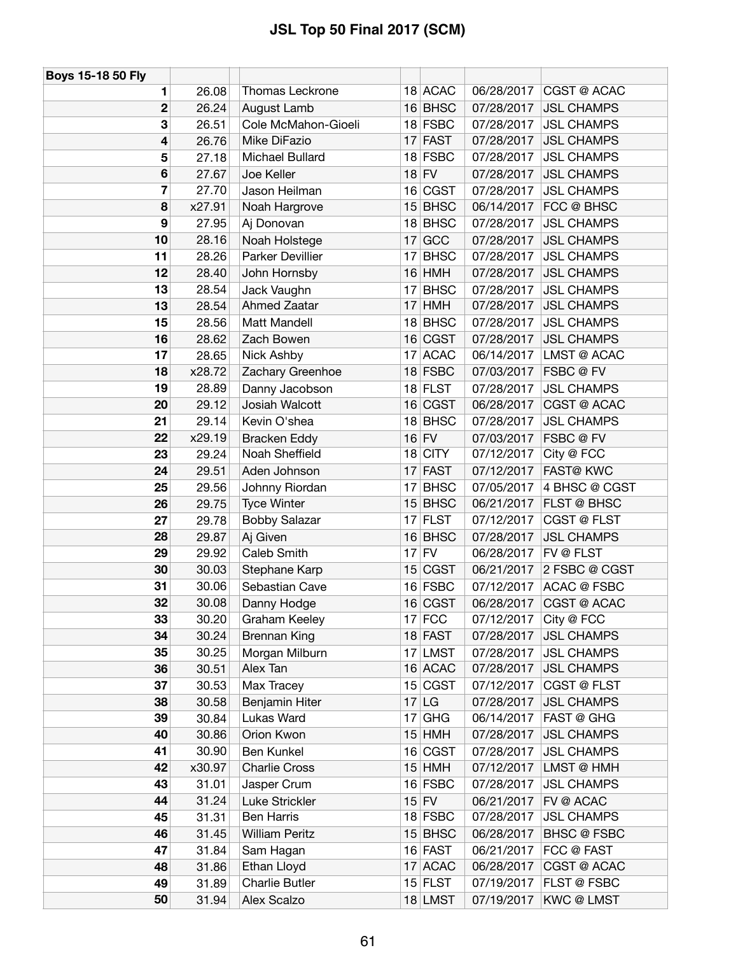| Boys 15-18 50 Fly |        |                       |                 |             |            |                        |
|-------------------|--------|-----------------------|-----------------|-------------|------------|------------------------|
| 1                 | 26.08  | Thomas Leckrone       |                 | 18 ACAC     | 06/28/2017 | CGST @ ACAC            |
| 2                 | 26.24  | August Lamb           |                 | 16 BHSC     | 07/28/2017 | <b>JSL CHAMPS</b>      |
| 3                 | 26.51  | Cole McMahon-Gioeli   |                 | $18$ FSBC   | 07/28/2017 | <b>JSL CHAMPS</b>      |
| 4                 | 26.76  | Mike DiFazio          |                 | $17$ FAST   | 07/28/2017 | <b>JSL CHAMPS</b>      |
| 5                 | 27.18  | Michael Bullard       |                 | 18 FSBC     | 07/28/2017 | <b>JSL CHAMPS</b>      |
| 6                 | 27.67  | Joe Keller            |                 | $18$ FV     | 07/28/2017 | <b>JSL CHAMPS</b>      |
| 7                 | 27.70  | Jason Heilman         |                 | 16 CGST     | 07/28/2017 | <b>JSL CHAMPS</b>      |
| 8                 | x27.91 | Noah Hargrove         |                 | $15$ BHSC   | 06/14/2017 | FCC @ BHSC             |
| 9                 | 27.95  | Aj Donovan            |                 | $18$ BHSC   | 07/28/2017 | <b>JSL CHAMPS</b>      |
| 10                | 28.16  | Noah Holstege         |                 | $17$ GCC    | 07/28/2017 | <b>JSL CHAMPS</b>      |
| 11                | 28.26  | Parker Devillier      | 17              | <b>BHSC</b> | 07/28/2017 | <b>JSL CHAMPS</b>      |
| 12                | 28.40  | John Hornsby          |                 | $16$ HMH    | 07/28/2017 | <b>JSL CHAMPS</b>      |
| 13                | 28.54  | Jack Vaughn           | 17              | <b>BHSC</b> | 07/28/2017 | <b>JSL CHAMPS</b>      |
| 13                | 28.54  | Ahmed Zaatar          |                 | $17$ HMH    | 07/28/2017 | <b>JSL CHAMPS</b>      |
| 15                | 28.56  | Matt Mandell          |                 | $18$ BHSC   | 07/28/2017 | <b>JSL CHAMPS</b>      |
| 16                | 28.62  | Zach Bowen            |                 | 16 CGST     | 07/28/2017 | <b>JSL CHAMPS</b>      |
| 17                | 28.65  | Nick Ashby            |                 | 17 ACAC     | 06/14/2017 | LMST @ ACAC            |
| 18                | x28.72 | Zachary Greenhoe      |                 | 18 FSBC     | 07/03/2017 | FSBC @ FV              |
| 19                | 28.89  | Danny Jacobson        |                 | $18$ FLST   | 07/28/2017 | <b>JSL CHAMPS</b>      |
| 20                | 29.12  | Josiah Walcott        |                 | 16 CGST     | 06/28/2017 | CGST @ ACAC            |
| 21                | 29.14  | Kevin O'shea          |                 | 18 BHSC     | 07/28/2017 | <b>JSL CHAMPS</b>      |
| 22                | x29.19 | <b>Bracken Eddy</b>   |                 | $16$ FV     | 07/03/2017 | FSBC @ FV              |
| 23                | 29.24  | Noah Sheffield        |                 | $18$ CITY   | 07/12/2017 | City @ FCC             |
| 24                | 29.51  | Aden Johnson          |                 | $17$ FAST   | 07/12/2017 | <b>FAST@ KWC</b>       |
| 25                | 29.56  | Johnny Riordan        | 17 <sup>1</sup> | <b>BHSC</b> | 07/05/2017 | 4 BHSC @ CGST          |
| 26                | 29.75  | <b>Tyce Winter</b>    |                 | $15$ BHSC   | 06/21/2017 | FLST @ BHSC            |
| 27                | 29.78  | <b>Bobby Salazar</b>  |                 | $17$ FLST   | 07/12/2017 | <b>CGST @ FLST</b>     |
| 28                | 29.87  | Aj Given              |                 | 16 BHSC     | 07/28/2017 | <b>JSL CHAMPS</b>      |
| 29                | 29.92  | Caleb Smith           |                 | $17$ FV     | 06/28/2017 | FV @ FLST              |
| 30                | 30.03  | Stephane Karp         |                 | 15 CGST     | 06/21/2017 | 2 FSBC @ CGST          |
| 31                | 30.06  | Sebastian Cave        |                 | $16$ FSBC   | 07/12/2017 | <b>ACAC @ FSBC</b>     |
| 32                | 30.08  | Danny Hodge           |                 | 16 CGST     |            | 06/28/2017 CGST @ ACAC |
| 33                | 30.20  | Graham Keeley         |                 | $17$ FCC    | 07/12/2017 | City @ FCC             |
| 34                | 30.24  | <b>Brennan King</b>   |                 | $18$ FAST   | 07/28/2017 | <b>JSL CHAMPS</b>      |
| 35                | 30.25  | Morgan Milburn        |                 | $17$ LMST   | 07/28/2017 | <b>JSL CHAMPS</b>      |
| 36                | 30.51  | Alex Tan              |                 | 16 ACAC     | 07/28/2017 | <b>JSL CHAMPS</b>      |
| 37                | 30.53  | Max Tracey            |                 | 15 CGST     | 07/12/2017 | CGST @ FLST            |
| 38                | 30.58  | Benjamin Hiter        |                 | $17$ LG     | 07/28/2017 | <b>JSL CHAMPS</b>      |
| 39                | 30.84  | Lukas Ward            |                 | $17$ GHG    | 06/14/2017 | FAST @ GHG             |
| 40                | 30.86  | Orion Kwon            |                 | $15$ HMH    | 07/28/2017 | <b>JSL CHAMPS</b>      |
| 41                | 30.90  | <b>Ben Kunkel</b>     |                 | 16 CGST     | 07/28/2017 | <b>JSL CHAMPS</b>      |
| 42                | x30.97 | <b>Charlie Cross</b>  |                 | $15$ HMH    | 07/12/2017 | LMST @ HMH             |
| 43                | 31.01  | Jasper Crum           |                 | 16 FSBC     | 07/28/2017 | <b>JSL CHAMPS</b>      |
| 44                | 31.24  | Luke Strickler        |                 | $15$ FV     | 06/21/2017 | FV @ ACAC              |
| 45                | 31.31  | <b>Ben Harris</b>     |                 | $18$ FSBC   | 07/28/2017 | <b>JSL CHAMPS</b>      |
| 46                | 31.45  | <b>William Peritz</b> |                 | $15$ BHSC   | 06/28/2017 | <b>BHSC @ FSBC</b>     |
| 47                | 31.84  | Sam Hagan             |                 | 16 FAST     | 06/21/2017 | FCC @ FAST             |
| 48                | 31.86  | Ethan Lloyd           |                 | 17 ACAC     | 06/28/2017 | CGST @ ACAC            |
| 49                | 31.89  | <b>Charlie Butler</b> |                 | $15$ FLST   | 07/19/2017 | FLST @ FSBC            |
| 50                | 31.94  | Alex Scalzo           |                 | 18 LMST     | 07/19/2017 | <b>KWC@LMST</b>        |